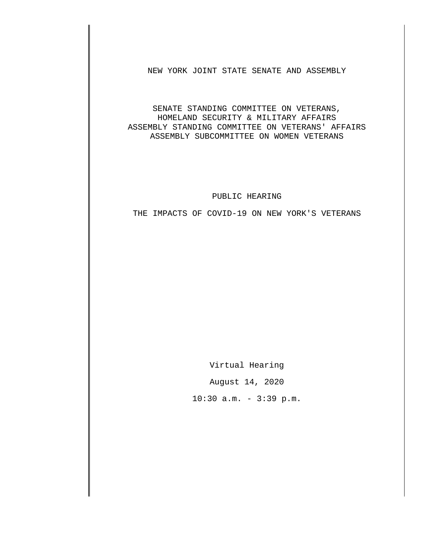NEW YORK JOINT STATE SENATE AND ASSEMBLY

SENATE STANDING COMMITTEE ON VETERANS, HOMELAND SECURITY & MILITARY AFFAIRS ASSEMBLY STANDING COMMITTEE ON VETERANS' AFFAIRS ASSEMBLY SUBCOMMITTEE ON WOMEN VETERANS

## PUBLIC HEARING

THE IMPACTS OF COVID-19 ON NEW YORK'S VETERANS

Virtual Hearing

August 14, 2020

 $10:30$  a.m. - 3:39 p.m.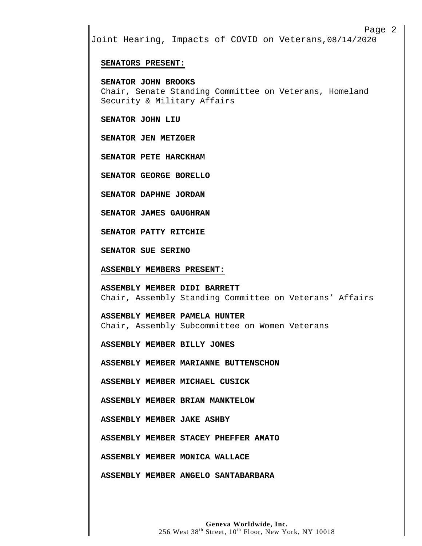## Page 2

Joint Hearing, Impacts of COVID on Veterans,08/14/2020

## **SENATORS PRESENT:**

**SENATOR JOHN BROOKS** Chair, Senate Standing Committee on Veterans, Homeland Security & Military Affairs

**SENATOR JOHN LIU**

**SENATOR JEN METZGER**

**SENATOR PETE HARCKHAM**

**SENATOR GEORGE BORELLO**

**SENATOR DAPHNE JORDAN**

**SENATOR JAMES GAUGHRAN**

**SENATOR PATTY RITCHIE**

**SENATOR SUE SERINO**

**ASSEMBLY MEMBERS PRESENT:**

**ASSEMBLY MEMBER DIDI BARRETT** Chair, Assembly Standing Committee on Veterans' Affairs

**ASSEMBLY MEMBER PAMELA HUNTER** Chair, Assembly Subcommittee on Women Veterans

**ASSEMBLY MEMBER BILLY JONES**

**ASSEMBLY MEMBER MARIANNE BUTTENSCHON**

**ASSEMBLY MEMBER MICHAEL CUSICK**

**ASSEMBLY MEMBER BRIAN MANKTELOW**

**ASSEMBLY MEMBER JAKE ASHBY**

**ASSEMBLY MEMBER STACEY PHEFFER AMATO**

**ASSEMBLY MEMBER MONICA WALLACE**

**ASSEMBLY MEMBER ANGELO SANTABARBARA**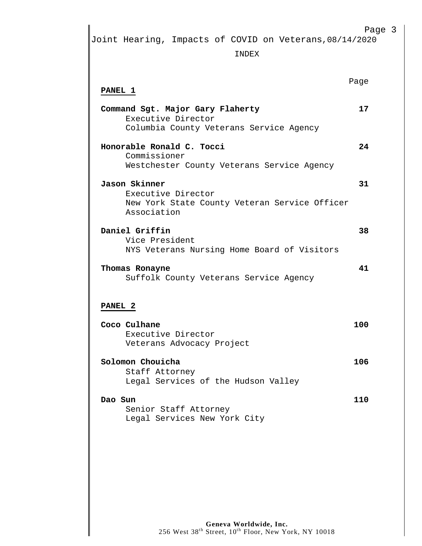Page 3

Joint Hearing, Impacts of COVID on Veterans,08/14/2020

INDEX

| <b>PANEL 1</b>                                                                                      | Page |
|-----------------------------------------------------------------------------------------------------|------|
| Command Sgt. Major Gary Flaherty<br>Executive Director<br>Columbia County Veterans Service Agency   | 17   |
| Honorable Ronald C. Tocci<br>Commissioner<br>Westchester County Veterans Service Agency             | 24   |
| Jason Skinner<br>Executive Director<br>New York State County Veteran Service Officer<br>Association | 31   |
| Daniel Griffin<br>Vice President<br>NYS Veterans Nursing Home Board of Visitors                     | 38   |
| Thomas Ronayne<br>Suffolk County Veterans Service Agency                                            | 41   |
| <b>PANEL 2</b>                                                                                      |      |
| Coco Culhane<br>Executive Director<br>Veterans Advocacy Project                                     | 100  |
| Solomon Chouicha<br>Staff Attorney<br>Legal Services of the Hudson Valley                           | 106  |
| Dao Sun<br>Senior Staff Attorney<br>Legal Services New York City                                    | 110  |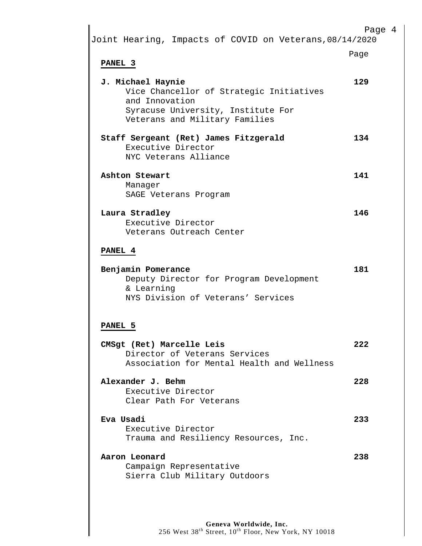| Joint Hearing, Impacts of COVID on Veterans, 08/14/2020                                                                                                 | Page 4 |
|---------------------------------------------------------------------------------------------------------------------------------------------------------|--------|
| PANEL 3                                                                                                                                                 | Page   |
| J. Michael Haynie<br>Vice Chancellor of Strategic Initiatives<br>and Innovation<br>Syracuse University, Institute For<br>Veterans and Military Families | 129    |
| Staff Sergeant (Ret) James Fitzgerald<br>Executive Director<br>NYC Veterans Alliance                                                                    | 134    |
| Ashton Stewart<br>Manager<br>SAGE Veterans Program                                                                                                      | 141    |
| Laura Stradley<br>Executive Director<br>Veterans Outreach Center                                                                                        | 146    |
| PANEL 4                                                                                                                                                 |        |
| Benjamin Pomerance<br>Deputy Director for Program Development<br>& Learning<br>NYS Division of Veterans' Services                                       | 181    |
| PANEL <sub>5</sub>                                                                                                                                      |        |
| CMSgt (Ret) Marcelle Leis<br>Director of Veterans Services<br>Association for Mental Health and Wellness                                                | 222    |
| Alexander J. Behm<br>Executive Director<br>Clear Path For Veterans                                                                                      | 228    |
| Eva Usadi<br>Executive Director<br>Trauma and Resiliency Resources, Inc.                                                                                | 233    |
| Aaron Leonard<br>Campaign Representative<br>Sierra Club Military Outdoors                                                                               | 238    |
|                                                                                                                                                         |        |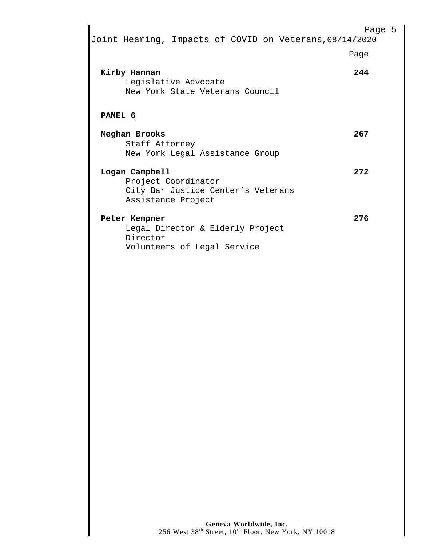| Joint Hearing, Impacts of COVID on Veterans, 08/14/2020                 | Page 5 |
|-------------------------------------------------------------------------|--------|
|                                                                         | Page   |
| Kirby Hannan<br>Legislative Advocate<br>New York State Veterans Council | 244    |
| PANEL 6                                                                 |        |
| Meghan Brooks                                                           | 267    |
| Staff Attorney<br>New York Legal Assistance Group                       |        |
| Logan Campbell                                                          | 2.72   |
| Project Coordinator                                                     |        |
| City Bar Justice Center's Veterans                                      |        |
| Assistance Project                                                      |        |
| Peter Kempner                                                           | 276    |
| Legal Director & Elderly Project                                        |        |
| Director                                                                |        |
| Volunteers of Legal Service                                             |        |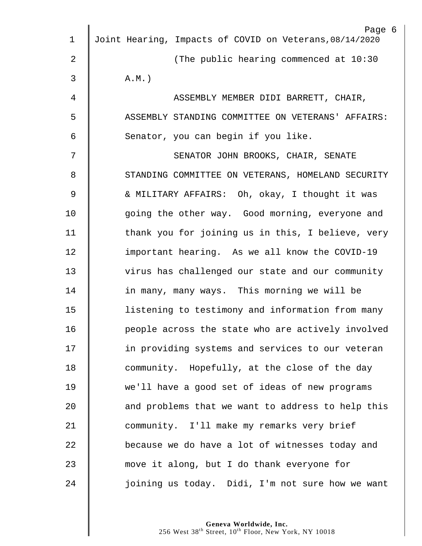|                | Page 6                                                  |
|----------------|---------------------------------------------------------|
| 1              | Joint Hearing, Impacts of COVID on Veterans, 08/14/2020 |
| $\overline{2}$ | (The public hearing commenced at 10:30                  |
| 3              | $A.M.$ )                                                |
| 4              | ASSEMBLY MEMBER DIDI BARRETT, CHAIR,                    |
| 5              | ASSEMBLY STANDING COMMITTEE ON VETERANS' AFFAIRS:       |
| 6              | Senator, you can begin if you like.                     |
| 7              | SENATOR JOHN BROOKS, CHAIR, SENATE                      |
| 8              | STANDING COMMITTEE ON VETERANS, HOMELAND SECURITY       |
| 9              | & MILITARY AFFAIRS: Oh, okay, I thought it was          |
| 10             | going the other way. Good morning, everyone and         |
| 11             | thank you for joining us in this, I believe, very       |
| 12             | important hearing. As we all know the COVID-19          |
| 13             | virus has challenged our state and our community        |
| 14             | in many, many ways. This morning we will be             |
| 15             | listening to testimony and information from many        |
| 16             | people across the state who are actively involved       |
| 17             | in providing systems and services to our veteran        |
| 18             | community. Hopefully, at the close of the day           |
| 19             | we'll have a good set of ideas of new programs          |
| 20             | and problems that we want to address to help this       |
| 21             | community. I'll make my remarks very brief              |
| 22             | because we do have a lot of witnesses today and         |
| 23             | move it along, but I do thank everyone for              |
| 24             | joining us today. Didi, I'm not sure how we want        |
|                |                                                         |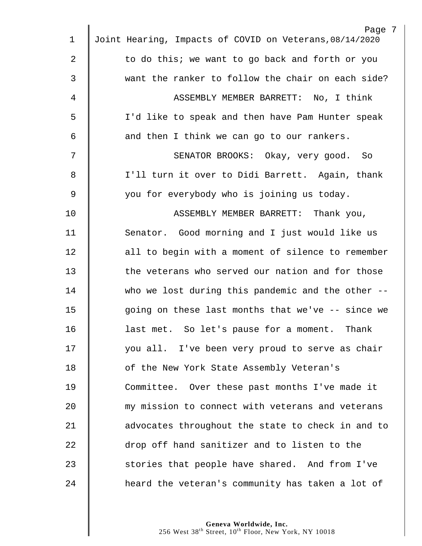|             | Page 7                                                  |
|-------------|---------------------------------------------------------|
| $\mathbf 1$ | Joint Hearing, Impacts of COVID on Veterans, 08/14/2020 |
| 2           | to do this; we want to go back and forth or you         |
| 3           | want the ranker to follow the chair on each side?       |
| 4           | ASSEMBLY MEMBER BARRETT: No, I think                    |
| 5           | I'd like to speak and then have Pam Hunter speak        |
| 6           | and then I think we can go to our rankers.              |
| 7           | SENATOR BROOKS: Okay, very good. So                     |
| 8           | I'll turn it over to Didi Barrett. Again, thank         |
| 9           | you for everybody who is joining us today.              |
| 10          | ASSEMBLY MEMBER BARRETT: Thank you,                     |
| 11          | Senator. Good morning and I just would like us          |
| 12          | all to begin with a moment of silence to remember       |
| 13          | the veterans who served our nation and for those        |
| 14          | who we lost during this pandemic and the other --       |
| 15          | going on these last months that we've -- since we       |
| 16          | last met. So let's pause for a moment. Thank            |
| 17          | you all. I've been very proud to serve as chair         |
| 18          | of the New York State Assembly Veteran's                |
| 19          | Committee. Over these past months I've made it          |
| 20          | my mission to connect with veterans and veterans        |
| 21          | advocates throughout the state to check in and to       |
| 22          | drop off hand sanitizer and to listen to the            |
| 23          | stories that people have shared. And from I've          |
| 24          | heard the veteran's community has taken a lot of        |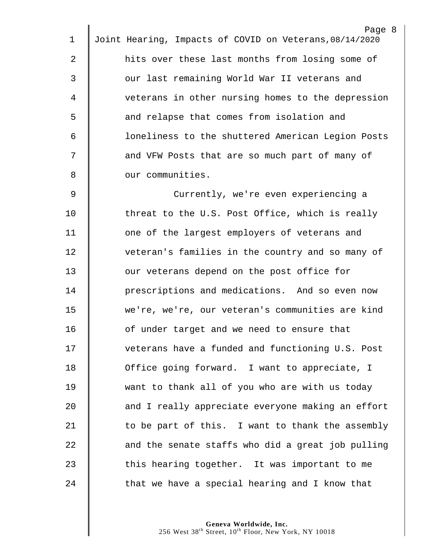Page 8 1 Joint Hearing, Impacts of COVID on Veterans,08/14/2020 2 **fight** hits over these last months from losing some of 3 || our last remaining World War II veterans and 4 veterans in other nursing homes to the depression 5 | and relapse that comes from isolation and 6 | Coneliness to the shuttered American Legion Posts 7 | and VFW Posts that are so much part of many of 8 **6** our communities. 9 | Currently, we're even experiencing a 10 Threat to the U.S. Post Office, which is really 11 | one of the largest employers of veterans and 12 | veteran's families in the country and so many of 13 **J** our veterans depend on the post office for 14 **deg** prescriptions and medications. And so even now 15 | we're, we're, our veteran's communities are kind 16 **deg is a 1** of under target and we need to ensure that 17 | veterans have a funded and functioning U.S. Post 18 **O**ffice going forward. I want to appreciate, I 19 want to thank all of you who are with us today 20 **and I** really appreciate everyone making an effort  $21$   $\parallel$  to be part of this. I want to thank the assembly  $22$   $\parallel$  and the senate staffs who did a great job pulling 23 | this hearing together. It was important to me  $24$   $\parallel$  that we have a special hearing and I know that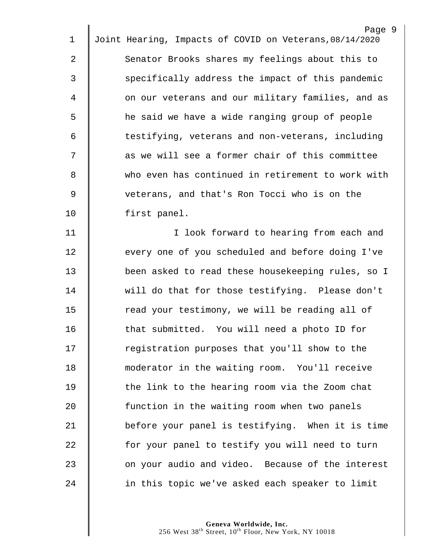|                | Page 9                                                  |
|----------------|---------------------------------------------------------|
| 1              | Joint Hearing, Impacts of COVID on Veterans, 08/14/2020 |
| $\overline{2}$ | Senator Brooks shares my feelings about this to         |
| 3              | specifically address the impact of this pandemic        |
| 4              | on our veterans and our military families, and as       |
| 5              | he said we have a wide ranging group of people          |
| 6              | testifying, veterans and non-veterans, including        |
| 7              | as we will see a former chair of this committee         |
| 8              | who even has continued in retirement to work with       |
| $\mathsf 9$    | veterans, and that's Ron Tocci who is on the            |
| 10             | first panel.                                            |
| 11             | I look forward to hearing from each and                 |
| 12             | every one of you scheduled and before doing I've        |
| 13             | been asked to read these housekeeping rules, so I       |
| 14             | will do that for those testifying. Please don't         |
| 15             | read your testimony, we will be reading all of          |
| 16             | that submitted. You will need a photo ID for            |
| 17             | registration purposes that you'll show to the           |
| 18             | moderator in the waiting room. You'll receive           |
| 19             | the link to the hearing room via the Zoom chat          |
| 20             | function in the waiting room when two panels            |
| 21             | before your panel is testifying. When it is time        |
| 22             | for your panel to testify you will need to turn         |
| 23             | on your audio and video. Because of the interest        |
| 24             | in this topic we've asked each speaker to limit         |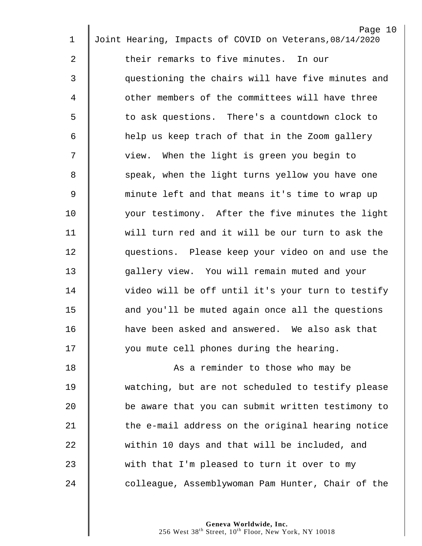|                | Page 10                                                 |
|----------------|---------------------------------------------------------|
| $\mathbf 1$    | Joint Hearing, Impacts of COVID on Veterans, 08/14/2020 |
| 2              | their remarks to five minutes. In our                   |
| 3              | questioning the chairs will have five minutes and       |
| 4              | other members of the committees will have three         |
| 5              | to ask questions. There's a countdown clock to          |
| 6              | help us keep trach of that in the Zoom gallery          |
| 7              | view. When the light is green you begin to              |
| 8              | speak, when the light turns yellow you have one         |
| $\overline{9}$ | minute left and that means it's time to wrap up         |
| 10             | your testimony. After the five minutes the light        |
| 11             | will turn red and it will be our turn to ask the        |
| 12             | questions. Please keep your video on and use the        |
| 13             | gallery view. You will remain muted and your            |
| 14             | video will be off until it's your turn to testify       |
| 15             | and you'll be muted again once all the questions        |
| 16             | have been asked and answered. We also ask that          |
| 17             | you mute cell phones during the hearing.                |
| 18             | As a reminder to those who may be                       |
| 19             | watching, but are not scheduled to testify please       |
| 20             | be aware that you can submit written testimony to       |
| 21             | the e-mail address on the original hearing notice       |
| 22             | within 10 days and that will be included, and           |
| 23             | with that I'm pleased to turn it over to my             |
| 24             | colleague, Assemblywoman Pam Hunter, Chair of the       |
|                |                                                         |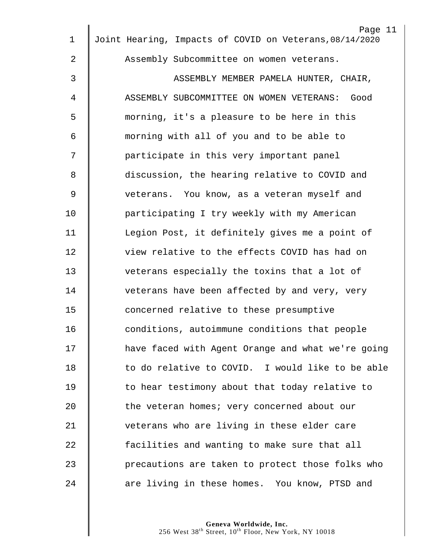|                | Page 11<br>Joint Hearing, Impacts of COVID on Veterans, 08/14/2020 |
|----------------|--------------------------------------------------------------------|
| 1              |                                                                    |
| $\overline{a}$ | Assembly Subcommittee on women veterans.                           |
| 3              | ASSEMBLY MEMBER PAMELA HUNTER, CHAIR,                              |
| 4              | ASSEMBLY SUBCOMMITTEE ON WOMEN VETERANS:<br>Good                   |
| 5              | morning, it's a pleasure to be here in this                        |
| 6              | morning with all of you and to be able to                          |
| 7              | participate in this very important panel                           |
| 8              | discussion, the hearing relative to COVID and                      |
| 9              | veterans. You know, as a veteran myself and                        |
| 10             | participating I try weekly with my American                        |
| 11             | Legion Post, it definitely gives me a point of                     |
| 12             | view relative to the effects COVID has had on                      |
| 13             | veterans especially the toxins that a lot of                       |
| 14             | veterans have been affected by and very, very                      |
| 15             | concerned relative to these presumptive                            |
| 16             | conditions, autoimmune conditions that people                      |
| 17             | have faced with Agent Orange and what we're going                  |
| 18             | to do relative to COVID. I would like to be able                   |
| 19             | to hear testimony about that today relative to                     |
| 20             | the veteran homes; very concerned about our                        |
| 21             | veterans who are living in these elder care                        |
| 22             | facilities and wanting to make sure that all                       |
| 23             | precautions are taken to protect those folks who                   |
| 24             | are living in these homes. You know, PTSD and                      |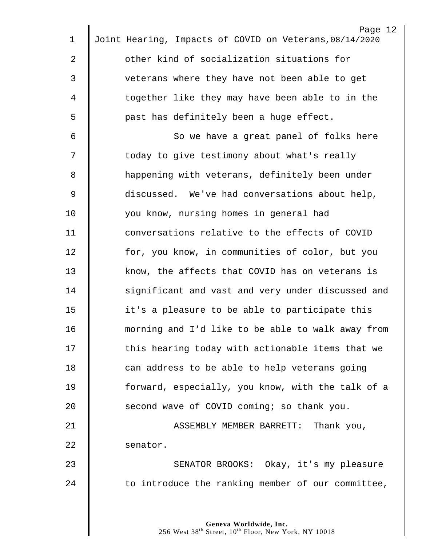|             | Page 12                                                 |
|-------------|---------------------------------------------------------|
| $\mathbf 1$ | Joint Hearing, Impacts of COVID on Veterans, 08/14/2020 |
| 2           | other kind of socialization situations for              |
| 3           | veterans where they have not been able to get           |
| 4           | together like they may have been able to in the         |
| 5           | past has definitely been a huge effect.                 |
| 6           | So we have a great panel of folks here                  |
| 7           | today to give testimony about what's really             |
| 8           | happening with veterans, definitely been under          |
| 9           | discussed. We've had conversations about help,          |
| 10          | you know, nursing homes in general had                  |
| 11          | conversations relative to the effects of COVID          |
| 12          | for, you know, in communities of color, but you         |
| 13          | know, the affects that COVID has on veterans is         |
| 14          | significant and vast and very under discussed and       |
| 15          | it's a pleasure to be able to participate this          |
| 16          | morning and I'd like to be able to walk away from       |
| 17          | this hearing today with actionable items that we        |
| 18          | can address to be able to help veterans going           |
| 19          | forward, especially, you know, with the talk of a       |
| 20          | second wave of COVID coming; so thank you.              |
| 21          | ASSEMBLY MEMBER BARRETT: Thank you,                     |
| 22          | senator.                                                |
| 23          | SENATOR BROOKS: Okay, it's my pleasure                  |
| 24          | to introduce the ranking member of our committee,       |
|             |                                                         |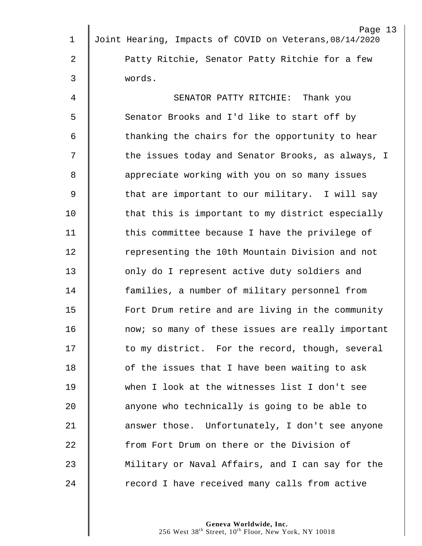|             | Page 13                                                 |
|-------------|---------------------------------------------------------|
| $\mathbf 1$ | Joint Hearing, Impacts of COVID on Veterans, 08/14/2020 |
| 2           | Patty Ritchie, Senator Patty Ritchie for a few          |
| 3           | words.                                                  |
| 4           | SENATOR PATTY RITCHIE: Thank you                        |
| 5           | Senator Brooks and I'd like to start off by             |
| 6           | thanking the chairs for the opportunity to hear         |
| 7           | the issues today and Senator Brooks, as always, I       |
| 8           | appreciate working with you on so many issues           |
| 9           | that are important to our military. I will say          |
| 10          | that this is important to my district especially        |
| 11          | this committee because I have the privilege of          |
| 12          | representing the 10th Mountain Division and not         |
| 13          | only do I represent active duty soldiers and            |
| 14          | families, a number of military personnel from           |
| 15          | Fort Drum retire and are living in the community        |
| 16          | now; so many of these issues are really important       |
| 17          | to my district. For the record, though, several         |
| 18          | of the issues that I have been waiting to ask           |
| 19          | when I look at the witnesses list I don't see           |
| 20          | anyone who technically is going to be able to           |
| 21          | answer those. Unfortunately, I don't see anyone         |
| 22          | from Fort Drum on there or the Division of              |
| 23          | Military or Naval Affairs, and I can say for the        |
| 24          | record I have received many calls from active           |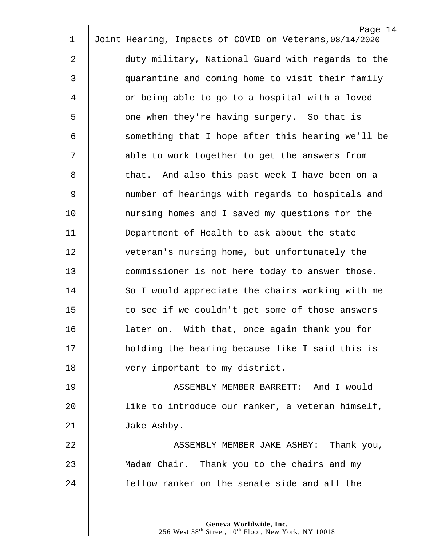|             | Page 14                                                 |
|-------------|---------------------------------------------------------|
| $\mathbf 1$ | Joint Hearing, Impacts of COVID on Veterans, 08/14/2020 |
| 2           | duty military, National Guard with regards to the       |
| 3           | quarantine and coming home to visit their family        |
| 4           | or being able to go to a hospital with a loved          |
| 5           | one when they're having surgery. So that is             |
| 6           | something that I hope after this hearing we'll be       |
| 7           | able to work together to get the answers from           |
| 8           | that. And also this past week I have been on a          |
| 9           | number of hearings with regards to hospitals and        |
| 10          | nursing homes and I saved my questions for the          |
| 11          | Department of Health to ask about the state             |
| 12          | veteran's nursing home, but unfortunately the           |
| 13          | commissioner is not here today to answer those.         |
| 14          | So I would appreciate the chairs working with me        |
| 15          | to see if we couldn't get some of those answers         |
| 16          | later on. With that, once again thank you for           |
| 17          | holding the hearing because like I said this is         |
| 18          | very important to my district.                          |
| 19          | ASSEMBLY MEMBER BARRETT: And I would                    |
| 20          | like to introduce our ranker, a veteran himself,        |
| 21          | Jake Ashby.                                             |
| 22          | ASSEMBLY MEMBER JAKE ASHBY: Thank you,                  |
| 23          | Madam Chair. Thank you to the chairs and my             |
| 24          | fellow ranker on the senate side and all the            |
|             |                                                         |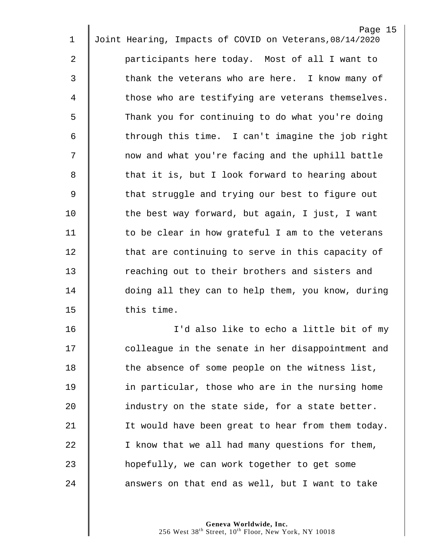|             | Page 15                                                 |
|-------------|---------------------------------------------------------|
| $\mathbf 1$ | Joint Hearing, Impacts of COVID on Veterans, 08/14/2020 |
| 2           | participants here today. Most of all I want to          |
| 3           | thank the veterans who are here. I know many of         |
| 4           | those who are testifying are veterans themselves.       |
| 5           | Thank you for continuing to do what you're doing        |
| 6           | through this time. I can't imagine the job right        |
| 7           | now and what you're facing and the uphill battle        |
| 8           | that it is, but I look forward to hearing about         |
| $\mathsf 9$ | that struggle and trying our best to figure out         |
| 10          | the best way forward, but again, I just, I want         |
| 11          | to be clear in how grateful I am to the veterans        |
| 12          | that are continuing to serve in this capacity of        |
| 13          | reaching out to their brothers and sisters and          |
| 14          | doing all they can to help them, you know, during       |
| 15          | this time.                                              |
| 16          | I'd also like to echo a little bit of my                |
| 17          | colleague in the senate in her disappointment and       |
| 18          | the absence of some people on the witness list,         |
| 19          | in particular, those who are in the nursing home        |
| 20          | industry on the state side, for a state better.         |
| 21          | It would have been great to hear from them today.       |
| 22          | I know that we all had many questions for them,         |
| 23          | hopefully, we can work together to get some             |
| 24          | answers on that end as well, but I want to take         |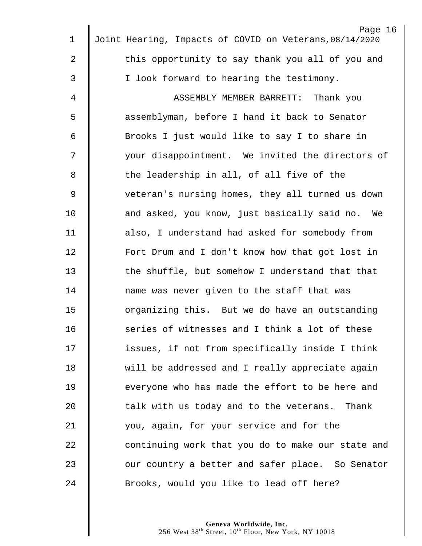|    | Page 16                                                 |
|----|---------------------------------------------------------|
| 1  | Joint Hearing, Impacts of COVID on Veterans, 08/14/2020 |
| 2  | this opportunity to say thank you all of you and        |
| 3  | I look forward to hearing the testimony.                |
| 4  | ASSEMBLY MEMBER BARRETT:<br>Thank you                   |
| 5  | assemblyman, before I hand it back to Senator           |
| 6  | Brooks I just would like to say I to share in           |
| 7  | your disappointment. We invited the directors of        |
| 8  | the leadership in all, of all five of the               |
| 9  | veteran's nursing homes, they all turned us down        |
| 10 | and asked, you know, just basically said no. We         |
| 11 | also, I understand had asked for somebody from          |
| 12 | Fort Drum and I don't know how that got lost in         |
| 13 | the shuffle, but somehow I understand that that         |
| 14 | name was never given to the staff that was              |
| 15 | organizing this. But we do have an outstanding          |
| 16 | series of witnesses and I think a lot of these          |
| 17 | issues, if not from specifically inside I think         |
| 18 | will be addressed and I really appreciate again         |
| 19 | everyone who has made the effort to be here and         |
| 20 | talk with us today and to the veterans. Thank           |
| 21 | you, again, for your service and for the                |
| 22 | continuing work that you do to make our state and       |
| 23 | our country a better and safer place. So Senator        |
| 24 | Brooks, would you like to lead off here?                |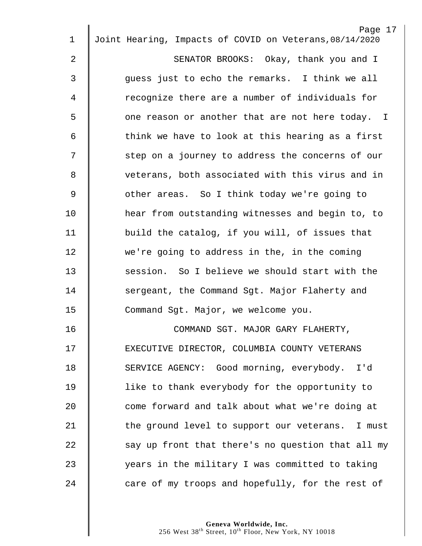| 1  | Page 17<br>Joint Hearing, Impacts of COVID on Veterans, 08/14/2020 |
|----|--------------------------------------------------------------------|
| 2  | SENATOR BROOKS: Okay, thank you and I                              |
|    |                                                                    |
| 3  | guess just to echo the remarks. I think we all                     |
| 4  | recognize there are a number of individuals for                    |
| 5  | one reason or another that are not here today. I                   |
| 6  | think we have to look at this hearing as a first                   |
| 7  | step on a journey to address the concerns of our                   |
| 8  | veterans, both associated with this virus and in                   |
| 9  | other areas. So I think today we're going to                       |
| 10 | hear from outstanding witnesses and begin to, to                   |
| 11 | build the catalog, if you will, of issues that                     |
| 12 | we're going to address in the, in the coming                       |
| 13 | session. So I believe we should start with the                     |
| 14 | sergeant, the Command Sgt. Major Flaherty and                      |
| 15 | Command Sgt. Major, we welcome you.                                |
| 16 | COMMAND SGT. MAJOR GARY FLAHERTY,                                  |
| 17 | EXECUTIVE DIRECTOR, COLUMBIA COUNTY VETERANS                       |
| 18 | SERVICE AGENCY: Good morning, everybody. I'd                       |
| 19 | like to thank everybody for the opportunity to                     |
| 20 | come forward and talk about what we're doing at                    |
| 21 | the ground level to support our veterans. I must                   |
| 22 | say up front that there's no question that all my                  |
| 23 | years in the military I was committed to taking                    |
| 24 | care of my troops and hopefully, for the rest of                   |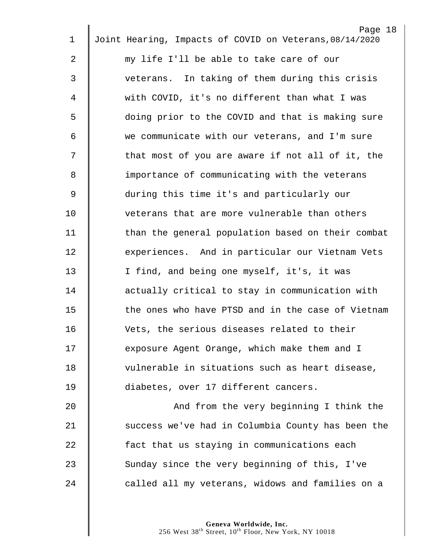|                | Page 18                                                 |
|----------------|---------------------------------------------------------|
| 1              | Joint Hearing, Impacts of COVID on Veterans, 08/14/2020 |
| $\overline{a}$ | my life I'll be able to take care of our                |
| 3              | veterans. In taking of them during this crisis          |
| 4              | with COVID, it's no different than what I was           |
| 5              | doing prior to the COVID and that is making sure        |
| 6              | we communicate with our veterans, and I'm sure          |
| 7              | that most of you are aware if not all of it, the        |
| 8              | importance of communicating with the veterans           |
| $\mathsf 9$    | during this time it's and particularly our              |
| 10             | veterans that are more vulnerable than others           |
| 11             | than the general population based on their combat       |
| 12             | experiences. And in particular our Vietnam Vets         |
| 13             | I find, and being one myself, it's, it was              |
| 14             | actually critical to stay in communication with         |
| 15             | the ones who have PTSD and in the case of Vietnam       |
| 16             | Vets, the serious diseases related to their             |
| 17             | exposure Agent Orange, which make them and I            |
| 18             | vulnerable in situations such as heart disease,         |
| 19             | diabetes, over 17 different cancers.                    |
| 20             | And from the very beginning I think the                 |
| 21             | success we've had in Columbia County has been the       |
| 22             | fact that us staying in communications each             |
| 23             | Sunday since the very beginning of this, I've           |
| 24             | called all my veterans, widows and families on a        |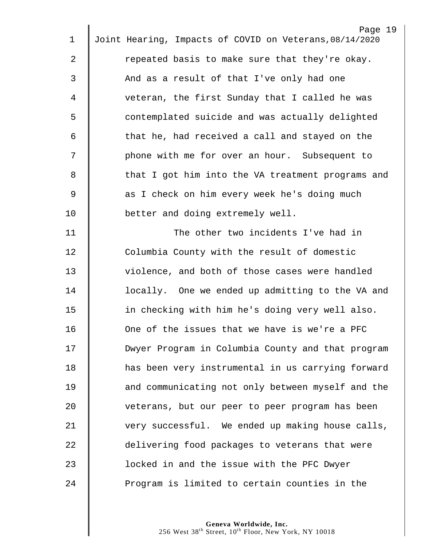| 1           | Page 19<br>Joint Hearing, Impacts of COVID on Veterans, 08/14/2020 |
|-------------|--------------------------------------------------------------------|
|             |                                                                    |
| 2           | repeated basis to make sure that they're okay.                     |
| 3           | And as a result of that I've only had one                          |
| 4           | veteran, the first Sunday that I called he was                     |
| 5           | contemplated suicide and was actually delighted                    |
| 6           | that he, had received a call and stayed on the                     |
| 7           | phone with me for over an hour. Subsequent to                      |
| 8           | that I got him into the VA treatment programs and                  |
| $\mathsf 9$ | as I check on him every week he's doing much                       |
| 10          | better and doing extremely well.                                   |
| 11          | The other two incidents I've had in                                |
| 12          | Columbia County with the result of domestic                        |
| 13          | violence, and both of those cases were handled                     |
| 14          | locally. One we ended up admitting to the VA and                   |
| 15          | in checking with him he's doing very well also.                    |
| 16          | One of the issues that we have is we're a PFC                      |
| 17          | Dwyer Program in Columbia County and that program                  |
| 18          | has been very instrumental in us carrying forward                  |
| 19          | and communicating not only between myself and the                  |
| 20          | veterans, but our peer to peer program has been                    |
| 21          | very successful. We ended up making house calls,                   |
| 22          | delivering food packages to veterans that were                     |
| 23          | locked in and the issue with the PFC Dwyer                         |
| 24          | Program is limited to certain counties in the                      |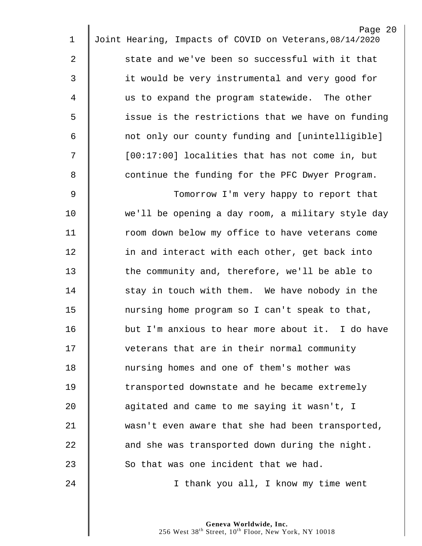|                | Page 20                                                 |
|----------------|---------------------------------------------------------|
| $\mathbf 1$    | Joint Hearing, Impacts of COVID on Veterans, 08/14/2020 |
| 2              | state and we've been so successful with it that         |
| 3              | it would be very instrumental and very good for         |
| 4              | us to expand the program statewide. The other           |
| 5              | issue is the restrictions that we have on funding       |
| 6              | not only our county funding and [unintelligible]        |
| 7              | [00:17:00] localities that has not come in, but         |
| 8              | continue the funding for the PFC Dwyer Program.         |
| $\overline{9}$ | Tomorrow I'm very happy to report that                  |
| 10             | we'll be opening a day room, a military style day       |
| 11             | room down below my office to have veterans come         |
| 12             | in and interact with each other, get back into          |
| 13             | the community and, therefore, we'll be able to          |
| 14             | stay in touch with them. We have nobody in the          |
| 15             | nursing home program so I can't speak to that,          |
| 16             | but I'm anxious to hear more about it. I do have        |
| 17             | veterans that are in their normal community             |
| 18             | nursing homes and one of them's mother was              |
| 19             | transported downstate and he became extremely           |
| 20             | agitated and came to me saying it wasn't, I             |
| 21             | wasn't even aware that she had been transported,        |
| 22             | and she was transported down during the night.          |
| 23             | So that was one incident that we had.                   |
| 24             | I thank you all, I know my time went                    |
|                |                                                         |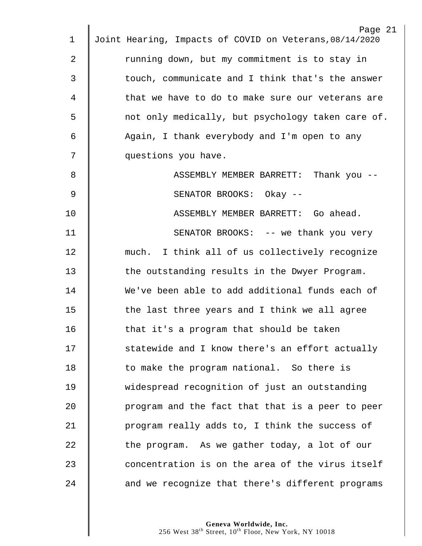|    | Page 21                                                 |
|----|---------------------------------------------------------|
| 1  | Joint Hearing, Impacts of COVID on Veterans, 08/14/2020 |
| 2  | running down, but my commitment is to stay in           |
| 3  | touch, communicate and I think that's the answer        |
| 4  | that we have to do to make sure our veterans are        |
| 5  | not only medically, but psychology taken care of.       |
| 6  | Again, I thank everybody and I'm open to any            |
| 7  | questions you have.                                     |
| 8  | ASSEMBLY MEMBER BARRETT: Thank you --                   |
| 9  | SENATOR BROOKS: Okay --                                 |
| 10 | ASSEMBLY MEMBER BARRETT: Go ahead.                      |
| 11 | SENATOR BROOKS: -- we thank you very                    |
| 12 | much. I think all of us collectively recognize          |
| 13 | the outstanding results in the Dwyer Program.           |
| 14 | We've been able to add additional funds each of         |
| 15 | the last three years and I think we all agree           |
| 16 | that it's a program that should be taken                |
| 17 | statewide and I know there's an effort actually         |
| 18 | to make the program national. So there is               |
| 19 | widespread recognition of just an outstanding           |
| 20 | program and the fact that that is a peer to peer        |
| 21 | program really adds to, I think the success of          |
| 22 | the program. As we gather today, a lot of our           |
| 23 | concentration is on the area of the virus itself        |
| 24 | and we recognize that there's different programs        |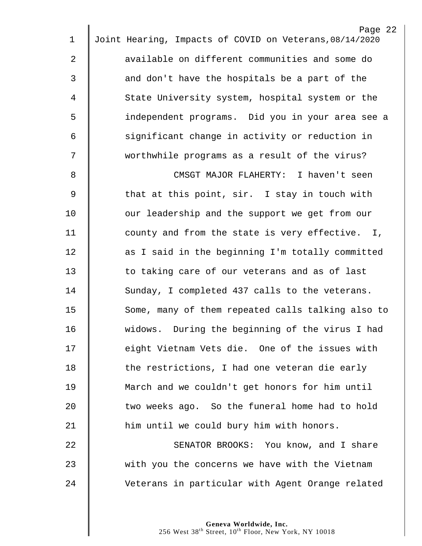|              | Page 22                                                 |
|--------------|---------------------------------------------------------|
| 1            | Joint Hearing, Impacts of COVID on Veterans, 08/14/2020 |
| $\mathbf{2}$ | available on different communities and some do          |
| 3            | and don't have the hospitals be a part of the           |
| 4            | State University system, hospital system or the         |
| 5            | independent programs. Did you in your area see a        |
| 6            | significant change in activity or reduction in          |
| 7            | worthwhile programs as a result of the virus?           |
| 8            | CMSGT MAJOR FLAHERTY: I haven't seen                    |
| 9            | that at this point, sir. I stay in touch with           |
| 10           | our leadership and the support we get from our          |
| 11           | county and from the state is very effective. I,         |
| 12           | as I said in the beginning I'm totally committed        |
| 13           | to taking care of our veterans and as of last           |
| 14           | Sunday, I completed 437 calls to the veterans.          |
| 15           | Some, many of them repeated calls talking also to       |
| 16           | widows. During the beginning of the virus I had         |
| 17           | eight Vietnam Vets die. One of the issues with          |
| 18           | the restrictions, I had one veteran die early           |
| 19           | March and we couldn't get honors for him until          |
| 20           | two weeks ago. So the funeral home had to hold          |
| 21           | him until we could bury him with honors.                |
| 22           | SENATOR BROOKS: You know, and I share                   |
| 23           | with you the concerns we have with the Vietnam          |
| 24           | Veterans in particular with Agent Orange related        |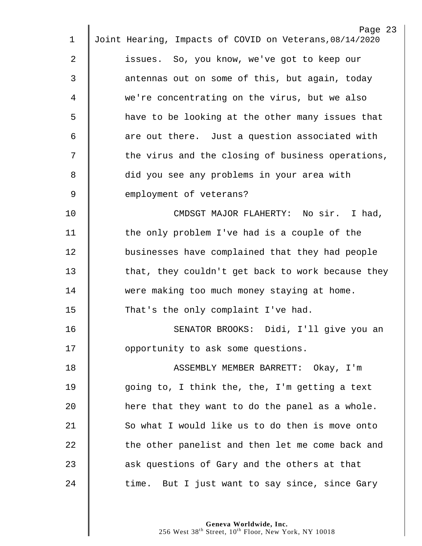|             | Page 23                                                 |
|-------------|---------------------------------------------------------|
| $\mathbf 1$ | Joint Hearing, Impacts of COVID on Veterans, 08/14/2020 |
| 2           | issues. So, you know, we've got to keep our             |
| 3           | antennas out on some of this, but again, today          |
| 4           | we're concentrating on the virus, but we also           |
| 5           | have to be looking at the other many issues that        |
| 6           | are out there. Just a question associated with          |
| 7           | the virus and the closing of business operations,       |
| 8           | did you see any problems in your area with              |
| 9           | employment of veterans?                                 |
| 10          | CMDSGT MAJOR FLAHERTY: No sir. I had,                   |
| 11          | the only problem I've had is a couple of the            |
| 12          | businesses have complained that they had people         |
| 13          | that, they couldn't get back to work because they       |
| 14          | were making too much money staying at home.             |
| 15          | That's the only complaint I've had.                     |
| 16          | SENATOR BROOKS: Didi, I'll give you an                  |
| 17          | opportunity to ask some questions.                      |
| 18          | ASSEMBLY MEMBER BARRETT: Okay, I'm                      |
| 19          | going to, I think the, the, I'm getting a text          |
| 20          | here that they want to do the panel as a whole.         |
| 21          | So what I would like us to do then is move onto         |
| 22          | the other panelist and then let me come back and        |
| 23          | ask questions of Gary and the others at that            |
| 24          | time. But I just want to say since, since Gary          |
|             |                                                         |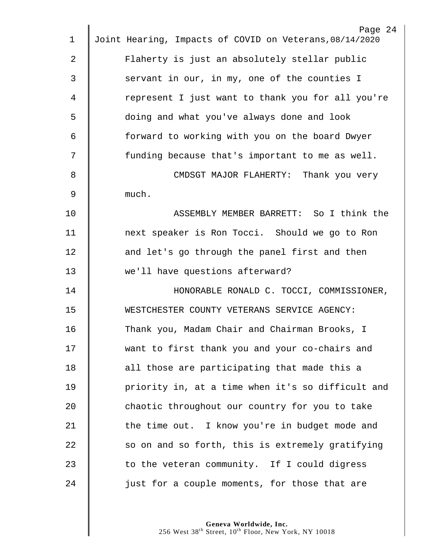|                | Page 24                                                 |
|----------------|---------------------------------------------------------|
| 1              | Joint Hearing, Impacts of COVID on Veterans, 08/14/2020 |
| $\overline{2}$ | Flaherty is just an absolutely stellar public           |
| 3              | servant in our, in my, one of the counties I            |
| 4              | represent I just want to thank you for all you're       |
| 5              | doing and what you've always done and look              |
| 6              | forward to working with you on the board Dwyer          |
| 7              | funding because that's important to me as well.         |
| 8              | CMDSGT MAJOR FLAHERTY: Thank you very                   |
| 9              | much.                                                   |
| 10             | ASSEMBLY MEMBER BARRETT: So I think the                 |
| 11             | next speaker is Ron Tocci. Should we go to Ron          |
| 12             | and let's go through the panel first and then           |
| 13             | we'll have questions afterward?                         |
| 14             | HONORABLE RONALD C. TOCCI, COMMISSIONER,                |
| 15             | WESTCHESTER COUNTY VETERANS SERVICE AGENCY:             |
| 16             | Thank you, Madam Chair and Chairman Brooks, I           |
| 17             | want to first thank you and your co-chairs and          |
| 18             | all those are participating that made this a            |
| 19             | priority in, at a time when it's so difficult and       |
| 20             | chaotic throughout our country for you to take          |
| 21             | the time out. I know you're in budget mode and          |
| 22             | so on and so forth, this is extremely gratifying        |
| 23             | to the veteran community. If I could digress            |
| 24             | just for a couple moments, for those that are           |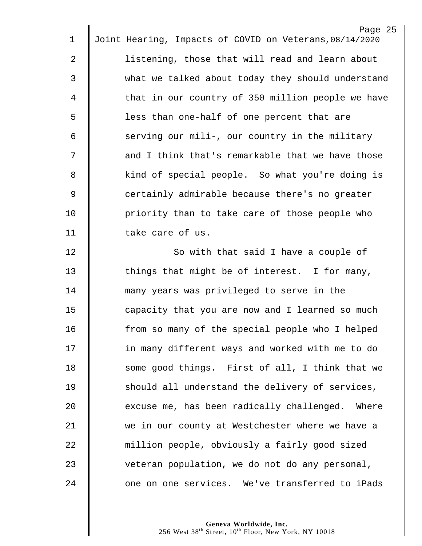| 1              | Page 25<br>Joint Hearing, Impacts of COVID on Veterans, 08/14/2020 |
|----------------|--------------------------------------------------------------------|
|                |                                                                    |
| 2              | listening, those that will read and learn about                    |
| 3              | what we talked about today they should understand                  |
| 4              | that in our country of 350 million people we have                  |
| 5              | less than one-half of one percent that are                         |
| 6              | serving our mili-, our country in the military                     |
| 7              | and I think that's remarkable that we have those                   |
| 8              | kind of special people. So what you're doing is                    |
| $\overline{9}$ | certainly admirable because there's no greater                     |
| 10             | priority than to take care of those people who                     |
| 11             | take care of us.                                                   |
| 12             | So with that said I have a couple of                               |
| 13             | things that might be of interest. I for many,                      |
| 14             | many years was privileged to serve in the                          |
| 15             | capacity that you are now and I learned so much                    |
| 16             | from so many of the special people who I helped                    |
| 17             | in many different ways and worked with me to do                    |
| 18             | some good things. First of all, I think that we                    |
| 19             | should all understand the delivery of services,                    |
| 20             | excuse me, has been radically challenged. Where                    |
| 21             | we in our county at Westchester where we have a                    |
| 22             | million people, obviously a fairly good sized                      |
| 23             | veteran population, we do not do any personal,                     |
| 24             | one on one services. We've transferred to iPads                    |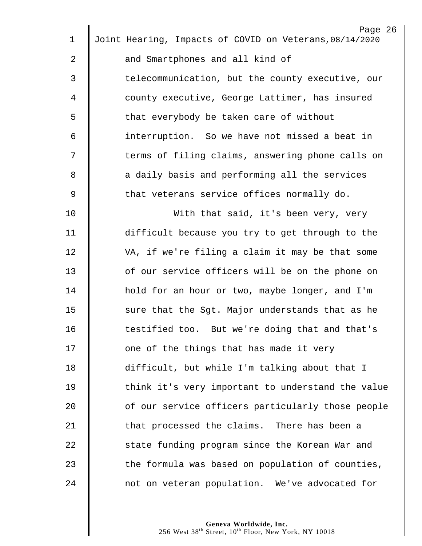| $\mathbf 1$ | Page 26<br>Joint Hearing, Impacts of COVID on Veterans, 08/14/2020 |
|-------------|--------------------------------------------------------------------|
|             |                                                                    |
| 2           | and Smartphones and all kind of                                    |
| 3           | telecommunication, but the county executive, our                   |
| 4           | county executive, George Lattimer, has insured                     |
| 5           | that everybody be taken care of without                            |
| 6           | interruption. So we have not missed a beat in                      |
| 7           | terms of filing claims, answering phone calls on                   |
| 8           | a daily basis and performing all the services                      |
| 9           | that veterans service offices normally do.                         |
| 10          | With that said, it's been very, very                               |
| 11          | difficult because you try to get through to the                    |
| 12          | VA, if we're filing a claim it may be that some                    |
| 13          | of our service officers will be on the phone on                    |
| 14          | hold for an hour or two, maybe longer, and I'm                     |
| 15          | sure that the Sgt. Major understands that as he                    |
| 16          | testified too. But we're doing that and that's                     |
| 17          | one of the things that has made it very                            |
| 18          | difficult, but while I'm talking about that I                      |
| 19          | think it's very important to understand the value                  |
| 20          | of our service officers particularly those people                  |
| 21          | that processed the claims. There has been a                        |
| 22          | state funding program since the Korean War and                     |
| 23          | the formula was based on population of counties,                   |
| 24          | not on veteran population. We've advocated for                     |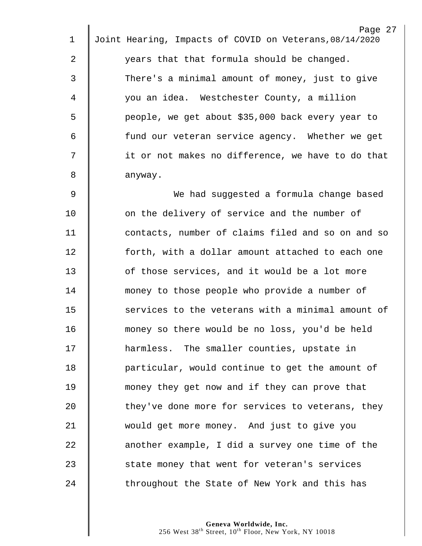|    | Page 27                                                 |
|----|---------------------------------------------------------|
| 1  | Joint Hearing, Impacts of COVID on Veterans, 08/14/2020 |
| 2  | years that that formula should be changed.              |
| 3  | There's a minimal amount of money, just to give         |
| 4  | you an idea. Westchester County, a million              |
| 5  | people, we get about \$35,000 back every year to        |
| 6  | fund our veteran service agency. Whether we get         |
| 7  | it or not makes no difference, we have to do that       |
| 8  | anyway.                                                 |
| 9  | We had suggested a formula change based                 |
| 10 | on the delivery of service and the number of            |
| 11 | contacts, number of claims filed and so on and so       |
| 12 | forth, with a dollar amount attached to each one        |
| 13 | of those services, and it would be a lot more           |
| 14 | money to those people who provide a number of           |
| 15 | services to the veterans with a minimal amount of       |
| 16 | money so there would be no loss, you'd be held          |
| 17 | harmless. The smaller counties, upstate in              |
| 18 | particular, would continue to get the amount of         |
| 19 | money they get now and if they can prove that           |
| 20 | they've done more for services to veterans, they        |
| 21 | would get more money. And just to give you              |
| 22 | another example, I did a survey one time of the         |
| 23 | state money that went for veteran's services            |
| 24 | throughout the State of New York and this has           |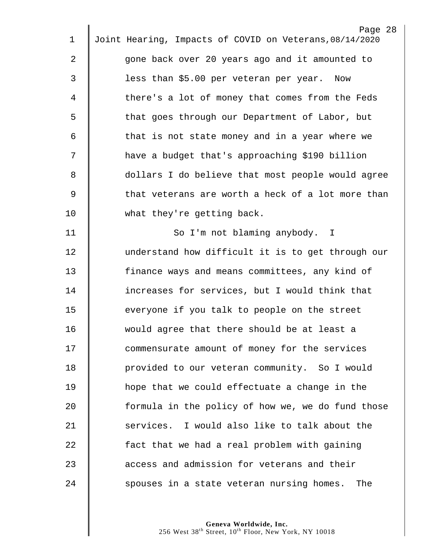|                | Page 28                                                 |
|----------------|---------------------------------------------------------|
| 1              | Joint Hearing, Impacts of COVID on Veterans, 08/14/2020 |
| $\overline{2}$ | gone back over 20 years ago and it amounted to          |
| 3              | less than \$5.00 per veteran per year. Now              |
| 4              | there's a lot of money that comes from the Feds         |
| 5              | that goes through our Department of Labor, but          |
| 6              | that is not state money and in a year where we          |
| 7              | have a budget that's approaching \$190 billion          |
| 8              | dollars I do believe that most people would agree       |
| $\mathsf 9$    | that veterans are worth a heck of a lot more than       |
| 10             | what they're getting back.                              |
| 11             | So I'm not blaming anybody. I                           |
| 12             | understand how difficult it is to get through our       |
| 13             | finance ways and means committees, any kind of          |
| 14             | increases for services, but I would think that          |
| 15             | everyone if you talk to people on the street            |
| 16             | would agree that there should be at least a             |
| 17             | commensurate amount of money for the services           |
| 18             | provided to our veteran community. So I would           |
| 19             | hope that we could effectuate a change in the           |
| 20             | formula in the policy of how we, we do fund those       |
| 21             | services. I would also like to talk about the           |
| 22             | fact that we had a real problem with gaining            |
| 23             | access and admission for veterans and their             |
| 24             | spouses in a state veteran nursing homes.<br>The        |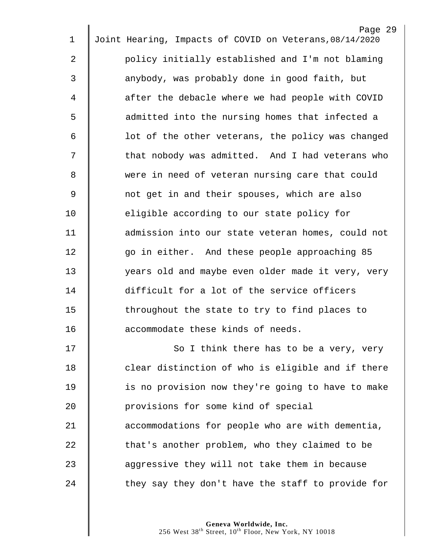|                | Page 29                                                 |
|----------------|---------------------------------------------------------|
| 1              | Joint Hearing, Impacts of COVID on Veterans, 08/14/2020 |
| 2              | policy initially established and I'm not blaming        |
| 3              | anybody, was probably done in good faith, but           |
| 4              | after the debacle where we had people with COVID        |
| 5              | admitted into the nursing homes that infected a         |
| 6              | lot of the other veterans, the policy was changed       |
| 7              | that nobody was admitted. And I had veterans who        |
| 8              | were in need of veteran nursing care that could         |
| $\overline{9}$ | not get in and their spouses, which are also            |
| 10             | eligible according to our state policy for              |
| 11             | admission into our state veteran homes, could not       |
| 12             | go in either. And these people approaching 85           |
| 13             | years old and maybe even older made it very, very       |
| 14             | difficult for a lot of the service officers             |
| 15             | throughout the state to try to find places to           |
| 16             | accommodate these kinds of needs.                       |
| 17             | So I think there has to be a very, very                 |
| 18             | clear distinction of who is eligible and if there       |
| 19             | is no provision now they're going to have to make       |
| 20             | provisions for some kind of special                     |
| 21             | accommodations for people who are with dementia,        |
| 22             | that's another problem, who they claimed to be          |
| 23             | aggressive they will not take them in because           |
| 24             | they say they don't have the staff to provide for       |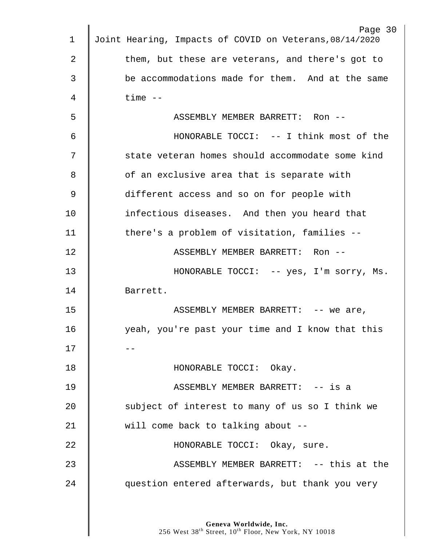| $\mathbf 1$   | Page 30<br>Joint Hearing, Impacts of COVID on Veterans, 08/14/2020 |
|---------------|--------------------------------------------------------------------|
| 2             | them, but these are veterans, and there's got to                   |
|               |                                                                    |
| 3             | be accommodations made for them. And at the same                   |
| 4             | $time$ $--$                                                        |
| 5             | ASSEMBLY MEMBER BARRETT: Ron --                                    |
| 6             | HONORABLE TOCCI: -- I think most of the                            |
| 7             | state veteran homes should accommodate some kind                   |
| 8             | of an exclusive area that is separate with                         |
| $\mathcal{G}$ | different access and so on for people with                         |
| 10            | infectious diseases. And then you heard that                       |
| 11            | there's a problem of visitation, families --                       |
| 12            | ASSEMBLY MEMBER BARRETT: Ron --                                    |
| 13            | HONORABLE TOCCI: -- yes, I'm sorry, Ms.                            |
| 14            | Barrett.                                                           |
| 15            | ASSEMBLY MEMBER BARRETT: -- we are,                                |
| 16            | yeah, you're past your time and I know that this                   |
| 17            |                                                                    |
| 18            | HONORABLE TOCCI: Okay.                                             |
| 19            | ASSEMBLY MEMBER BARRETT: -- is a                                   |
| 20            | subject of interest to many of us so I think we                    |
| 21            | will come back to talking about --                                 |
| 22            | HONORABLE TOCCI: Okay, sure.                                       |
| 23            | ASSEMBLY MEMBER BARRETT: -- this at the                            |
| 24            | question entered afterwards, but thank you very                    |
|               |                                                                    |
|               |                                                                    |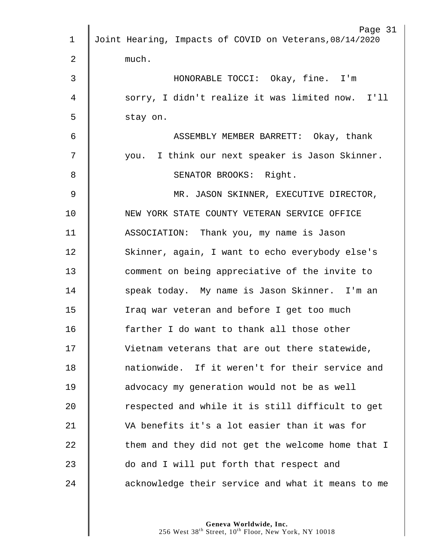|               | Page 31                                                 |
|---------------|---------------------------------------------------------|
| 1             | Joint Hearing, Impacts of COVID on Veterans, 08/14/2020 |
| 2             | much.                                                   |
| 3             | HONORABLE TOCCI: Okay, fine. I'm                        |
| 4             | sorry, I didn't realize it was limited now. I'll        |
| 5             | stay on.                                                |
| 6             | ASSEMBLY MEMBER BARRETT: Okay, thank                    |
| 7             | you. I think our next speaker is Jason Skinner.         |
| 8             | SENATOR BROOKS: Right.                                  |
| $\mathcal{G}$ | MR. JASON SKINNER, EXECUTIVE DIRECTOR,                  |
| 10            | NEW YORK STATE COUNTY VETERAN SERVICE OFFICE            |
| 11            | ASSOCIATION: Thank you, my name is Jason                |
| 12            | Skinner, again, I want to echo everybody else's         |
| 13            | comment on being appreciative of the invite to          |
| 14            | speak today. My name is Jason Skinner. I'm an           |
| 15            | Iraq war veteran and before I get too much              |
| 16            | farther I do want to thank all those other              |
| 17            | Vietnam veterans that are out there statewide,          |
| 18            | nationwide. If it weren't for their service and         |
| 19            | advocacy my generation would not be as well             |
| 20            | respected and while it is still difficult to get        |
| 21            | VA benefits it's a lot easier than it was for           |
| 22            | them and they did not get the welcome home that I       |
| 23            | do and I will put forth that respect and                |
| 24            | acknowledge their service and what it means to me       |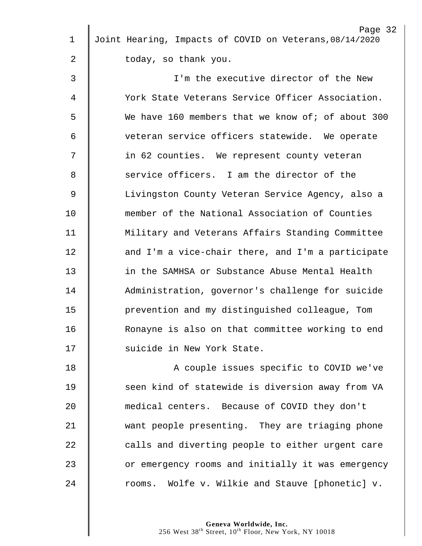| $\mathbf 1$ | Page 32<br>Joint Hearing, Impacts of COVID on Veterans, 08/14/2020 |
|-------------|--------------------------------------------------------------------|
|             |                                                                    |
| 2           | today, so thank you.                                               |
| 3           | I'm the executive director of the New                              |
| 4           | York State Veterans Service Officer Association.                   |
| 5           | We have 160 members that we know of; of about 300                  |
| 6           | veteran service officers statewide. We operate                     |
| 7           | in 62 counties. We represent county veteran                        |
| 8           | service officers. I am the director of the                         |
| $\mathsf 9$ | Livingston County Veteran Service Agency, also a                   |
| 10          | member of the National Association of Counties                     |
| 11          | Military and Veterans Affairs Standing Committee                   |
| 12          | and I'm a vice-chair there, and I'm a participate                  |
| 13          | in the SAMHSA or Substance Abuse Mental Health                     |
| 14          | Administration, governor's challenge for suicide                   |
| 15          | prevention and my distinguished colleague, Tom                     |
| 16          | Ronayne is also on that committee working to end                   |
| 17          | suicide in New York State.                                         |
| 18          | A couple issues specific to COVID we've                            |
| 19          | seen kind of statewide is diversion away from VA                   |
| 20          | medical centers. Because of COVID they don't                       |
| 21          | want people presenting. They are triaging phone                    |
| 22          | calls and diverting people to either urgent care                   |
| 23          | or emergency rooms and initially it was emergency                  |
| 24          | rooms. Wolfe v. Wilkie and Stauve [phonetic] v.                    |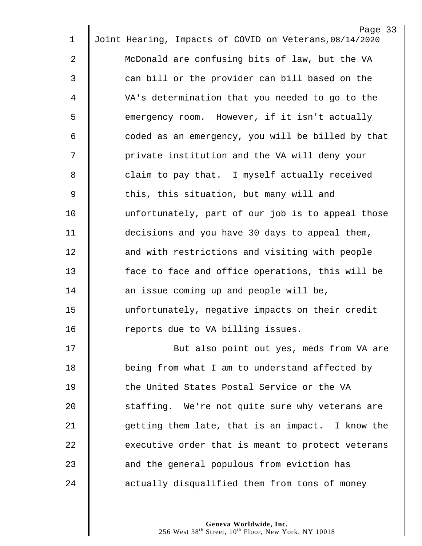|                | Page 33                                                 |
|----------------|---------------------------------------------------------|
| 1              | Joint Hearing, Impacts of COVID on Veterans, 08/14/2020 |
| $\overline{a}$ | McDonald are confusing bits of law, but the VA          |
| 3              | can bill or the provider can bill based on the          |
| 4              | VA's determination that you needed to go to the         |
| 5              | emergency room. However, if it isn't actually           |
| 6              | coded as an emergency, you will be billed by that       |
| 7              | private institution and the VA will deny your           |
| 8              | claim to pay that. I myself actually received           |
| $\overline{9}$ | this, this situation, but many will and                 |
| 10             | unfortunately, part of our job is to appeal those       |
| 11             | decisions and you have 30 days to appeal them,          |
| 12             | and with restrictions and visiting with people          |
| 13             | face to face and office operations, this will be        |
| 14             | an issue coming up and people will be,                  |
| 15             | unfortunately, negative impacts on their credit         |
| 16             | reports due to VA billing issues.                       |
| 17             | But also point out yes, meds from VA are                |
| 18             | being from what I am to understand affected by          |
| 19             | the United States Postal Service or the VA              |
| 20             | staffing. We're not quite sure why veterans are         |
| 21             | getting them late, that is an impact. I know the        |
| 22             | executive order that is meant to protect veterans       |
| 23             | and the general populous from eviction has              |
| 24             | actually disqualified them from tons of money           |
|                |                                                         |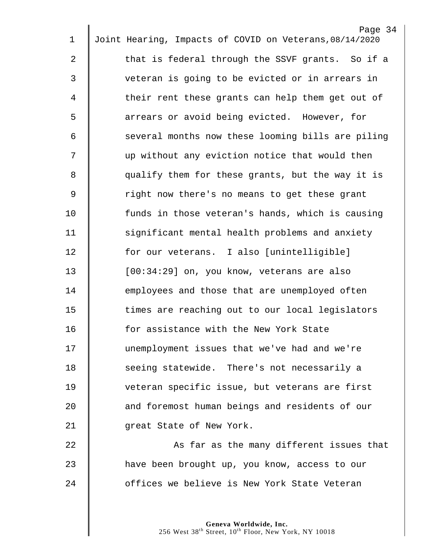|                | Page 34                                                 |
|----------------|---------------------------------------------------------|
| $\mathbf 1$    | Joint Hearing, Impacts of COVID on Veterans, 08/14/2020 |
| $\overline{a}$ | that is federal through the SSVF grants. So if a        |
| 3              | veteran is going to be evicted or in arrears in         |
| 4              | their rent these grants can help them get out of        |
| 5              | arrears or avoid being evicted. However, for            |
| 6              | several months now these looming bills are piling       |
| 7              | up without any eviction notice that would then          |
| 8              | qualify them for these grants, but the way it is        |
| $\overline{9}$ | right now there's no means to get these grant           |
| 10             | funds in those veteran's hands, which is causing        |
| 11             | significant mental health problems and anxiety          |
| 12             | for our veterans. I also [unintelligible]               |
| 13             | [00:34:29] on, you know, veterans are also              |
| 14             | employees and those that are unemployed often           |
| 15             | times are reaching out to our local legislators         |
| 16             | for assistance with the New York State                  |
| 17             | unemployment issues that we've had and we're            |
| 18             | seeing statewide. There's not necessarily a             |
| 19             | veteran specific issue, but veterans are first          |
| 20             | and foremost human beings and residents of our          |
| 21             | great State of New York.                                |
| 22             | As far as the many different issues that                |
| 23             | have been brought up, you know, access to our           |
| 24             | offices we believe is New York State Veteran            |
|                |                                                         |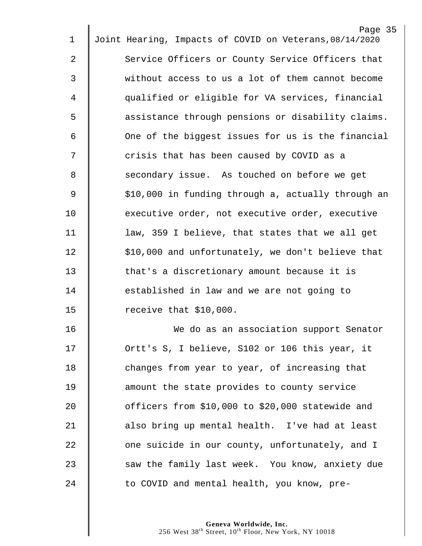|             | Page 35                                                 |
|-------------|---------------------------------------------------------|
| 1           | Joint Hearing, Impacts of COVID on Veterans, 08/14/2020 |
| 2           | Service Officers or County Service Officers that        |
| 3           | without access to us a lot of them cannot become        |
| 4           | qualified or eligible for VA services, financial        |
| 5           | assistance through pensions or disability claims.       |
| 6           | One of the biggest issues for us is the financial       |
| 7           | crisis that has been caused by COVID as a               |
| 8           | secondary issue. As touched on before we get            |
| $\mathsf 9$ | \$10,000 in funding through a, actually through an      |
| 10          | executive order, not executive order, executive         |
| 11          | law, 359 I believe, that states that we all get         |
| 12          | \$10,000 and unfortunately, we don't believe that       |
| 13          | that's a discretionary amount because it is             |
| 14          | established in law and we are not going to              |
| 15          | receive that \$10,000.                                  |
| 16          | We do as an association support Senator                 |
| 17          | Ortt's S, I believe, S102 or 106 this year, it          |
| 18          | changes from year to year, of increasing that           |
| 19          | amount the state provides to county service             |
| 20          | officers from \$10,000 to \$20,000 statewide and        |
| 21          | also bring up mental health. I've had at least          |
| 22          | one suicide in our county, unfortunately, and I         |
| 23          | saw the family last week. You know, anxiety due         |
| 24          | to COVID and mental health, you know, pre-              |
|             |                                                         |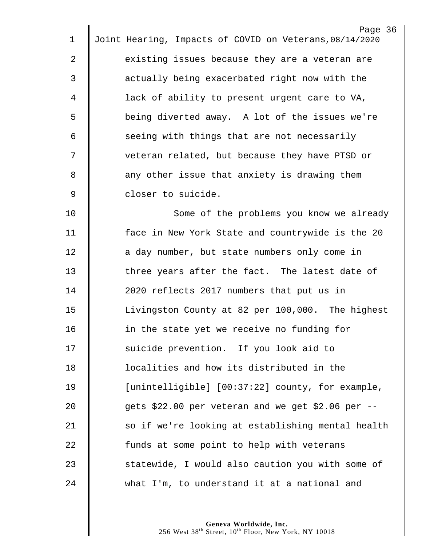| Page 36                                                 |
|---------------------------------------------------------|
| Joint Hearing, Impacts of COVID on Veterans, 08/14/2020 |
| existing issues because they are a veteran are          |
| actually being exacerbated right now with the           |
| lack of ability to present urgent care to VA,           |
| being diverted away. A lot of the issues we're          |
| seeing with things that are not necessarily             |
| veteran related, but because they have PTSD or          |
| any other issue that anxiety is drawing them            |
| closer to suicide.                                      |
| Some of the problems you know we already                |
| face in New York State and countrywide is the 20        |
| a day number, but state numbers only come in            |
| three years after the fact. The latest date of          |
| 2020 reflects 2017 numbers that put us in               |
| Livingston County at 82 per 100,000. The highest        |
| in the state yet we receive no funding for              |
| suicide prevention. If you look aid to                  |
| localities and how its distributed in the               |
| [unintelligible] [00:37:22] county, for example,        |
| gets \$22.00 per veteran and we get \$2.06 per --       |
| so if we're looking at establishing mental health       |
| funds at some point to help with veterans               |
| statewide, I would also caution you with some of        |
| what I'm, to understand it at a national and            |
|                                                         |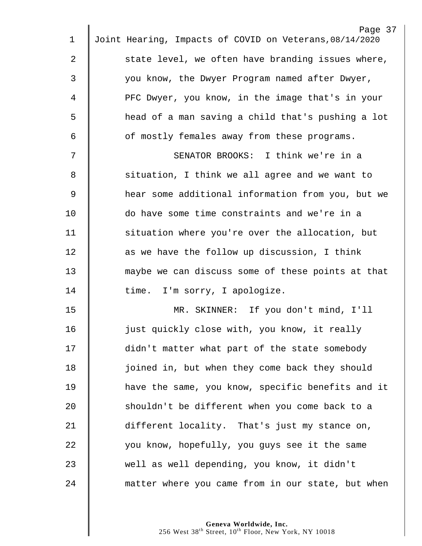| 1              | Page 37<br>Joint Hearing, Impacts of COVID on Veterans, 08/14/2020 |
|----------------|--------------------------------------------------------------------|
|                |                                                                    |
| 2              | state level, we often have branding issues where,                  |
| 3              | you know, the Dwyer Program named after Dwyer,                     |
| 4              | PFC Dwyer, you know, in the image that's in your                   |
| 5              | head of a man saving a child that's pushing a lot                  |
| 6              | of mostly females away from these programs.                        |
| 7              | SENATOR BROOKS: I think we're in a                                 |
| 8              | situation, I think we all agree and we want to                     |
| $\overline{9}$ | hear some additional information from you, but we                  |
| 10             | do have some time constraints and we're in a                       |
| 11             | situation where you're over the allocation, but                    |
| 12             | as we have the follow up discussion, I think                       |
| 13             | maybe we can discuss some of these points at that                  |
| 14             | time. I'm sorry, I apologize.                                      |
| 15             | MR. SKINNER: If you don't mind, I'll                               |
| 16             | just quickly close with, you know, it really                       |
| 17             | didn't matter what part of the state somebody                      |
| 18             | joined in, but when they come back they should                     |
| 19             | have the same, you know, specific benefits and it                  |
| 20             | shouldn't be different when you come back to a                     |
| 21             | different locality. That's just my stance on,                      |
| 22             | you know, hopefully, you guys see it the same                      |
| 23             | well as well depending, you know, it didn't                        |
| 24             | matter where you came from in our state, but when                  |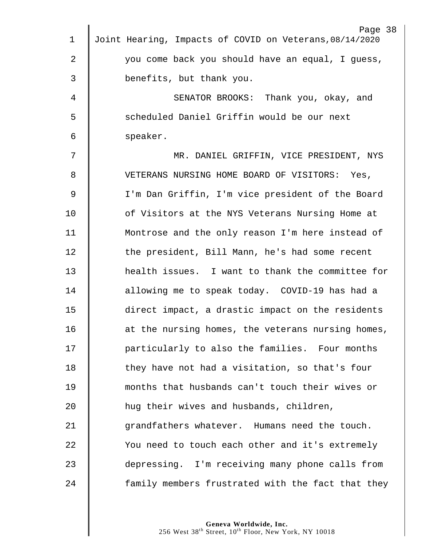|             | Page 38                                                 |
|-------------|---------------------------------------------------------|
| $\mathbf 1$ | Joint Hearing, Impacts of COVID on Veterans, 08/14/2020 |
| 2           | you come back you should have an equal, I guess,        |
| 3           | benefits, but thank you.                                |
| 4           | SENATOR BROOKS: Thank you, okay, and                    |
| 5           | scheduled Daniel Griffin would be our next              |
| 6           | speaker.                                                |
| 7           | MR. DANIEL GRIFFIN, VICE PRESIDENT, NYS                 |
| 8           | VETERANS NURSING HOME BOARD OF VISITORS: Yes,           |
| 9           | I'm Dan Griffin, I'm vice president of the Board        |
| 10          | of Visitors at the NYS Veterans Nursing Home at         |
| 11          | Montrose and the only reason I'm here instead of        |
| 12          | the president, Bill Mann, he's had some recent          |
| 13          | health issues. I want to thank the committee for        |
| 14          | allowing me to speak today. COVID-19 has had a          |
| 15          | direct impact, a drastic impact on the residents        |
| 16          | at the nursing homes, the veterans nursing homes,       |
| 17          | particularly to also the families. Four months          |
| 18          | they have not had a visitation, so that's four          |
| 19          | months that husbands can't touch their wives or         |
| 20          | hug their wives and husbands, children,                 |
| 21          | grandfathers whatever. Humans need the touch.           |
| 22          | You need to touch each other and it's extremely         |
| 23          | depressing. I'm receiving many phone calls from         |
| 24          | family members frustrated with the fact that they       |
|             |                                                         |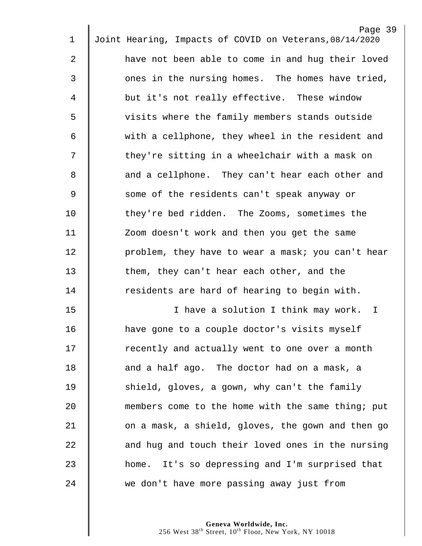|             | Page 39                                                 |
|-------------|---------------------------------------------------------|
| $\mathbf 1$ | Joint Hearing, Impacts of COVID on Veterans, 08/14/2020 |
| 2           | have not been able to come in and hug their loved       |
| 3           | ones in the nursing homes. The homes have tried,        |
| 4           | but it's not really effective. These window             |
| 5           | visits where the family members stands outside          |
| 6           | with a cellphone, they wheel in the resident and        |
| 7           | they're sitting in a wheelchair with a mask on          |
| 8           | and a cellphone. They can't hear each other and         |
| $\mathsf 9$ | some of the residents can't speak anyway or             |
| 10          | they're bed ridden. The Zooms, sometimes the            |
| 11          | Zoom doesn't work and then you get the same             |
| 12          | problem, they have to wear a mask; you can't hear       |
| 13          | them, they can't hear each other, and the               |
| 14          | residents are hard of hearing to begin with.            |
| 15          | I have a solution I think may work. I                   |
| 16          | have gone to a couple doctor's visits myself            |
| 17          | recently and actually went to one over a month          |
| 18          | and a half ago. The doctor had on a mask, a             |
| 19          | shield, gloves, a gown, why can't the family            |
| 20          | members come to the home with the same thing; put       |
| 21          | on a mask, a shield, gloves, the gown and then go       |
| 22          | and hug and touch their loved ones in the nursing       |
| 23          | home. It's so depressing and I'm surprised that         |
| 24          | we don't have more passing away just from               |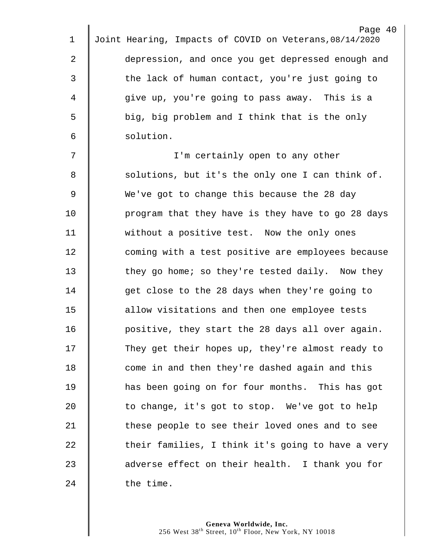|             | Page 40                                                 |
|-------------|---------------------------------------------------------|
| $\mathbf 1$ | Joint Hearing, Impacts of COVID on Veterans, 08/14/2020 |
| 2           | depression, and once you get depressed enough and       |
| 3           | the lack of human contact, you're just going to         |
| 4           | give up, you're going to pass away. This is a           |
| 5           | big, big problem and I think that is the only           |
| 6           | solution.                                               |
| 7           | I'm certainly open to any other                         |
| 8           | solutions, but it's the only one I can think of.        |
| $\mathsf 9$ | We've got to change this because the 28 day             |
| 10          | program that they have is they have to go 28 days       |
| 11          | without a positive test. Now the only ones              |
| 12          | coming with a test positive are employees because       |
| 13          | they go home; so they're tested daily. Now they         |
| 14          | get close to the 28 days when they're going to          |
| 15          | allow visitations and then one employee tests           |
| 16          | positive, they start the 28 days all over again.        |
| 17          | They get their hopes up, they're almost ready to        |
| 18          | come in and then they're dashed again and this          |
| 19          | has been going on for four months. This has got         |
| 20          | to change, it's got to stop. We've got to help          |
| 21          | these people to see their loved ones and to see         |
| 22          | their families, I think it's going to have a very       |
| 23          | adverse effect on their health. I thank you for         |
| 24          | the time.                                               |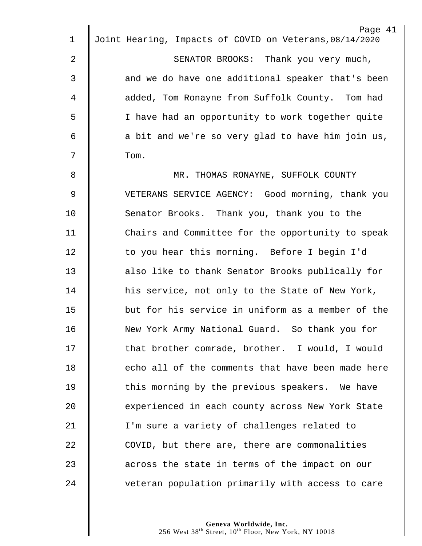| 1              | Page 41<br>Joint Hearing, Impacts of COVID on Veterans, 08/14/2020 |
|----------------|--------------------------------------------------------------------|
|                |                                                                    |
| $\overline{2}$ | SENATOR BROOKS: Thank you very much,                               |
| 3              | and we do have one additional speaker that's been                  |
| 4              | added, Tom Ronayne from Suffolk County. Tom had                    |
| 5              | I have had an opportunity to work together quite                   |
| 6              | a bit and we're so very glad to have him join us,                  |
| 7              | Tom.                                                               |
| 8              | MR. THOMAS RONAYNE, SUFFOLK COUNTY                                 |
| 9              | VETERANS SERVICE AGENCY: Good morning, thank you                   |
| 10             | Senator Brooks. Thank you, thank you to the                        |
| 11             | Chairs and Committee for the opportunity to speak                  |
| 12             | to you hear this morning. Before I begin I'd                       |
| 13             | also like to thank Senator Brooks publically for                   |
| 14             | his service, not only to the State of New York,                    |
| 15             | but for his service in uniform as a member of the                  |
| 16             | New York Army National Guard. So thank you for                     |
| 17             | that brother comrade, brother. I would, I would                    |
| 18             | echo all of the comments that have been made here                  |
| 19             | this morning by the previous speakers. We have                     |
| 20             | experienced in each county across New York State                   |
| 21             | I'm sure a variety of challenges related to                        |
| 22             | COVID, but there are, there are commonalities                      |
| 23             | across the state in terms of the impact on our                     |
| 24             | veteran population primarily with access to care                   |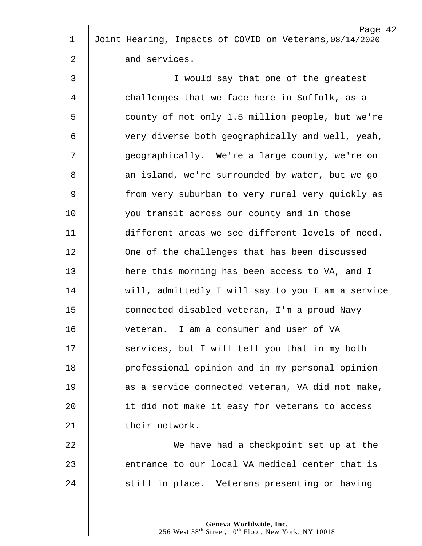| $\mathbf 1$ | Page 42<br>Joint Hearing, Impacts of COVID on Veterans, 08/14/2020 |
|-------------|--------------------------------------------------------------------|
|             |                                                                    |
| 2           | and services.                                                      |
| 3           | I would say that one of the greatest                               |
| 4           | challenges that we face here in Suffolk, as a                      |
| 5           | county of not only 1.5 million people, but we're                   |
| 6           | very diverse both geographically and well, yeah,                   |
| 7           | geographically. We're a large county, we're on                     |
| 8           | an island, we're surrounded by water, but we go                    |
| $\mathsf 9$ | from very suburban to very rural very quickly as                   |
| 10          | you transit across our county and in those                         |
| 11          | different areas we see different levels of need.                   |
| 12          | One of the challenges that has been discussed                      |
| 13          | here this morning has been access to VA, and I                     |
| 14          | will, admittedly I will say to you I am a service                  |
| 15          | connected disabled veteran, I'm a proud Navy                       |
| 16          | veteran. I am a consumer and user of VA                            |
| 17          | services, but I will tell you that in my both                      |
| 18          | professional opinion and in my personal opinion                    |
| 19          | as a service connected veteran, VA did not make,                   |
| 20          | it did not make it easy for veterans to access                     |
| 21          | their network.                                                     |
| 22          | We have had a checkpoint set up at the                             |
| 23          | entrance to our local VA medical center that is                    |
| 24          | still in place. Veterans presenting or having                      |
|             |                                                                    |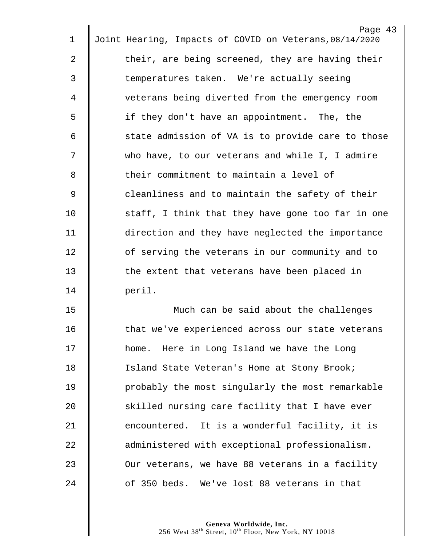|    | Page 43                                                 |
|----|---------------------------------------------------------|
| 1  | Joint Hearing, Impacts of COVID on Veterans, 08/14/2020 |
| 2  | their, are being screened, they are having their        |
| 3  | temperatures taken. We're actually seeing               |
| 4  | veterans being diverted from the emergency room         |
| 5  | if they don't have an appointment. The, the             |
| 6  | state admission of VA is to provide care to those       |
| 7  | who have, to our veterans and while I, I admire         |
| 8  | their commitment to maintain a level of                 |
| 9  | cleanliness and to maintain the safety of their         |
| 10 | staff, I think that they have gone too far in one       |
| 11 | direction and they have neglected the importance        |
| 12 | of serving the veterans in our community and to         |
| 13 | the extent that veterans have been placed in            |
| 14 | peril.                                                  |
| 15 | Much can be said about the challenges                   |
| 16 | that we've experienced across our state veterans        |
| 17 | home. Here in Long Island we have the Long              |
| 18 | Island State Veteran's Home at Stony Brook;             |
| 19 | probably the most singularly the most remarkable        |
| 20 | skilled nursing care facility that I have ever          |
| 21 | encountered. It is a wonderful facility, it is          |
| 22 | administered with exceptional professionalism.          |
| 23 | Our veterans, we have 88 veterans in a facility         |
| 24 | of 350 beds. We've lost 88 veterans in that             |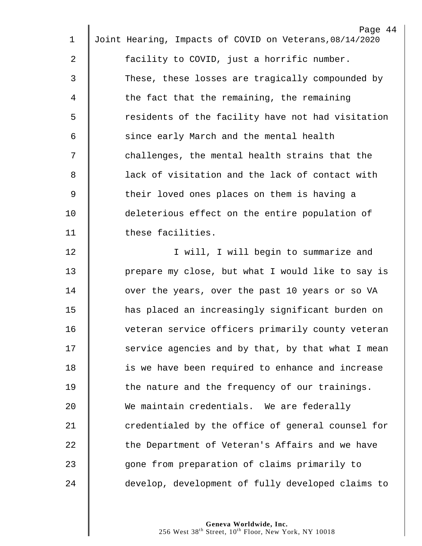|                | Page 44                                                 |
|----------------|---------------------------------------------------------|
| 1              | Joint Hearing, Impacts of COVID on Veterans, 08/14/2020 |
| $\overline{2}$ | facility to COVID, just a horrific number.              |
| 3              | These, these losses are tragically compounded by        |
| 4              | the fact that the remaining, the remaining              |
| 5              | residents of the facility have not had visitation       |
| 6              | since early March and the mental health                 |
| 7              | challenges, the mental health strains that the          |
| 8              | lack of visitation and the lack of contact with         |
| $\overline{9}$ | their loved ones places on them is having a             |
| 10             | deleterious effect on the entire population of          |
| 11             | these facilities.                                       |
| 12             | I will, I will begin to summarize and                   |
| 13             | prepare my close, but what I would like to say is       |
| 14             | over the years, over the past 10 years or so VA         |
| 15             | has placed an increasingly significant burden on        |
| 16             | veteran service officers primarily county veteran       |
| 17             | service agencies and by that, by that what I mean       |
| 18             | is we have been required to enhance and increase        |
| 19             | the nature and the frequency of our trainings.          |
| 20             | We maintain credentials. We are federally               |
| 21             | credentialed by the office of general counsel for       |
| 22             | the Department of Veteran's Affairs and we have         |
| 23             | gone from preparation of claims primarily to            |
| 24             | develop, development of fully developed claims to       |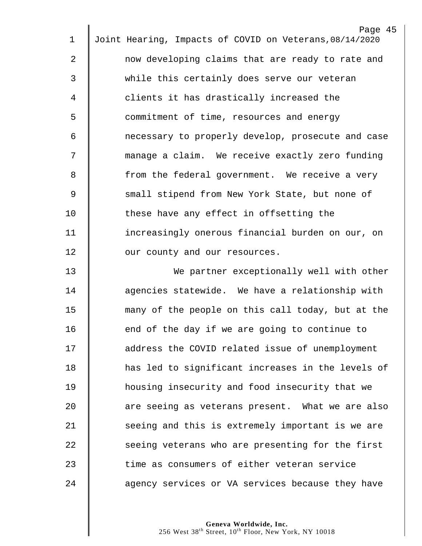|                | Page 45                                                 |
|----------------|---------------------------------------------------------|
| 1              | Joint Hearing, Impacts of COVID on Veterans, 08/14/2020 |
| 2              | now developing claims that are ready to rate and        |
| 3              | while this certainly does serve our veteran             |
| 4              | clients it has drastically increased the                |
| 5              | commitment of time, resources and energy                |
| 6              | necessary to properly develop, prosecute and case       |
| 7              | manage a claim. We receive exactly zero funding         |
| 8              | from the federal government. We receive a very          |
| $\overline{9}$ | small stipend from New York State, but none of          |
| 10             | these have any effect in offsetting the                 |
| 11             | increasingly onerous financial burden on our, on        |
| 12             | our county and our resources.                           |
| 13             | We partner exceptionally well with other                |
| 14             | agencies statewide. We have a relationship with         |
| 15             | many of the people on this call today, but at the       |
| 16             | end of the day if we are going to continue to           |
| 17             | address the COVID related issue of unemployment         |
| 18             | has led to significant increases in the levels of       |
| 19             | housing insecurity and food insecurity that we          |
| 20             | are seeing as veterans present. What we are also        |
| 21             | seeing and this is extremely important is we are        |
| 22             | seeing veterans who are presenting for the first        |
| 23             | time as consumers of either veteran service             |
|                |                                                         |
| 24             | agency services or VA services because they have        |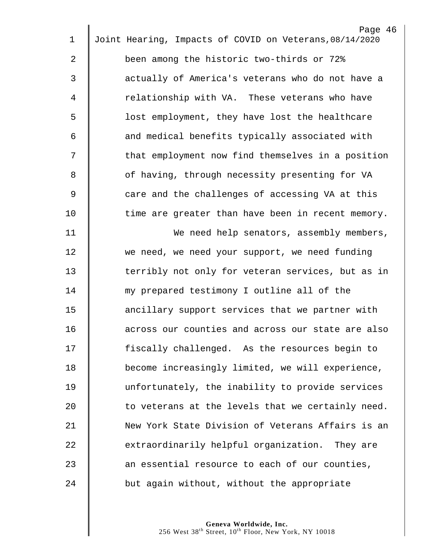|    | Page 46                                                 |
|----|---------------------------------------------------------|
| 1  | Joint Hearing, Impacts of COVID on Veterans, 08/14/2020 |
| 2  | been among the historic two-thirds or 72%               |
| 3  | actually of America's veterans who do not have a        |
| 4  | relationship with VA. These veterans who have           |
| 5  | lost employment, they have lost the healthcare          |
| 6  | and medical benefits typically associated with          |
| 7  | that employment now find themselves in a position       |
| 8  | of having, through necessity presenting for VA          |
| 9  | care and the challenges of accessing VA at this         |
| 10 | time are greater than have been in recent memory.       |
| 11 | We need help senators, assembly members,                |
| 12 | we need, we need your support, we need funding          |
| 13 | terribly not only for veteran services, but as in       |
| 14 | my prepared testimony I outline all of the              |
| 15 | ancillary support services that we partner with         |
| 16 | across our counties and across our state are also       |
| 17 | fiscally challenged. As the resources begin to          |
| 18 | become increasingly limited, we will experience,        |
| 19 | unfortunately, the inability to provide services        |
| 20 | to veterans at the levels that we certainly need.       |
| 21 | New York State Division of Veterans Affairs is an       |
| 22 | extraordinarily helpful organization. They are          |
| 23 | an essential resource to each of our counties,          |
| 24 | but again without, without the appropriate              |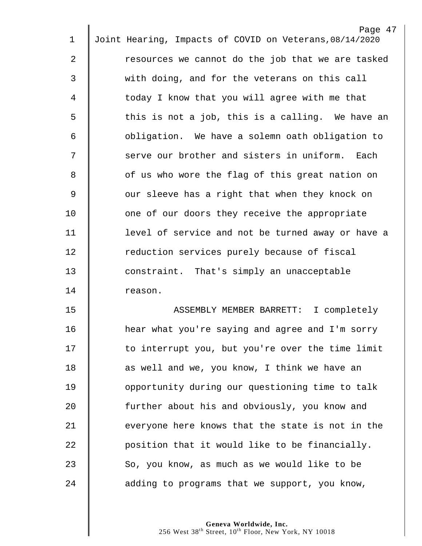| $\mathbf 1$    | Page 47<br>Joint Hearing, Impacts of COVID on Veterans, 08/14/2020 |
|----------------|--------------------------------------------------------------------|
|                |                                                                    |
| $\overline{2}$ | resources we cannot do the job that we are tasked                  |
| 3              | with doing, and for the veterans on this call                      |
| 4              | today I know that you will agree with me that                      |
| 5              | this is not a job, this is a calling. We have an                   |
| 6              | obligation. We have a solemn oath obligation to                    |
| 7              | serve our brother and sisters in uniform. Each                     |
| 8              | of us who wore the flag of this great nation on                    |
| $\mathsf 9$    | our sleeve has a right that when they knock on                     |
| 10             | one of our doors they receive the appropriate                      |
| 11             | level of service and not be turned away or have a                  |
| 12             | reduction services purely because of fiscal                        |
| 13             | constraint. That's simply an unacceptable                          |
| 14             | reason.                                                            |
| 15             | ASSEMBLY MEMBER BARRETT: I completely                              |
| 16             | hear what you're saying and agree and I'm sorry                    |
| 17             | to interrupt you, but you're over the time limit                   |
| 18             | as well and we, you know, I think we have an                       |
| 19             | opportunity during our questioning time to talk                    |
| 20             | further about his and obviously, you know and                      |
| 21             | everyone here knows that the state is not in the                   |
| 22             | position that it would like to be financially.                     |
| 23             | So, you know, as much as we would like to be                       |

 $\mathbf{u}$ 

24  $\parallel$  adding to programs that we support, you know,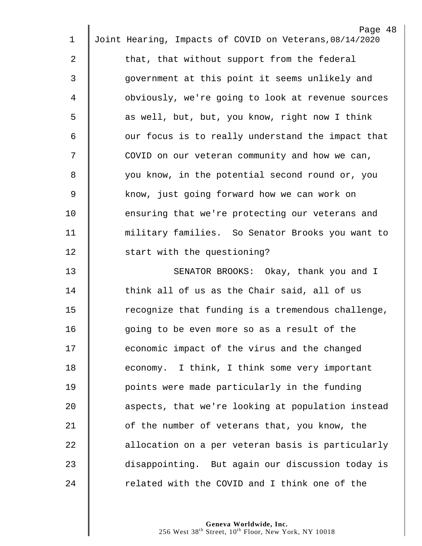|    | Page 48                                                 |
|----|---------------------------------------------------------|
| 1  | Joint Hearing, Impacts of COVID on Veterans, 08/14/2020 |
| 2  | that, that without support from the federal             |
| 3  | government at this point it seems unlikely and          |
| 4  | obviously, we're going to look at revenue sources       |
| 5  | as well, but, but, you know, right now I think          |
| 6  | our focus is to really understand the impact that       |
| 7  | COVID on our veteran community and how we can,          |
| 8  | you know, in the potential second round or, you         |
| 9  | know, just going forward how we can work on             |
| 10 | ensuring that we're protecting our veterans and         |
| 11 | military families. So Senator Brooks you want to        |
| 12 | start with the questioning?                             |
| 13 | SENATOR BROOKS: Okay, thank you and I                   |
| 14 | think all of us as the Chair said, all of us            |
| 15 | recognize that funding is a tremendous challenge,       |
| 16 | going to be even more so as a result of the             |
| 17 | economic impact of the virus and the changed            |
| 18 | economy. I think, I think some very important           |
| 19 | points were made particularly in the funding            |
| 20 | aspects, that we're looking at population instead       |
| 21 | of the number of veterans that, you know, the           |
| 22 | allocation on a per veteran basis is particularly       |
| 23 | disappointing. But again our discussion today is        |
| 24 | related with the COVID and I think one of the           |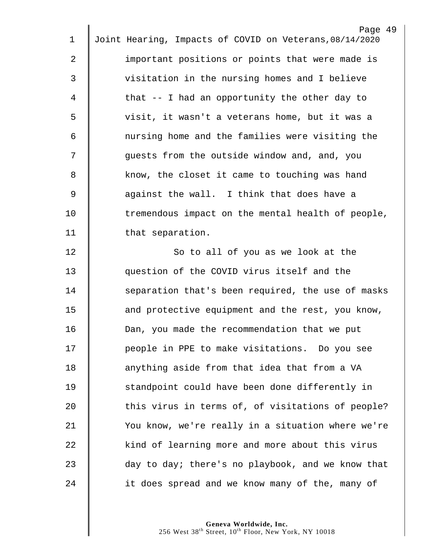| 1           | Page 49<br>Joint Hearing, Impacts of COVID on Veterans, 08/14/2020 |
|-------------|--------------------------------------------------------------------|
|             |                                                                    |
| 2           | important positions or points that were made is                    |
| 3           | visitation in the nursing homes and I believe                      |
| 4           | that $-$ I had an opportunity the other day to                     |
| 5           | visit, it wasn't a veterans home, but it was a                     |
| 6           | nursing home and the families were visiting the                    |
| 7           | guests from the outside window and, and, you                       |
| 8           | know, the closet it came to touching was hand                      |
| $\mathsf 9$ | against the wall. I think that does have a                         |
| 10          | tremendous impact on the mental health of people,                  |
| 11          | that separation.                                                   |
| 12          | So to all of you as we look at the                                 |
| 13          | question of the COVID virus itself and the                         |
| 14          | separation that's been required, the use of masks                  |
| 15          | and protective equipment and the rest, you know,                   |
| 16          | Dan, you made the recommendation that we put                       |
| 17          | people in PPE to make visitations. Do you see                      |
| 18          | anything aside from that idea that from a VA                       |
| 19          | standpoint could have been done differently in                     |
| 20          | this virus in terms of, of visitations of people?                  |
| 21          | You know, we're really in a situation where we're                  |
| 22          | kind of learning more and more about this virus                    |
| 23          | day to day; there's no playbook, and we know that                  |
| 24          | it does spread and we know many of the, many of                    |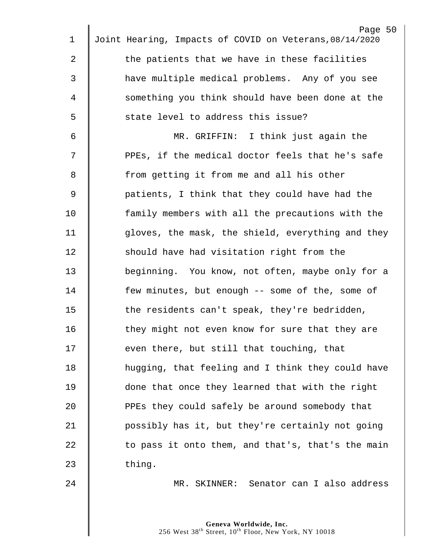| 1           | Page 50<br>Joint Hearing, Impacts of COVID on Veterans, 08/14/2020 |
|-------------|--------------------------------------------------------------------|
|             |                                                                    |
| 2           | the patients that we have in these facilities                      |
| 3           | have multiple medical problems. Any of you see                     |
| 4           | something you think should have been done at the                   |
| 5           | state level to address this issue?                                 |
| 6           | MR. GRIFFIN: I think just again the                                |
| 7           | PPEs, if the medical doctor feels that he's safe                   |
| 8           | from getting it from me and all his other                          |
| $\mathsf 9$ | patients, I think that they could have had the                     |
| 10          | family members with all the precautions with the                   |
| 11          | gloves, the mask, the shield, everything and they                  |
| 12          | should have had visitation right from the                          |
| 13          | beginning. You know, not often, maybe only for a                   |
| 14          | few minutes, but enough -- some of the, some of                    |
| 15          | the residents can't speak, they're bedridden,                      |
| 16          | they might not even know for sure that they are                    |
| 17          | even there, but still that touching, that                          |
| 18          | hugging, that feeling and I think they could have                  |
| 19          | done that once they learned that with the right                    |
| 20          | PPEs they could safely be around somebody that                     |
| 21          | possibly has it, but they're certainly not going                   |
| 22          | to pass it onto them, and that's, that's the main                  |
| 23          | thing.                                                             |
| 24          | MR. SKINNER: Senator can I also address                            |
|             |                                                                    |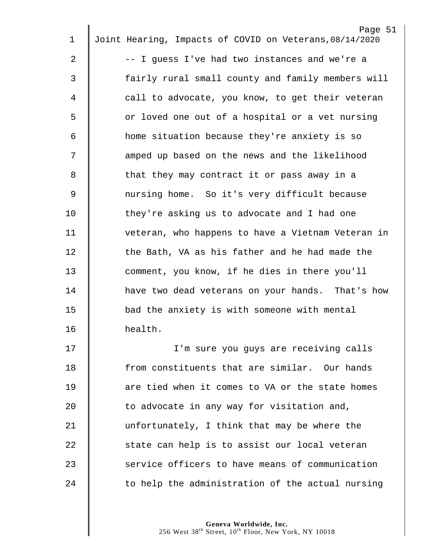|                | Page 51                                                 |
|----------------|---------------------------------------------------------|
| 1              | Joint Hearing, Impacts of COVID on Veterans, 08/14/2020 |
| 2              | -- I guess I've had two instances and we're a           |
| 3              | fairly rural small county and family members will       |
| 4              | call to advocate, you know, to get their veteran        |
| 5              | or loved one out of a hospital or a vet nursing         |
| 6              | home situation because they're anxiety is so            |
| 7              | amped up based on the news and the likelihood           |
| 8              | that they may contract it or pass away in a             |
| $\overline{9}$ | nursing home. So it's very difficult because            |
| 10             | they're asking us to advocate and I had one             |
| 11             | veteran, who happens to have a Vietnam Veteran in       |
| 12             | the Bath, VA as his father and he had made the          |
| 13             | comment, you know, if he dies in there you'll           |
| 14             | have two dead veterans on your hands. That's how        |
| 15             | bad the anxiety is with someone with mental             |
| 16             | health.                                                 |
| 17             | I'm sure you guys are receiving calls                   |
| 18             | from constituents that are similar. Our hands           |
| 19             | are tied when it comes to VA or the state homes         |
| 20             | to advocate in any way for visitation and,              |
| 21             | unfortunately, I think that may be where the            |
| 22             | state can help is to assist our local veteran           |
| 23             | service officers to have means of communication         |
| 24             | to help the administration of the actual nursing        |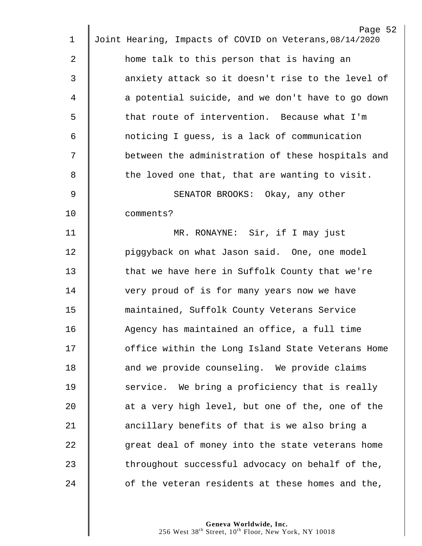|             | Page 52                                                 |
|-------------|---------------------------------------------------------|
| $\mathbf 1$ | Joint Hearing, Impacts of COVID on Veterans, 08/14/2020 |
| 2           | home talk to this person that is having an              |
| 3           | anxiety attack so it doesn't rise to the level of       |
| 4           | a potential suicide, and we don't have to go down       |
| 5           | that route of intervention. Because what I'm            |
| 6           | noticing I guess, is a lack of communication            |
| 7           | between the administration of these hospitals and       |
| 8           | the loved one that, that are wanting to visit.          |
| 9           | SENATOR BROOKS: Okay, any other                         |
| 10          | comments?                                               |
| 11          | MR. RONAYNE: Sir, if I may just                         |
| 12          | piggyback on what Jason said. One, one model            |
| 13          | that we have here in Suffolk County that we're          |
| 14          | very proud of is for many years now we have             |
| 15          | maintained, Suffolk County Veterans Service             |
| 16          | Agency has maintained an office, a full time            |
| 17          | office within the Long Island State Veterans Home       |
| 18          | and we provide counseling. We provide claims            |
| 19          | service. We bring a proficiency that is really          |
| 20          | at a very high level, but one of the, one of the        |
| 21          | ancillary benefits of that is we also bring a           |
| 22          | great deal of money into the state veterans home        |
| 23          | throughout successful advocacy on behalf of the,        |
| 24          | of the veteran residents at these homes and the,        |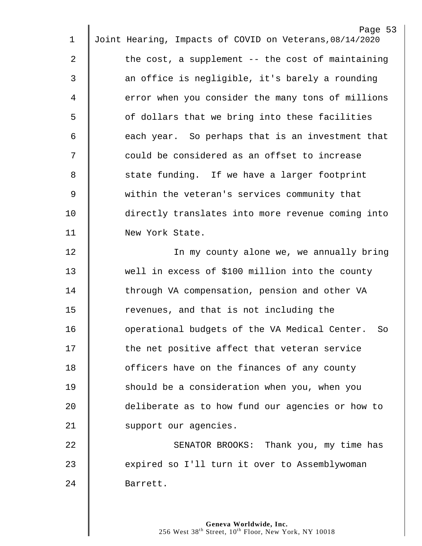|             | Page 53                                                 |
|-------------|---------------------------------------------------------|
| $\mathbf 1$ | Joint Hearing, Impacts of COVID on Veterans, 08/14/2020 |
| 2           | the cost, a supplement $-$ - the cost of maintaining    |
| 3           | an office is negligible, it's barely a rounding         |
| 4           | error when you consider the many tons of millions       |
| 5           | of dollars that we bring into these facilities          |
| 6           | each year. So perhaps that is an investment that        |
| 7           | could be considered as an offset to increase            |
| 8           | state funding. If we have a larger footprint            |
| $\mathsf 9$ | within the veteran's services community that            |
| 10          | directly translates into more revenue coming into       |
| 11          | New York State.                                         |
| 12          | In my county alone we, we annually bring                |
| 13          | well in excess of \$100 million into the county         |
| 14          | through VA compensation, pension and other VA           |
| 15          | revenues, and that is not including the                 |
| 16          | operational budgets of the VA Medical Center. So        |
| 17          | the net positive affect that veteran service            |
| 18          | officers have on the finances of any county             |
| 19          | should be a consideration when you, when you            |
| 20          | deliberate as to how fund our agencies or how to        |
| 21          | support our agencies.                                   |
| 22          | SENATOR BROOKS: Thank you, my time has                  |
| 23          | expired so I'll turn it over to Assemblywoman           |
| 24          | Barrett.                                                |
|             |                                                         |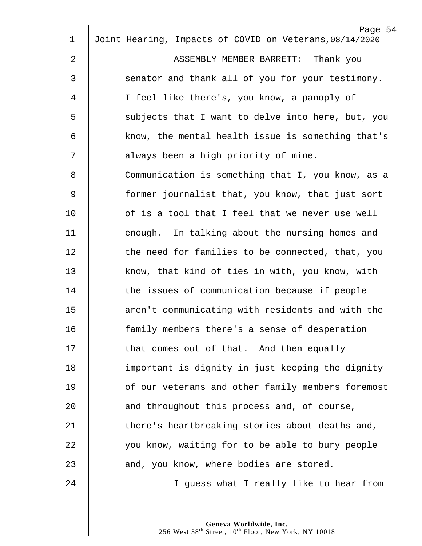|                | Page 54                                                 |
|----------------|---------------------------------------------------------|
| $\mathbf 1$    | Joint Hearing, Impacts of COVID on Veterans, 08/14/2020 |
| $\overline{2}$ | ASSEMBLY MEMBER BARRETT: Thank you                      |
| 3              | senator and thank all of you for your testimony.        |
| 4              | I feel like there's, you know, a panoply of             |
| 5              | subjects that I want to delve into here, but, you       |
| 6              | know, the mental health issue is something that's       |
| 7              | always been a high priority of mine.                    |
| 8              | Communication is something that I, you know, as a       |
| 9              | former journalist that, you know, that just sort        |
| 10             | of is a tool that I feel that we never use well         |
| 11             | enough. In talking about the nursing homes and          |
| 12             | the need for families to be connected, that, you        |
| 13             | know, that kind of ties in with, you know, with         |
| 14             | the issues of communication because if people           |
| 15             | aren't communicating with residents and with the        |
| 16             | family members there's a sense of desperation           |
| 17             | that comes out of that. And then equally                |
| 18             | important is dignity in just keeping the dignity        |
| 19             | of our veterans and other family members foremost       |
| 20             | and throughout this process and, of course,             |
| 21             | there's heartbreaking stories about deaths and,         |
| 22             | you know, waiting for to be able to bury people         |
| 23             | and, you know, where bodies are stored.                 |
| 24             | I guess what I really like to hear from                 |
|                |                                                         |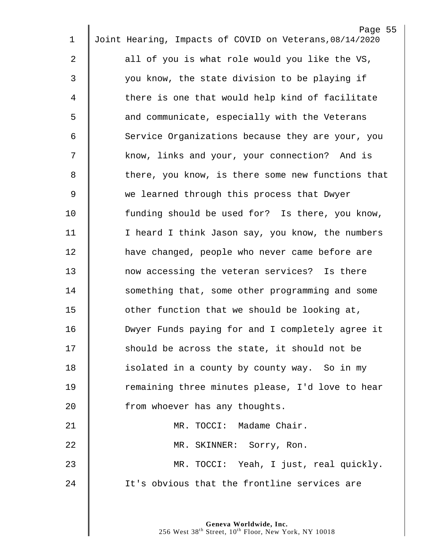|    | Page 55                                                 |
|----|---------------------------------------------------------|
| 1  | Joint Hearing, Impacts of COVID on Veterans, 08/14/2020 |
| 2  | all of you is what role would you like the VS,          |
| 3  | you know, the state division to be playing if           |
| 4  | there is one that would help kind of facilitate         |
| 5  | and communicate, especially with the Veterans           |
| 6  | Service Organizations because they are your, you        |
| 7  | know, links and your, your connection? And is           |
| 8  | there, you know, is there some new functions that       |
| 9  | we learned through this process that Dwyer              |
| 10 | funding should be used for? Is there, you know,         |
| 11 | I heard I think Jason say, you know, the numbers        |
| 12 | have changed, people who never came before are          |
| 13 | now accessing the veteran services? Is there            |
| 14 | something that, some other programming and some         |
| 15 | other function that we should be looking at,            |
| 16 | Dwyer Funds paying for and I completely agree it        |
| 17 | should be across the state, it should not be            |
| 18 | isolated in a county by county way. So in my            |
| 19 | remaining three minutes please, I'd love to hear        |
| 20 | from whoever has any thoughts.                          |
| 21 | MR. TOCCI: Madame Chair.                                |
| 22 | MR. SKINNER: Sorry, Ron.                                |
| 23 | MR. TOCCI: Yeah, I just, real quickly.                  |
| 24 | It's obvious that the frontline services are            |
|    |                                                         |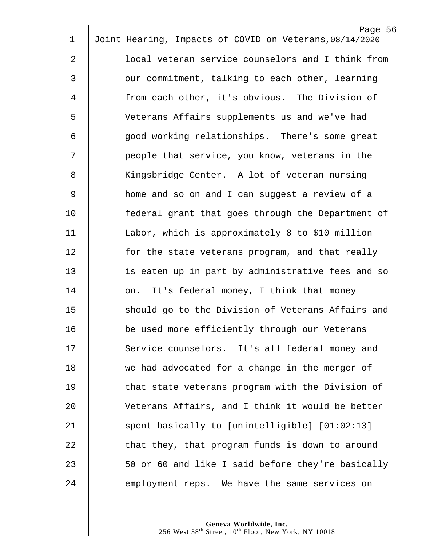|             |                                                         | Page 56 |
|-------------|---------------------------------------------------------|---------|
| $\mathbf 1$ | Joint Hearing, Impacts of COVID on Veterans, 08/14/2020 |         |
| 2           | local veteran service counselors and I think from       |         |
| 3           | our commitment, talking to each other, learning         |         |
| 4           | from each other, it's obvious. The Division of          |         |
| 5           | Veterans Affairs supplements us and we've had           |         |
| 6           | good working relationships. There's some great          |         |
| 7           | people that service, you know, veterans in the          |         |
| 8           | Kingsbridge Center. A lot of veteran nursing            |         |
| 9           | home and so on and I can suggest a review of a          |         |
| 10          | federal grant that goes through the Department of       |         |
| 11          | Labor, which is approximately 8 to \$10 million         |         |
| 12          | for the state veterans program, and that really         |         |
| 13          | is eaten up in part by administrative fees and so       |         |
| 14          | on. It's federal money, I think that money              |         |
| 15          | should go to the Division of Veterans Affairs and       |         |
| 16          | be used more efficiently through our Veterans           |         |
| 17          | Service counselors. It's all federal money and          |         |
| 18          | we had advocated for a change in the merger of          |         |
| 19          | that state veterans program with the Division of        |         |
| 20          | Veterans Affairs, and I think it would be better        |         |
| 21          | spent basically to [unintelligible] [01:02:13]          |         |
| 22          | that they, that program funds is down to around         |         |
| 23          | 50 or 60 and like I said before they're basically       |         |
| 24          | employment reps. We have the same services on           |         |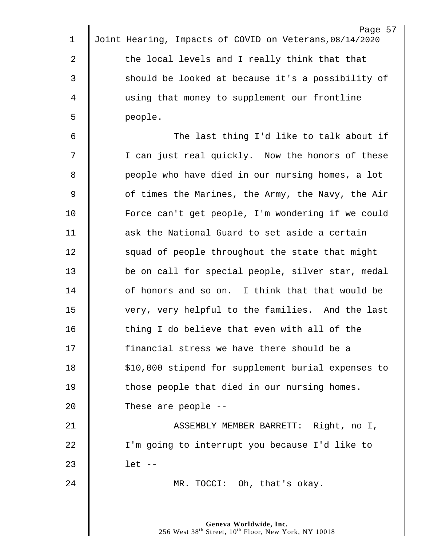| 1           | Page 57<br>Joint Hearing, Impacts of COVID on Veterans, 08/14/2020 |
|-------------|--------------------------------------------------------------------|
| 2           | the local levels and I really think that that                      |
| 3           | should be looked at because it's a possibility of                  |
| 4           | using that money to supplement our frontline                       |
|             |                                                                    |
| 5           | people.                                                            |
| 6           | The last thing I'd like to talk about if                           |
| 7           | I can just real quickly. Now the honors of these                   |
| 8           | people who have died in our nursing homes, a lot                   |
| $\mathsf 9$ | of times the Marines, the Army, the Navy, the Air                  |
| 10          | Force can't get people, I'm wondering if we could                  |
| 11          | ask the National Guard to set aside a certain                      |
| 12          | squad of people throughout the state that might                    |
| 13          | be on call for special people, silver star, medal                  |
| 14          | of honors and so on. I think that that would be                    |
| 15          | very, very helpful to the families. And the last                   |
| 16          | thing I do believe that even with all of the                       |
| 17          | financial stress we have there should be a                         |
| 18          | \$10,000 stipend for supplement burial expenses to                 |
| 19          | those people that died in our nursing homes.                       |
| 20          | These are people --                                                |
| 21          | ASSEMBLY MEMBER BARRETT: Right, no I,                              |
| 22          | I'm going to interrupt you because I'd like to                     |
| 23          | $let --$                                                           |
| 24          |                                                                    |
|             | MR. TOCCI: Oh, that's okay.                                        |
|             |                                                                    |
|             | Geneva Worldwide, Inc.                                             |

West  $38^{\text{th}}$  Street,  $10^{\text{th}}$  Floor, New York, NY 10018

 $\parallel$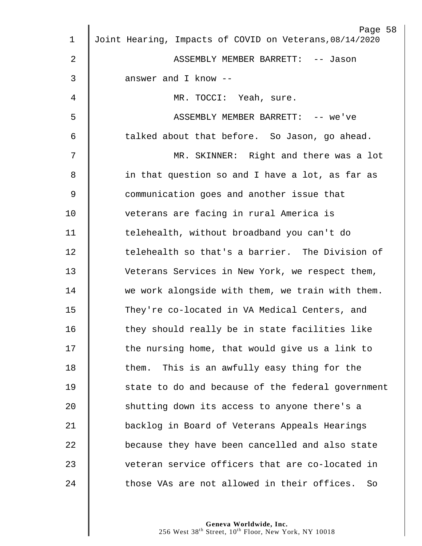|                | Page 58                                                 |
|----------------|---------------------------------------------------------|
| 1              | Joint Hearing, Impacts of COVID on Veterans, 08/14/2020 |
| $\overline{2}$ | ASSEMBLY MEMBER BARRETT: -- Jason                       |
| 3              | answer and I know --                                    |
| 4              | MR. TOCCI: Yeah, sure.                                  |
| 5              | ASSEMBLY MEMBER BARRETT: -- we've                       |
| 6              | talked about that before. So Jason, go ahead.           |
| 7              | MR. SKINNER: Right and there was a lot                  |
| 8              | in that question so and I have a lot, as far as         |
| 9              | communication goes and another issue that               |
| 10             | veterans are facing in rural America is                 |
| 11             | telehealth, without broadband you can't do              |
| 12             | telehealth so that's a barrier. The Division of         |
| 13             | Veterans Services in New York, we respect them,         |
| 14             | we work alongside with them, we train with them.        |
| 15             | They're co-located in VA Medical Centers, and           |
| 16             | they should really be in state facilities like          |
| 17             | the nursing home, that would give us a link to          |
| 18             | This is an awfully easy thing for the<br>them.          |
| 19             | state to do and because of the federal government       |
| 20             | shutting down its access to anyone there's a            |
| 21             | backlog in Board of Veterans Appeals Hearings           |
| 22             | because they have been cancelled and also state         |
| 23             | veteran service officers that are co-located in         |
| 24             | those VAs are not allowed in their offices.<br>So       |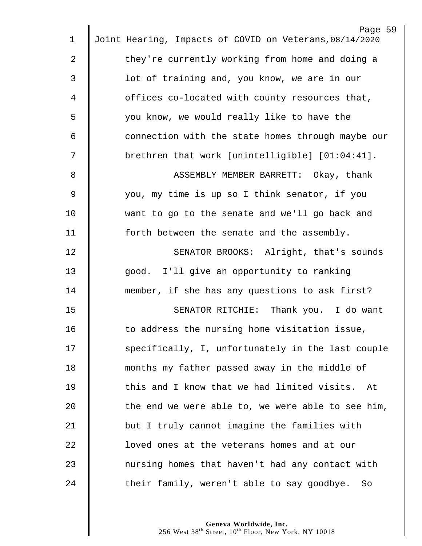|                | Page 59                                                 |
|----------------|---------------------------------------------------------|
| 1              | Joint Hearing, Impacts of COVID on Veterans, 08/14/2020 |
| 2              | they're currently working from home and doing a         |
| 3              | lot of training and, you know, we are in our            |
| 4              | offices co-located with county resources that,          |
| 5              | you know, we would really like to have the              |
| 6              | connection with the state homes through maybe our       |
| 7              | brethren that work [unintelligible] [01:04:41].         |
| 8              | ASSEMBLY MEMBER BARRETT: Okay, thank                    |
| $\overline{9}$ | you, my time is up so I think senator, if you           |
| 10             | want to go to the senate and we'll go back and          |
| 11             | forth between the senate and the assembly.              |
| 12             | SENATOR BROOKS: Alright, that's sounds                  |
| 13             | good. I'll give an opportunity to ranking               |
| 14             | member, if she has any questions to ask first?          |
| 15             | SENATOR RITCHIE: Thank you. I do want                   |
| 16             | to address the nursing home visitation issue,           |
| 17             | specifically, I, unfortunately in the last couple       |
| 18             | months my father passed away in the middle of           |
| 19             | this and I know that we had limited visits. At          |
| 20             | the end we were able to, we were able to see him,       |
| 21             | but I truly cannot imagine the families with            |
| 22             | loved ones at the veterans homes and at our             |
| 23             | nursing homes that haven't had any contact with         |
| 24             | their family, weren't able to say goodbye. So           |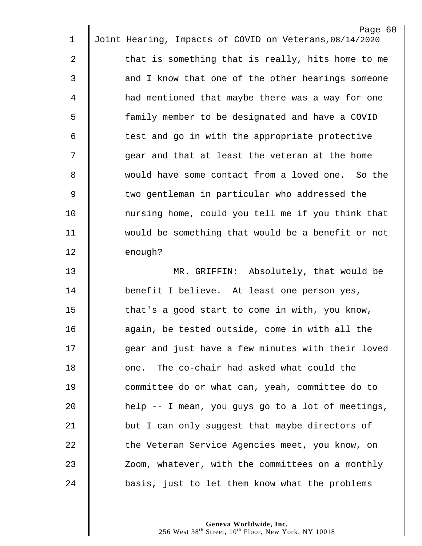|             | Page 60                                                 |
|-------------|---------------------------------------------------------|
| 1           | Joint Hearing, Impacts of COVID on Veterans, 08/14/2020 |
| 2           | that is something that is really, hits home to me       |
| 3           | and I know that one of the other hearings someone       |
| 4           | had mentioned that maybe there was a way for one        |
| 5           | family member to be designated and have a COVID         |
| 6           | test and go in with the appropriate protective          |
| 7           | gear and that at least the veteran at the home          |
| 8           | would have some contact from a loved one. So the        |
| $\mathsf 9$ | two gentleman in particular who addressed the           |
| 10          | nursing home, could you tell me if you think that       |
| 11          | would be something that would be a benefit or not       |
| 12          | enough?                                                 |
| 13          | MR. GRIFFIN: Absolutely, that would be                  |
| 14          | benefit I believe. At least one person yes,             |
| 15          | that's a good start to come in with, you know,          |
| 16          | again, be tested outside, come in with all the          |
| 17          | gear and just have a few minutes with their loved       |
| 18          | one. The co-chair had asked what could the              |
| 19          | committee do or what can, yeah, committee do to         |
| 20          | help -- I mean, you guys go to a lot of meetings,       |
| 21          | but I can only suggest that maybe directors of          |
| 22          | the Veteran Service Agencies meet, you know, on         |
| 23          | Zoom, whatever, with the committees on a monthly        |
| 24          | basis, just to let them know what the problems          |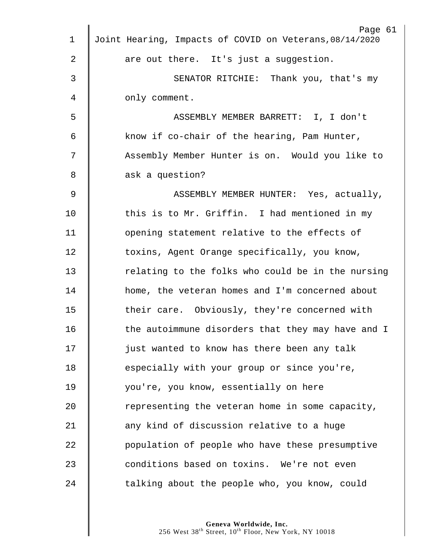| 1              | Page 61<br>Joint Hearing, Impacts of COVID on Veterans, 08/14/2020 |
|----------------|--------------------------------------------------------------------|
|                |                                                                    |
| $\overline{2}$ | are out there. It's just a suggestion.                             |
| 3              | SENATOR RITCHIE: Thank you, that's my                              |
| 4              | only comment.                                                      |
| 5              | ASSEMBLY MEMBER BARRETT: I, I don't                                |
| 6              | know if co-chair of the hearing, Pam Hunter,                       |
| 7              | Assembly Member Hunter is on. Would you like to                    |
| 8              | ask a question?                                                    |
| 9              | ASSEMBLY MEMBER HUNTER: Yes, actually,                             |
| 10             | this is to Mr. Griffin. I had mentioned in my                      |
| 11             | opening statement relative to the effects of                       |
| 12             | toxins, Agent Orange specifically, you know,                       |
| 13             | relating to the folks who could be in the nursing                  |
| 14             | home, the veteran homes and I'm concerned about                    |
| 15             | their care. Obviously, they're concerned with                      |
| 16             | the autoimmune disorders that they may have and I                  |
| 17             | just wanted to know has there been any talk                        |
| 18             | especially with your group or since you're,                        |
| 19             | you're, you know, essentially on here                              |
| 20             | representing the veteran home in some capacity,                    |
| 21             | any kind of discussion relative to a huge                          |
| 22             | population of people who have these presumptive                    |
| 23             | conditions based on toxins. We're not even                         |
| 24             | talking about the people who, you know, could                      |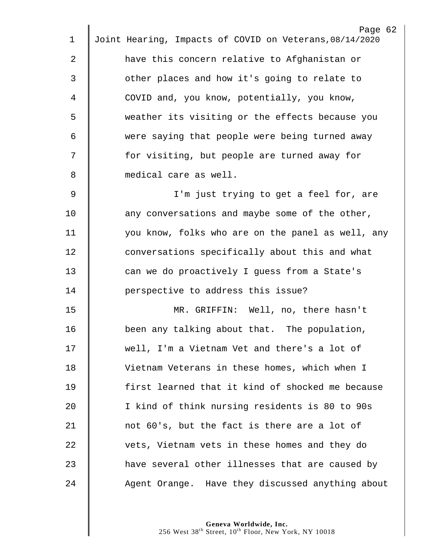| $\mathbf 1$ | Page 62<br>Joint Hearing, Impacts of COVID on Veterans, 08/14/2020 |
|-------------|--------------------------------------------------------------------|
|             |                                                                    |
| 2           | have this concern relative to Afghanistan or                       |
| 3           | other places and how it's going to relate to                       |
| 4           | COVID and, you know, potentially, you know,                        |
| 5           | weather its visiting or the effects because you                    |
| 6           | were saying that people were being turned away                     |
| 7           | for visiting, but people are turned away for                       |
| 8           | medical care as well.                                              |
| 9           | I'm just trying to get a feel for, are                             |
| 10          | any conversations and maybe some of the other,                     |
| 11          | you know, folks who are on the panel as well, any                  |
| 12          | conversations specifically about this and what                     |
| 13          | can we do proactively I guess from a State's                       |
| 14          | perspective to address this issue?                                 |
| 15          | MR. GRIFFIN: Well, no, there hasn't                                |
| 16          | been any talking about that. The population,                       |
| 17          | well, I'm a Vietnam Vet and there's a lot of                       |
| 18          | Vietnam Veterans in these homes, which when I                      |
| 19          | first learned that it kind of shocked me because                   |
| 20          | I kind of think nursing residents is 80 to 90s                     |
| 21          | not 60's, but the fact is there are a lot of                       |
| 22          | vets, Vietnam vets in these homes and they do                      |
| 23          | have several other illnesses that are caused by                    |
| 24          | Agent Orange. Have they discussed anything about                   |

 $\overline{2}$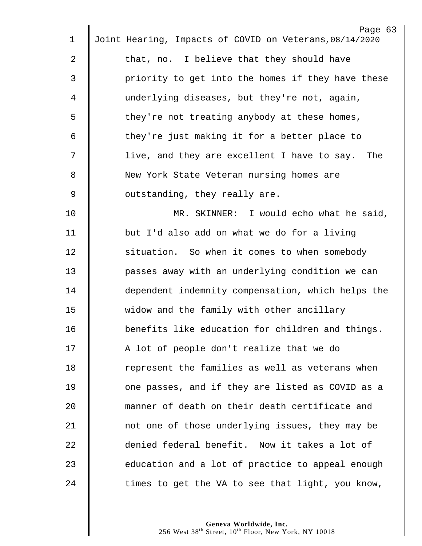|    | Page 63                                                 |  |
|----|---------------------------------------------------------|--|
| 1  | Joint Hearing, Impacts of COVID on Veterans, 08/14/2020 |  |
| 2  | that, no. I believe that they should have               |  |
| 3  | priority to get into the homes if they have these       |  |
| 4  | underlying diseases, but they're not, again,            |  |
| 5  | they're not treating anybody at these homes,            |  |
| 6  | they're just making it for a better place to            |  |
| 7  | live, and they are excellent I have to say.<br>The      |  |
| 8  | New York State Veteran nursing homes are                |  |
| 9  | outstanding, they really are.                           |  |
| 10 | MR. SKINNER: I would echo what he said,                 |  |
| 11 | but I'd also add on what we do for a living             |  |
| 12 | situation. So when it comes to when somebody            |  |
| 13 | passes away with an underlying condition we can         |  |
| 14 | dependent indemnity compensation, which helps the       |  |
| 15 | widow and the family with other ancillary               |  |
| 16 | benefits like education for children and things.        |  |
| 17 | A lot of people don't realize that we do                |  |
| 18 | represent the families as well as veterans when         |  |
| 19 | one passes, and if they are listed as COVID as a        |  |
| 20 | manner of death on their death certificate and          |  |
| 21 | not one of those underlying issues, they may be         |  |
| 22 | denied federal benefit. Now it takes a lot of           |  |
| 23 | education and a lot of practice to appeal enough        |  |
| 24 | times to get the VA to see that light, you know,        |  |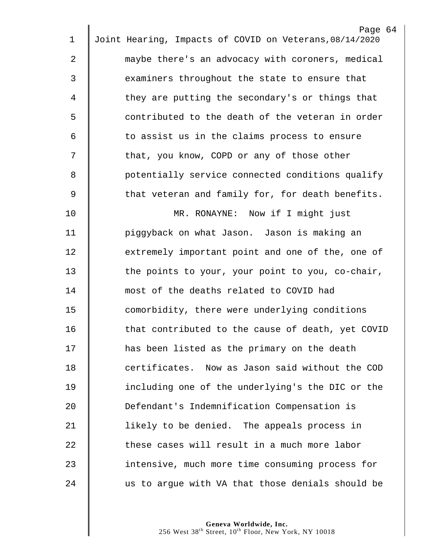|    | Page 64                                                 |
|----|---------------------------------------------------------|
| 1  | Joint Hearing, Impacts of COVID on Veterans, 08/14/2020 |
| 2  | maybe there's an advocacy with coroners, medical        |
| 3  | examiners throughout the state to ensure that           |
| 4  | they are putting the secondary's or things that         |
| 5  | contributed to the death of the veteran in order        |
| 6  | to assist us in the claims process to ensure            |
| 7  | that, you know, COPD or any of those other              |
| 8  | potentially service connected conditions qualify        |
| 9  | that veteran and family for, for death benefits.        |
| 10 | MR. RONAYNE: Now if I might just                        |
| 11 | piggyback on what Jason. Jason is making an             |
| 12 | extremely important point and one of the, one of        |
| 13 | the points to your, your point to you, co-chair,        |
| 14 | most of the deaths related to COVID had                 |
| 15 | comorbidity, there were underlying conditions           |
| 16 | that contributed to the cause of death, yet COVID       |
| 17 | has been listed as the primary on the death             |
| 18 | certificates. Now as Jason said without the COD         |
| 19 | including one of the underlying's the DIC or the        |
| 20 | Defendant's Indemnification Compensation is             |
| 21 | likely to be denied. The appeals process in             |
| 22 | these cases will result in a much more labor            |
| 23 | intensive, much more time consuming process for         |
| 24 | us to argue with VA that those denials should be        |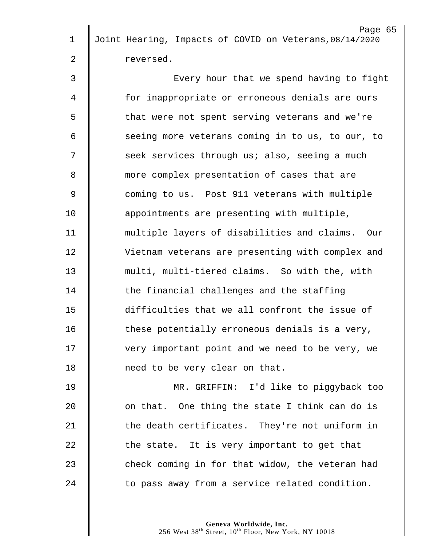|    | Page 65                                                 |
|----|---------------------------------------------------------|
| 1  | Joint Hearing, Impacts of COVID on Veterans, 08/14/2020 |
| 2  | reversed.                                               |
| 3  | Every hour that we spend having to fight                |
| 4  | for inappropriate or erroneous denials are ours         |
| 5  | that were not spent serving veterans and we're          |
| 6  | seeing more veterans coming in to us, to our, to        |
| 7  | seek services through us; also, seeing a much           |
| 8  | more complex presentation of cases that are             |
| 9  | coming to us. Post 911 veterans with multiple           |
| 10 | appointments are presenting with multiple,              |
| 11 | multiple layers of disabilities and claims. Our         |
| 12 | Vietnam veterans are presenting with complex and        |
| 13 | multi, multi-tiered claims. So with the, with           |
| 14 | the financial challenges and the staffing               |
| 15 | difficulties that we all confront the issue of          |
| 16 | these potentially erroneous denials is a very,          |
| 17 | very important point and we need to be very, we         |
| 18 | need to be very clear on that.                          |
| 19 | MR. GRIFFIN: I'd like to piggyback too                  |
| 20 | on that. One thing the state I think can do is          |
| 21 | the death certificates. They're not uniform in          |
| 22 | the state. It is very important to get that             |
| 23 | check coming in for that widow, the veteran had         |
|    |                                                         |

24  $\parallel$  to pass away from a service related condition.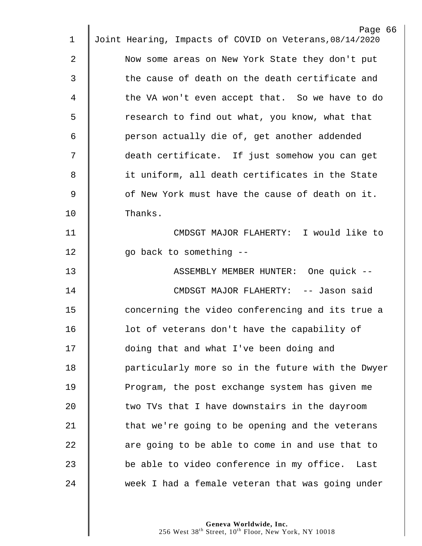|    | Page 66                                                 |
|----|---------------------------------------------------------|
| 1  | Joint Hearing, Impacts of COVID on Veterans, 08/14/2020 |
| 2  | Now some areas on New York State they don't put         |
| 3  | the cause of death on the death certificate and         |
| 4  | the VA won't even accept that. So we have to do         |
| 5  | research to find out what, you know, what that          |
| 6  | person actually die of, get another addended            |
| 7  | death certificate. If just somehow you can get          |
| 8  | it uniform, all death certificates in the State         |
| 9  | of New York must have the cause of death on it.         |
| 10 | Thanks.                                                 |
| 11 | CMDSGT MAJOR FLAHERTY: I would like to                  |
| 12 | go back to something --                                 |
| 13 | ASSEMBLY MEMBER HUNTER: One quick --                    |
| 14 | CMDSGT MAJOR FLAHERTY: -- Jason said                    |
| 15 | concerning the video conferencing and its true a        |
| 16 | lot of veterans don't have the capability of            |
| 17 | doing that and what I've been doing and                 |
| 18 | particularly more so in the future with the Dwyer       |
|    |                                                         |
| 19 | Program, the post exchange system has given me          |
| 20 | two TVs that I have downstairs in the dayroom           |
| 21 | that we're going to be opening and the veterans         |
| 22 | are going to be able to come in and use that to         |
| 23 | be able to video conference in my office. Last          |
| 24 | week I had a female veteran that was going under        |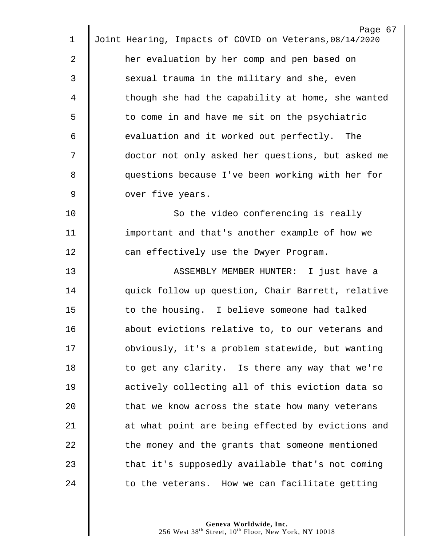|             | Page 67                                                 |
|-------------|---------------------------------------------------------|
| 1           | Joint Hearing, Impacts of COVID on Veterans, 08/14/2020 |
| 2           | her evaluation by her comp and pen based on             |
| 3           | sexual trauma in the military and she, even             |
| 4           | though she had the capability at home, she wanted       |
| 5           | to come in and have me sit on the psychiatric           |
| 6           | evaluation and it worked out perfectly. The             |
| 7           | doctor not only asked her questions, but asked me       |
| 8           | questions because I've been working with her for        |
| $\mathsf 9$ | over five years.                                        |
| 10          | So the video conferencing is really                     |
| 11          | important and that's another example of how we          |
| 12          | can effectively use the Dwyer Program.                  |
| 13          | ASSEMBLY MEMBER HUNTER: I just have a                   |
| 14          | quick follow up question, Chair Barrett, relative       |
| 15          | to the housing. I believe someone had talked            |
| 16          | about evictions relative to, to our veterans and        |
| 17          | obviously, it's a problem statewide, but wanting        |
| 18          | to get any clarity. Is there any way that we're         |
| 19          | actively collecting all of this eviction data so        |
| 20          | that we know across the state how many veterans         |
| 21          | at what point are being effected by evictions and       |
| 22          | the money and the grants that someone mentioned         |
| 23          | that it's supposedly available that's not coming        |
| 24          | to the veterans. How we can facilitate getting          |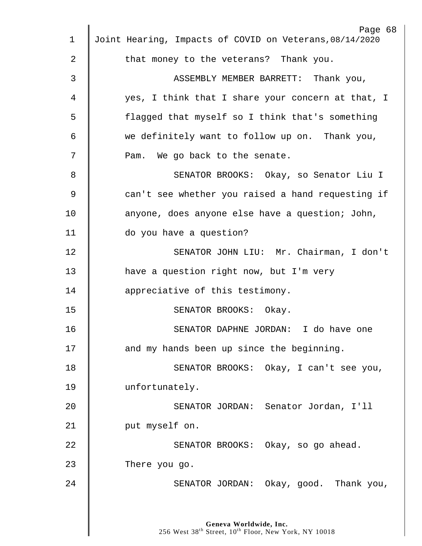| 1  | Page 68<br>Joint Hearing, Impacts of COVID on Veterans, 08/14/2020                                     |
|----|--------------------------------------------------------------------------------------------------------|
| 2  | that money to the veterans? Thank you.                                                                 |
| 3  | ASSEMBLY MEMBER BARRETT: Thank you,                                                                    |
|    |                                                                                                        |
| 4  | yes, I think that I share your concern at that, I                                                      |
| 5  | flagged that myself so I think that's something                                                        |
| 6  | we definitely want to follow up on. Thank you,                                                         |
| 7  | Pam. We go back to the senate.                                                                         |
| 8  | SENATOR BROOKS: Okay, so Senator Liu I                                                                 |
| 9  | can't see whether you raised a hand requesting if                                                      |
| 10 | anyone, does anyone else have a question; John,                                                        |
| 11 | do you have a question?                                                                                |
| 12 | SENATOR JOHN LIU: Mr. Chairman, I don't                                                                |
| 13 | have a question right now, but I'm very                                                                |
| 14 | appreciative of this testimony.                                                                        |
| 15 | SENATOR BROOKS: Okay.                                                                                  |
| 16 | SENATOR DAPHNE JORDAN: I do have one                                                                   |
| 17 | and my hands been up since the beginning.                                                              |
| 18 | SENATOR BROOKS: Okay, I can't see you,                                                                 |
| 19 | unfortunately.                                                                                         |
| 20 | SENATOR JORDAN: Senator Jordan, I'll                                                                   |
| 21 | put myself on.                                                                                         |
| 22 | SENATOR BROOKS: Okay, so go ahead.                                                                     |
|    |                                                                                                        |
| 23 | There you go.                                                                                          |
| 24 | SENATOR JORDAN: Okay, good. Thank you,                                                                 |
|    |                                                                                                        |
|    | Geneva Worldwide, Inc.<br>256 West 38 <sup>th</sup> Street, 10 <sup>th</sup> Floor, New York, NY 10018 |
|    |                                                                                                        |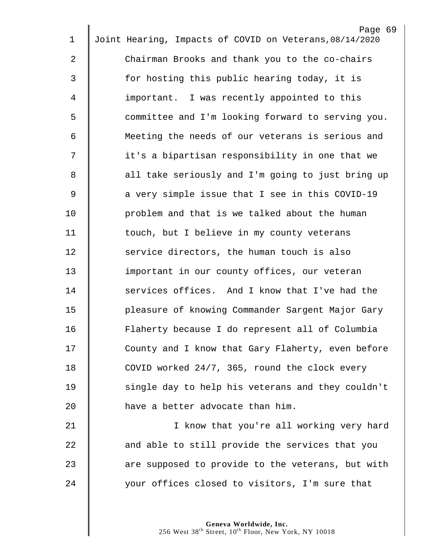|             | Page 69                                                 |
|-------------|---------------------------------------------------------|
| $\mathbf 1$ | Joint Hearing, Impacts of COVID on Veterans, 08/14/2020 |
| 2           | Chairman Brooks and thank you to the co-chairs          |
| 3           | for hosting this public hearing today, it is            |
| 4           | important. I was recently appointed to this             |
| 5           | committee and I'm looking forward to serving you.       |
| 6           | Meeting the needs of our veterans is serious and        |
| 7           | it's a bipartisan responsibility in one that we         |
| 8           | all take seriously and I'm going to just bring up       |
| 9           | a very simple issue that I see in this COVID-19         |
| 10          | problem and that is we talked about the human           |
| 11          | touch, but I believe in my county veterans              |
| 12          | service directors, the human touch is also              |
| 13          | important in our county offices, our veteran            |
| 14          | services offices. And I know that I've had the          |
| 15          | pleasure of knowing Commander Sargent Major Gary        |
| 16          | Flaherty because I do represent all of Columbia         |
| 17          | County and I know that Gary Flaherty, even before       |
| 18          | COVID worked 24/7, 365, round the clock every           |
| 19          | single day to help his veterans and they couldn't       |
| 20          | have a better advocate than him.                        |
| 21          | I know that you're all working very hard                |
| 22          | and able to still provide the services that you         |
| 23          | are supposed to provide to the veterans, but with       |
| 24          | your offices closed to visitors, I'm sure that          |
|             |                                                         |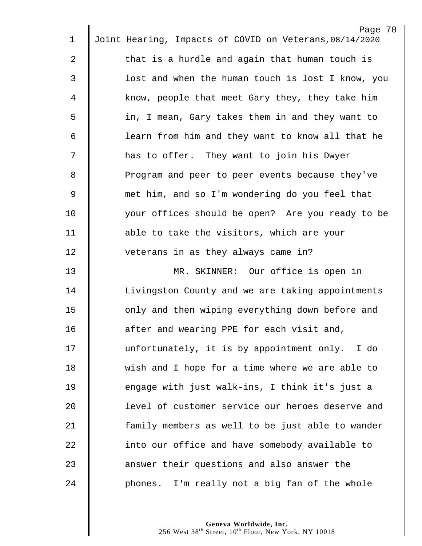|                | Page 70                                                 |  |
|----------------|---------------------------------------------------------|--|
| 1              | Joint Hearing, Impacts of COVID on Veterans, 08/14/2020 |  |
| 2              | that is a hurdle and again that human touch is          |  |
| 3              | lost and when the human touch is lost I know, you       |  |
| 4              | know, people that meet Gary they, they take him         |  |
| 5              | in, I mean, Gary takes them in and they want to         |  |
| 6              | learn from him and they want to know all that he        |  |
| 7              | has to offer. They want to join his Dwyer               |  |
| 8              | Program and peer to peer events because they've         |  |
| $\overline{9}$ | met him, and so I'm wondering do you feel that          |  |
| 10             | your offices should be open? Are you ready to be        |  |
| 11             | able to take the visitors, which are your               |  |
| 12             | veterans in as they always came in?                     |  |
| 13             | MR. SKINNER: Our office is open in                      |  |
| 14             | Livingston County and we are taking appointments        |  |
| 15             | only and then wiping everything down before and         |  |
| 16             | after and wearing PPE for each visit and,               |  |
| 17             | unfortunately, it is by appointment only. I do          |  |
| 18             | wish and I hope for a time where we are able to         |  |
| 19             | engage with just walk-ins, I think it's just a          |  |
| 20             | level of customer service our heroes deserve and        |  |
| 21             | family members as well to be just able to wander        |  |
| 22             | into our office and have somebody available to          |  |
| 23             | answer their questions and also answer the              |  |
| 24             | phones. I'm really not a big fan of the whole           |  |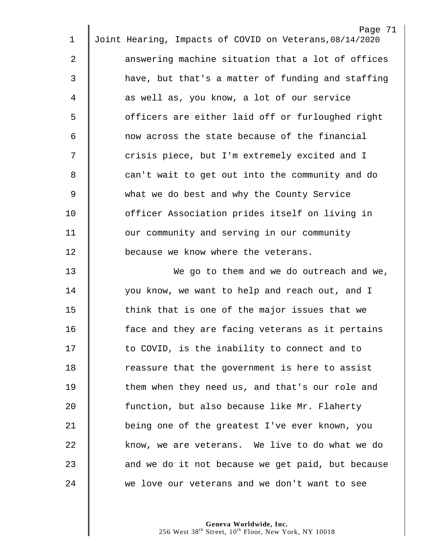| $\mathbf 1$ | Page 71<br>Joint Hearing, Impacts of COVID on Veterans, 08/14/2020 |
|-------------|--------------------------------------------------------------------|
|             |                                                                    |
| 2           | answering machine situation that a lot of offices                  |
| 3           | have, but that's a matter of funding and staffing                  |
| 4           | as well as, you know, a lot of our service                         |
| 5           | officers are either laid off or furloughed right                   |
| 6           | now across the state because of the financial                      |
| 7           | crisis piece, but I'm extremely excited and I                      |
| 8           | can't wait to get out into the community and do                    |
| $\mathsf 9$ | what we do best and why the County Service                         |
| 10          | officer Association prides itself on living in                     |
| 11          | our community and serving in our community                         |
| 12          | because we know where the veterans.                                |
| 13          | We go to them and we do outreach and we,                           |
| 14          | you know, we want to help and reach out, and I                     |
| 15          | think that is one of the major issues that we                      |
| 16          | face and they are facing veterans as it pertains                   |
| 17          | to COVID, is the inability to connect and to                       |
| 18          | reassure that the government is here to assist                     |
| 19          | them when they need us, and that's our role and                    |
| 20          | function, but also because like Mr. Flaherty                       |
| 21          | being one of the greatest I've ever known, you                     |
| 22          | know, we are veterans. We live to do what we do                    |
| 23          | and we do it not because we get paid, but because                  |
| 24          | we love our veterans and we don't want to see                      |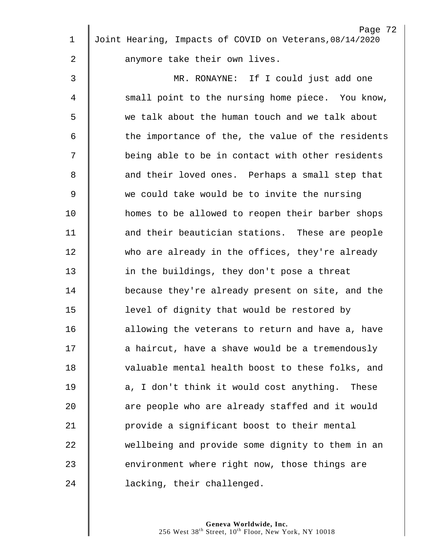| $\mathbf 1$ | Page 72<br>Joint Hearing, Impacts of COVID on Veterans, 08/14/2020 |
|-------------|--------------------------------------------------------------------|
| 2           | anymore take their own lives.                                      |
| 3           | MR. RONAYNE: If I could just add one                               |
| 4           | small point to the nursing home piece. You know,                   |
| 5           | we talk about the human touch and we talk about                    |
| 6           | the importance of the, the value of the residents                  |
| 7           | being able to be in contact with other residents                   |
| 8           | and their loved ones. Perhaps a small step that                    |
| 9           | we could take would be to invite the nursing                       |
| 10          | homes to be allowed to reopen their barber shops                   |
| 11          | and their beautician stations. These are people                    |
| 12          | who are already in the offices, they're already                    |
| 13          | in the buildings, they don't pose a threat                         |
| 14          | because they're already present on site, and the                   |
| 15          | level of dignity that would be restored by                         |
| 16          | allowing the veterans to return and have a, have                   |
| 17          | a haircut, have a shave would be a tremendously                    |
| 18          | valuable mental health boost to these folks, and                   |
| 19          |                                                                    |
|             | a, I don't think it would cost anything. These                     |
| 20          | are people who are already staffed and it would                    |
| 21          | provide a significant boost to their mental                        |
| 22          | wellbeing and provide some dignity to them in an                   |
| 23          | environment where right now, those things are                      |
| 24          | lacking, their challenged.                                         |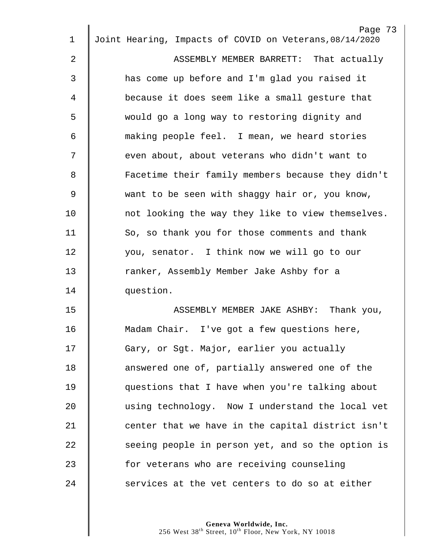|    | Page 73                                                 |
|----|---------------------------------------------------------|
| 1  | Joint Hearing, Impacts of COVID on Veterans, 08/14/2020 |
| 2  | ASSEMBLY MEMBER BARRETT: That actually                  |
| 3  | has come up before and I'm glad you raised it           |
| 4  | because it does seem like a small gesture that          |
| 5  | would go a long way to restoring dignity and            |
| 6  | making people feel. I mean, we heard stories            |
| 7  | even about, about veterans who didn't want to           |
| 8  | Facetime their family members because they didn't       |
| 9  | want to be seen with shaggy hair or, you know,          |
| 10 | not looking the way they like to view themselves.       |
| 11 | So, so thank you for those comments and thank           |
| 12 | you, senator. I think now we will go to our             |
| 13 | ranker, Assembly Member Jake Ashby for a                |
| 14 | question.                                               |
| 15 | ASSEMBLY MEMBER JAKE ASHBY: Thank you,                  |
| 16 | Madam Chair. I've got a few questions here,             |
| 17 | Gary, or Sgt. Major, earlier you actually               |
| 18 | answered one of, partially answered one of the          |
| 19 | questions that I have when you're talking about         |
| 20 | using technology. Now I understand the local vet        |
| 21 | center that we have in the capital district isn't       |
| 22 | seeing people in person yet, and so the option is       |
| 23 | for veterans who are receiving counseling               |
| 24 | services at the vet centers to do so at either          |
|    |                                                         |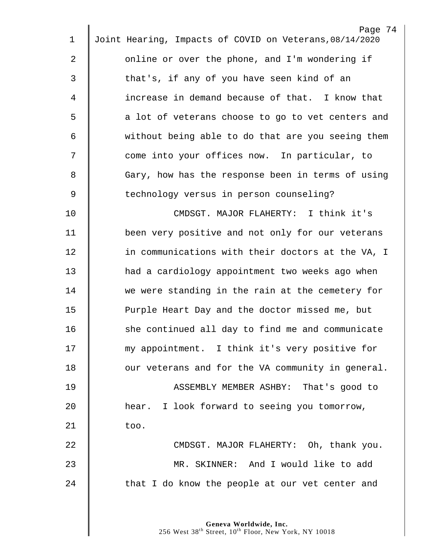|             | Page 74                                                 |
|-------------|---------------------------------------------------------|
| $\mathbf 1$ | Joint Hearing, Impacts of COVID on Veterans, 08/14/2020 |
| 2           | online or over the phone, and I'm wondering if          |
| 3           | that's, if any of you have seen kind of an              |
| 4           | increase in demand because of that. I know that         |
| 5           | a lot of veterans choose to go to vet centers and       |
| 6           | without being able to do that are you seeing them       |
| 7           | come into your offices now. In particular, to           |
| 8           | Gary, how has the response been in terms of using       |
| 9           | technology versus in person counseling?                 |
| 10          | CMDSGT. MAJOR FLAHERTY: I think it's                    |
| 11          | been very positive and not only for our veterans        |
| 12          | in communications with their doctors at the VA, I       |
| 13          | had a cardiology appointment two weeks ago when         |
| 14          | we were standing in the rain at the cemetery for        |
| 15          | Purple Heart Day and the doctor missed me, but          |
| 16          | she continued all day to find me and communicate        |
| 17          | my appointment. I think it's very positive for          |
| 18          | our veterans and for the VA community in general.       |
| 19          | ASSEMBLY MEMBER ASHBY: That's good to                   |
| 20          | hear. I look forward to seeing you tomorrow,            |
| 21          | too.                                                    |
| 22          | CMDSGT. MAJOR FLAHERTY: Oh, thank you.                  |
| 23          | MR. SKINNER: And I would like to add                    |
| 24          | that I do know the people at our vet center and         |
|             |                                                         |
|             |                                                         |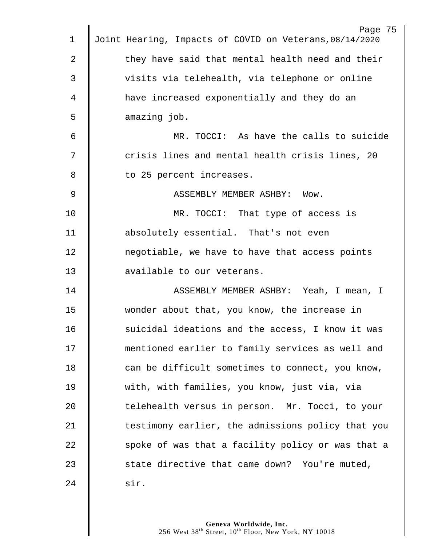|    | Page 75                                                 |
|----|---------------------------------------------------------|
| 1  | Joint Hearing, Impacts of COVID on Veterans, 08/14/2020 |
| 2  | they have said that mental health need and their        |
| 3  | visits via telehealth, via telephone or online          |
| 4  | have increased exponentially and they do an             |
| 5  | amazing job.                                            |
| 6  | MR. TOCCI: As have the calls to suicide                 |
| 7  | crisis lines and mental health crisis lines, 20         |
| 8  | to 25 percent increases.                                |
| 9  | ASSEMBLY MEMBER ASHBY: Wow.                             |
| 10 | MR. TOCCI: That type of access is                       |
| 11 | absolutely essential. That's not even                   |
| 12 | negotiable, we have to have that access points          |
| 13 | available to our veterans.                              |
| 14 | ASSEMBLY MEMBER ASHBY: Yeah, I mean, I                  |
| 15 | wonder about that, you know, the increase in            |
| 16 | suicidal ideations and the access, I know it was        |
| 17 | mentioned earlier to family services as well and        |
| 18 | can be difficult sometimes to connect, you know,        |
| 19 | with, with families, you know, just via, via            |
| 20 | telehealth versus in person. Mr. Tocci, to your         |
| 21 | testimony earlier, the admissions policy that you       |
| 22 | spoke of was that a facility policy or was that a       |
| 23 | state directive that came down? You're muted,           |
| 24 | sir.                                                    |
|    |                                                         |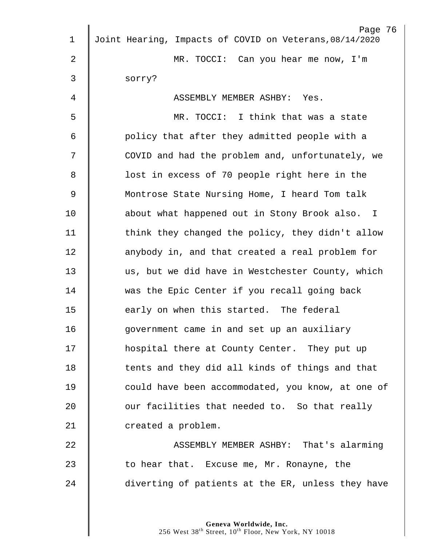|    | Page 76                                                 |
|----|---------------------------------------------------------|
| 1  | Joint Hearing, Impacts of COVID on Veterans, 08/14/2020 |
| 2  | MR. TOCCI: Can you hear me now, I'm                     |
| 3  | sorry?                                                  |
| 4  | ASSEMBLY MEMBER ASHBY: Yes.                             |
| 5  | MR. TOCCI: I think that was a state                     |
| 6  | policy that after they admitted people with a           |
| 7  | COVID and had the problem and, unfortunately, we        |
| 8  | lost in excess of 70 people right here in the           |
| 9  | Montrose State Nursing Home, I heard Tom talk           |
| 10 | about what happened out in Stony Brook also. I          |
| 11 | think they changed the policy, they didn't allow        |
| 12 | anybody in, and that created a real problem for         |
| 13 | us, but we did have in Westchester County, which        |
| 14 | was the Epic Center if you recall going back            |
| 15 | early on when this started. The federal                 |
| 16 | government came in and set up an auxiliary              |
| 17 | hospital there at County Center. They put up            |
| 18 | tents and they did all kinds of things and that         |
| 19 | could have been accommodated, you know, at one of       |
| 20 | our facilities that needed to. So that really           |
| 21 | created a problem.                                      |
| 22 | ASSEMBLY MEMBER ASHBY: That's alarming                  |
| 23 | to hear that. Excuse me, Mr. Ronayne, the               |
| 24 | diverting of patients at the ER, unless they have       |
|    |                                                         |
|    |                                                         |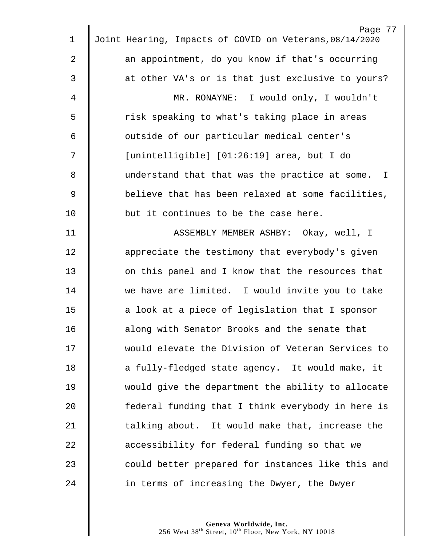|                | Page 77                                                 |
|----------------|---------------------------------------------------------|
| $\mathbf 1$    | Joint Hearing, Impacts of COVID on Veterans, 08/14/2020 |
| $\overline{2}$ | an appointment, do you know if that's occurring         |
| $\mathfrak{Z}$ | at other VA's or is that just exclusive to yours?       |
| 4              | MR. RONAYNE: I would only, I wouldn't                   |
| 5              | risk speaking to what's taking place in areas           |
| 6              | outside of our particular medical center's              |
| 7              | [unintelligible] [01:26:19] area, but I do              |
| 8              | understand that that was the practice at some. I        |
| $\overline{9}$ | believe that has been relaxed at some facilities,       |
| 10             | but it continues to be the case here.                   |
| 11             | ASSEMBLY MEMBER ASHBY: Okay, well, I                    |
| 12             | appreciate the testimony that everybody's given         |
| 13             | on this panel and I know that the resources that        |
| 14             | we have are limited. I would invite you to take         |
| 15             | a look at a piece of legislation that I sponsor         |
| 16             | along with Senator Brooks and the senate that           |
| 17             | would elevate the Division of Veteran Services to       |
| 18             | a fully-fledged state agency. It would make, it         |
| 19             | would give the department the ability to allocate       |
| 20             | federal funding that I think everybody in here is       |
| 21             | talking about. It would make that, increase the         |
| 22             | accessibility for federal funding so that we            |
| 23             | could better prepared for instances like this and       |
| 24             | in terms of increasing the Dwyer, the Dwyer             |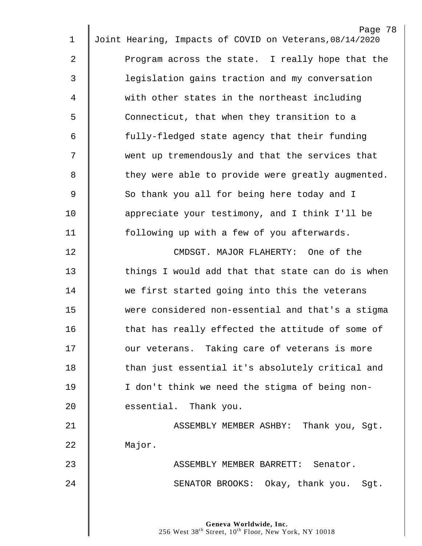| $\mathbf 1$    | Page 78<br>Joint Hearing, Impacts of COVID on Veterans, 08/14/2020 |
|----------------|--------------------------------------------------------------------|
|                |                                                                    |
| $\overline{2}$ | Program across the state. I really hope that the                   |
| 3              | legislation gains traction and my conversation                     |
| $\overline{4}$ | with other states in the northeast including                       |
| 5              | Connecticut, that when they transition to a                        |
| 6              | fully-fledged state agency that their funding                      |
| 7              | went up tremendously and that the services that                    |
| 8              | they were able to provide were greatly augmented.                  |
| $\mathsf 9$    | So thank you all for being here today and I                        |
| 10             | appreciate your testimony, and I think I'll be                     |
| 11             | following up with a few of you afterwards.                         |
| 12             | CMDSGT. MAJOR FLAHERTY: One of the                                 |
| 13             | things I would add that that state can do is when                  |
| 14             | we first started going into this the veterans                      |
| 15             | were considered non-essential and that's a stigma                  |
| 16             | that has really effected the attitude of some of                   |
| 17             | our veterans. Taking care of veterans is more                      |
| 18             | than just essential it's absolutely critical and                   |
| 19             | I don't think we need the stigma of being non-                     |
| 20             | essential. Thank you.                                              |
| 21             | ASSEMBLY MEMBER ASHBY: Thank you, Sgt.                             |
| 22             | Major.                                                             |
| 23             | ASSEMBLY MEMBER BARRETT: Senator.                                  |
| 24             | SENATOR BROOKS: Okay, thank you. Sgt.                              |
|                |                                                                    |
|                |                                                                    |

 $\parallel$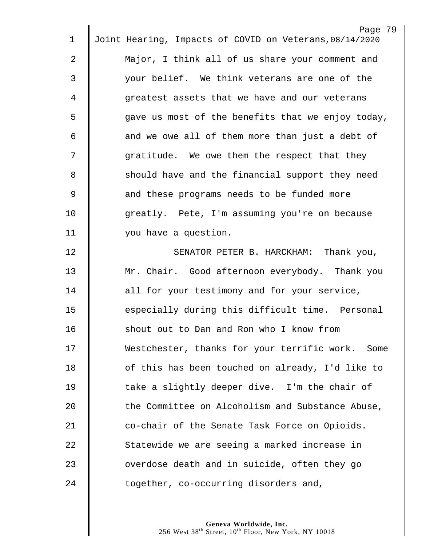|    | Page 79                                                 |
|----|---------------------------------------------------------|
| 1  | Joint Hearing, Impacts of COVID on Veterans, 08/14/2020 |
| 2  | Major, I think all of us share your comment and         |
| 3  | your belief. We think veterans are one of the           |
| 4  | greatest assets that we have and our veterans           |
| 5  | gave us most of the benefits that we enjoy today,       |
| 6  | and we owe all of them more than just a debt of         |
| 7  | gratitude. We owe them the respect that they            |
| 8  | should have and the financial support they need         |
| 9  | and these programs needs to be funded more              |
| 10 | greatly. Pete, I'm assuming you're on because           |
| 11 | you have a question.                                    |
| 12 | SENATOR PETER B. HARCKHAM: Thank you,                   |
| 13 | Mr. Chair. Good afternoon everybody. Thank you          |
| 14 | all for your testimony and for your service,            |
| 15 | especially during this difficult time. Personal         |
| 16 | shout out to Dan and Ron who I know from                |
| 17 | Westchester, thanks for your terrific work. Some        |
| 18 | of this has been touched on already, I'd like to        |
| 19 | take a slightly deeper dive. I'm the chair of           |
| 20 | the Committee on Alcoholism and Substance Abuse,        |
| 21 | co-chair of the Senate Task Force on Opioids.           |
| 22 | Statewide we are seeing a marked increase in            |
| 23 | overdose death and in suicide, often they go            |
| 24 | together, co-occurring disorders and,                   |
|    |                                                         |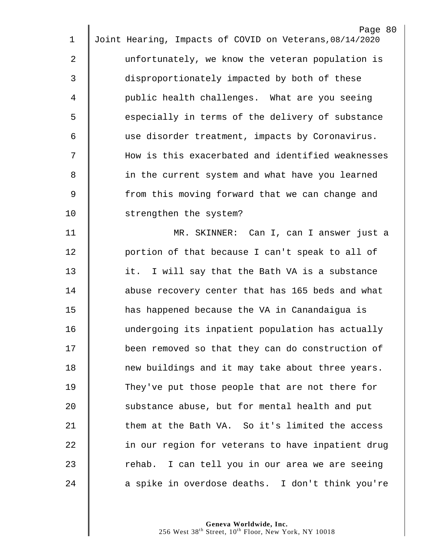| 1           | Page 80<br>Joint Hearing, Impacts of COVID on Veterans, 08/14/2020 |
|-------------|--------------------------------------------------------------------|
| 2           | unfortunately, we know the veteran population is                   |
| 3           | disproportionately impacted by both of these                       |
|             |                                                                    |
| 4           | public health challenges. What are you seeing                      |
| 5           | especially in terms of the delivery of substance                   |
| 6           | use disorder treatment, impacts by Coronavirus.                    |
| 7           | How is this exacerbated and identified weaknesses                  |
| 8           | in the current system and what have you learned                    |
| $\mathsf 9$ | from this moving forward that we can change and                    |
| 10          | strengthen the system?                                             |
| 11          | MR. SKINNER: Can I, can I answer just a                            |
| 12          | portion of that because I can't speak to all of                    |
| 13          | it. I will say that the Bath VA is a substance                     |
| 14          | abuse recovery center that has 165 beds and what                   |
| 15          | has happened because the VA in Canandaigua is                      |
| 16          | undergoing its inpatient population has actually                   |
| 17          | been removed so that they can do construction of                   |
| 18          | new buildings and it may take about three years.                   |
| 19          | They've put those people that are not there for                    |
| 20          | substance abuse, but for mental health and put                     |
| 21          | them at the Bath VA. So it's limited the access                    |
| 22          | in our region for veterans to have inpatient drug                  |
| 23          | rehab. I can tell you in our area we are seeing                    |
| 24          | a spike in overdose deaths. I don't think you're                   |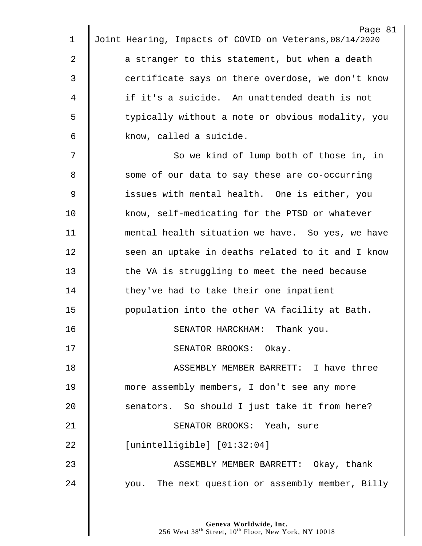| 1           | Page 81<br>Joint Hearing, Impacts of COVID on Veterans, 08/14/2020 |
|-------------|--------------------------------------------------------------------|
|             |                                                                    |
| 2           | a stranger to this statement, but when a death                     |
| 3           | certificate says on there overdose, we don't know                  |
| 4           | if it's a suicide. An unattended death is not                      |
| 5           | typically without a note or obvious modality, you                  |
| 6           | know, called a suicide.                                            |
| 7           | So we kind of lump both of those in, in                            |
| 8           | some of our data to say these are co-occurring                     |
| $\mathsf 9$ | issues with mental health. One is either, you                      |
| 10          | know, self-medicating for the PTSD or whatever                     |
| 11          | mental health situation we have. So yes, we have                   |
| 12          | seen an uptake in deaths related to it and I know                  |
| 13          | the VA is struggling to meet the need because                      |
| 14          | they've had to take their one inpatient                            |
| 15          | population into the other VA facility at Bath.                     |
| 16          | SENATOR HARCKHAM: Thank you.                                       |
| 17          | SENATOR BROOKS: Okay.                                              |
| 18          | ASSEMBLY MEMBER BARRETT: I have three                              |
| 19          | more assembly members, I don't see any more                        |
| 20          | senators. So should I just take it from here?                      |
| 21          | SENATOR BROOKS: Yeah, sure                                         |
| 22          | [unintelligible] [01:32:04]                                        |
| 23          | ASSEMBLY MEMBER BARRETT: Okay, thank                               |
| 24          | you. The next question or assembly member, Billy                   |
|             |                                                                    |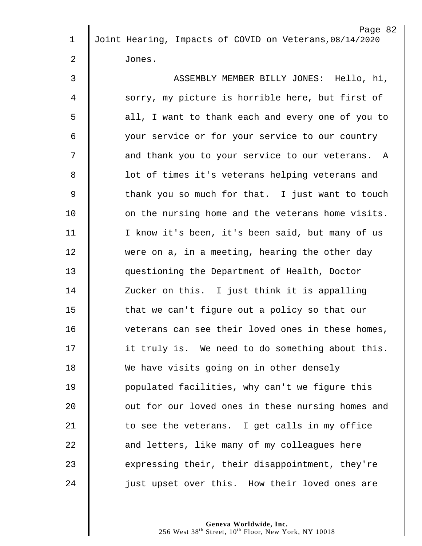|              | Page 82                                                 |
|--------------|---------------------------------------------------------|
| 1            | Joint Hearing, Impacts of COVID on Veterans, 08/14/2020 |
| $\mathbf{2}$ | Jones.                                                  |
| 3            | ASSEMBLY MEMBER BILLY JONES: Hello, hi,                 |
| 4            | sorry, my picture is horrible here, but first of        |
| 5            | all, I want to thank each and every one of you to       |
| 6            | your service or for your service to our country         |
| 7            | and thank you to your service to our veterans. A        |
| 8            | lot of times it's veterans helping veterans and         |
| 9            | thank you so much for that. I just want to touch        |
| 10           | on the nursing home and the veterans home visits.       |
| 11           | I know it's been, it's been said, but many of us        |
| 12           | were on a, in a meeting, hearing the other day          |
| 13           | questioning the Department of Health, Doctor            |
| 14           | Zucker on this. I just think it is appalling            |
| 15           | that we can't figure out a policy so that our           |
| 16           | veterans can see their loved ones in these homes,       |
| 17           | it truly is. We need to do something about this.        |
| 18           | We have visits going on in other densely                |
| 19           | populated facilities, why can't we figure this          |
| 20           | out for our loved ones in these nursing homes and       |
| 21           | to see the veterans. I get calls in my office           |
| 22           | and letters, like many of my colleagues here            |
| 23           | expressing their, their disappointment, they're         |
| 24           | just upset over this. How their loved ones are          |
|              |                                                         |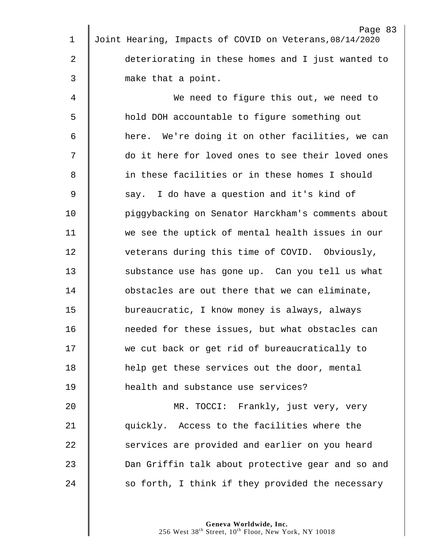| 1              | Page 83<br>Joint Hearing, Impacts of COVID on Veterans, 08/14/2020 |
|----------------|--------------------------------------------------------------------|
|                |                                                                    |
| 2              | deteriorating in these homes and I just wanted to                  |
| 3              | make that a point.                                                 |
| 4              | We need to figure this out, we need to                             |
| 5              | hold DOH accountable to figure something out                       |
| 6              | here. We're doing it on other facilities, we can                   |
| 7              | do it here for loved ones to see their loved ones                  |
| 8              | in these facilities or in these homes I should                     |
| $\overline{9}$ | say. I do have a question and it's kind of                         |
| 10             | piggybacking on Senator Harckham's comments about                  |
| 11             | we see the uptick of mental health issues in our                   |
| 12             | veterans during this time of COVID. Obviously,                     |
| 13             | substance use has gone up. Can you tell us what                    |
| 14             | obstacles are out there that we can eliminate,                     |
| 15             | bureaucratic, I know money is always, always                       |
| 16             | needed for these issues, but what obstacles can                    |
| 17             | we cut back or get rid of bureaucratically to                      |
| 18             | help get these services out the door, mental                       |
| 19             | health and substance use services?                                 |
| 20             | MR. TOCCI: Frankly, just very, very                                |
| 21             | quickly. Access to the facilities where the                        |
| 22             | services are provided and earlier on you heard                     |
| 23             | Dan Griffin talk about protective gear and so and                  |
| 24             | so forth, I think if they provided the necessary                   |
|                |                                                                    |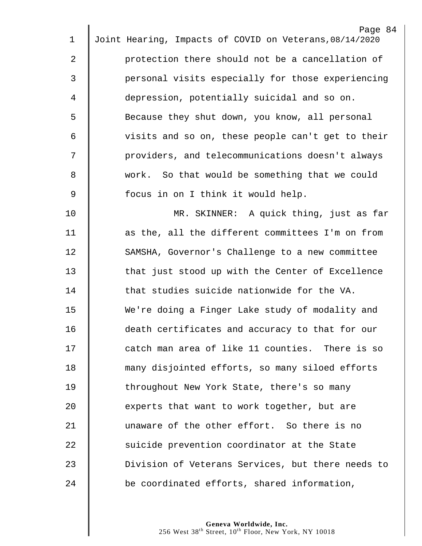|                | Page 84                                                 |
|----------------|---------------------------------------------------------|
| 1              | Joint Hearing, Impacts of COVID on Veterans, 08/14/2020 |
| $\mathbf{2}$   | protection there should not be a cancellation of        |
| 3              | personal visits especially for those experiencing       |
| 4              | depression, potentially suicidal and so on.             |
| 5              | Because they shut down, you know, all personal          |
| 6              | visits and so on, these people can't get to their       |
| 7              | providers, and telecommunications doesn't always        |
| 8              | work. So that would be something that we could          |
| $\overline{9}$ | focus in on I think it would help.                      |
| 10             | MR. SKINNER: A quick thing, just as far                 |
| 11             | as the, all the different committees I'm on from        |
| 12             | SAMSHA, Governor's Challenge to a new committee         |
| 13             | that just stood up with the Center of Excellence        |
| 14             | that studies suicide nationwide for the VA.             |
| 15             | We're doing a Finger Lake study of modality and         |
| 16             | death certificates and accuracy to that for our         |
| 17             | catch man area of like 11 counties. There is so         |
| 18             | many disjointed efforts, so many siloed efforts         |
| 19             | throughout New York State, there's so many              |
| 20             | experts that want to work together, but are             |
| 21             | unaware of the other effort. So there is no             |
| 22             | suicide prevention coordinator at the State             |
| 23             | Division of Veterans Services, but there needs to       |
| 24             |                                                         |
|                | be coordinated efforts, shared information,             |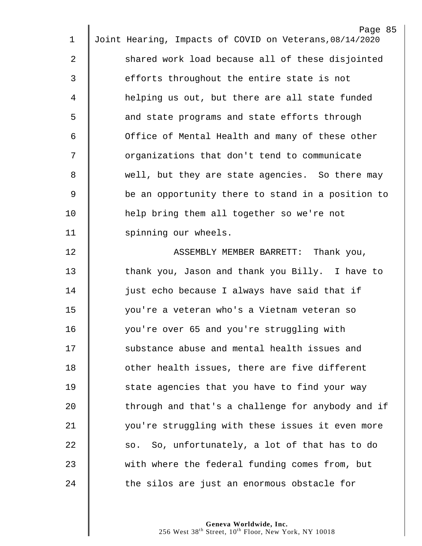|             | Page 85                                                 |
|-------------|---------------------------------------------------------|
| $\mathbf 1$ | Joint Hearing, Impacts of COVID on Veterans, 08/14/2020 |
| 2           | shared work load because all of these disjointed        |
| 3           | efforts throughout the entire state is not              |
| 4           | helping us out, but there are all state funded          |
| 5           | and state programs and state efforts through            |
| 6           | Office of Mental Health and many of these other         |
| 7           | organizations that don't tend to communicate            |
| 8           | well, but they are state agencies. So there may         |
| 9           | be an opportunity there to stand in a position to       |
| 10          | help bring them all together so we're not               |
| 11          | spinning our wheels.                                    |
| 12          | ASSEMBLY MEMBER BARRETT: Thank you,                     |
| 13          | thank you, Jason and thank you Billy. I have to         |
| 14          | just echo because I always have said that if            |
| 15          | you're a veteran who's a Vietnam veteran so             |
| 16          | you're over 65 and you're struggling with               |
| 17          | substance abuse and mental health issues and            |
| 18          | other health issues, there are five different           |
| 19          | state agencies that you have to find your way           |
| 20          | through and that's a challenge for anybody and if       |
| 21          | you're struggling with these issues it even more        |
| 22          | so. So, unfortunately, a lot of that has to do          |
| 23          | with where the federal funding comes from, but          |
| 24          | the silos are just an enormous obstacle for             |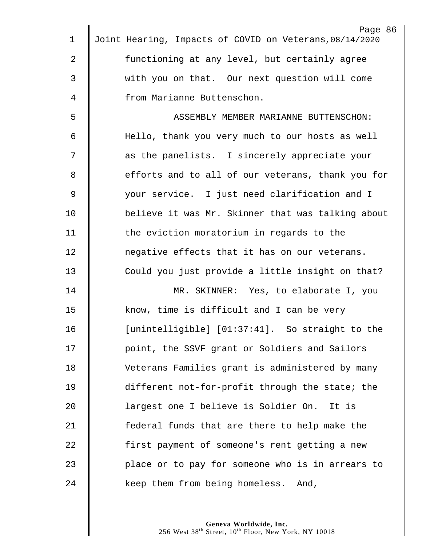|             | Page 86                                                 |
|-------------|---------------------------------------------------------|
| $\mathbf 1$ | Joint Hearing, Impacts of COVID on Veterans, 08/14/2020 |
| 2           | functioning at any level, but certainly agree           |
| 3           | with you on that. Our next question will come           |
| 4           | from Marianne Buttenschon.                              |
| 5           | ASSEMBLY MEMBER MARIANNE BUTTENSCHON:                   |
| 6           | Hello, thank you very much to our hosts as well         |
| 7           | as the panelists. I sincerely appreciate your           |
| 8           | efforts and to all of our veterans, thank you for       |
| $\mathsf 9$ | your service. I just need clarification and I           |
| 10          | believe it was Mr. Skinner that was talking about       |
| 11          | the eviction moratorium in regards to the               |
| 12          | negative effects that it has on our veterans.           |
| 13          | Could you just provide a little insight on that?        |
| 14          | MR. SKINNER: Yes, to elaborate I, you                   |
| 15          | know, time is difficult and I can be very               |
| 16          | [unintelligible] [01:37:41]. So straight to the         |
| 17          | point, the SSVF grant or Soldiers and Sailors           |
| 18          | Veterans Families grant is administered by many         |
| 19          | different not-for-profit through the state; the         |
| 20          | largest one I believe is Soldier On. It is              |
| 21          | federal funds that are there to help make the           |
| 22          | first payment of someone's rent getting a new           |
| 23          | place or to pay for someone who is in arrears to        |
| 24          | keep them from being homeless. And,                     |
|             |                                                         |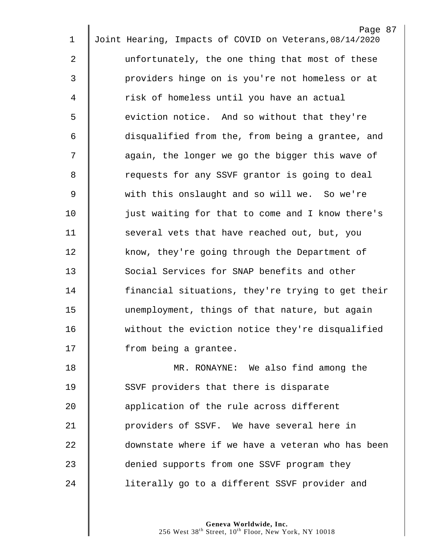|    | Page 87                                                 |
|----|---------------------------------------------------------|
| 1  | Joint Hearing, Impacts of COVID on Veterans, 08/14/2020 |
| 2  | unfortunately, the one thing that most of these         |
| 3  | providers hinge on is you're not homeless or at         |
| 4  | risk of homeless until you have an actual               |
| 5  | eviction notice. And so without that they're            |
| 6  | disqualified from the, from being a grantee, and        |
| 7  | again, the longer we go the bigger this wave of         |
| 8  | requests for any SSVF grantor is going to deal          |
| 9  | with this onslaught and so will we. So we're            |
| 10 | just waiting for that to come and I know there's        |
| 11 | several vets that have reached out, but, you            |
| 12 | know, they're going through the Department of           |
| 13 | Social Services for SNAP benefits and other             |
| 14 | financial situations, they're trying to get their       |
| 15 | unemployment, things of that nature, but again          |
| 16 | without the eviction notice they're disqualified        |
| 17 | from being a grantee.                                   |
| 18 | MR. RONAYNE: We also find among the                     |
| 19 | SSVF providers that there is disparate                  |
| 20 | application of the rule across different                |
| 21 | providers of SSVF. We have several here in              |
| 22 | downstate where if we have a veteran who has been       |
| 23 | denied supports from one SSVF program they              |
| 24 | literally go to a different SSVF provider and           |
|    |                                                         |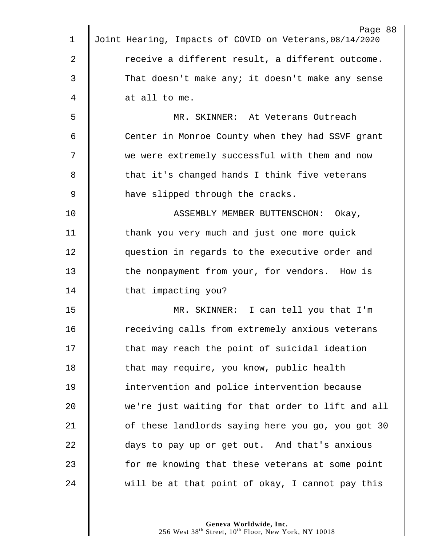|             | Page 88                                                 |
|-------------|---------------------------------------------------------|
| 1           | Joint Hearing, Impacts of COVID on Veterans, 08/14/2020 |
| 2           | receive a different result, a different outcome.        |
| 3           | That doesn't make any; it doesn't make any sense        |
| 4           | at all to me.                                           |
| 5           | MR. SKINNER: At Veterans Outreach                       |
| 6           | Center in Monroe County when they had SSVF grant        |
| 7           | we were extremely successful with them and now          |
| 8           | that it's changed hands I think five veterans           |
| $\mathsf 9$ | have slipped through the cracks.                        |
| 10          | ASSEMBLY MEMBER BUTTENSCHON:<br>Okay,                   |
| 11          | thank you very much and just one more quick             |
| 12          | question in regards to the executive order and          |
| 13          | the nonpayment from your, for vendors. How is           |
| 14          | that impacting you?                                     |
| 15          | MR. SKINNER: I can tell you that I'm                    |
| 16          | receiving calls from extremely anxious veterans         |
| 17          | that may reach the point of suicidal ideation           |
| 18          | that may require, you know, public health               |
| 19          | intervention and police intervention because            |
| 20          | we're just waiting for that order to lift and all       |
| 21          | of these landlords saying here you go, you got 30       |
| 22          | days to pay up or get out. And that's anxious           |
| 23          | for me knowing that these veterans at some point        |
| 24          | will be at that point of okay, I cannot pay this        |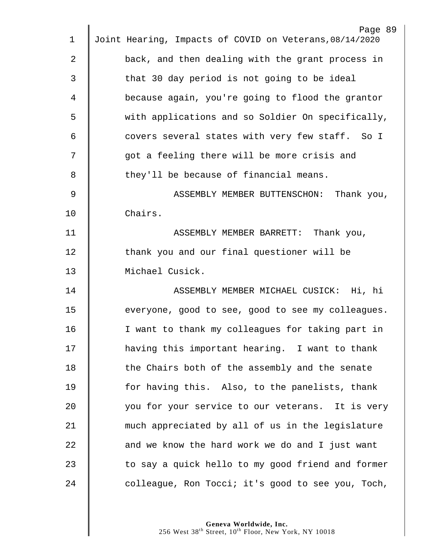|                | Page 89                                                 |
|----------------|---------------------------------------------------------|
| 1              | Joint Hearing, Impacts of COVID on Veterans, 08/14/2020 |
| $\overline{2}$ | back, and then dealing with the grant process in        |
| 3              | that 30 day period is not going to be ideal             |
| 4              | because again, you're going to flood the grantor        |
| 5              | with applications and so Soldier On specifically,       |
| 6              | covers several states with very few staff. So I         |
| 7              | got a feeling there will be more crisis and             |
| 8              | they'll be because of financial means.                  |
| $\mathcal{G}$  | ASSEMBLY MEMBER BUTTENSCHON: Thank you,                 |
| 10             | Chairs.                                                 |
| 11             | ASSEMBLY MEMBER BARRETT:<br>Thank you,                  |
| 12             | thank you and our final questioner will be              |
| 13             | Michael Cusick.                                         |
| 14             | ASSEMBLY MEMBER MICHAEL CUSICK: Hi, hi                  |
| 15             | everyone, good to see, good to see my colleagues.       |
| 16             | I want to thank my colleagues for taking part in        |
| 17             | having this important hearing. I want to thank          |
| 18             | the Chairs both of the assembly and the senate          |
| 19             | for having this. Also, to the panelists, thank          |
| 20             | you for your service to our veterans. It is very        |
| 21             | much appreciated by all of us in the legislature        |
| 22             | and we know the hard work we do and I just want         |
| 23             | to say a quick hello to my good friend and former       |
| 24             | colleague, Ron Tocci; it's good to see you, Toch,       |
|                |                                                         |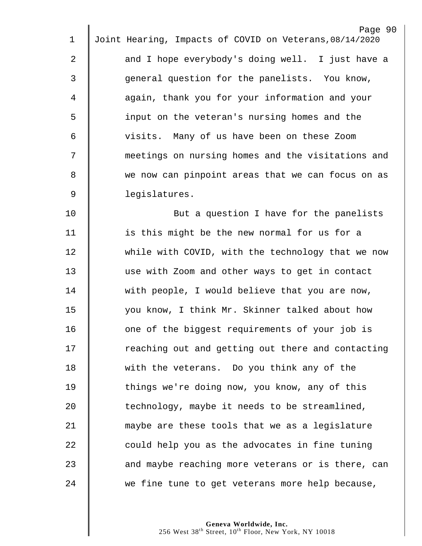|             | Page 90                                                 |
|-------------|---------------------------------------------------------|
| $\mathbf 1$ | Joint Hearing, Impacts of COVID on Veterans, 08/14/2020 |
| 2           | and I hope everybody's doing well. I just have a        |
| 3           | general question for the panelists. You know,           |
| 4           | again, thank you for your information and your          |
| 5           | input on the veteran's nursing homes and the            |
| 6           | visits. Many of us have been on these Zoom              |
| 7           | meetings on nursing homes and the visitations and       |
| 8           | we now can pinpoint areas that we can focus on as       |
| $\mathsf 9$ | legislatures.                                           |
| 10          | But a question I have for the panelists                 |
| 11          | is this might be the new normal for us for a            |
| 12          | while with COVID, with the technology that we now       |
| 13          | use with Zoom and other ways to get in contact          |
| 14          | with people, I would believe that you are now,          |
| 15          | you know, I think Mr. Skinner talked about how          |
| 16          | one of the biggest requirements of your job is          |
| 17          | reaching out and getting out there and contacting       |
| 18          | with the veterans. Do you think any of the              |
| 19          | things we're doing now, you know, any of this           |
| 20          | technology, maybe it needs to be streamlined,           |
| 21          | maybe are these tools that we as a legislature          |
| 22          | could help you as the advocates in fine tuning          |
| 23          | and maybe reaching more veterans or is there, can       |
| 24          | we fine tune to get veterans more help because,         |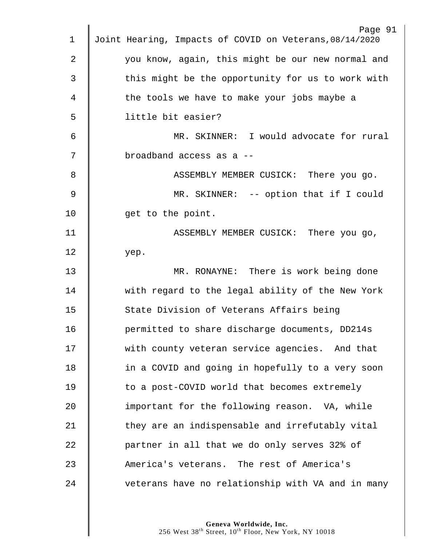|                | Page 91                                                 |
|----------------|---------------------------------------------------------|
| 1              | Joint Hearing, Impacts of COVID on Veterans, 08/14/2020 |
| $\overline{2}$ | you know, again, this might be our new normal and       |
| 3              | this might be the opportunity for us to work with       |
| 4              | the tools we have to make your jobs maybe a             |
| 5              | little bit easier?                                      |
| 6              | MR. SKINNER: I would advocate for rural                 |
| 7              | broadband access as a --                                |
| 8              | ASSEMBLY MEMBER CUSICK: There you go.                   |
| 9              | MR. SKINNER: -- option that if I could                  |
| 10             | get to the point.                                       |
| 11             | ASSEMBLY MEMBER CUSICK: There you go,                   |
| 12             | yep.                                                    |
| 13             | MR. RONAYNE: There is work being done                   |
| 14             | with regard to the legal ability of the New York        |
| 15             | State Division of Veterans Affairs being                |
| 16             | permitted to share discharge documents, DD214s          |
| 17             | with county veteran service agencies. And that          |
| 18             | in a COVID and going in hopefully to a very soon        |
| 19             | to a post-COVID world that becomes extremely            |
| 20             | important for the following reason. VA, while           |
| 21             | they are an indispensable and irrefutably vital         |
| 22             | partner in all that we do only serves 32% of            |
| 23             | America's veterans. The rest of America's               |
| 24             | veterans have no relationship with VA and in many       |
|                |                                                         |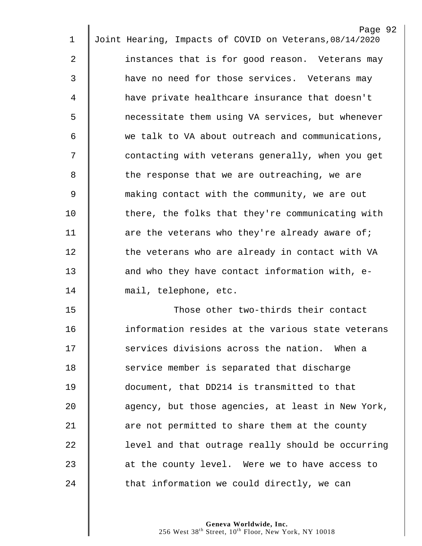|    | Page 92                                                 |
|----|---------------------------------------------------------|
| 1  | Joint Hearing, Impacts of COVID on Veterans, 08/14/2020 |
| 2  | instances that is for good reason. Veterans may         |
| 3  | have no need for those services. Veterans may           |
| 4  | have private healthcare insurance that doesn't          |
| 5  | necessitate them using VA services, but whenever        |
| 6  | we talk to VA about outreach and communications,        |
| 7  | contacting with veterans generally, when you get        |
| 8  | the response that we are outreaching, we are            |
| 9  | making contact with the community, we are out           |
| 10 | there, the folks that they're communicating with        |
| 11 | are the veterans who they're already aware of;          |
| 12 | the veterans who are already in contact with VA         |
| 13 | and who they have contact information with, e-          |
| 14 | mail, telephone, etc.                                   |
| 15 | Those other two-thirds their contact                    |
| 16 | information resides at the various state veterans       |
| 17 | services divisions across the nation. When a            |
| 18 | service member is separated that discharge              |
| 19 | document, that DD214 is transmitted to that             |
| 20 | agency, but those agencies, at least in New York,       |
| 21 | are not permitted to share them at the county           |
| 22 | level and that outrage really should be occurring       |
| 23 | at the county level. Were we to have access to          |
| 24 | that information we could directly, we can              |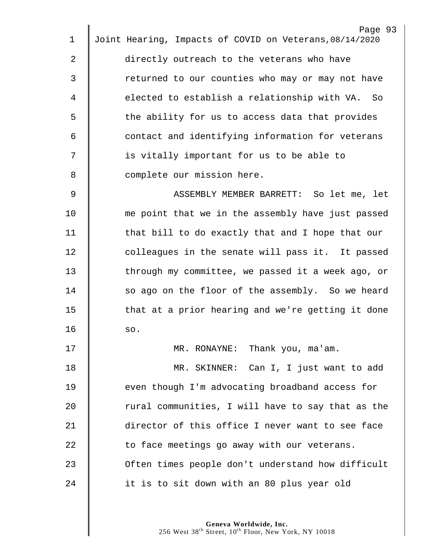|    | Page 93                                                 |
|----|---------------------------------------------------------|
| 1  | Joint Hearing, Impacts of COVID on Veterans, 08/14/2020 |
| 2  | directly outreach to the veterans who have              |
| 3  | returned to our counties who may or may not have        |
| 4  | elected to establish a relationship with VA. So         |
| 5  | the ability for us to access data that provides         |
| 6  | contact and identifying information for veterans        |
| 7  | is vitally important for us to be able to               |
| 8  | complete our mission here.                              |
| 9  | ASSEMBLY MEMBER BARRETT: So let me, let                 |
| 10 | me point that we in the assembly have just passed       |
| 11 | that bill to do exactly that and I hope that our        |
| 12 | colleagues in the senate will pass it. It passed        |
| 13 | through my committee, we passed it a week ago, or       |
| 14 | so ago on the floor of the assembly. So we heard        |
| 15 | that at a prior hearing and we're getting it done       |
| 16 | so.                                                     |
| 17 | MR. RONAYNE: Thank you, ma'am.                          |
| 18 | MR. SKINNER: Can I, I just want to add                  |
| 19 | even though I'm advocating broadband access for         |
| 20 | rural communities, I will have to say that as the       |
| 21 | director of this office I never want to see face        |
| 22 | to face meetings go away with our veterans.             |
| 23 | Often times people don't understand how difficult       |
| 24 | it is to sit down with an 80 plus year old              |
|    |                                                         |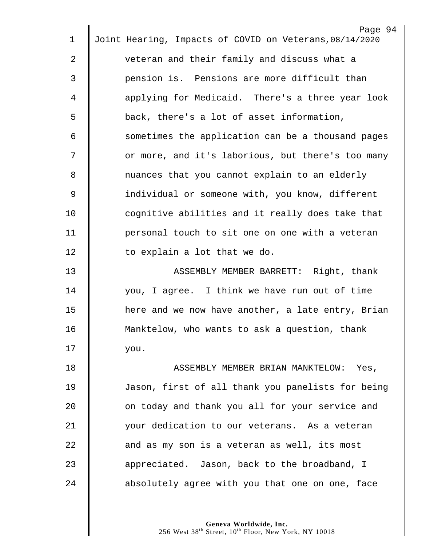|                | Page 94<br>Joint Hearing, Impacts of COVID on Veterans, 08/14/2020 |
|----------------|--------------------------------------------------------------------|
| 1              |                                                                    |
| $\mathbf{2}$   | veteran and their family and discuss what a                        |
| 3              | pension is. Pensions are more difficult than                       |
| 4              | applying for Medicaid. There's a three year look                   |
| 5              | back, there's a lot of asset information,                          |
| 6              | sometimes the application can be a thousand pages                  |
| 7              | or more, and it's laborious, but there's too many                  |
| 8              | nuances that you cannot explain to an elderly                      |
| $\overline{9}$ | individual or someone with, you know, different                    |
| 10             | cognitive abilities and it really does take that                   |
| 11             | personal touch to sit one on one with a veteran                    |
| 12             | to explain a lot that we do.                                       |
| 13             | ASSEMBLY MEMBER BARRETT: Right, thank                              |
| 14             | you, I agree. I think we have run out of time                      |
| 15             | here and we now have another, a late entry, Brian                  |
| 16             | Manktelow, who wants to ask a question, thank                      |
| 17             | you.                                                               |
| 18             | ASSEMBLY MEMBER BRIAN MANKTELOW: Yes,                              |
| 19             | Jason, first of all thank you panelists for being                  |
| 20             | on today and thank you all for your service and                    |
| 21             | your dedication to our veterans. As a veteran                      |
| 22             | and as my son is a veteran as well, its most                       |
| 23             | appreciated. Jason, back to the broadband, I                       |
| 24             | absolutely agree with you that one on one, face                    |
|                |                                                                    |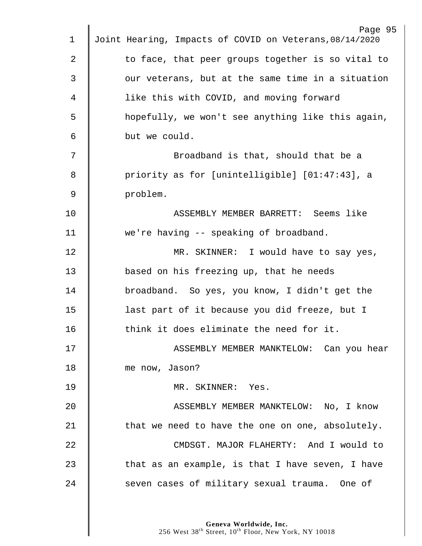|             | Page 95                                                 |
|-------------|---------------------------------------------------------|
| 1           | Joint Hearing, Impacts of COVID on Veterans, 08/14/2020 |
| 2           | to face, that peer groups together is so vital to       |
| 3           | our veterans, but at the same time in a situation       |
| 4           | like this with COVID, and moving forward                |
| 5           | hopefully, we won't see anything like this again,       |
| 6           | but we could.                                           |
| 7           | Broadband is that, should that be a                     |
| 8           | priority as for [unintelligible] [01:47:43], a          |
| $\mathsf 9$ | problem.                                                |
| 10          | ASSEMBLY MEMBER BARRETT: Seems like                     |
| 11          | we're having -- speaking of broadband.                  |
| 12          | MR. SKINNER: I would have to say yes,                   |
| 13          | based on his freezing up, that he needs                 |
| 14          | broadband. So yes, you know, I didn't get the           |
| 15          | last part of it because you did freeze, but I           |
| 16          | think it does eliminate the need for it.                |
| 17          | ASSEMBLY MEMBER MANKTELOW: Can you hear                 |
| 18          | me now, Jason?                                          |
| 19          | MR. SKINNER: Yes.                                       |
| 20          | ASSEMBLY MEMBER MANKTELOW: No, I know                   |
| 21          | that we need to have the one on one, absolutely.        |
| 22          | CMDSGT. MAJOR FLAHERTY: And I would to                  |
| 23          | that as an example, is that I have seven, I have        |
| 24          | seven cases of military sexual trauma. One of           |
|             |                                                         |
|             |                                                         |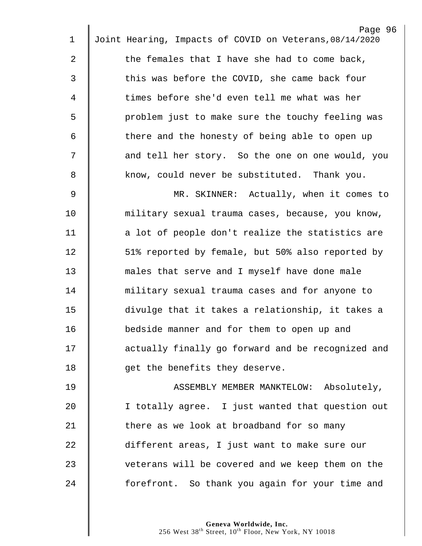|                | Page 96                                                 |
|----------------|---------------------------------------------------------|
| $\mathbf 1$    | Joint Hearing, Impacts of COVID on Veterans, 08/14/2020 |
| 2              | the females that I have she had to come back,           |
| 3              | this was before the COVID, she came back four           |
| 4              | times before she'd even tell me what was her            |
| 5              | problem just to make sure the touchy feeling was        |
| 6              | there and the honesty of being able to open up          |
| 7              | and tell her story. So the one on one would, you        |
| 8              | know, could never be substituted. Thank you.            |
| $\overline{9}$ | MR. SKINNER: Actually, when it comes to                 |
| 10             | military sexual trauma cases, because, you know,        |
| 11             | a lot of people don't realize the statistics are        |
| 12             | 51% reported by female, but 50% also reported by        |
| 13             | males that serve and I myself have done male            |
| 14             | military sexual trauma cases and for anyone to          |
| 15             | divulge that it takes a relationship, it takes a        |
| 16             | bedside manner and for them to open up and              |
| 17             | actually finally go forward and be recognized and       |
| 18             | get the benefits they deserve.                          |
| 19             | ASSEMBLY MEMBER MANKTELOW: Absolutely,                  |
| 20             | I totally agree. I just wanted that question out        |
| 21             | there as we look at broadband for so many               |
| 22             | different areas, I just want to make sure our           |
| 23             | veterans will be covered and we keep them on the        |
| 24             | forefront. So thank you again for your time and         |
|                |                                                         |

Page 96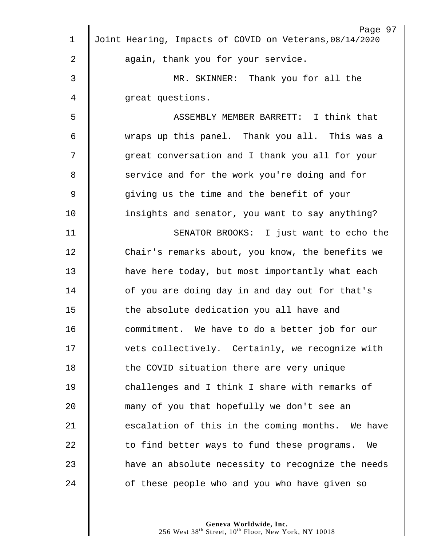| 1           | Page 97<br>Joint Hearing, Impacts of COVID on Veterans, 08/14/2020 |
|-------------|--------------------------------------------------------------------|
|             |                                                                    |
| 2           | again, thank you for your service.                                 |
| 3           | MR. SKINNER: Thank you for all the                                 |
| 4           | great questions.                                                   |
| 5           | ASSEMBLY MEMBER BARRETT: I think that                              |
| 6           | wraps up this panel. Thank you all. This was a                     |
| 7           | great conversation and I thank you all for your                    |
| 8           | service and for the work you're doing and for                      |
| $\mathsf 9$ | giving us the time and the benefit of your                         |
| 10          | insights and senator, you want to say anything?                    |
| 11          | SENATOR BROOKS: I just want to echo the                            |
| 12          | Chair's remarks about, you know, the benefits we                   |
| 13          | have here today, but most importantly what each                    |
| 14          | of you are doing day in and day out for that's                     |
| 15          | the absolute dedication you all have and                           |
| 16          | commitment. We have to do a better job for our                     |
| 17          | vets collectively. Certainly, we recognize with                    |
| 18          | the COVID situation there are very unique                          |
| 19          | challenges and I think I share with remarks of                     |
| 20          | many of you that hopefully we don't see an                         |
| 21          | escalation of this in the coming months. We have                   |
| 22          | to find better ways to fund these programs.<br>We                  |
| 23          | have an absolute necessity to recognize the needs                  |
| 24          | of these people who and you who have given so                      |
|             |                                                                    |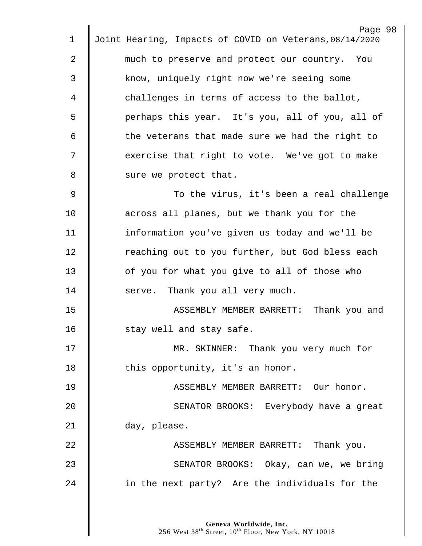|    | Page 98                                                 |
|----|---------------------------------------------------------|
| 1  | Joint Hearing, Impacts of COVID on Veterans, 08/14/2020 |
| 2  | much to preserve and protect our country. You           |
| 3  | know, uniquely right now we're seeing some              |
| 4  | challenges in terms of access to the ballot,            |
| 5  | perhaps this year. It's you, all of you, all of         |
| 6  | the veterans that made sure we had the right to         |
| 7  | exercise that right to vote. We've got to make          |
| 8  | sure we protect that.                                   |
| 9  | To the virus, it's been a real challenge                |
| 10 | across all planes, but we thank you for the             |
| 11 | information you've given us today and we'll be          |
| 12 | reaching out to you further, but God bless each         |
| 13 | of you for what you give to all of those who            |
| 14 | serve. Thank you all very much.                         |
| 15 | ASSEMBLY MEMBER BARRETT:<br>Thank you and               |
| 16 | stay well and stay safe.                                |
| 17 | MR. SKINNER: Thank you very much for                    |
| 18 | this opportunity, it's an honor.                        |
| 19 | ASSEMBLY MEMBER BARRETT: Our honor.                     |
| 20 | SENATOR BROOKS: Everybody have a great                  |
| 21 | day, please.                                            |
| 22 | ASSEMBLY MEMBER BARRETT: Thank you.                     |
| 23 | SENATOR BROOKS: Okay, can we, we bring                  |
| 24 | in the next party? Are the individuals for the          |
|    |                                                         |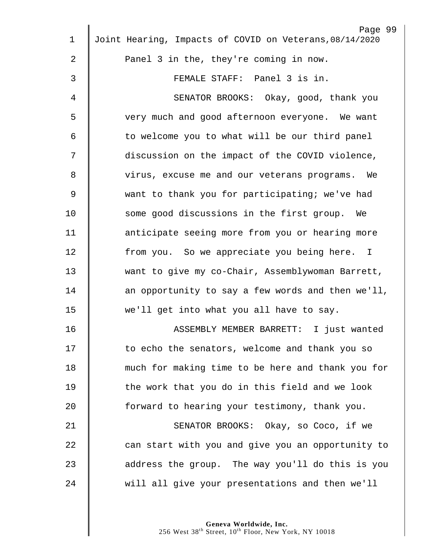| Page 99<br>Joint Hearing, Impacts of COVID on Veterans, 08/14/2020 |
|--------------------------------------------------------------------|
| Panel 3 in the, they're coming in now.                             |
| FEMALE STAFF: Panel 3 is in.                                       |
| SENATOR BROOKS: Okay, good, thank you                              |
| very much and good afternoon everyone. We want                     |
| to welcome you to what will be our third panel                     |
| discussion on the impact of the COVID violence,                    |
| virus, excuse me and our veterans programs. We                     |
| want to thank you for participating; we've had                     |
| some good discussions in the first group. We                       |
| anticipate seeing more from you or hearing more                    |
| from you. So we appreciate you being here. I                       |
| want to give my co-Chair, Assemblywoman Barrett,                   |
|                                                                    |
| an opportunity to say a few words and then we'll,                  |
| we'll get into what you all have to say.                           |
| ASSEMBLY MEMBER BARRETT: I just wanted                             |
| to echo the senators, welcome and thank you so                     |
| much for making time to be here and thank you for                  |
| the work that you do in this field and we look                     |
| forward to hearing your testimony, thank you.                      |
| SENATOR BROOKS: Okay, so Coco, if we                               |
| can start with you and give you an opportunity to                  |
| address the group. The way you'll do this is you                   |
| will all give your presentations and then we'll                    |
|                                                                    |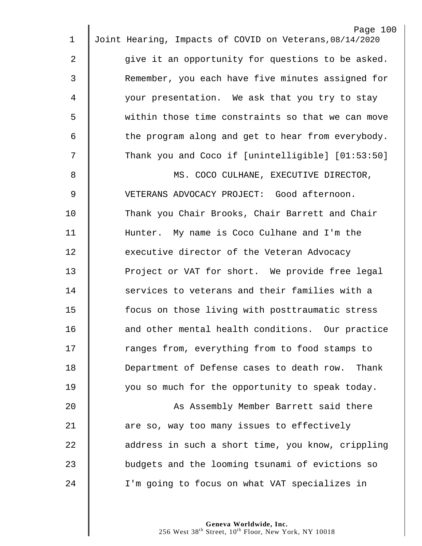|                | Page 100                                                |
|----------------|---------------------------------------------------------|
| 1              | Joint Hearing, Impacts of COVID on Veterans, 08/14/2020 |
| $\overline{2}$ | give it an opportunity for questions to be asked.       |
| 3              | Remember, you each have five minutes assigned for       |
| 4              | your presentation. We ask that you try to stay          |
| 5              | within those time constraints so that we can move       |
| 6              | the program along and get to hear from everybody.       |
| 7              | Thank you and Coco if [unintelligible] [01:53:50]       |
| 8              | MS. COCO CULHANE, EXECUTIVE DIRECTOR,                   |
| 9              | VETERANS ADVOCACY PROJECT: Good afternoon.              |
| 10             | Thank you Chair Brooks, Chair Barrett and Chair         |
| 11             | Hunter. My name is Coco Culhane and I'm the             |
| 12             | executive director of the Veteran Advocacy              |
| 13             | Project or VAT for short. We provide free legal         |
| 14             | services to veterans and their families with a          |
| 15             | focus on those living with posttraumatic stress         |
| 16             | and other mental health conditions. Our practice        |
| 17             | ranges from, everything from to food stamps to          |
| 18             | Department of Defense cases to death row. Thank         |
| 19             | you so much for the opportunity to speak today.         |
| 20             | As Assembly Member Barrett said there                   |
| 21             | are so, way too many issues to effectively              |
| 22             | address in such a short time, you know, crippling       |
| 23             | budgets and the looming tsunami of evictions so         |
| 24             | I'm going to focus on what VAT specializes in           |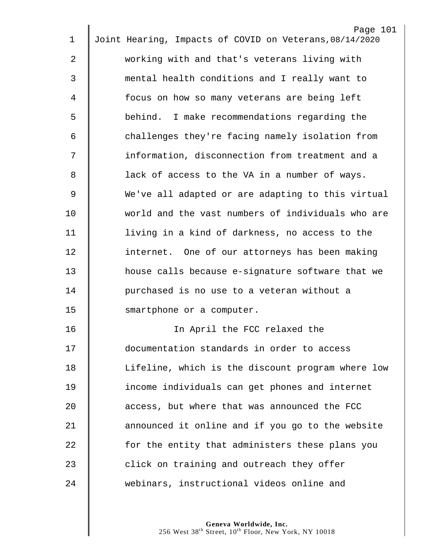| $\mathbf 1$ | Page 101<br>Joint Hearing, Impacts of COVID on Veterans, 08/14/2020 |
|-------------|---------------------------------------------------------------------|
|             |                                                                     |
| 2           | working with and that's veterans living with                        |
| 3           | mental health conditions and I really want to                       |
| 4           | focus on how so many veterans are being left                        |
| 5           | behind. I make recommendations regarding the                        |
| 6           | challenges they're facing namely isolation from                     |
| 7           | information, disconnection from treatment and a                     |
| 8           | lack of access to the VA in a number of ways.                       |
| 9           | We've all adapted or are adapting to this virtual                   |
| 10          | world and the vast numbers of individuals who are                   |
| 11          | living in a kind of darkness, no access to the                      |
| 12          | internet. One of our attorneys has been making                      |
| 13          | house calls because e-signature software that we                    |
| 14          | purchased is no use to a veteran without a                          |
| 15          | smartphone or a computer.                                           |
| 16          | In April the FCC relaxed the                                        |
| 17          | documentation standards in order to access                          |
| 18          | Lifeline, which is the discount program where low                   |
| 19          | income individuals can get phones and internet                      |
| 20          | access, but where that was announced the FCC                        |
| 21          | announced it online and if you go to the website                    |
| 22          | for the entity that administers these plans you                     |
| 23          | click on training and outreach they offer                           |
| 24          | webinars, instructional videos online and                           |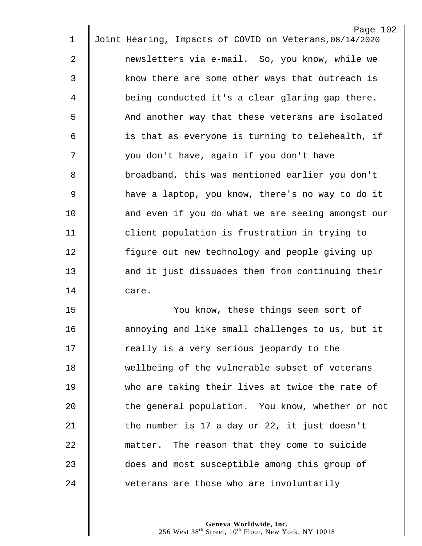|                | Page 102                                                |
|----------------|---------------------------------------------------------|
| $\mathbf 1$    | Joint Hearing, Impacts of COVID on Veterans, 08/14/2020 |
| $\overline{2}$ | newsletters via e-mail. So, you know, while we          |
| $\mathfrak{Z}$ | know there are some other ways that outreach is         |
| 4              | being conducted it's a clear glaring gap there.         |
| 5              | And another way that these veterans are isolated        |
| 6              | is that as everyone is turning to telehealth, if        |
| 7              | you don't have, again if you don't have                 |
| 8              | broadband, this was mentioned earlier you don't         |
| 9              | have a laptop, you know, there's no way to do it        |
| 10             | and even if you do what we are seeing amongst our       |
| 11             | client population is frustration in trying to           |
| 12             | figure out new technology and people giving up          |
| 13             | and it just dissuades them from continuing their        |
| 14             | care.                                                   |
| 15             | You know, these things seem sort of                     |
| 16             | annoying and like small challenges to us, but it        |
| 17             | really is a very serious jeopardy to the                |
| 18             | wellbeing of the vulnerable subset of veterans          |
| 19             | who are taking their lives at twice the rate of         |
| 20             | the general population. You know, whether or not        |
| 21             | the number is 17 a day or 22, it just doesn't           |
| 22             | matter. The reason that they come to suicide            |
| 23             | does and most susceptible among this group of           |

24  $\parallel$  veterans are those who are involuntarily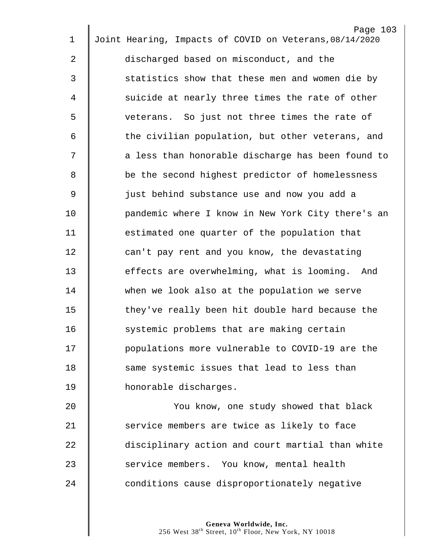| $\mathbf 1$ | Page 103<br>Joint Hearing, Impacts of COVID on Veterans, 08/14/2020 |
|-------------|---------------------------------------------------------------------|
| 2           | discharged based on misconduct, and the                             |
|             |                                                                     |
| 3           | statistics show that these men and women die by                     |
| 4           | suicide at nearly three times the rate of other                     |
| 5           | veterans. So just not three times the rate of                       |
| 6           | the civilian population, but other veterans, and                    |
| 7           | a less than honorable discharge has been found to                   |
| 8           | be the second highest predictor of homelessness                     |
| $\mathsf 9$ | just behind substance use and now you add a                         |
| 10          | pandemic where I know in New York City there's an                   |
| 11          | estimated one quarter of the population that                        |
| 12          | can't pay rent and you know, the devastating                        |
| 13          | effects are overwhelming, what is looming. And                      |
| 14          | when we look also at the population we serve                        |
| 15          | they've really been hit double hard because the                     |
| 16          | systemic problems that are making certain                           |
| 17          | populations more vulnerable to COVID-19 are the                     |
| 18          | same systemic issues that lead to less than                         |
| 19          | honorable discharges.                                               |
| 20          | You know, one study showed that black                               |
| 21          | service members are twice as likely to face                         |
| 22          | disciplinary action and court martial than white                    |
| 23          | service members. You know, mental health                            |
| 24          | conditions cause disproportionately negative                        |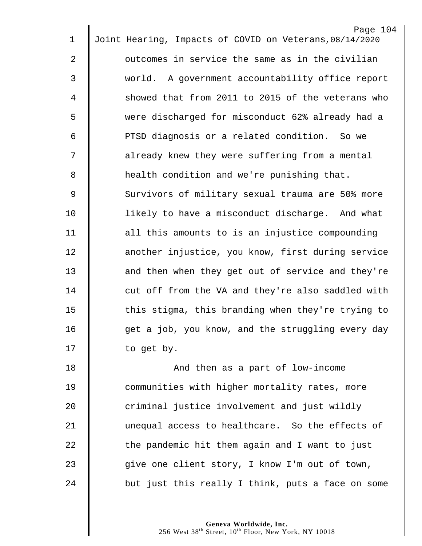|                | Page 104                                                |
|----------------|---------------------------------------------------------|
| 1              | Joint Hearing, Impacts of COVID on Veterans, 08/14/2020 |
| $\overline{2}$ | outcomes in service the same as in the civilian         |
| $\mathfrak{Z}$ | world. A government accountability office report        |
| 4              | showed that from 2011 to 2015 of the veterans who       |
| 5              | were discharged for misconduct 62% already had a        |
| 6              | PTSD diagnosis or a related condition. So we            |
| 7              | already knew they were suffering from a mental          |
| 8              | health condition and we're punishing that.              |
| $\mathsf 9$    | Survivors of military sexual trauma are 50% more        |
| 10             | likely to have a misconduct discharge. And what         |
| 11             | all this amounts to is an injustice compounding         |
| 12             | another injustice, you know, first during service       |
| 13             | and then when they get out of service and they're       |
| 14             | cut off from the VA and they're also saddled with       |
| 15             | this stigma, this branding when they're trying to       |
| 16             | get a job, you know, and the struggling every day       |
| 17             | to get by.                                              |
| 18             | And then as a part of low-income                        |
| 19             | communities with higher mortality rates, more           |
| 20             | criminal justice involvement and just wildly            |
| 21             | unequal access to healthcare. So the effects of         |
| 22             | the pandemic hit them again and I want to just          |
|                |                                                         |

 $\parallel$  but just this really I think, puts a face on some

**Geneva Worldwide, Inc.** West  $38^{\text{th}}$  Street,  $10^{\text{th}}$  Floor, New York, NY 10018

23 give one client story, I know I'm out of town,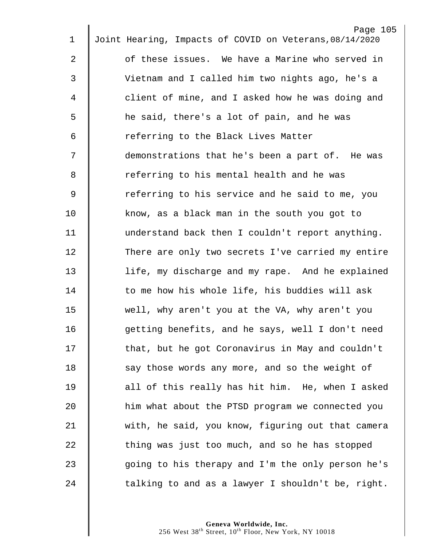|                | Page 105                                                |  |
|----------------|---------------------------------------------------------|--|
| $\mathbf 1$    | Joint Hearing, Impacts of COVID on Veterans, 08/14/2020 |  |
| $\mathbf{2}$   | of these issues. We have a Marine who served in         |  |
| 3              | Vietnam and I called him two nights ago, he's a         |  |
| 4              | client of mine, and I asked how he was doing and        |  |
| 5              | he said, there's a lot of pain, and he was              |  |
| 6              | referring to the Black Lives Matter                     |  |
| 7              | demonstrations that he's been a part of. He was         |  |
| 8              | referring to his mental health and he was               |  |
| $\overline{9}$ | referring to his service and he said to me, you         |  |
| 10             | know, as a black man in the south you got to            |  |
| 11             | understand back then I couldn't report anything.        |  |
| 12             | There are only two secrets I've carried my entire       |  |
| 13             | life, my discharge and my rape. And he explained        |  |
| 14             | to me how his whole life, his buddies will ask          |  |
| 15             | well, why aren't you at the VA, why aren't you          |  |
| 16             | getting benefits, and he says, well I don't need        |  |
| 17             | that, but he got Coronavirus in May and couldn't        |  |
| 18             | say those words any more, and so the weight of          |  |
| 19             | all of this really has hit him. He, when I asked        |  |
| 20             | him what about the PTSD program we connected you        |  |
| 21             | with, he said, you know, figuring out that camera       |  |
| 22             | thing was just too much, and so he has stopped          |  |
| 23             | going to his therapy and I'm the only person he's       |  |
| 24             | talking to and as a lawyer I shouldn't be, right.       |  |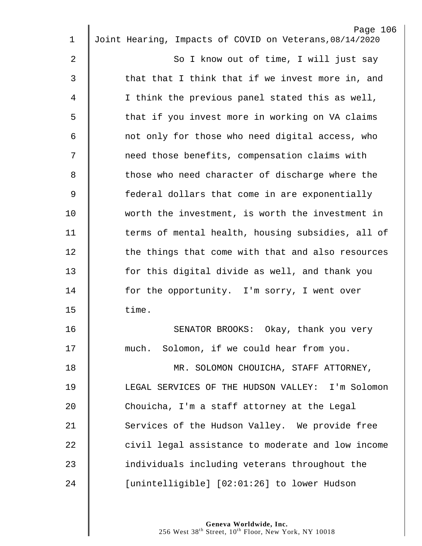| 1           | Page 106<br>Joint Hearing, Impacts of COVID on Veterans, 08/14/2020 |
|-------------|---------------------------------------------------------------------|
|             |                                                                     |
| 2           | So I know out of time, I will just say                              |
| 3           | that that I think that if we invest more in, and                    |
| 4           | I think the previous panel stated this as well,                     |
| 5           | that if you invest more in working on VA claims                     |
| 6           | not only for those who need digital access, who                     |
| 7           | need those benefits, compensation claims with                       |
| 8           | those who need character of discharge where the                     |
| $\mathsf 9$ | federal dollars that come in are exponentially                      |
| 10          | worth the investment, is worth the investment in                    |
| 11          | terms of mental health, housing subsidies, all of                   |
| 12          | the things that come with that and also resources                   |
| 13          | for this digital divide as well, and thank you                      |
| 14          | for the opportunity. I'm sorry, I went over                         |
| 15          | time.                                                               |
| 16          | SENATOR BROOKS: Okay, thank you very                                |
| 17          | much. Solomon, if we could hear from you.                           |
| 18          | MR. SOLOMON CHOUICHA, STAFF ATTORNEY,                               |
| 19          | LEGAL SERVICES OF THE HUDSON VALLEY: I'm Solomon                    |
| 20          | Chouicha, I'm a staff attorney at the Legal                         |
| 21          | Services of the Hudson Valley. We provide free                      |
| 22          | civil legal assistance to moderate and low income                   |
| 23          | individuals including veterans throughout the                       |
| 24          | [unintelligible] [02:01:26] to lower Hudson                         |
|             |                                                                     |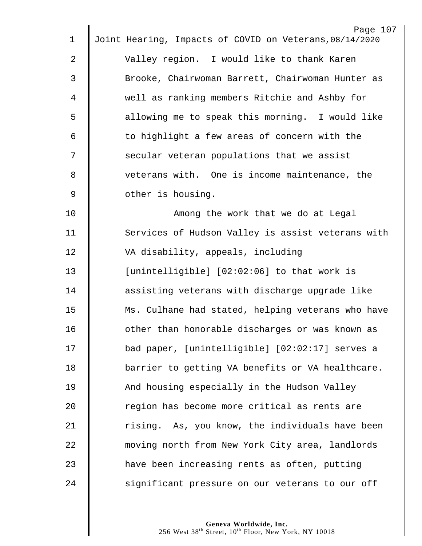| 1           | Page 107<br>Joint Hearing, Impacts of COVID on Veterans, 08/14/2020 |
|-------------|---------------------------------------------------------------------|
| 2           | Valley region. I would like to thank Karen                          |
|             |                                                                     |
| 3           | Brooke, Chairwoman Barrett, Chairwoman Hunter as                    |
| 4           | well as ranking members Ritchie and Ashby for                       |
| 5           | allowing me to speak this morning. I would like                     |
| 6           | to highlight a few areas of concern with the                        |
| 7           | secular veteran populations that we assist                          |
| 8           | veterans with. One is income maintenance, the                       |
| $\mathsf 9$ | other is housing.                                                   |
| 10          | Among the work that we do at Legal                                  |
| 11          | Services of Hudson Valley is assist veterans with                   |
| 12          | VA disability, appeals, including                                   |
| 13          | [unintelligible] [02:02:06] to that work is                         |
| 14          | assisting veterans with discharge upgrade like                      |
| 15          | Ms. Culhane had stated, helping veterans who have                   |
| 16          | other than honorable discharges or was known as                     |
| 17          | bad paper, [unintelligible] [02:02:17] serves a                     |
| 18          | barrier to getting VA benefits or VA healthcare.                    |
| 19          | And housing especially in the Hudson Valley                         |
| 20          | region has become more critical as rents are                        |
| 21          | rising. As, you know, the individuals have been                     |
| 22          | moving north from New York City area, landlords                     |
| 23          | have been increasing rents as often, putting                        |
| 24          | significant pressure on our veterans to our off                     |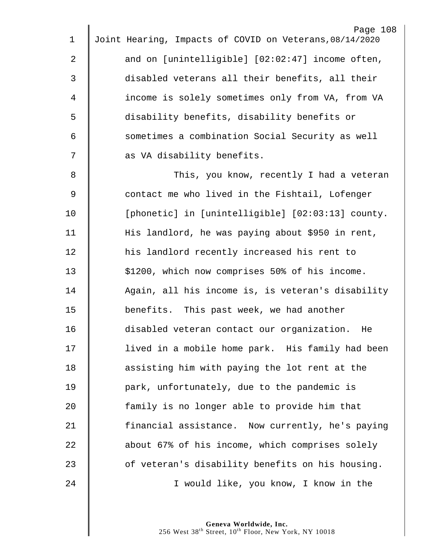| $\mathbf 1$ | Page 108<br>Joint Hearing, Impacts of COVID on Veterans, 08/14/2020 |
|-------------|---------------------------------------------------------------------|
| 2           | and on [unintelligible] [02:02:47] income often,                    |
| 3           |                                                                     |
|             | disabled veterans all their benefits, all their                     |
| 4           | income is solely sometimes only from VA, from VA                    |
| 5           | disability benefits, disability benefits or                         |
| 6           | sometimes a combination Social Security as well                     |
| 7           | as VA disability benefits.                                          |
| 8           | This, you know, recently I had a veteran                            |
| 9           | contact me who lived in the Fishtail, Lofenger                      |
| 10          | [phonetic] in [unintelligible] [02:03:13] county.                   |
| 11          | His landlord, he was paying about \$950 in rent,                    |
| 12          | his landlord recently increased his rent to                         |
| 13          | \$1200, which now comprises 50% of his income.                      |
| 14          | Again, all his income is, is veteran's disability                   |
| 15          | benefits. This past week, we had another                            |
| 16          | disabled veteran contact our organization. He                       |
| 17          | lived in a mobile home park. His family had been                    |
| 18          | assisting him with paying the lot rent at the                       |
| 19          | park, unfortunately, due to the pandemic is                         |
| 20          | family is no longer able to provide him that                        |
| 21          | financial assistance. Now currently, he's paying                    |
| 22          | about 67% of his income, which comprises solely                     |
| 23          | of veteran's disability benefits on his housing.                    |
| 24          | I would like, you know, I know in the                               |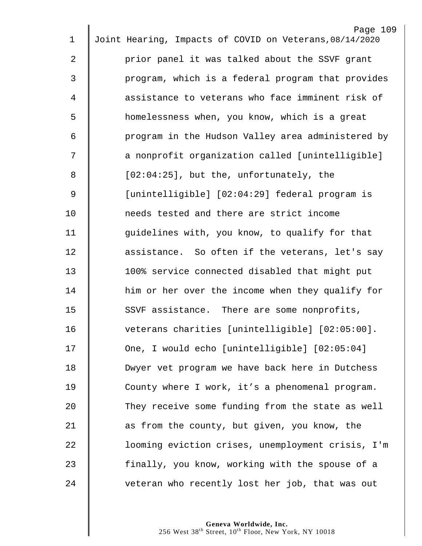| $\mathbf 1$ | Page 109<br>Joint Hearing, Impacts of COVID on Veterans, 08/14/2020 |
|-------------|---------------------------------------------------------------------|
|             |                                                                     |
| 2           | prior panel it was talked about the SSVF grant                      |
| 3           | program, which is a federal program that provides                   |
| 4           | assistance to veterans who face imminent risk of                    |
| 5           | homelessness when, you know, which is a great                       |
| 6           | program in the Hudson Valley area administered by                   |
| 7           | a nonprofit organization called [unintelligible]                    |
| 8           | $[02:04:25]$ , but the, unfortunately, the                          |
| 9           | [unintelligible] [02:04:29] federal program is                      |
| 10          | needs tested and there are strict income                            |
| 11          | guidelines with, you know, to qualify for that                      |
| 12          | assistance. So often if the veterans, let's say                     |
| 13          | 100% service connected disabled that might put                      |
| 14          | him or her over the income when they qualify for                    |
| 15          | SSVF assistance. There are some nonprofits,                         |
| 16          | veterans charities [unintelligible] [02:05:00].                     |
| 17          | One, I would echo [unintelligible] [02:05:04]                       |
| 18          | Dwyer vet program we have back here in Dutchess                     |
| 19          | County where I work, it's a phenomenal program.                     |
| 20          | They receive some funding from the state as well                    |
| 21          | as from the county, but given, you know, the                        |
| 22          | looming eviction crises, unemployment crisis, I'm                   |
| 23          | finally, you know, working with the spouse of a                     |
| 24          | veteran who recently lost her job, that was out                     |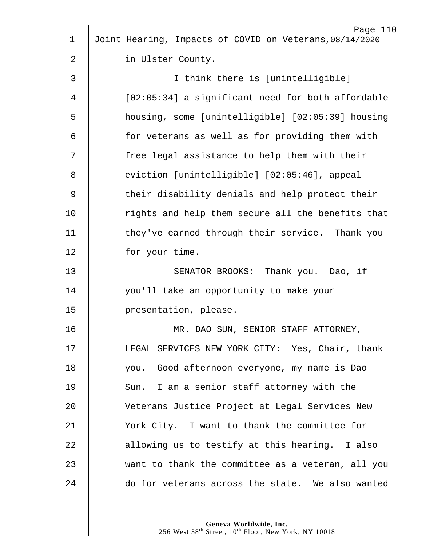|                | Page 110                                                |
|----------------|---------------------------------------------------------|
| $\mathbf 1$    | Joint Hearing, Impacts of COVID on Veterans, 08/14/2020 |
| $\overline{2}$ | in Ulster County.                                       |
| 3              | I think there is [unintelligible]                       |
| 4              | [02:05:34] a significant need for both affordable       |
| 5              | housing, some [unintelligible] [02:05:39] housing       |
| 6              | for veterans as well as for providing them with         |
| 7              | free legal assistance to help them with their           |
| 8              | eviction [unintelligible] [02:05:46], appeal            |
| $\mathsf 9$    | their disability denials and help protect their         |
| 10             | rights and help them secure all the benefits that       |
| 11             | they've earned through their service. Thank you         |
| 12             | for your time.                                          |
| 13             | SENATOR BROOKS: Thank you. Dao, if                      |
| 14             | you'll take an opportunity to make your                 |
| 15             | presentation, please.                                   |
| 16             | MR. DAO SUN, SENIOR STAFF ATTORNEY,                     |
| 17             | LEGAL SERVICES NEW YORK CITY: Yes, Chair, thank         |
| 18             | you. Good afternoon everyone, my name is Dao            |
| 19             | Sun. I am a senior staff attorney with the              |
| 20             | Veterans Justice Project at Legal Services New          |
| 21             | York City. I want to thank the committee for            |
| 22             | allowing us to testify at this hearing. I also          |
| 23             | want to thank the committee as a veteran, all you       |
| 24             | do for veterans across the state. We also wanted        |
|                |                                                         |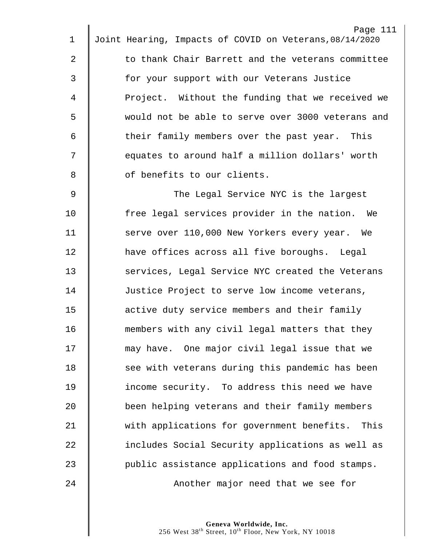| $\mathbf 1$ | Page 111<br>Joint Hearing, Impacts of COVID on Veterans, 08/14/2020 |
|-------------|---------------------------------------------------------------------|
|             |                                                                     |
| 2           | to thank Chair Barrett and the veterans committee                   |
| 3           | for your support with our Veterans Justice                          |
| 4           | Project. Without the funding that we received we                    |
| 5           | would not be able to serve over 3000 veterans and                   |
| 6           | their family members over the past year. This                       |
| 7           | equates to around half a million dollars' worth                     |
| 8           | of benefits to our clients.                                         |
| 9           | The Legal Service NYC is the largest                                |
| 10          | free legal services provider in the nation. We                      |
| 11          | serve over 110,000 New Yorkers every year. We                       |
| 12          | have offices across all five boroughs. Legal                        |
| 13          | services, Legal Service NYC created the Veterans                    |
| 14          | Justice Project to serve low income veterans,                       |
| 15          | active duty service members and their family                        |
| 16          | members with any civil legal matters that they                      |
| 17          | may have. One major civil legal issue that we                       |
| 18          | see with veterans during this pandemic has been                     |
| 19          | income security. To address this need we have                       |
| 20          | been helping veterans and their family members                      |
| 21          | with applications for government benefits. This                     |
| 22          | includes Social Security applications as well as                    |
| 23          | public assistance applications and food stamps.                     |
| 24          | Another major need that we see for                                  |
|             |                                                                     |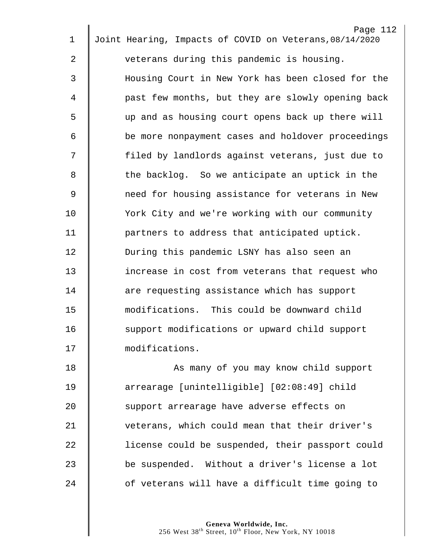|             | Page 112                                                |
|-------------|---------------------------------------------------------|
| $\mathbf 1$ | Joint Hearing, Impacts of COVID on Veterans, 08/14/2020 |
| 2           | veterans during this pandemic is housing.               |
| 3           | Housing Court in New York has been closed for the       |
| 4           | past few months, but they are slowly opening back       |
| 5           | up and as housing court opens back up there will        |
| 6           | be more nonpayment cases and holdover proceedings       |
| 7           | filed by landlords against veterans, just due to        |
| 8           | the backlog. So we anticipate an uptick in the          |
| 9           | need for housing assistance for veterans in New         |
| 10          | York City and we're working with our community          |
| 11          | partners to address that anticipated uptick.            |
| 12          | During this pandemic LSNY has also seen an              |
| 13          | increase in cost from veterans that request who         |
| 14          | are requesting assistance which has support             |
| 15          | modifications. This could be downward child             |
| 16          | support modifications or upward child support           |
| 17          | modifications.                                          |
| 18          | As many of you may know child support                   |
| 19          | arrearage [unintelligible] [02:08:49] child             |
| 20          | support arrearage have adverse effects on               |
| 21          | veterans, which could mean that their driver's          |
| 22          | license could be suspended, their passport could        |
| 23          | be suspended. Without a driver's license a lot          |
| 24          | of veterans will have a difficult time going to         |
|             |                                                         |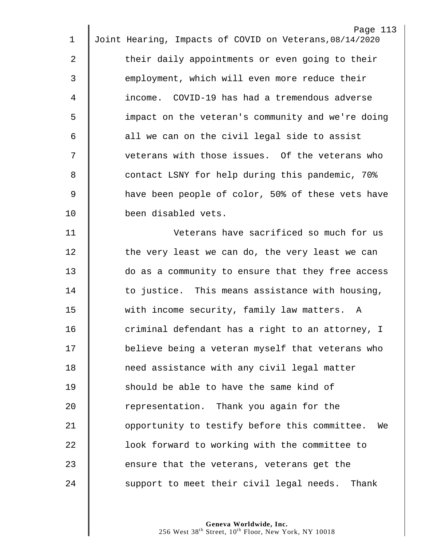| 1           | Page 113<br>Joint Hearing, Impacts of COVID on Veterans, 08/14/2020 |
|-------------|---------------------------------------------------------------------|
|             |                                                                     |
| 2           | their daily appointments or even going to their                     |
| 3           | employment, which will even more reduce their                       |
| 4           | income. COVID-19 has had a tremendous adverse                       |
| 5           | impact on the veteran's community and we're doing                   |
| 6           | all we can on the civil legal side to assist                        |
| 7           | veterans with those issues. Of the veterans who                     |
| 8           | contact LSNY for help during this pandemic, 70%                     |
| $\mathsf 9$ | have been people of color, 50% of these vets have                   |
| 10          | been disabled vets.                                                 |
| 11          | Veterans have sacrificed so much for us                             |
| 12          | the very least we can do, the very least we can                     |
| 13          | do as a community to ensure that they free access                   |
| 14          | to justice. This means assistance with housing,                     |
| 15          | with income security, family law matters. A                         |
| 16          | criminal defendant has a right to an attorney, I                    |
| 17          | believe being a veteran myself that veterans who                    |
| 18          | need assistance with any civil legal matter                         |
| 19          | should be able to have the same kind of                             |
| 20          | representation. Thank you again for the                             |
| 21          | opportunity to testify before this committee.<br>We                 |
| 22          | look forward to working with the committee to                       |
| 23          | ensure that the veterans, veterans get the                          |
| 24          | support to meet their civil legal needs. Thank                      |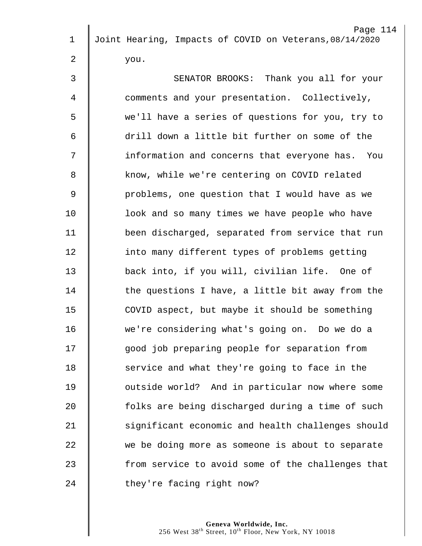|             | Page 114                                                |
|-------------|---------------------------------------------------------|
| $\mathbf 1$ | Joint Hearing, Impacts of COVID on Veterans, 08/14/2020 |
| 2           | you.                                                    |
| 3           | SENATOR BROOKS: Thank you all for your                  |
| 4           | comments and your presentation. Collectively,           |
| 5           | we'll have a series of questions for you, try to        |
| 6           | drill down a little bit further on some of the          |
| 7           | information and concerns that everyone has. You         |
| 8           | know, while we're centering on COVID related            |
| 9           | problems, one question that I would have as we          |
| 10          | look and so many times we have people who have          |
| 11          | been discharged, separated from service that run        |
| 12          | into many different types of problems getting           |
| 13          | back into, if you will, civilian life. One of           |
| 14          | the questions I have, a little bit away from the        |
| 15          | COVID aspect, but maybe it should be something          |
| 16          | we're considering what's going on. Do we do a           |
| 17          | good job preparing people for separation from           |
| 18          | service and what they're going to face in the           |
| 19          | outside world? And in particular now where some         |
| 20          | folks are being discharged during a time of such        |
|             |                                                         |
| 21          | significant economic and health challenges should       |
| 22          | we be doing more as someone is about to separate        |
| 23          | from service to avoid some of the challenges that       |
| 24          | they're facing right now?                               |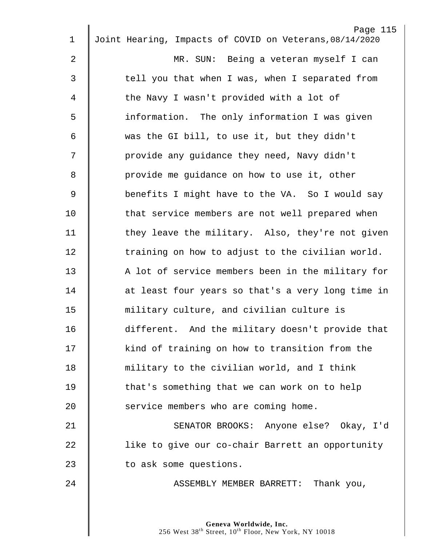| $\mathbf 1$    | Page 115<br>Joint Hearing, Impacts of COVID on Veterans, 08/14/2020 |
|----------------|---------------------------------------------------------------------|
| $\overline{2}$ | MR. SUN: Being a veteran myself I can                               |
|                |                                                                     |
| $\mathfrak{Z}$ | tell you that when I was, when I separated from                     |
| 4              | the Navy I wasn't provided with a lot of                            |
| 5              | information. The only information I was given                       |
| 6              | was the GI bill, to use it, but they didn't                         |
| 7              | provide any guidance they need, Navy didn't                         |
| 8              | provide me guidance on how to use it, other                         |
| $\overline{9}$ | benefits I might have to the VA. So I would say                     |
| 10             | that service members are not well prepared when                     |
| 11             | they leave the military. Also, they're not given                    |
| 12             | training on how to adjust to the civilian world.                    |
| 13             | A lot of service members been in the military for                   |
| 14             | at least four years so that's a very long time in                   |
| 15             | military culture, and civilian culture is                           |
| 16             | different. And the military doesn't provide that                    |
| 17             | kind of training on how to transition from the                      |
| 18             | military to the civilian world, and I think                         |
| 19             | that's something that we can work on to help                        |
| 20             | service members who are coming home.                                |
| 21             | SENATOR BROOKS: Anyone else? Okay, I'd                              |
| 22             | like to give our co-chair Barrett an opportunity                    |
| 23             | to ask some questions.                                              |
| 24             | ASSEMBLY MEMBER BARRETT: Thank you,                                 |
|                |                                                                     |
|                |                                                                     |

 $\parallel$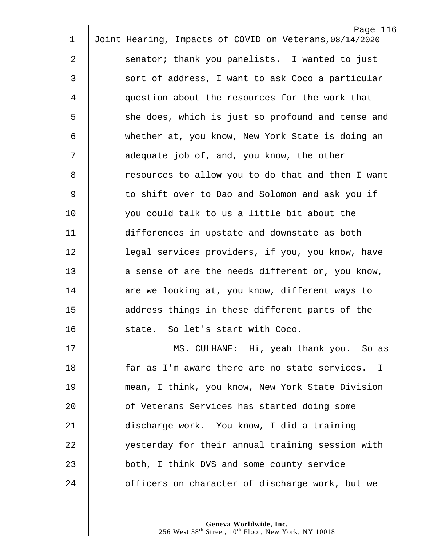|             | Page 116                                                |
|-------------|---------------------------------------------------------|
| $\mathbf 1$ | Joint Hearing, Impacts of COVID on Veterans, 08/14/2020 |
| 2           | senator; thank you panelists. I wanted to just          |
| 3           | sort of address, I want to ask Coco a particular        |
| 4           | question about the resources for the work that          |
| 5           | she does, which is just so profound and tense and       |
| 6           | whether at, you know, New York State is doing an        |
| 7           | adequate job of, and, you know, the other               |
| 8           | resources to allow you to do that and then I want       |
| $\mathsf 9$ | to shift over to Dao and Solomon and ask you if         |
| 10          | you could talk to us a little bit about the             |
| 11          | differences in upstate and downstate as both            |
| 12          | legal services providers, if you, you know, have        |
| 13          | a sense of are the needs different or, you know,        |
| 14          | are we looking at, you know, different ways to          |
| 15          | address things in these different parts of the          |
| 16          | state. So let's start with Coco.                        |
| 17          | MS. CULHANE: Hi, yeah thank you. So as                  |
| 18          | far as I'm aware there are no state services. I         |
| 19          | mean, I think, you know, New York State Division        |
| 20          | of Veterans Services has started doing some             |
| 21          | discharge work. You know, I did a training              |
| 22          | yesterday for their annual training session with        |
| 23          | both, I think DVS and some county service               |
| 24          | officers on character of discharge work, but we         |
|             |                                                         |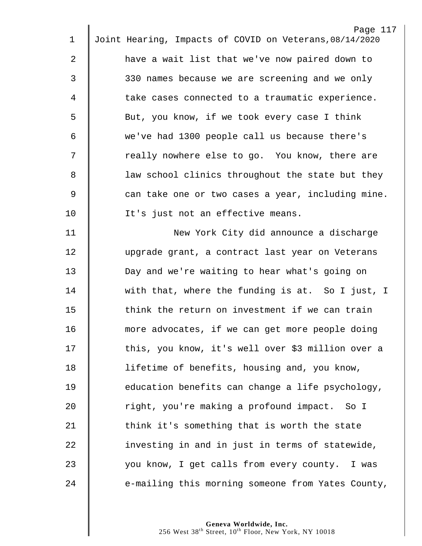|             | Page 117                                                |
|-------------|---------------------------------------------------------|
| $\mathbf 1$ | Joint Hearing, Impacts of COVID on Veterans, 08/14/2020 |
| 2           | have a wait list that we've now paired down to          |
| 3           | 330 names because we are screening and we only          |
| 4           | take cases connected to a traumatic experience.         |
| 5           | But, you know, if we took every case I think            |
| 6           | we've had 1300 people call us because there's           |
| 7           | really nowhere else to go. You know, there are          |
| 8           | law school clinics throughout the state but they        |
| $\mathsf 9$ | can take one or two cases a year, including mine.       |
| 10          | It's just not an effective means.                       |
| 11          | New York City did announce a discharge                  |
| 12          | upgrade grant, a contract last year on Veterans         |
| 13          | Day and we're waiting to hear what's going on           |
| 14          | with that, where the funding is at. So I just, I        |
| 15          | think the return on investment if we can train          |
| 16          | more advocates, if we can get more people doing         |
| 17          | this, you know, it's well over \$3 million over a       |
| 18          | lifetime of benefits, housing and, you know,            |
| 19          | education benefits can change a life psychology,        |
| 20          | right, you're making a profound impact. So I            |
| 21          | think it's something that is worth the state            |
| 22          | investing in and in just in terms of statewide,         |
| 23          | you know, I get calls from every county. I was          |
| 24          | e-mailing this morning someone from Yates County,       |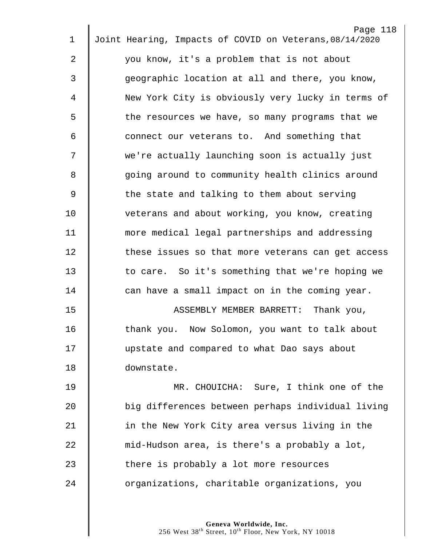|             | Page 118                                                |
|-------------|---------------------------------------------------------|
| $\mathbf 1$ | Joint Hearing, Impacts of COVID on Veterans, 08/14/2020 |
| 2           | you know, it's a problem that is not about              |
| 3           | geographic location at all and there, you know,         |
| 4           | New York City is obviously very lucky in terms of       |
| 5           | the resources we have, so many programs that we         |
| 6           | connect our veterans to. And something that             |
| 7           | we're actually launching soon is actually just          |
| 8           | going around to community health clinics around         |
| 9           | the state and talking to them about serving             |
| 10          | veterans and about working, you know, creating          |
| 11          | more medical legal partnerships and addressing          |
| 12          | these issues so that more veterans can get access       |
| 13          | to care. So it's something that we're hoping we         |
| 14          | can have a small impact on in the coming year.          |
| 15          | Thank you,<br>ASSEMBLY MEMBER BARRETT:                  |
| 16          | thank you. Now Solomon, you want to talk about          |
| 17          | upstate and compared to what Dao says about             |
| 18          | downstate.                                              |
| 19          | MR. CHOUICHA: Sure, I think one of the                  |
| 20          | big differences between perhaps individual living       |
| 21          | in the New York City area versus living in the          |
| 22          | mid-Hudson area, is there's a probably a lot,           |
| 23          | there is probably a lot more resources                  |
| 24          | organizations, charitable organizations, you            |
|             |                                                         |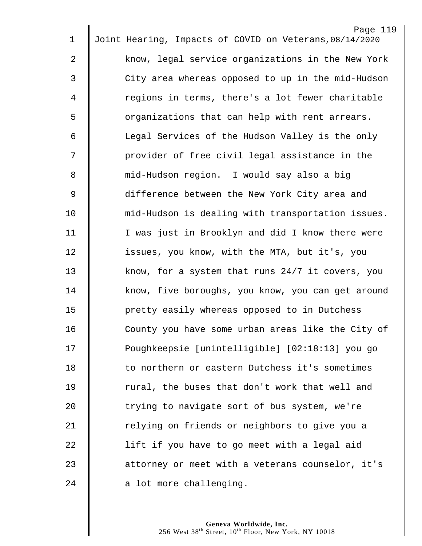|                |                                                         | Page 119 |
|----------------|---------------------------------------------------------|----------|
| $\mathbf 1$    | Joint Hearing, Impacts of COVID on Veterans, 08/14/2020 |          |
| $\mathbf{2}$   | know, legal service organizations in the New York       |          |
| 3              | City area whereas opposed to up in the mid-Hudson       |          |
| 4              | regions in terms, there's a lot fewer charitable        |          |
| 5              | organizations that can help with rent arrears.          |          |
| 6              | Legal Services of the Hudson Valley is the only         |          |
| 7              | provider of free civil legal assistance in the          |          |
| 8              | mid-Hudson region. I would say also a big               |          |
| $\overline{9}$ | difference between the New York City area and           |          |
| 10             | mid-Hudson is dealing with transportation issues.       |          |
| 11             | I was just in Brooklyn and did I know there were        |          |
| 12             | issues, you know, with the MTA, but it's, you           |          |
| 13             | know, for a system that runs 24/7 it covers, you        |          |
| 14             | know, five boroughs, you know, you can get around       |          |
| 15             | pretty easily whereas opposed to in Dutchess            |          |
| 16             | County you have some urban areas like the City of       |          |
| 17             | Poughkeepsie [unintelligible] [02:18:13] you go         |          |
| 18             | to northern or eastern Dutchess it's sometimes          |          |
| 19             | rural, the buses that don't work that well and          |          |
| 20             | trying to navigate sort of bus system, we're            |          |
| 21             | relying on friends or neighbors to give you a           |          |
| 22             | lift if you have to go meet with a legal aid            |          |
| 23             | attorney or meet with a veterans counselor, it's        |          |
| 24             | a lot more challenging.                                 |          |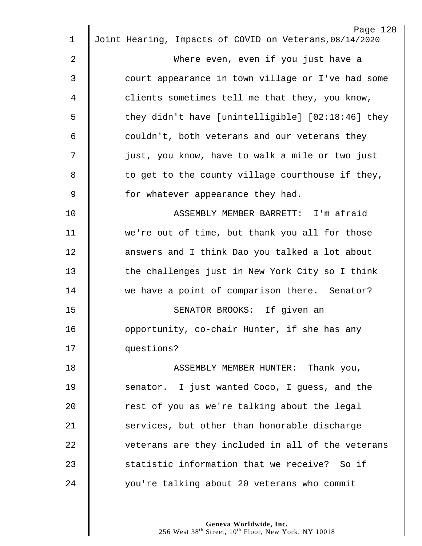|    | Page 120                                                |
|----|---------------------------------------------------------|
| 1  | Joint Hearing, Impacts of COVID on Veterans, 08/14/2020 |
| 2  | Where even, even if you just have a                     |
| 3  | court appearance in town village or I've had some       |
| 4  | clients sometimes tell me that they, you know,          |
| 5  | they didn't have [unintelligible] [02:18:46] they       |
| 6  | couldn't, both veterans and our veterans they           |
| 7  | just, you know, have to walk a mile or two just         |
| 8  | to get to the county village courthouse if they,        |
| 9  | for whatever appearance they had.                       |
| 10 | ASSEMBLY MEMBER BARRETT: I'm afraid                     |
| 11 | we're out of time, but thank you all for those          |
| 12 | answers and I think Dao you talked a lot about          |
| 13 | the challenges just in New York City so I think         |
| 14 | we have a point of comparison there. Senator?           |
| 15 | SENATOR BROOKS: If given an                             |
| 16 | opportunity, co-chair Hunter, if she has any            |
| 17 | questions?                                              |
| 18 | ASSEMBLY MEMBER HUNTER: Thank you,                      |
| 19 | senator. I just wanted Coco, I guess, and the           |
| 20 | rest of you as we're talking about the legal            |
| 21 | services, but other than honorable discharge            |
| 22 | veterans are they included in all of the veterans       |
| 23 | statistic information that we receive? So if            |
| 24 | you're talking about 20 veterans who commit             |
|    |                                                         |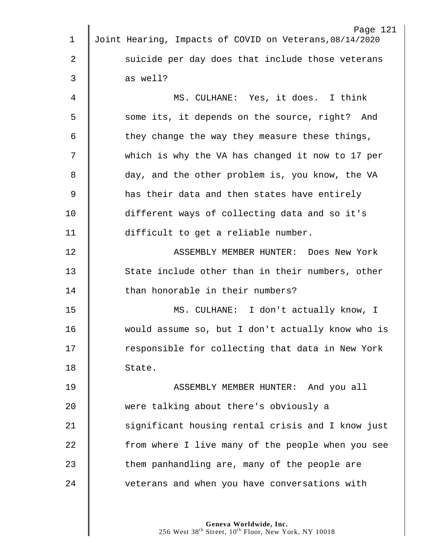|             | Page 121                                                |
|-------------|---------------------------------------------------------|
| $\mathbf 1$ | Joint Hearing, Impacts of COVID on Veterans, 08/14/2020 |
| 2           | suicide per day does that include those veterans        |
| 3           | as well?                                                |
| 4           | MS. CULHANE: Yes, it does. I think                      |
| 5           | some its, it depends on the source, right? And          |
| 6           | they change the way they measure these things,          |
| 7           | which is why the VA has changed it now to 17 per        |
| 8           | day, and the other problem is, you know, the VA         |
| $\mathsf 9$ | has their data and then states have entirely            |
| 10          | different ways of collecting data and so it's           |
| 11          | difficult to get a reliable number.                     |
| 12          | ASSEMBLY MEMBER HUNTER: Does New York                   |
| 13          | State include other than in their numbers, other        |
| 14          | than honorable in their numbers?                        |
| 15          | MS. CULHANE: I don't actually know, I                   |
| 16          | would assume so, but I don't actually know who is       |
| 17          | responsible for collecting that data in New York        |
| 18          | State.                                                  |
| 19          | ASSEMBLY MEMBER HUNTER: And you all                     |
| 20          | were talking about there's obviously a                  |
| 21          | significant housing rental crisis and I know just       |
| 22          | from where I live many of the people when you see       |
| 23          | them panhandling are, many of the people are            |
| 24          | veterans and when you have conversations with           |
|             |                                                         |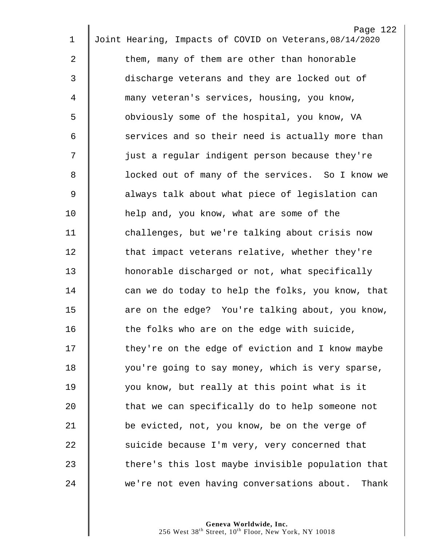| 1  | Page 122<br>Joint Hearing, Impacts of COVID on Veterans, 08/14/2020 |
|----|---------------------------------------------------------------------|
|    |                                                                     |
| 2  | them, many of them are other than honorable                         |
| 3  | discharge veterans and they are locked out of                       |
| 4  | many veteran's services, housing, you know,                         |
| 5  | obviously some of the hospital, you know, VA                        |
| 6  | services and so their need is actually more than                    |
| 7  | just a regular indigent person because they're                      |
| 8  | locked out of many of the services. So I know we                    |
| 9  | always talk about what piece of legislation can                     |
| 10 | help and, you know, what are some of the                            |
| 11 | challenges, but we're talking about crisis now                      |
| 12 | that impact veterans relative, whether they're                      |
| 13 | honorable discharged or not, what specifically                      |
| 14 | can we do today to help the folks, you know, that                   |
| 15 | are on the edge? You're talking about, you know,                    |
| 16 | the folks who are on the edge with suicide,                         |
| 17 | they're on the edge of eviction and I know maybe                    |
| 18 | you're going to say money, which is very sparse,                    |
| 19 | you know, but really at this point what is it                       |
| 20 | that we can specifically do to help someone not                     |
| 21 | be evicted, not, you know, be on the verge of                       |
| 22 | suicide because I'm very, very concerned that                       |
| 23 | there's this lost maybe invisible population that                   |
| 24 | we're not even having conversations about. Thank                    |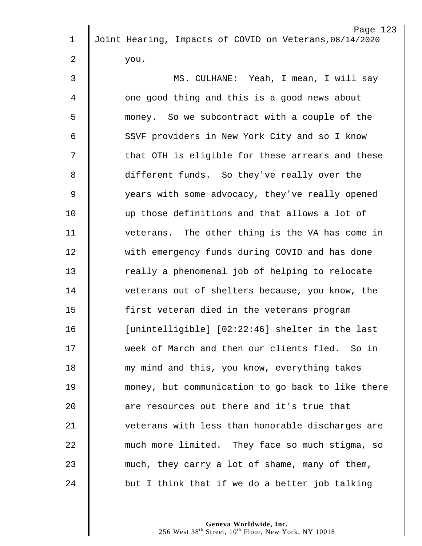|             | Page 123                                                |
|-------------|---------------------------------------------------------|
| $\mathbf 1$ | Joint Hearing, Impacts of COVID on Veterans, 08/14/2020 |
| 2           | you.                                                    |
| 3           | MS. CULHANE: Yeah, I mean, I will say                   |
| 4           | one good thing and this is a good news about            |
| 5           | money. So we subcontract with a couple of the           |
| 6           | SSVF providers in New York City and so I know           |
| 7           | that OTH is eligible for these arrears and these        |
| 8           | different funds. So they've really over the             |
| 9           | years with some advocacy, they've really opened         |
| 10          | up those definitions and that allows a lot of           |
| 11          | veterans. The other thing is the VA has come in         |
| 12          | with emergency funds during COVID and has done          |
| 13          | really a phenomenal job of helping to relocate          |
| 14          | veterans out of shelters because, you know, the         |
| 15          | first veteran died in the veterans program              |
| 16          | [unintelligible] [02:22:46] shelter in the last         |
| 17          | week of March and then our clients fled. So in          |
| 18          | my mind and this, you know, everything takes            |
| 19          | money, but communication to go back to like there       |
| 20          | are resources out there and it's true that              |
| 21          | veterans with less than honorable discharges are        |
| 22          | much more limited. They face so much stigma, so         |
| 23          | much, they carry a lot of shame, many of them,          |
| 24          | but I think that if we do a better job talking          |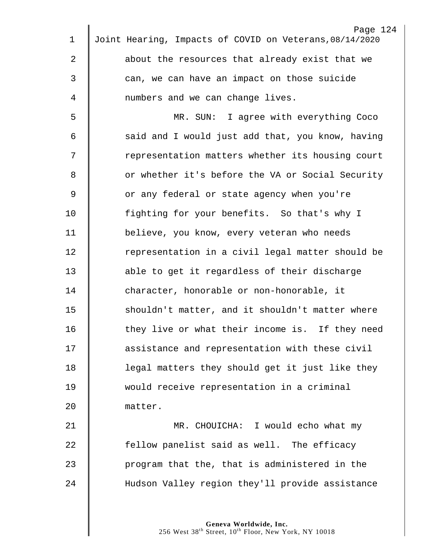| 1           | Page 124<br>Joint Hearing, Impacts of COVID on Veterans, 08/14/2020 |
|-------------|---------------------------------------------------------------------|
|             |                                                                     |
| 2           | about the resources that already exist that we                      |
| 3           | can, we can have an impact on those suicide                         |
| 4           | numbers and we can change lives.                                    |
| 5           | MR. SUN: I agree with everything Coco                               |
| 6           | said and I would just add that, you know, having                    |
| 7           | representation matters whether its housing court                    |
| 8           | or whether it's before the VA or Social Security                    |
| $\mathsf 9$ | or any federal or state agency when you're                          |
| 10          | fighting for your benefits. So that's why I                         |
| 11          | believe, you know, every veteran who needs                          |
| 12          | representation in a civil legal matter should be                    |
| 13          | able to get it regardless of their discharge                        |
| 14          | character, honorable or non-honorable, it                           |
| 15          | shouldn't matter, and it shouldn't matter where                     |
| 16          | they live or what their income is. If they need                     |
| 17          | assistance and representation with these civil                      |
| 18          | legal matters they should get it just like they                     |
| 19          | would receive representation in a criminal                          |
| 20          | matter.                                                             |
| 21          | MR. CHOUICHA: I would echo what my                                  |
| 22          | fellow panelist said as well. The efficacy                          |
| 23          | program that the, that is administered in the                       |
| 24          | Hudson Valley region they'll provide assistance                     |
|             |                                                                     |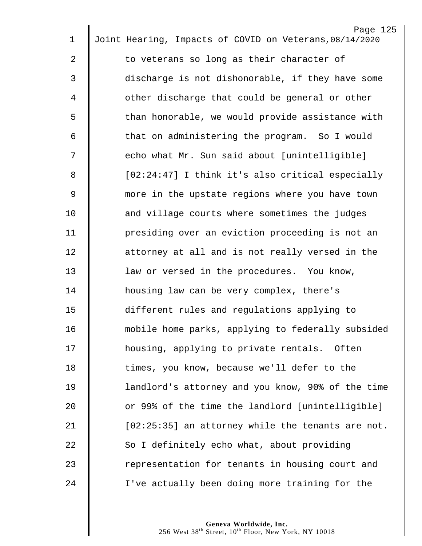| $\mathbf 1$ | Page 125<br>Joint Hearing, Impacts of COVID on Veterans, 08/14/2020 |
|-------------|---------------------------------------------------------------------|
|             |                                                                     |
| 2           | to veterans so long as their character of                           |
| 3           | discharge is not dishonorable, if they have some                    |
| 4           | other discharge that could be general or other                      |
| 5           | than honorable, we would provide assistance with                    |
| 6           | that on administering the program. So I would                       |
| 7           | echo what Mr. Sun said about [unintelligible]                       |
| 8           | [02:24:47] I think it's also critical especially                    |
| 9           | more in the upstate regions where you have town                     |
| 10          | and village courts where sometimes the judges                       |
| 11          | presiding over an eviction proceeding is not an                     |
| 12          | attorney at all and is not really versed in the                     |
| 13          | law or versed in the procedures. You know,                          |
| 14          | housing law can be very complex, there's                            |
| 15          | different rules and regulations applying to                         |
| 16          | mobile home parks, applying to federally subsided                   |
| 17          | housing, applying to private rentals. Often                         |
| 18          | times, you know, because we'll defer to the                         |
| 19          | landlord's attorney and you know, 90% of the time                   |
| 20          | or 99% of the time the landlord [unintelligible]                    |
| 21          | [02:25:35] an attorney while the tenants are not.                   |
| 22          | So I definitely echo what, about providing                          |
| 23          | representation for tenants in housing court and                     |
| 24          | I've actually been doing more training for the                      |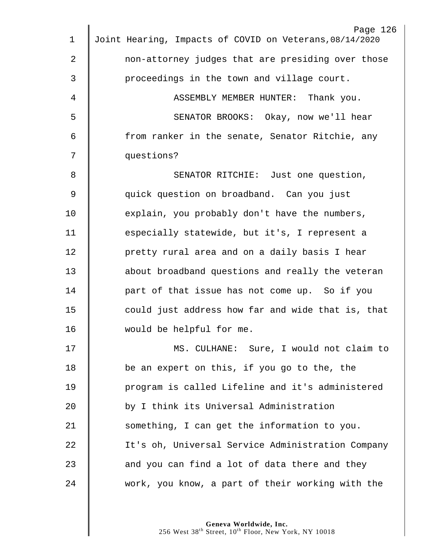| 1           | Page 126<br>Joint Hearing, Impacts of COVID on Veterans, 08/14/2020 |
|-------------|---------------------------------------------------------------------|
|             |                                                                     |
| 2           | non-attorney judges that are presiding over those                   |
| 3           | proceedings in the town and village court.                          |
| 4           | ASSEMBLY MEMBER HUNTER: Thank you.                                  |
| 5           | SENATOR BROOKS: Okay, now we'll hear                                |
| 6           | from ranker in the senate, Senator Ritchie, any                     |
| 7           | questions?                                                          |
| 8           | SENATOR RITCHIE: Just one question,                                 |
| $\mathsf 9$ | quick question on broadband. Can you just                           |
| 10          | explain, you probably don't have the numbers,                       |
| 11          | especially statewide, but it's, I represent a                       |
| 12          | pretty rural area and on a daily basis I hear                       |
| 13          | about broadband questions and really the veteran                    |
| 14          | part of that issue has not come up. So if you                       |
| 15          | could just address how far and wide that is, that                   |
| 16          | would be helpful for me.                                            |
| 17          | MS. CULHANE: Sure, I would not claim to                             |
| 18          | be an expert on this, if you go to the, the                         |
| 19          | program is called Lifeline and it's administered                    |
| 20          | by I think its Universal Administration                             |
| 21          | something, I can get the information to you.                        |
| 22          | It's oh, Universal Service Administration Company                   |
| 23          | and you can find a lot of data there and they                       |
| 24          | work, you know, a part of their working with the                    |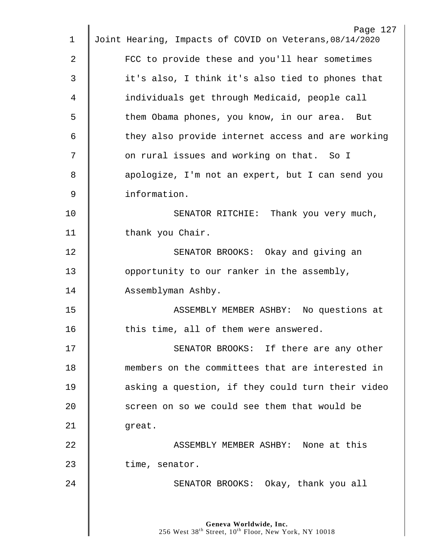| $\mathbf 1$ | Page 127<br>Joint Hearing, Impacts of COVID on Veterans, 08/14/2020 |
|-------------|---------------------------------------------------------------------|
| 2           | FCC to provide these and you'll hear sometimes                      |
| 3           | it's also, I think it's also tied to phones that                    |
| 4           | individuals get through Medicaid, people call                       |
| 5           | them Obama phones, you know, in our area. But                       |
| 6           | they also provide internet access and are working                   |
| 7           | on rural issues and working on that. So I                           |
| 8           |                                                                     |
| 9           | apologize, I'm not an expert, but I can send you<br>information.    |
|             |                                                                     |
| 10          | SENATOR RITCHIE: Thank you very much,                               |
| 11          | thank you Chair.                                                    |
| 12          | SENATOR BROOKS: Okay and giving an                                  |
| 13          | opportunity to our ranker in the assembly,                          |
| 14          | Assemblyman Ashby.                                                  |
| 15          | ASSEMBLY MEMBER ASHBY: No questions at                              |
| 16          | this time, all of them were answered                                |
| 17          | SENATOR BROOKS: If there are any other                              |
| 18          | members on the committees that are interested in                    |
| 19          | asking a question, if they could turn their video                   |
| 20          | screen on so we could see them that would be                        |
| 21          | great.                                                              |
| 22          | ASSEMBLY MEMBER ASHBY: None at this                                 |
| 23          | time, senator.                                                      |
| 24          | SENATOR BROOKS: Okay, thank you all                                 |
|             |                                                                     |
|             |                                                                     |
|             | Geneva Worldwide, Inc.                                              |

West  $38^{\text{th}}$  Street,  $10^{\text{th}}$  Floor, New York, NY 10018

 $\parallel$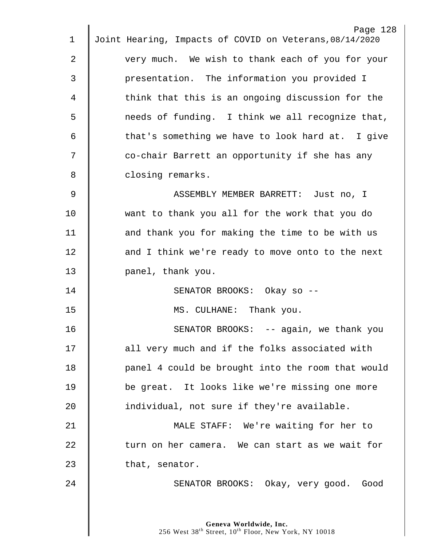| 1  | Page 128<br>Joint Hearing, Impacts of COVID on Veterans, 08/14/2020 |
|----|---------------------------------------------------------------------|
|    |                                                                     |
| 2  | very much. We wish to thank each of you for your                    |
| 3  | presentation. The information you provided I                        |
| 4  | think that this is an ongoing discussion for the                    |
| 5  | needs of funding. I think we all recognize that,                    |
| 6  | that's something we have to look hard at. I give                    |
| 7  | co-chair Barrett an opportunity if she has any                      |
| 8  | closing remarks.                                                    |
| 9  | ASSEMBLY MEMBER BARRETT: Just no, I                                 |
| 10 | want to thank you all for the work that you do                      |
| 11 | and thank you for making the time to be with us                     |
| 12 | and I think we're ready to move onto to the next                    |
| 13 | panel, thank you.                                                   |
| 14 | SENATOR BROOKS: Okay so --                                          |
| 15 | MS. CULHANE: Thank you.                                             |
| 16 | SENATOR BROOKS: -- again, we thank you                              |
| 17 | all very much and if the folks associated with                      |
| 18 | panel 4 could be brought into the room that would                   |
| 19 | be great. It looks like we're missing one more                      |
| 20 | individual, not sure if they're available.                          |
| 21 | MALE STAFF: We're waiting for her to                                |
| 22 | turn on her camera. We can start as we wait for                     |
| 23 |                                                                     |
|    | that, senator.                                                      |
| 24 | SENATOR BROOKS: Okay, very good. Good                               |
|    |                                                                     |
|    |                                                                     |

 $\parallel$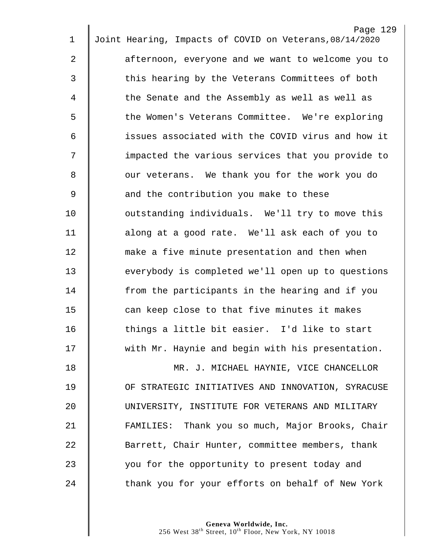|                | Page 129                                                |
|----------------|---------------------------------------------------------|
| $\mathbf 1$    | Joint Hearing, Impacts of COVID on Veterans, 08/14/2020 |
| 2              | afternoon, everyone and we want to welcome you to       |
| 3              | this hearing by the Veterans Committees of both         |
| 4              | the Senate and the Assembly as well as well as          |
| 5              | the Women's Veterans Committee. We're exploring         |
| 6              | issues associated with the COVID virus and how it       |
| 7              | impacted the various services that you provide to       |
| 8              | our veterans. We thank you for the work you do          |
| $\overline{9}$ | and the contribution you make to these                  |
| 10             | outstanding individuals. We'll try to move this         |
| 11             | along at a good rate. We'll ask each of you to          |
| 12             | make a five minute presentation and then when           |
| 13             | everybody is completed we'll open up to questions       |
| 14             | from the participants in the hearing and if you         |
| 15             | can keep close to that five minutes it makes            |
| 16             | things a little bit easier. I'd like to start           |
| 17             | with Mr. Haynie and begin with his presentation.        |
| 18             | MR. J. MICHAEL HAYNIE, VICE CHANCELLOR                  |
| 19             | OF STRATEGIC INITIATIVES AND INNOVATION, SYRACUSE       |
| 20             | UNIVERSITY, INSTITUTE FOR VETERANS AND MILITARY         |
| 21             | FAMILIES: Thank you so much, Major Brooks, Chair        |
| 22             | Barrett, Chair Hunter, committee members, thank         |
| 23             | you for the opportunity to present today and            |
| 24             | thank you for your efforts on behalf of New York        |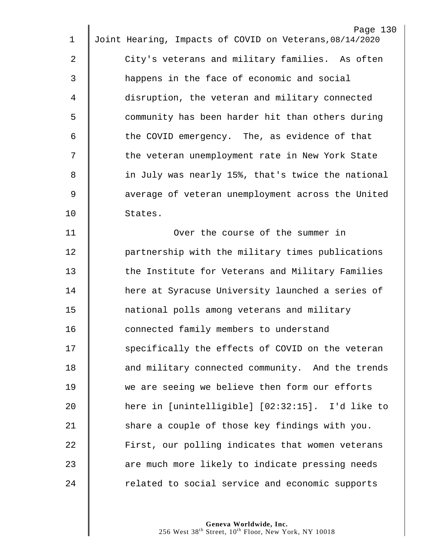|             | Page 130                                                |
|-------------|---------------------------------------------------------|
| $\mathbf 1$ | Joint Hearing, Impacts of COVID on Veterans, 08/14/2020 |
| 2           | City's veterans and military families. As often         |
| 3           | happens in the face of economic and social              |
| 4           | disruption, the veteran and military connected          |
| 5           | community has been harder hit than others during        |
| 6           | the COVID emergency. The, as evidence of that           |
| 7           | the veteran unemployment rate in New York State         |
| 8           | in July was nearly 15%, that's twice the national       |
| $\mathsf 9$ | average of veteran unemployment across the United       |
| 10          | States.                                                 |
| 11          | Over the course of the summer in                        |
| 12          | partnership with the military times publications        |
| 13          | the Institute for Veterans and Military Families        |
| 14          | here at Syracuse University launched a series of        |
| 15          | national polls among veterans and military              |
| 16          | connected family members to understand                  |
| 17          | specifically the effects of COVID on the veteran        |
| 18          | and military connected community. And the trends        |
| 19          | we are seeing we believe then form our efforts          |
| 20          | here in [unintelligible] [02:32:15]. I'd like to        |
| 21          | share a couple of those key findings with you.          |
| 22          | First, our polling indicates that women veterans        |
| 23          | are much more likely to indicate pressing needs         |
| 24          | related to social service and economic supports         |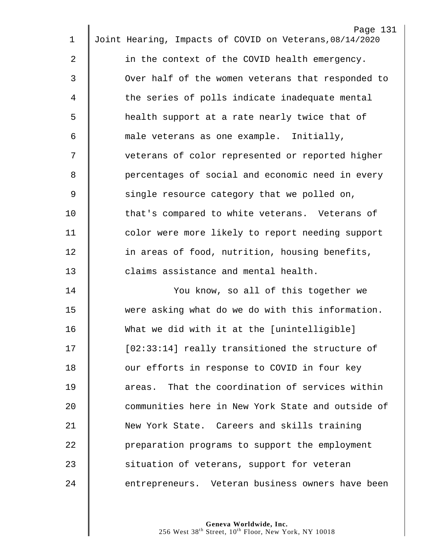| $\mathbf 1$ | Page 131<br>Joint Hearing, Impacts of COVID on Veterans, 08/14/2020 |
|-------------|---------------------------------------------------------------------|
| 2           | in the context of the COVID health emergency.                       |
| 3           | Over half of the women veterans that responded to                   |
| 4           | the series of polls indicate inadequate mental                      |
| 5           | health support at a rate nearly twice that of                       |
| 6           | male veterans as one example. Initially,                            |
|             |                                                                     |
| 7           | veterans of color represented or reported higher                    |
| 8           | percentages of social and economic need in every                    |
| $\mathsf 9$ | single resource category that we polled on,                         |
| 10          | that's compared to white veterans. Veterans of                      |
| 11          | color were more likely to report needing support                    |
| 12          | in areas of food, nutrition, housing benefits,                      |
| 13          | claims assistance and mental health.                                |
| 14          | You know, so all of this together we                                |
| 15          | were asking what do we do with this information.                    |
| 16          | What we did with it at the [unintelligible]                         |
| 17          | [02:33:14] really transitioned the structure of                     |
| 18          | our efforts in response to COVID in four key                        |
| 19          | areas. That the coordination of services within                     |
| 20          | communities here in New York State and outside of                   |
| 21          | New York State. Careers and skills training                         |
| 22          | preparation programs to support the employment                      |
| 23          | situation of veterans, support for veteran                          |
| 24          | entrepreneurs. Veteran business owners have been                    |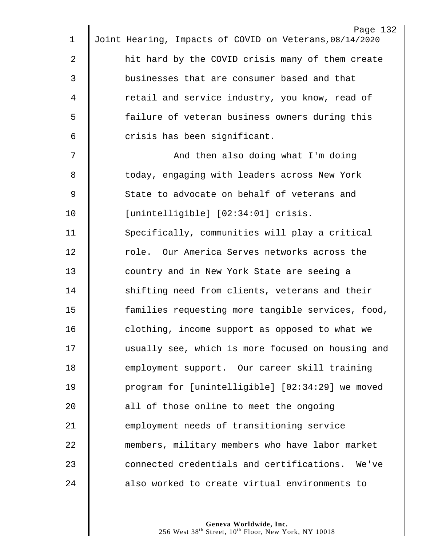| $\mathbf 1$ | Page 132<br>Joint Hearing, Impacts of COVID on Veterans, 08/14/2020 |
|-------------|---------------------------------------------------------------------|
|             |                                                                     |
| 2           | hit hard by the COVID crisis many of them create                    |
| 3           | businesses that are consumer based and that                         |
| 4           | retail and service industry, you know, read of                      |
| 5           | failure of veteran business owners during this                      |
| 6           | crisis has been significant.                                        |
| 7           | And then also doing what I'm doing                                  |
| 8           | today, engaging with leaders across New York                        |
| $\mathsf 9$ | State to advocate on behalf of veterans and                         |
| 10          | [unintelligible] [02:34:01] crisis.                                 |
| 11          | Specifically, communities will play a critical                      |
| 12          | role. Our America Serves networks across the                        |
| 13          | country and in New York State are seeing a                          |
| 14          | shifting need from clients, veterans and their                      |
| 15          | families requesting more tangible services, food,                   |
| 16          | clothing, income support as opposed to what we                      |
| 17          | usually see, which is more focused on housing and                   |
| 18          | employment support. Our career skill training                       |
| 19          | program for [unintelligible] [02:34:29] we moved                    |
| 20          | all of those online to meet the ongoing                             |
| 21          | employment needs of transitioning service                           |
| 22          | members, military members who have labor market                     |
| 23          | connected credentials and certifications. We've                     |
| 24          | also worked to create virtual environments to                       |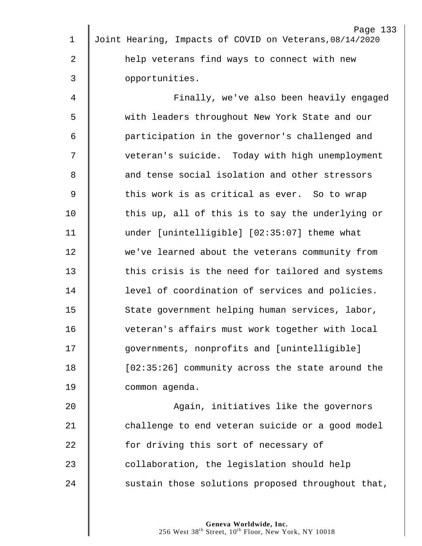| $\mathbf 1$  | Page 133<br>Joint Hearing, Impacts of COVID on Veterans, 08/14/2020 |
|--------------|---------------------------------------------------------------------|
|              |                                                                     |
| 2            | help veterans find ways to connect with new                         |
| $\mathsf{3}$ | opportunities.                                                      |
| 4            | Finally, we've also been heavily engaged                            |
| 5            | with leaders throughout New York State and our                      |
| 6            | participation in the governor's challenged and                      |
| 7            | veteran's suicide. Today with high unemployment                     |
| 8            | and tense social isolation and other stressors                      |
| $\mathsf 9$  | this work is as critical as ever. So to wrap                        |
| 10           | this up, all of this is to say the underlying or                    |
| 11           | under [unintelligible] [02:35:07] theme what                        |
| 12           | we've learned about the veterans community from                     |
| 13           | this crisis is the need for tailored and systems                    |
| 14           | level of coordination of services and policies.                     |
| 15           | State government helping human services, labor,                     |
| 16           | veteran's affairs must work together with local                     |
| 17           | governments, nonprofits and [unintelligible]                        |
| 18           | [02:35:26] community across the state around the                    |
| 19           | common agenda.                                                      |
| 20           | Again, initiatives like the governors                               |
| 21           | challenge to end veteran suicide or a good model                    |
| 22           | for driving this sort of necessary of                               |
| 23           | collaboration, the legislation should help                          |

24  $\parallel$  sustain those solutions proposed throughout that,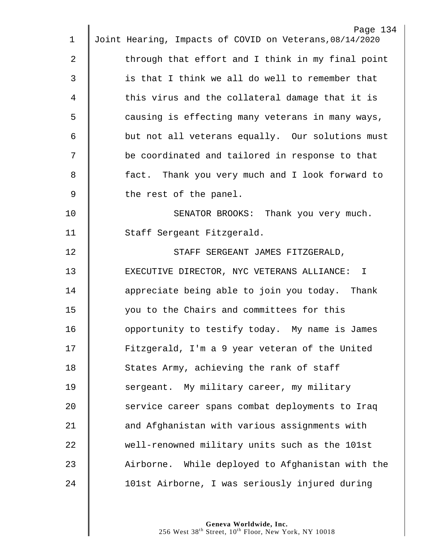|             | Page 134                                                |
|-------------|---------------------------------------------------------|
| $\mathbf 1$ | Joint Hearing, Impacts of COVID on Veterans, 08/14/2020 |
| 2           | through that effort and I think in my final point       |
| 3           | is that I think we all do well to remember that         |
| 4           | this virus and the collateral damage that it is         |
| 5           | causing is effecting many veterans in many ways,        |
| 6           | but not all veterans equally. Our solutions must        |
| 7           | be coordinated and tailored in response to that         |
| 8           | fact. Thank you very much and I look forward to         |
| $\mathsf 9$ | the rest of the panel.                                  |
| 10          | SENATOR BROOKS: Thank you very much.                    |
| 11          | Staff Sergeant Fitzgerald.                              |
| 12          | STAFF SERGEANT JAMES FITZGERALD,                        |
| 13          | EXECUTIVE DIRECTOR, NYC VETERANS ALLIANCE: I            |
| 14          | appreciate being able to join you today. Thank          |
| 15          | you to the Chairs and committees for this               |
| 16          | opportunity to testify today. My name is James          |
| 17          | Fitzgerald, I'm a 9 year veteran of the United          |
| 18          | States Army, achieving the rank of staff                |
| 19          | sergeant. My military career, my military               |
| 20          | service career spans combat deployments to Iraq         |
| 21          | and Afghanistan with various assignments with           |
| 22          | well-renowned military units such as the 101st          |
| 23          | Airborne. While deployed to Afghanistan with the        |
| 24          | 101st Airborne, I was seriously injured during          |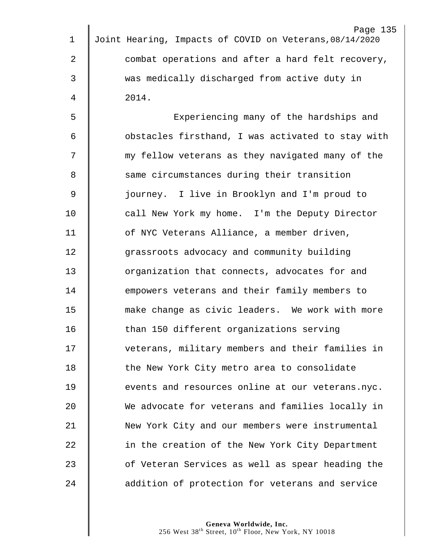|             | Page 135                                                |
|-------------|---------------------------------------------------------|
| $\mathbf 1$ | Joint Hearing, Impacts of COVID on Veterans, 08/14/2020 |
| 2           | combat operations and after a hard felt recovery,       |
| 3           | was medically discharged from active duty in            |
| 4           | 2014.                                                   |
| 5           | Experiencing many of the hardships and                  |
| 6           | obstacles firsthand, I was activated to stay with       |
| 7           | my fellow veterans as they navigated many of the        |
| 8           | same circumstances during their transition              |
| 9           | journey. I live in Brooklyn and I'm proud to            |
| 10          | call New York my home. I'm the Deputy Director          |
| 11          | of NYC Veterans Alliance, a member driven,              |
| 12          | grassroots advocacy and community building              |
| 13          | organization that connects, advocates for and           |
| 14          | empowers veterans and their family members to           |
| 15          | make change as civic leaders. We work with more         |
| 16          | than 150 different organizations serving                |
| 17          | veterans, military members and their families in        |
| 18          | the New York City metro area to consolidate             |
| 19          | events and resources online at our veterans.nyc.        |
| 20          | We advocate for veterans and families locally in        |
| 21          | New York City and our members were instrumental         |
| 22          | in the creation of the New York City Department         |
| 23          | of Veteran Services as well as spear heading the        |
| 24          | addition of protection for veterans and service         |
|             |                                                         |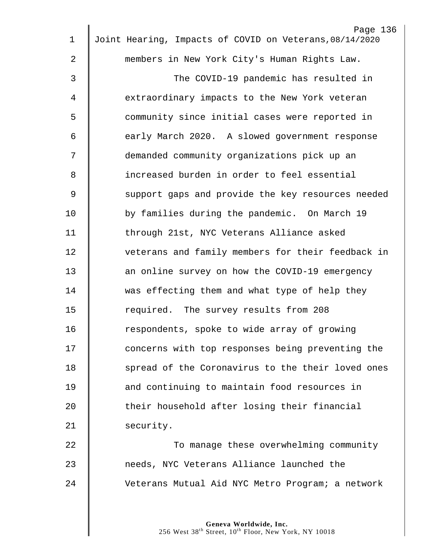| $\mathbf 1$ | Page 136<br>Joint Hearing, Impacts of COVID on Veterans, 08/14/2020 |
|-------------|---------------------------------------------------------------------|
|             |                                                                     |
| 2           | members in New York City's Human Rights Law.                        |
| 3           | The COVID-19 pandemic has resulted in                               |
| 4           | extraordinary impacts to the New York veteran                       |
| 5           | community since initial cases were reported in                      |
| 6           | early March 2020. A slowed government response                      |
| 7           | demanded community organizations pick up an                         |
| 8           | increased burden in order to feel essential                         |
| 9           | support gaps and provide the key resources needed                   |
| 10          | by families during the pandemic. On March 19                        |
| 11          | through 21st, NYC Veterans Alliance asked                           |
| 12          | veterans and family members for their feedback in                   |
| 13          | an online survey on how the COVID-19 emergency                      |
| 14          | was effecting them and what type of help they                       |
| 15          | required. The survey results from 208                               |
| 16          | respondents, spoke to wide array of growing                         |
| 17          | concerns with top responses being preventing the                    |
| 18          | spread of the Coronavirus to the their loved ones                   |
| 19          | and continuing to maintain food resources in                        |
| 20          | their household after losing their financial                        |
| 21          | security.                                                           |
| 22          | To manage these overwhelming community                              |
| 23          | needs, NYC Veterans Alliance launched the                           |
| 24          | Veterans Mutual Aid NYC Metro Program; a network                    |
|             |                                                                     |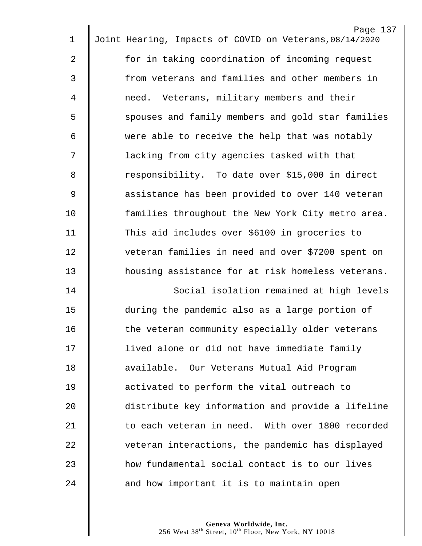| 1              | Page 137<br>Joint Hearing, Impacts of COVID on Veterans, 08/14/2020 |
|----------------|---------------------------------------------------------------------|
|                |                                                                     |
| $\overline{2}$ | for in taking coordination of incoming request                      |
| $\mathfrak{Z}$ | from veterans and families and other members in                     |
| 4              | need. Veterans, military members and their                          |
| 5              | spouses and family members and gold star families                   |
| 6              | were able to receive the help that was notably                      |
| 7              | lacking from city agencies tasked with that                         |
| 8              | responsibility. To date over \$15,000 in direct                     |
| 9              | assistance has been provided to over 140 veteran                    |
| 10             | families throughout the New York City metro area.                   |
| 11             | This aid includes over \$6100 in groceries to                       |
| 12             | veteran families in need and over \$7200 spent on                   |
| 13             | housing assistance for at risk homeless veterans.                   |
| 14             | Social isolation remained at high levels                            |
| 15             | during the pandemic also as a large portion of                      |
| 16             | the veteran community especially older veterans                     |
| 17             | lived alone or did not have immediate family                        |
| 18             | available. Our Veterans Mutual Aid Program                          |
| 19             | activated to perform the vital outreach to                          |
| 20             | distribute key information and provide a lifeline                   |
| 21             | to each veteran in need. With over 1800 recorded                    |
| 22             | veteran interactions, the pandemic has displayed                    |
| 23             | how fundamental social contact is to our lives                      |
| 24             | and how important it is to maintain open                            |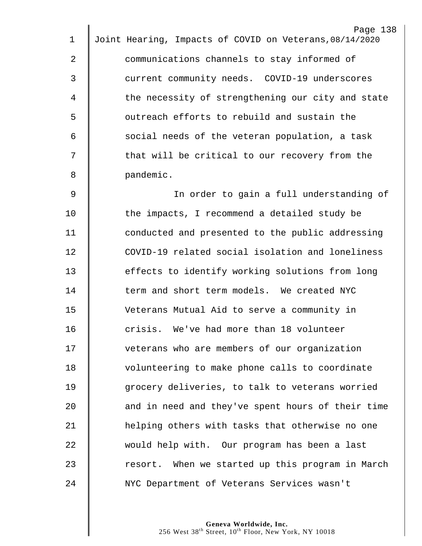|    | Page 138                                                |
|----|---------------------------------------------------------|
| 1  | Joint Hearing, Impacts of COVID on Veterans, 08/14/2020 |
| 2  | communications channels to stay informed of             |
| 3  | current community needs. COVID-19 underscores           |
| 4  | the necessity of strengthening our city and state       |
| 5  | outreach efforts to rebuild and sustain the             |
| 6  | social needs of the veteran population, a task          |
| 7  | that will be critical to our recovery from the          |
| 8  | pandemic.                                               |
| 9  | In order to gain a full understanding of                |
| 10 | the impacts, I recommend a detailed study be            |
| 11 | conducted and presented to the public addressing        |
| 12 | COVID-19 related social isolation and loneliness        |
| 13 | effects to identify working solutions from long         |
| 14 | term and short term models. We created NYC              |
| 15 | Veterans Mutual Aid to serve a community in             |
| 16 | crisis. We've had more than 18 volunteer                |
| 17 | veterans who are members of our organization            |
| 18 | volunteering to make phone calls to coordinate          |
| 19 | grocery deliveries, to talk to veterans worried         |
| 20 | and in need and they've spent hours of their time       |
| 21 | helping others with tasks that otherwise no one         |
| 22 | would help with. Our program has been a last            |
| 23 | resort. When we started up this program in March        |
| 24 | NYC Department of Veterans Services wasn't              |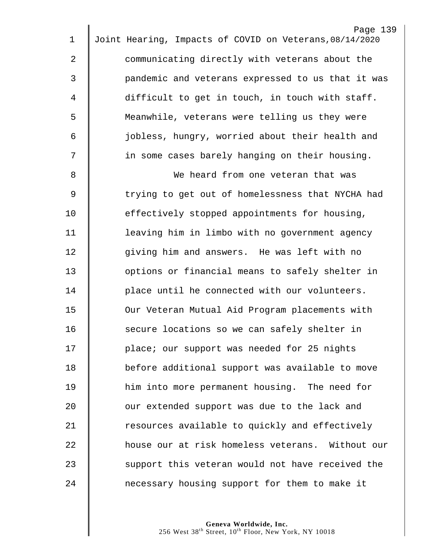|             | Page 139                                                |
|-------------|---------------------------------------------------------|
| 1           | Joint Hearing, Impacts of COVID on Veterans, 08/14/2020 |
| 2           | communicating directly with veterans about the          |
| 3           | pandemic and veterans expressed to us that it was       |
| 4           | difficult to get in touch, in touch with staff.         |
| 5           | Meanwhile, veterans were telling us they were           |
| 6           | jobless, hungry, worried about their health and         |
| 7           | in some cases barely hanging on their housing.          |
| 8           | We heard from one veteran that was                      |
| $\mathsf 9$ | trying to get out of homelessness that NYCHA had        |
| 10          | effectively stopped appointments for housing,           |
| 11          | leaving him in limbo with no government agency          |
| 12          | giving him and answers. He was left with no             |
| 13          | options or financial means to safely shelter in         |
| 14          | place until he connected with our volunteers.           |
| 15          | Our Veteran Mutual Aid Program placements with          |
| 16          | secure locations so we can safely shelter in            |
| 17          | place; our support was needed for 25 nights             |
| 18          | before additional support was available to move         |
| 19          | him into more permanent housing. The need for           |
| 20          | our extended support was due to the lack and            |
| 21          | resources available to quickly and effectively          |
| 22          | house our at risk homeless veterans. Without our        |
| 23          | support this veteran would not have received the        |
| 24          | necessary housing support for them to make it           |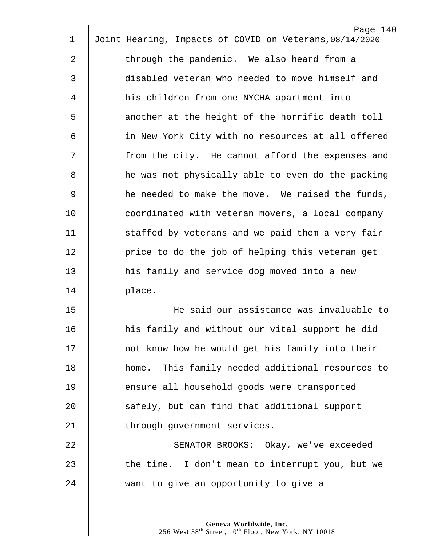| 1              | Page 140<br>Joint Hearing, Impacts of COVID on Veterans, 08/14/2020 |
|----------------|---------------------------------------------------------------------|
|                |                                                                     |
| 2              | through the pandemic. We also heard from a                          |
| 3              | disabled veteran who needed to move himself and                     |
| 4              | his children from one NYCHA apartment into                          |
| 5              | another at the height of the horrific death toll                    |
| 6              | in New York City with no resources at all offered                   |
| 7              | from the city. He cannot afford the expenses and                    |
| 8              | he was not physically able to even do the packing                   |
| $\overline{9}$ | he needed to make the move. We raised the funds,                    |
| 10             | coordinated with veteran movers, a local company                    |
| 11             | staffed by veterans and we paid them a very fair                    |
| 12             | price to do the job of helping this veteran get                     |
| 13             | his family and service dog moved into a new                         |
| 14             | place.                                                              |
| 15             | He said our assistance was invaluable to                            |
| 16             | his family and without our vital support he did                     |
| 17             | not know how he would get his family into their                     |
| 18             | home. This family needed additional resources to                    |
| 19             | ensure all household goods were transported                         |
| 20             | safely, but can find that additional support                        |
| 21             | through government services.                                        |
| 22             | SENATOR BROOKS: Okay, we've exceeded                                |
| 23             | the time. I don't mean to interrupt you, but we                     |
| 24             | want to give an opportunity to give a                               |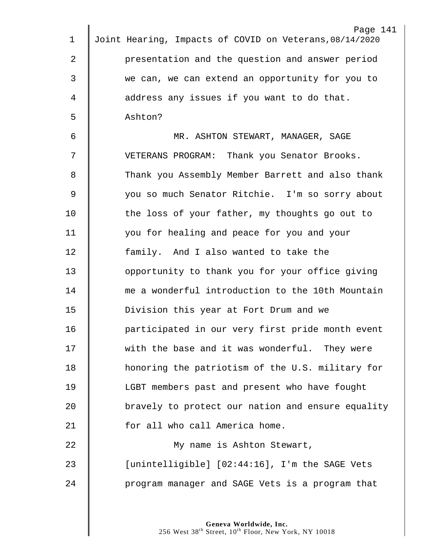| 1           | Page 141<br>Joint Hearing, Impacts of COVID on Veterans, 08/14/2020 |
|-------------|---------------------------------------------------------------------|
| 2           | presentation and the question and answer period                     |
|             |                                                                     |
| 3           | we can, we can extend an opportunity for you to                     |
| 4           | address any issues if you want to do that.                          |
| 5           | Ashton?                                                             |
| 6           | MR. ASHTON STEWART, MANAGER, SAGE                                   |
| 7           | VETERANS PROGRAM: Thank you Senator Brooks.                         |
| 8           | Thank you Assembly Member Barrett and also thank                    |
| $\mathsf 9$ | you so much Senator Ritchie. I'm so sorry about                     |
| 10          | the loss of your father, my thoughts go out to                      |
| 11          | you for healing and peace for you and your                          |
| 12          | family. And I also wanted to take the                               |
| 13          | opportunity to thank you for your office giving                     |
| 14          | me a wonderful introduction to the 10th Mountain                    |
| 15          | Division this year at Fort Drum and we                              |
| 16          | participated in our very first pride month event                    |
| 17          | with the base and it was wonderful. They were                       |
| 18          | honoring the patriotism of the U.S. military for                    |
| 19          | LGBT members past and present who have fought                       |
| 20          | bravely to protect our nation and ensure equality                   |
| 21          | for all who call America home.                                      |
| 22          | My name is Ashton Stewart,                                          |
| 23          | [unintelligible] [02:44:16], I'm the SAGE Vets                      |
| 24          | program manager and SAGE Vets is a program that                     |
|             |                                                                     |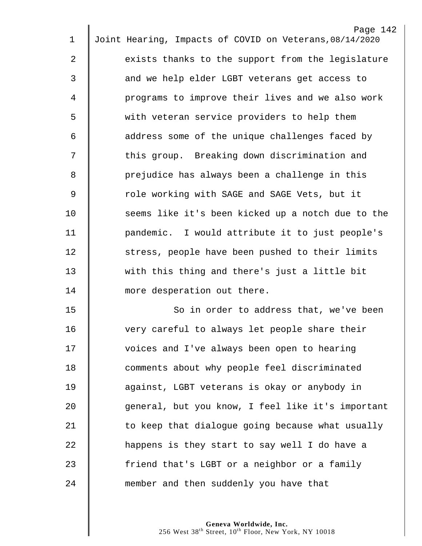| 1              | Page 142<br>Joint Hearing, Impacts of COVID on Veterans, 08/14/2020 |
|----------------|---------------------------------------------------------------------|
|                |                                                                     |
| 2              | exists thanks to the support from the legislature                   |
| 3              | and we help elder LGBT veterans get access to                       |
| 4              | programs to improve their lives and we also work                    |
| 5              | with veteran service providers to help them                         |
| 6              | address some of the unique challenges faced by                      |
| 7              | this group. Breaking down discrimination and                        |
| 8              | prejudice has always been a challenge in this                       |
| $\overline{9}$ | role working with SAGE and SAGE Vets, but it                        |
| 10             | seems like it's been kicked up a notch due to the                   |
| 11             | pandemic. I would attribute it to just people's                     |
| 12             | stress, people have been pushed to their limits                     |
| 13             | with this thing and there's just a little bit                       |
| 14             | more desperation out there.                                         |
| 15             | So in order to address that, we've been                             |
| 16             | very careful to always let people share their                       |
| 17             | voices and I've always been open to hearing                         |
| 18             | comments about why people feel discriminated                        |
| 19             | against, LGBT veterans is okay or anybody in                        |
| 20             | general, but you know, I feel like it's important                   |
| 21             | to keep that dialogue going because what usually                    |
| 22             | happens is they start to say well I do have a                       |
| 23             | friend that's LGBT or a neighbor or a family                        |
| 24             | member and then suddenly you have that                              |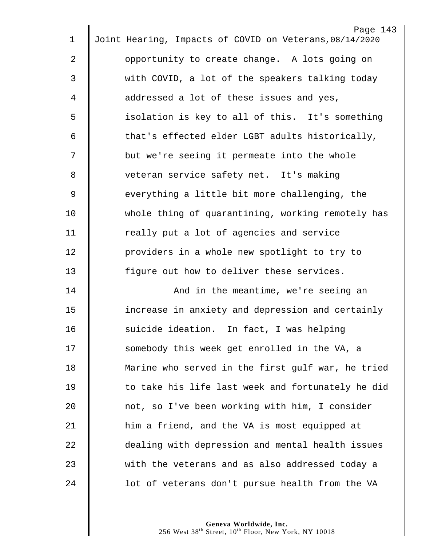| $\mathbf 1$ | Page 143<br>Joint Hearing, Impacts of COVID on Veterans, 08/14/2020 |
|-------------|---------------------------------------------------------------------|
|             |                                                                     |
| 2           | opportunity to create change. A lots going on                       |
| 3           | with COVID, a lot of the speakers talking today                     |
| 4           | addressed a lot of these issues and yes,                            |
| 5           | isolation is key to all of this. It's something                     |
| 6           | that's effected elder LGBT adults historically,                     |
| 7           | but we're seeing it permeate into the whole                         |
| 8           | veteran service safety net. It's making                             |
| $\mathsf 9$ | everything a little bit more challenging, the                       |
| 10          | whole thing of quarantining, working remotely has                   |
| 11          | really put a lot of agencies and service                            |
| 12          | providers in a whole new spotlight to try to                        |
| 13          | figure out how to deliver these services.                           |
| 14          | And in the meantime, we're seeing an                                |
| 15          | increase in anxiety and depression and certainly                    |
| 16          | suicide ideation. In fact, I was helping                            |
| 17          | somebody this week get enrolled in the VA, a                        |
| 18          | Marine who served in the first gulf war, he tried                   |
| 19          | to take his life last week and fortunately he did                   |
| 20          | not, so I've been working with him, I consider                      |
| 21          | him a friend, and the VA is most equipped at                        |
| 22          | dealing with depression and mental health issues                    |
| 23          | with the veterans and as also addressed today a                     |
| 24          | lot of veterans don't pursue health from the VA                     |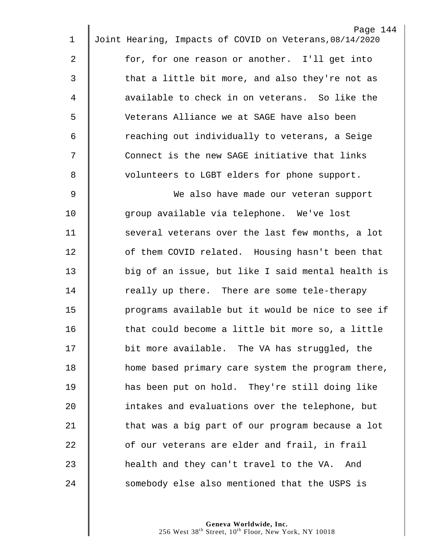| 1              | Page 144<br>Joint Hearing, Impacts of COVID on Veterans, 08/14/2020 |
|----------------|---------------------------------------------------------------------|
|                |                                                                     |
| 2              | for, for one reason or another. I'll get into                       |
| 3              | that a little bit more, and also they're not as                     |
| 4              | available to check in on veterans. So like the                      |
| 5              | Veterans Alliance we at SAGE have also been                         |
| 6              | reaching out individually to veterans, a Seige                      |
| 7              | Connect is the new SAGE initiative that links                       |
| 8              | volunteers to LGBT elders for phone support.                        |
| $\overline{9}$ | We also have made our veteran support                               |
| 10             | group available via telephone. We've lost                           |
| 11             | several veterans over the last few months, a lot                    |
| 12             | of them COVID related. Housing hasn't been that                     |
| 13             | big of an issue, but like I said mental health is                   |
| 14             | really up there. There are some tele-therapy                        |
| 15             | programs available but it would be nice to see if                   |
| 16             | that could become a little bit more so, a little                    |
| 17             | bit more available. The VA has struggled, the                       |
| 18             | home based primary care system the program there,                   |
| 19             | has been put on hold. They're still doing like                      |
| 20             | intakes and evaluations over the telephone, but                     |
| 21             | that was a big part of our program because a lot                    |
| 22             | of our veterans are elder and frail, in frail                       |
| 23             | health and they can't travel to the VA. And                         |
| 24             | somebody else also mentioned that the USPS is                       |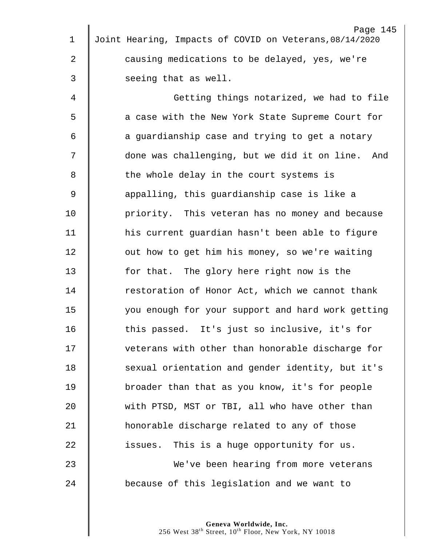|    | Page 145                                                |
|----|---------------------------------------------------------|
| 1  | Joint Hearing, Impacts of COVID on Veterans, 08/14/2020 |
| 2  | causing medications to be delayed, yes, we're           |
| 3  | seeing that as well.                                    |
| 4  | Getting things notarized, we had to file                |
| 5  | a case with the New York State Supreme Court for        |
| 6  | a guardianship case and trying to get a notary          |
| 7  | done was challenging, but we did it on line. And        |
| 8  | the whole delay in the court systems is                 |
| 9  | appalling, this guardianship case is like a             |
| 10 | priority. This veteran has no money and because         |
| 11 | his current guardian hasn't been able to figure         |
| 12 | out how to get him his money, so we're waiting          |
| 13 | for that. The glory here right now is the               |
| 14 | restoration of Honor Act, which we cannot thank         |
| 15 | you enough for your support and hard work getting       |
| 16 | this passed. It's just so inclusive, it's for           |
| 17 | veterans with other than honorable discharge for        |
| 18 | sexual orientation and gender identity, but it's        |
| 19 | broader than that as you know, it's for people          |
| 20 | with PTSD, MST or TBI, all who have other than          |
| 21 | honorable discharge related to any of those             |
| 22 | This is a huge opportunity for us.<br>issues.           |
| 23 | We've been hearing from more veterans                   |
| 24 | because of this legislation and we want to              |
|    |                                                         |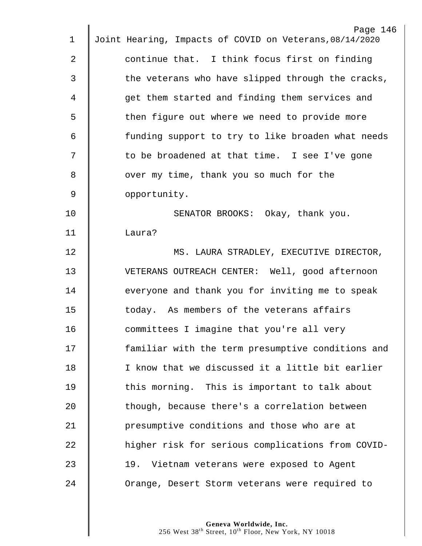|             | Page 146                                                |
|-------------|---------------------------------------------------------|
| 1           | Joint Hearing, Impacts of COVID on Veterans, 08/14/2020 |
| 2           | continue that. I think focus first on finding           |
| 3           | the veterans who have slipped through the cracks,       |
| 4           | get them started and finding them services and          |
| 5           | then figure out where we need to provide more           |
| 6           | funding support to try to like broaden what needs       |
| 7           | to be broadened at that time. I see I've gone           |
| 8           | over my time, thank you so much for the                 |
| $\mathsf 9$ | opportunity.                                            |
| 10          | SENATOR BROOKS: Okay, thank you.                        |
| 11          | Laura?                                                  |
| 12          | MS. LAURA STRADLEY, EXECUTIVE DIRECTOR,                 |
| 13          | VETERANS OUTREACH CENTER: Well, good afternoon          |
| 14          | everyone and thank you for inviting me to speak         |
| 15          | today. As members of the veterans affairs               |
| 16          | committees I imagine that you're all very               |
| 17          | familiar with the term presumptive conditions and       |
| 18          | I know that we discussed it a little bit earlier        |
| 19          | this morning. This is important to talk about           |
| 20          | though, because there's a correlation between           |
| 21          | presumptive conditions and those who are at             |
| 22          | higher risk for serious complications from COVID-       |
| 23          | 19. Vietnam veterans were exposed to Agent              |
| 24          | Orange, Desert Storm veterans were required to          |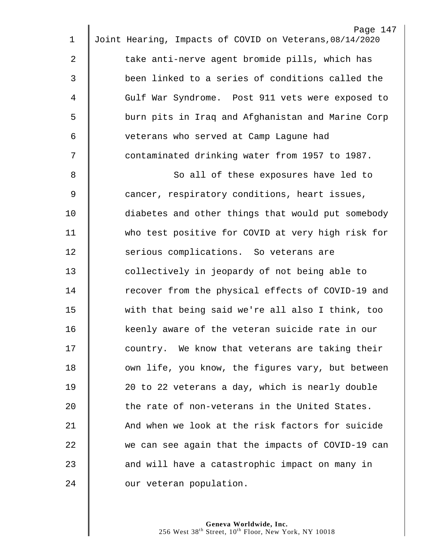| 1              | Page 147<br>Joint Hearing, Impacts of COVID on Veterans, 08/14/2020 |
|----------------|---------------------------------------------------------------------|
|                |                                                                     |
| $\overline{2}$ | take anti-nerve agent bromide pills, which has                      |
| $\mathfrak{Z}$ | been linked to a series of conditions called the                    |
| 4              | Gulf War Syndrome. Post 911 vets were exposed to                    |
| 5              | burn pits in Iraq and Afghanistan and Marine Corp                   |
| 6              | veterans who served at Camp Lagune had                              |
| 7              | contaminated drinking water from 1957 to 1987.                      |
| 8              | So all of these exposures have led to                               |
| $\mathsf 9$    | cancer, respiratory conditions, heart issues,                       |
| 10             | diabetes and other things that would put somebody                   |
| 11             | who test positive for COVID at very high risk for                   |
| 12             | serious complications. So veterans are                              |
| 13             | collectively in jeopardy of not being able to                       |
| 14             | recover from the physical effects of COVID-19 and                   |
| 15             | with that being said we're all also I think, too                    |
| 16             | keenly aware of the veteran suicide rate in our                     |
| 17             | country. We know that veterans are taking their                     |
| 18             | own life, you know, the figures vary, but between                   |
| 19             | 20 to 22 veterans a day, which is nearly double                     |
| 20             | the rate of non-veterans in the United States.                      |
| 21             | And when we look at the risk factors for suicide                    |
| 22             | we can see again that the impacts of COVID-19 can                   |
| 23             | and will have a catastrophic impact on many in                      |
| 24             | our veteran population.                                             |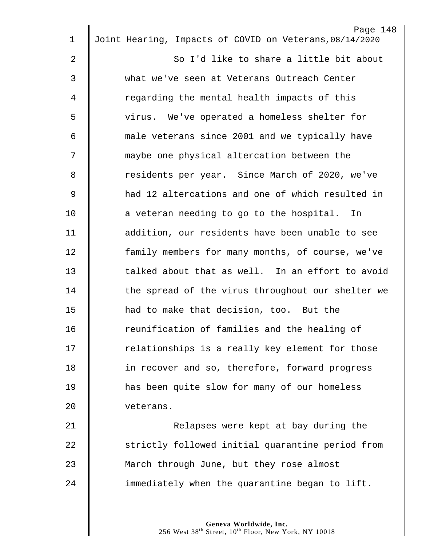|             | Page 148                                                |
|-------------|---------------------------------------------------------|
| $\mathbf 1$ | Joint Hearing, Impacts of COVID on Veterans, 08/14/2020 |
| 2           | So I'd like to share a little bit about                 |
| 3           | what we've seen at Veterans Outreach Center             |
| 4           | regarding the mental health impacts of this             |
| 5           | virus. We've operated a homeless shelter for            |
| 6           | male veterans since 2001 and we typically have          |
| 7           | maybe one physical altercation between the              |
| 8           | residents per year. Since March of 2020, we've          |
| $\mathsf 9$ | had 12 altercations and one of which resulted in        |
| 10          | a veteran needing to go to the hospital. In             |
| 11          | addition, our residents have been unable to see         |
| 12          | family members for many months, of course, we've        |
| 13          | talked about that as well. In an effort to avoid        |
| 14          | the spread of the virus throughout our shelter we       |
| 15          | had to make that decision, too. But the                 |
| 16          | reunification of families and the healing of            |
| 17          | relationships is a really key element for those         |
| 18          | in recover and so, therefore, forward progress          |
| 19          | has been quite slow for many of our homeless            |
| 20          | veterans.                                               |
| 21          | Relapses were kept at bay during the                    |
| 22          | strictly followed initial quarantine period from        |
| 23          | March through June, but they rose almost                |
| 24          | immediately when the quarantine began to lift.          |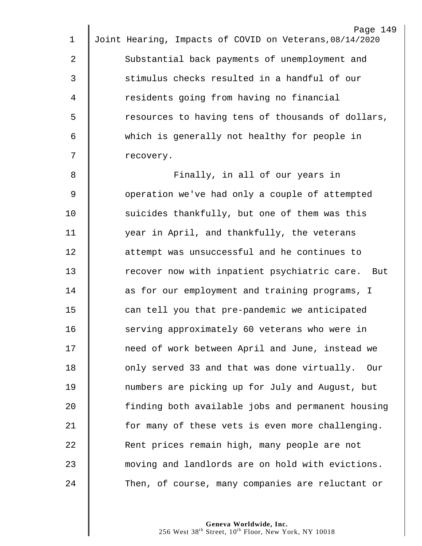| 1           | Page 149<br>Joint Hearing, Impacts of COVID on Veterans, 08/14/2020 |
|-------------|---------------------------------------------------------------------|
|             |                                                                     |
| 2           | Substantial back payments of unemployment and                       |
| 3           | stimulus checks resulted in a handful of our                        |
| 4           | residents going from having no financial                            |
| 5           | resources to having tens of thousands of dollars,                   |
| 6           | which is generally not healthy for people in                        |
| 7           | recovery.                                                           |
| 8           | Finally, in all of our years in                                     |
| $\mathsf 9$ | operation we've had only a couple of attempted                      |
| 10          | suicides thankfully, but one of them was this                       |
| 11          | year in April, and thankfully, the veterans                         |
| 12          | attempt was unsuccessful and he continues to                        |
| 13          | recover now with inpatient psychiatric care.<br>But                 |
| 14          | as for our employment and training programs, I                      |
| 15          | can tell you that pre-pandemic we anticipated                       |
| 16          | serving approximately 60 veterans who were in                       |
| 17          | need of work between April and June, instead we                     |
| 18          | only served 33 and that was done virtually. Our                     |
| 19          | numbers are picking up for July and August, but                     |
| 20          | finding both available jobs and permanent housing                   |
| 21          | for many of these vets is even more challenging.                    |
| 22          | Rent prices remain high, many people are not                        |
| 23          | moving and landlords are on hold with evictions.                    |
| 24          | Then, of course, many companies are reluctant or                    |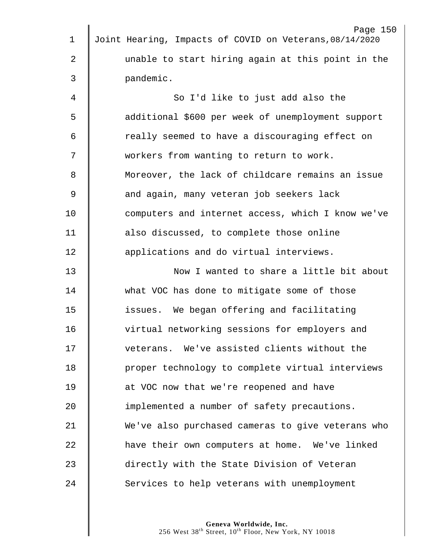|                | Page 150                                                |
|----------------|---------------------------------------------------------|
| $\mathbf 1$    | Joint Hearing, Impacts of COVID on Veterans, 08/14/2020 |
| $\overline{2}$ | unable to start hiring again at this point in the       |
| 3              | pandemic.                                               |
| 4              | So I'd like to just add also the                        |
| 5              | additional \$600 per week of unemployment support       |
| 6              | really seemed to have a discouraging effect on          |
| 7              | workers from wanting to return to work.                 |
| 8              | Moreover, the lack of childcare remains an issue        |
| $\overline{9}$ | and again, many veteran job seekers lack                |
| 10             | computers and internet access, which I know we've       |
| 11             | also discussed, to complete those online                |
| 12             | applications and do virtual interviews.                 |
| 13             | Now I wanted to share a little bit about                |
| 14             | what VOC has done to mitigate some of those             |
| 15             | issues. We began offering and facilitating              |
| 16             | virtual networking sessions for employers and           |
| 17             | veterans. We've assisted clients without the            |
| 18             | proper technology to complete virtual interviews        |
| 19             | at VOC now that we're reopened and have                 |
| 20             | implemented a number of safety precautions.             |
| 21             | We've also purchased cameras to give veterans who       |
| 22             | have their own computers at home. We've linked          |
| 23             | directly with the State Division of Veteran             |
| 24             | Services to help veterans with unemployment             |
|                |                                                         |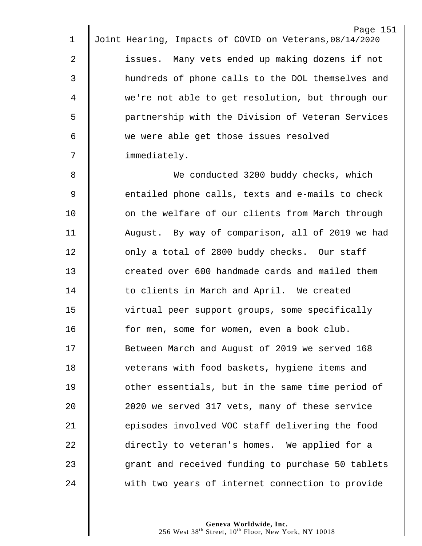| $\mathbf 1$    | Page 151<br>Joint Hearing, Impacts of COVID on Veterans, 08/14/2020 |
|----------------|---------------------------------------------------------------------|
|                |                                                                     |
| $\overline{2}$ | issues. Many vets ended up making dozens if not                     |
| 3              | hundreds of phone calls to the DOL themselves and                   |
| 4              | we're not able to get resolution, but through our                   |
| 5              | partnership with the Division of Veteran Services                   |
| 6              | we were able get those issues resolved                              |
| 7              | immediately.                                                        |
| 8              | We conducted 3200 buddy checks, which                               |
| $\mathsf 9$    | entailed phone calls, texts and e-mails to check                    |
| 10             | on the welfare of our clients from March through                    |
| 11             | August. By way of comparison, all of 2019 we had                    |
| 12             | only a total of 2800 buddy checks. Our staff                        |
| 13             | created over 600 handmade cards and mailed them                     |
| 14             | to clients in March and April. We created                           |
| 15             | virtual peer support groups, some specifically                      |
| 16             | for men, some for women, even a book club.                          |
| 17             | Between March and August of 2019 we served 168                      |
| 18             | veterans with food baskets, hygiene items and                       |
| 19             | other essentials, but in the same time period of                    |
| 20             | 2020 we served 317 vets, many of these service                      |
| 21             | episodes involved VOC staff delivering the food                     |
| 22             | directly to veteran's homes. We applied for a                       |
| 23             | grant and received funding to purchase 50 tablets                   |
| 24             | with two years of internet connection to provide                    |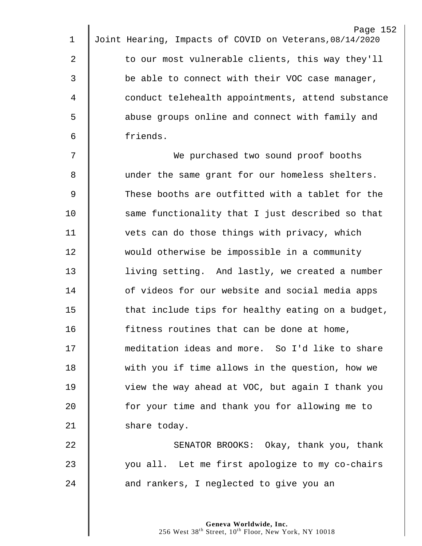| $\mathbf 1$ | Page 152<br>Joint Hearing, Impacts of COVID on Veterans, 08/14/2020 |
|-------------|---------------------------------------------------------------------|
|             |                                                                     |
| 2           | to our most vulnerable clients, this way they'll                    |
| 3           | be able to connect with their VOC case manager,                     |
| 4           | conduct telehealth appointments, attend substance                   |
| 5           | abuse groups online and connect with family and                     |
| 6           | friends.                                                            |
| 7           | We purchased two sound proof booths                                 |
| 8           | under the same grant for our homeless shelters.                     |
| 9           | These booths are outfitted with a tablet for the                    |
| 10          | same functionality that I just described so that                    |
| 11          | vets can do those things with privacy, which                        |
| 12          | would otherwise be impossible in a community                        |
| 13          | living setting. And lastly, we created a number                     |
| 14          | of videos for our website and social media apps                     |
| 15          | that include tips for healthy eating on a budget,                   |
| 16          | fitness routines that can be done at home,                          |
| 17          | meditation ideas and more. So I'd like to share                     |
| 18          | with you if time allows in the question, how we                     |
| 19          | view the way ahead at VOC, but again I thank you                    |
| 20          | for your time and thank you for allowing me to                      |
| 21          | share today.                                                        |
| 22          | SENATOR BROOKS: Okay, thank you, thank                              |
| 23          | you all. Let me first apologize to my co-chairs                     |
| 24          | and rankers, I neglected to give you an                             |
|             |                                                                     |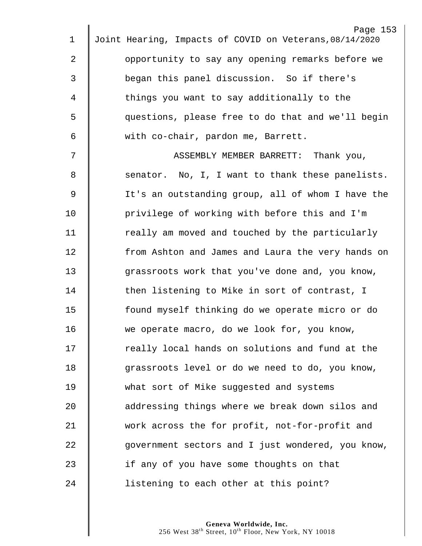|             | Page 153                                                |
|-------------|---------------------------------------------------------|
| 1           | Joint Hearing, Impacts of COVID on Veterans, 08/14/2020 |
| 2           | opportunity to say any opening remarks before we        |
| 3           | began this panel discussion. So if there's              |
| 4           | things you want to say additionally to the              |
| 5           | questions, please free to do that and we'll begin       |
| 6           | with co-chair, pardon me, Barrett.                      |
| 7           | ASSEMBLY MEMBER BARRETT:<br>Thank you,                  |
| 8           | senator. No, I, I want to thank these panelists.        |
| $\mathsf 9$ | It's an outstanding group, all of whom I have the       |
| 10          | privilege of working with before this and I'm           |
| 11          | really am moved and touched by the particularly         |
| 12          | from Ashton and James and Laura the very hands on       |
| 13          | grassroots work that you've done and, you know,         |
| 14          | then listening to Mike in sort of contrast, I           |
| 15          | found myself thinking do we operate micro or do         |
| 16          | we operate macro, do we look for, you know,             |
| 17          | really local hands on solutions and fund at the         |
| 18          | grassroots level or do we need to do, you know,         |
| 19          | what sort of Mike suggested and systems                 |
| 20          | addressing things where we break down silos and         |
| 21          | work across the for profit, not-for-profit and          |
| 22          | government sectors and I just wondered, you know,       |
| 23          | if any of you have some thoughts on that                |
| 24          | listening to each other at this point?                  |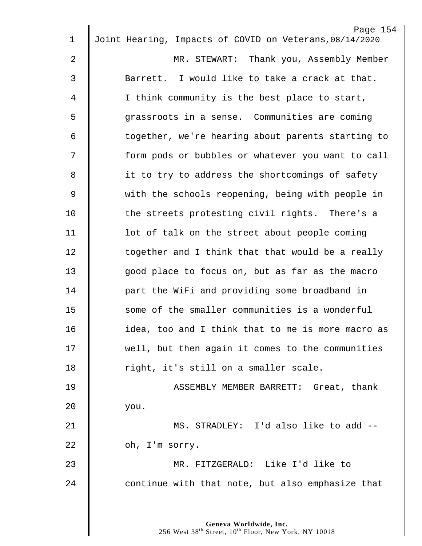| $\mathbf 1$    | Page 154<br>Joint Hearing, Impacts of COVID on Veterans, 08/14/2020 |
|----------------|---------------------------------------------------------------------|
| $\overline{2}$ | MR. STEWART: Thank you, Assembly Member                             |
| 3              | Barrett. I would like to take a crack at that.                      |
| 4              | I think community is the best place to start,                       |
|                |                                                                     |
| 5              | grassroots in a sense. Communities are coming                       |
| 6              | together, we're hearing about parents starting to                   |
| 7              | form pods or bubbles or whatever you want to call                   |
| 8              | it to try to address the shortcomings of safety                     |
| 9              | with the schools reopening, being with people in                    |
| 10             | the streets protesting civil rights. There's a                      |
| 11             | lot of talk on the street about people coming                       |
| 12             | together and I think that that would be a really                    |
| 13             | good place to focus on, but as far as the macro                     |
| 14             | part the WiFi and providing some broadband in                       |
| 15             | some of the smaller communities is a wonderful                      |
| 16             | idea, too and I think that to me is more macro as                   |
| 17             | well, but then again it comes to the communities                    |
| 18             | right, it's still on a smaller scale.                               |
| 19             | ASSEMBLY MEMBER BARRETT: Great, thank                               |
| 20             | you.                                                                |
| 21             | MS. STRADLEY: I'd also like to add --                               |
| 22             | oh, I'm sorry.                                                      |
| 23             | MR. FITZGERALD: Like I'd like to                                    |
| 24             | continue with that note, but also emphasize that                    |
|                |                                                                     |
|                |                                                                     |
|                | Geneva Worldwide, Inc.                                              |

West  $38^{\text{th}}$  Street,  $10^{\text{th}}$  Floor, New York, NY 10018

 $\parallel$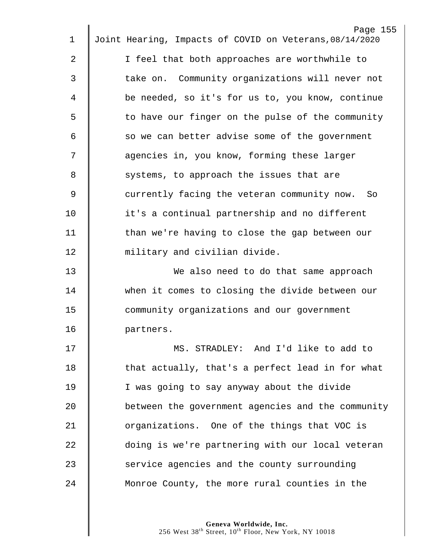| $\mathbf 1$ | Page 155<br>Joint Hearing, Impacts of COVID on Veterans, 08/14/2020 |
|-------------|---------------------------------------------------------------------|
|             |                                                                     |
| 2           | I feel that both approaches are worthwhile to                       |
| 3           | take on. Community organizations will never not                     |
| 4           | be needed, so it's for us to, you know, continue                    |
| 5           | to have our finger on the pulse of the community                    |
| 6           | so we can better advise some of the government                      |
| 7           | agencies in, you know, forming these larger                         |
| 8           | systems, to approach the issues that are                            |
| $\mathsf 9$ | currently facing the veteran community now. So                      |
| 10          | it's a continual partnership and no different                       |
| 11          | than we're having to close the gap between our                      |
| 12          | military and civilian divide.                                       |
| 13          | We also need to do that same approach                               |
| 14          | when it comes to closing the divide between our                     |
| 15          | community organizations and our government                          |
| 16          | partners.                                                           |
| 17          | MS. STRADLEY: And I'd like to add to                                |
| 18          | that actually, that's a perfect lead in for what                    |
| 19          | I was going to say anyway about the divide                          |
| 20          | between the government agencies and the community                   |
| 21          | organizations. One of the things that VOC is                        |
| 22          | doing is we're partnering with our local veteran                    |
| 23          | service agencies and the county surrounding                         |
| 24          | Monroe County, the more rural counties in the                       |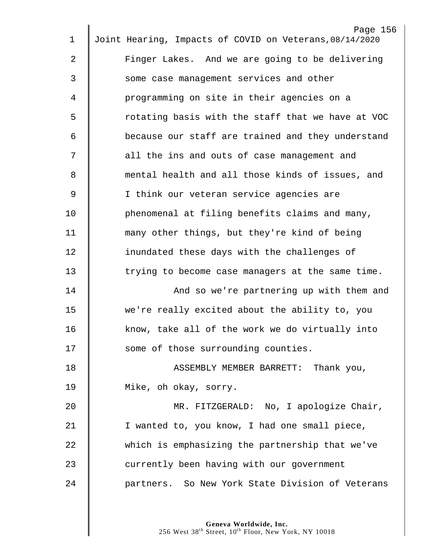| 1  | Page 156<br>Joint Hearing, Impacts of COVID on Veterans, 08/14/2020 |
|----|---------------------------------------------------------------------|
| 2  | Finger Lakes. And we are going to be delivering                     |
|    |                                                                     |
| 3  | some case management services and other                             |
| 4  | programming on site in their agencies on a                          |
| 5  | rotating basis with the staff that we have at VOC                   |
| 6  | because our staff are trained and they understand                   |
| 7  | all the ins and outs of case management and                         |
| 8  | mental health and all those kinds of issues, and                    |
| 9  | I think our veteran service agencies are                            |
| 10 | phenomenal at filing benefits claims and many,                      |
| 11 | many other things, but they're kind of being                        |
| 12 | inundated these days with the challenges of                         |
| 13 | trying to become case managers at the same time.                    |
| 14 | And so we're partnering up with them and                            |
| 15 | we're really excited about the ability to, you                      |
| 16 | know, take all of the work we do virtually into                     |
| 17 | some of those surrounding counties.                                 |
| 18 | ASSEMBLY MEMBER BARRETT: Thank you,                                 |
| 19 | Mike, oh okay, sorry.                                               |
| 20 | MR. FITZGERALD: No, I apologize Chair,                              |
| 21 | I wanted to, you know, I had one small piece,                       |
| 22 | which is emphasizing the partnership that we've                     |
| 23 | currently been having with our government                           |
| 24 | partners. So New York State Division of Veterans                    |
|    |                                                                     |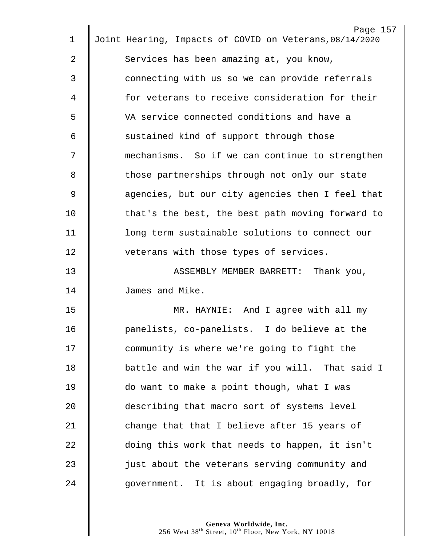| 1  | Page 157<br>Joint Hearing, Impacts of COVID on Veterans, 08/14/2020 |
|----|---------------------------------------------------------------------|
| 2  | Services has been amazing at, you know,                             |
|    |                                                                     |
| 3  | connecting with us so we can provide referrals                      |
| 4  | for veterans to receive consideration for their                     |
| 5  | VA service connected conditions and have a                          |
| 6  | sustained kind of support through those                             |
| 7  | mechanisms. So if we can continue to strengthen                     |
| 8  | those partnerships through not only our state                       |
| 9  | agencies, but our city agencies then I feel that                    |
| 10 | that's the best, the best path moving forward to                    |
| 11 | long term sustainable solutions to connect our                      |
| 12 | veterans with those types of services.                              |
| 13 | ASSEMBLY MEMBER BARRETT:<br>Thank you,                              |
| 14 | James and Mike.                                                     |
| 15 | MR. HAYNIE: And I agree with all my                                 |
| 16 | panelists, co-panelists. I do believe at the                        |
| 17 | community is where we're going to fight the                         |
| 18 | battle and win the war if you will. That said I                     |
| 19 | do want to make a point though, what I was                          |
| 20 | describing that macro sort of systems level                         |
| 21 | change that that I believe after 15 years of                        |
| 22 | doing this work that needs to happen, it isn't                      |
| 23 | just about the veterans serving community and                       |
| 24 | government. It is about engaging broadly, for                       |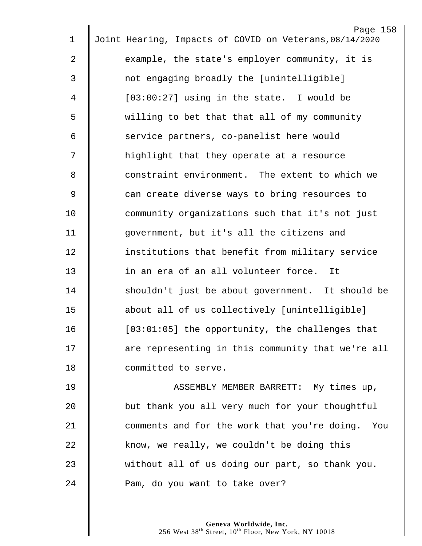| $\mathbf 1$    | Page 158<br>Joint Hearing, Impacts of COVID on Veterans, 08/14/2020 |
|----------------|---------------------------------------------------------------------|
|                |                                                                     |
| 2              | example, the state's employer community, it is                      |
| 3              | not engaging broadly the [unintelligible]                           |
| 4              | $[03:00:27]$ using in the state. I would be                         |
| 5              | willing to bet that that all of my community                        |
| 6              | service partners, co-panelist here would                            |
| 7              | highlight that they operate at a resource                           |
| 8              | constraint environment. The extent to which we                      |
| $\overline{9}$ | can create diverse ways to bring resources to                       |
| 10             | community organizations such that it's not just                     |
| 11             | government, but it's all the citizens and                           |
| 12             | institutions that benefit from military service                     |
| 13             | in an era of an all volunteer force. It                             |
| 14             | shouldn't just be about government. It should be                    |
| 15             | about all of us collectively [unintelligible]                       |
| 16             | $[03:01:05]$ the opportunity, the challenges that                   |
| 17             | are representing in this community that we're all                   |
| 18             | committed to serve.                                                 |
| 19             | ASSEMBLY MEMBER BARRETT: My times up,                               |
| 20             | but thank you all very much for your thoughtful                     |
| 21             | comments and for the work that you're doing. You                    |
| 22             | know, we really, we couldn't be doing this                          |
| 23             | without all of us doing our part, so thank you.                     |
| 24             | Pam, do you want to take over?                                      |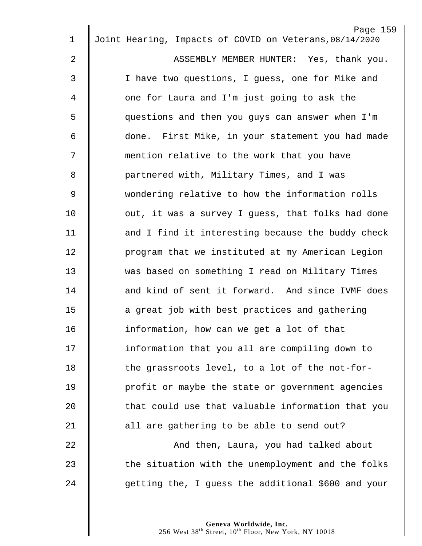| 1              | Page 159<br>Joint Hearing, Impacts of COVID on Veterans, 08/14/2020 |
|----------------|---------------------------------------------------------------------|
|                |                                                                     |
| $\overline{2}$ | ASSEMBLY MEMBER HUNTER: Yes, thank you.                             |
| $\mathfrak{Z}$ | I have two questions, I guess, one for Mike and                     |
| 4              | one for Laura and I'm just going to ask the                         |
| 5              | questions and then you guys can answer when I'm                     |
| 6              | done. First Mike, in your statement you had made                    |
| 7              | mention relative to the work that you have                          |
| 8              | partnered with, Military Times, and I was                           |
| $\overline{9}$ | wondering relative to how the information rolls                     |
| 10             | out, it was a survey I guess, that folks had done                   |
| 11             | and I find it interesting because the buddy check                   |
| 12             | program that we instituted at my American Legion                    |
| 13             | was based on something I read on Military Times                     |
| 14             | and kind of sent it forward. And since IVMF does                    |
| 15             | a great job with best practices and gathering                       |
| 16             | information, how can we get a lot of that                           |
| 17             | information that you all are compiling down to                      |
| 18             | the grassroots level, to a lot of the not-for-                      |
| 19             | profit or maybe the state or government agencies                    |
| 20             | that could use that valuable information that you                   |
| 21             | all are gathering to be able to send out?                           |
| 22             | And then, Laura, you had talked about                               |
| 23             | the situation with the unemployment and the folks                   |
| 24             | getting the, I guess the additional \$600 and your                  |
|                |                                                                     |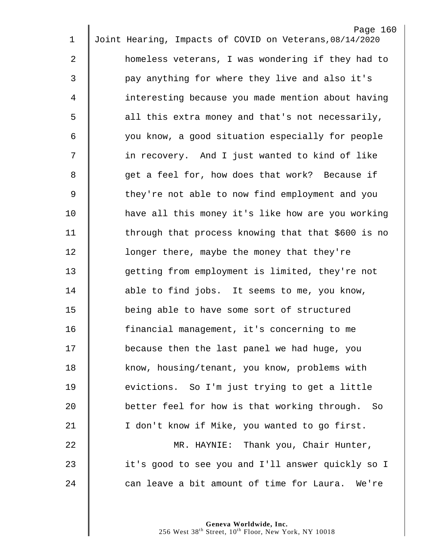| 1              | Page 160<br>Joint Hearing, Impacts of COVID on Veterans, 08/14/2020 |
|----------------|---------------------------------------------------------------------|
|                |                                                                     |
| 2              | homeless veterans, I was wondering if they had to                   |
| 3              | pay anything for where they live and also it's                      |
| 4              | interesting because you made mention about having                   |
| 5              | all this extra money and that's not necessarily,                    |
| 6              | you know, a good situation especially for people                    |
| 7              | in recovery. And I just wanted to kind of like                      |
| 8              | get a feel for, how does that work? Because if                      |
| $\overline{9}$ | they're not able to now find employment and you                     |
| 10             | have all this money it's like how are you working                   |
| 11             | through that process knowing that that \$600 is no                  |
| 12             | longer there, maybe the money that they're                          |
| 13             | getting from employment is limited, they're not                     |
| 14             | able to find jobs. It seems to me, you know,                        |
| 15             | being able to have some sort of structured                          |
| 16             | financial management, it's concerning to me                         |
| 17             | because then the last panel we had huge, you                        |
| 18             | know, housing/tenant, you know, problems with                       |
| 19             | evictions. So I'm just trying to get a little                       |
| 20             | better feel for how is that working through.<br>- So                |
| 21             | I don't know if Mike, you wanted to go first.                       |
| 22             | MR. HAYNIE: Thank you, Chair Hunter,                                |
| 23             | it's good to see you and I'll answer quickly so I                   |
| 24             | can leave a bit amount of time for Laura. We're                     |
|                |                                                                     |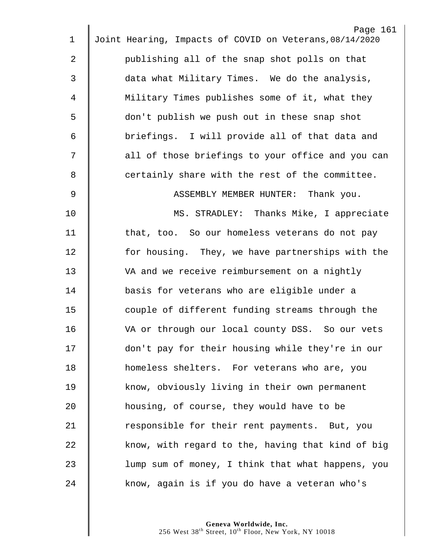| $\mathbf 1$    | Page 161<br>Joint Hearing, Impacts of COVID on Veterans, 08/14/2020 |
|----------------|---------------------------------------------------------------------|
| 2              | publishing all of the snap shot polls on that                       |
|                |                                                                     |
| 3              | data what Military Times. We do the analysis,                       |
| 4              | Military Times publishes some of it, what they                      |
| 5              | don't publish we push out in these snap shot                        |
| 6              | briefings. I will provide all of that data and                      |
| 7              | all of those briefings to your office and you can                   |
| 8              | certainly share with the rest of the committee.                     |
| $\overline{9}$ | ASSEMBLY MEMBER HUNTER: Thank you.                                  |
| 10             | MS. STRADLEY: Thanks Mike, I appreciate                             |
| 11             | that, too. So our homeless veterans do not pay                      |
| 12             | for housing. They, we have partnerships with the                    |
| 13             | VA and we receive reimbursement on a nightly                        |
| 14             | basis for veterans who are eligible under a                         |
| 15             | couple of different funding streams through the                     |
| 16             | VA or through our local county DSS. So our vets                     |
| 17             | don't pay for their housing while they're in our                    |
| 18             | homeless shelters. For veterans who are, you                        |
| 19             | know, obviously living in their own permanent                       |
| 20             | housing, of course, they would have to be                           |
| 21             | responsible for their rent payments. But, you                       |
| 22             | know, with regard to the, having that kind of big                   |
| 23             | lump sum of money, I think that what happens, you                   |
| 24             | know, again is if you do have a veteran who's                       |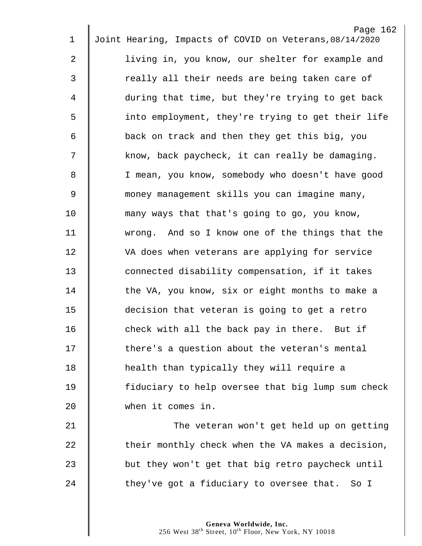|    | Page 162                                                |
|----|---------------------------------------------------------|
| 1  | Joint Hearing, Impacts of COVID on Veterans, 08/14/2020 |
| 2  | living in, you know, our shelter for example and        |
| 3  | really all their needs are being taken care of          |
| 4  | during that time, but they're trying to get back        |
| 5  | into employment, they're trying to get their life       |
| 6  | back on track and then they get this big, you           |
| 7  | know, back paycheck, it can really be damaging.         |
| 8  | I mean, you know, somebody who doesn't have good        |
| 9  | money management skills you can imagine many,           |
| 10 | many ways that that's going to go, you know,            |
| 11 | wrong. And so I know one of the things that the         |
| 12 | VA does when veterans are applying for service          |
| 13 | connected disability compensation, if it takes          |
| 14 | the VA, you know, six or eight months to make a         |
| 15 | decision that veteran is going to get a retro           |
| 16 | check with all the back pay in there. But if            |
| 17 | there's a question about the veteran's mental           |
| 18 | health than typically they will require a               |
| 19 | fiduciary to help oversee that big lump sum check       |
| 20 | when it comes in.                                       |
| 21 | The veteran won't get held up on getting                |
| 22 | their monthly check when the VA makes a decision,       |
| 23 | but they won't get that big retro paycheck until        |
| 24 | they've got a fiduciary to oversee that. So I           |
|    |                                                         |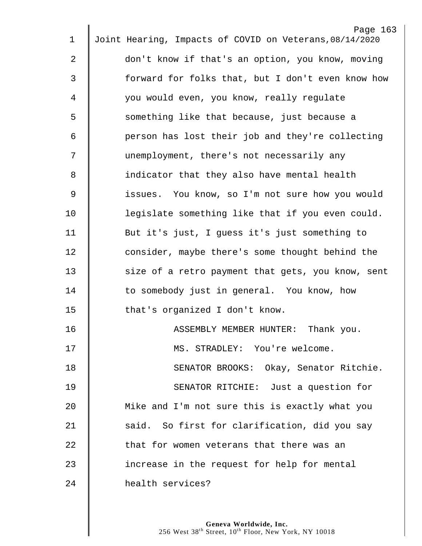| 1           | Page 163<br>Joint Hearing, Impacts of COVID on Veterans, 08/14/2020 |
|-------------|---------------------------------------------------------------------|
|             |                                                                     |
| 2           | don't know if that's an option, you know, moving                    |
| 3           | forward for folks that, but I don't even know how                   |
| 4           | you would even, you know, really regulate                           |
| 5           | something like that because, just because a                         |
| 6           | person has lost their job and they're collecting                    |
| 7           | unemployment, there's not necessarily any                           |
| 8           | indicator that they also have mental health                         |
| $\mathsf 9$ | issues. You know, so I'm not sure how you would                     |
| 10          | legislate something like that if you even could.                    |
| 11          | But it's just, I guess it's just something to                       |
| 12          | consider, maybe there's some thought behind the                     |
| 13          | size of a retro payment that gets, you know, sent                   |
| 14          | to somebody just in general. You know, how                          |
| 15          | that's organized I don't know.                                      |
| 16          | ASSEMBLY MEMBER HUNTER:<br>Thank you.                               |
| 17          | MS. STRADLEY: You're welcome.                                       |
| 18          | SENATOR BROOKS: Okay, Senator Ritchie.                              |
| 19          | SENATOR RITCHIE: Just a question for                                |
| 20          | Mike and I'm not sure this is exactly what you                      |
| 21          | said. So first for clarification, did you say                       |
| 22          | that for women veterans that there was an                           |
| 23          | increase in the request for help for mental                         |
| 24          | health services?                                                    |
|             |                                                                     |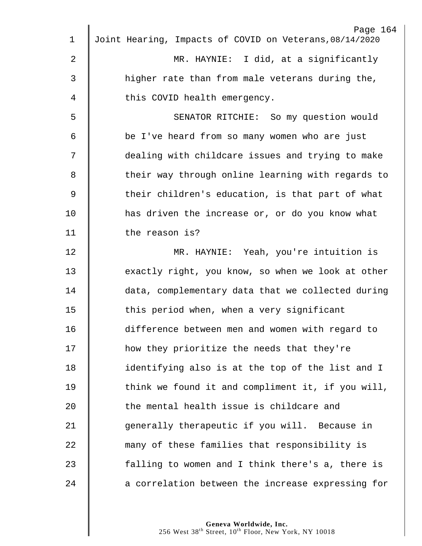|                | Page 164                                                |
|----------------|---------------------------------------------------------|
| $\mathbf 1$    | Joint Hearing, Impacts of COVID on Veterans, 08/14/2020 |
| $\overline{2}$ | MR. HAYNIE: I did, at a significantly                   |
| 3              | higher rate than from male veterans during the,         |
| 4              | this COVID health emergency.                            |
| 5              | SENATOR RITCHIE: So my question would                   |
| 6              | be I've heard from so many women who are just           |
| 7              | dealing with childcare issues and trying to make        |
| 8              | their way through online learning with regards to       |
| $\mathsf 9$    | their children's education, is that part of what        |
| 10             | has driven the increase or, or do you know what         |
| 11             | the reason is?                                          |
| 12             | MR. HAYNIE: Yeah, you're intuition is                   |
| 13             | exactly right, you know, so when we look at other       |
| 14             | data, complementary data that we collected during       |
| 15             | this period when, when a very significant               |
| 16             | difference between men and women with regard to         |
| 17             | how they prioritize the needs that they're              |
| 18             | identifying also is at the top of the list and I        |
| 19             | think we found it and compliment it, if you will,       |
| 20             | the mental health issue is childcare and                |
| 21             | generally therapeutic if you will. Because in           |
| 22             | many of these families that responsibility is           |
| 23             | falling to women and I think there's a, there is        |
| 24             | a correlation between the increase expressing for       |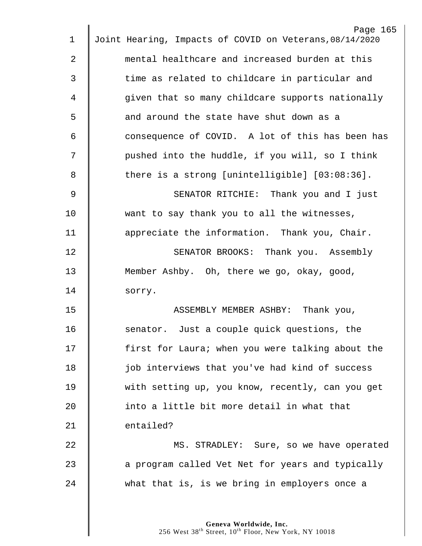| 1  | Page 165<br>Joint Hearing, Impacts of COVID on Veterans, 08/14/2020 |
|----|---------------------------------------------------------------------|
| 2  | mental healthcare and increased burden at this                      |
|    |                                                                     |
| 3  | time as related to childcare in particular and                      |
| 4  | given that so many childcare supports nationally                    |
| 5  | and around the state have shut down as a                            |
| 6  | consequence of COVID. A lot of this has been has                    |
| 7  | pushed into the huddle, if you will, so I think                     |
| 8  | there is a strong [unintelligible] $[03:08:36]$ .                   |
| 9  | SENATOR RITCHIE: Thank you and I just                               |
| 10 | want to say thank you to all the witnesses,                         |
| 11 | appreciate the information. Thank you, Chair.                       |
| 12 | SENATOR BROOKS: Thank you. Assembly                                 |
| 13 | Member Ashby. Oh, there we go, okay, good,                          |
| 14 | sorry.                                                              |
| 15 | ASSEMBLY MEMBER ASHBY: Thank you,                                   |
| 16 | senator. Just a couple quick questions, the                         |
| 17 | first for Laura; when you were talking about the                    |
| 18 | job interviews that you've had kind of success                      |
| 19 | with setting up, you know, recently, can you get                    |
| 20 | into a little bit more detail in what that                          |
| 21 | entailed?                                                           |
| 22 | MS. STRADLEY: Sure, so we have operated                             |
| 23 | a program called Vet Net for years and typically                    |
| 24 | what that is, is we bring in employers once a                       |
|    |                                                                     |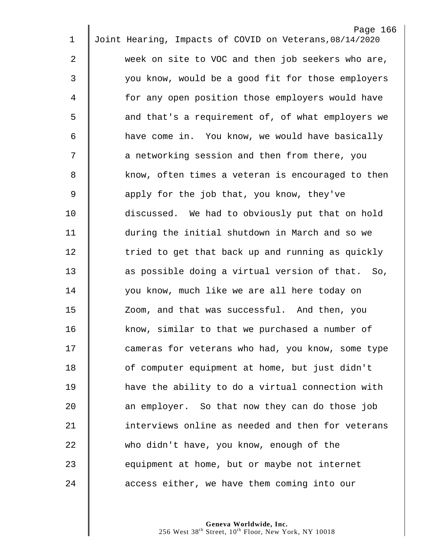|                | Page 166                                                |
|----------------|---------------------------------------------------------|
| 1              | Joint Hearing, Impacts of COVID on Veterans, 08/14/2020 |
| $\overline{2}$ | week on site to VOC and then job seekers who are,       |
| 3              | you know, would be a good fit for those employers       |
| 4              | for any open position those employers would have        |
| 5              | and that's a requirement of, of what employers we       |
| 6              | have come in. You know, we would have basically         |
| 7              | a networking session and then from there, you           |
| 8              | know, often times a veteran is encouraged to then       |
| $\overline{9}$ | apply for the job that, you know, they've               |
| 10             | discussed. We had to obviously put that on hold         |
| 11             | during the initial shutdown in March and so we          |
| 12             | tried to get that back up and running as quickly        |
| 13             | as possible doing a virtual version of that. So,        |
| 14             | you know, much like we are all here today on            |
| 15             | Zoom, and that was successful. And then, you            |
| 16             | know, similar to that we purchased a number of          |
| 17             | cameras for veterans who had, you know, some type       |
| 18             | of computer equipment at home, but just didn't          |
| 19             | have the ability to do a virtual connection with        |
| 20             | an employer. So that now they can do those job          |
| 21             | interviews online as needed and then for veterans       |
| 22             | who didn't have, you know, enough of the                |
| 23             | equipment at home, but or maybe not internet            |
| 24             | access either, we have them coming into our             |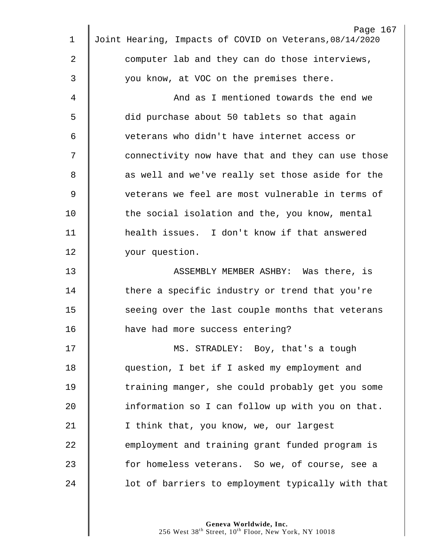| 1  | Page 167<br>Joint Hearing, Impacts of COVID on Veterans, 08/14/2020 |
|----|---------------------------------------------------------------------|
| 2  | computer lab and they can do those interviews,                      |
|    |                                                                     |
| 3  | you know, at VOC on the premises there.                             |
| 4  | And as I mentioned towards the end we                               |
| 5  | did purchase about 50 tablets so that again                         |
| 6  | veterans who didn't have internet access or                         |
| 7  | connectivity now have that and they can use those                   |
| 8  | as well and we've really set those aside for the                    |
| 9  | veterans we feel are most vulnerable in terms of                    |
| 10 | the social isolation and the, you know, mental                      |
| 11 | health issues. I don't know if that answered                        |
| 12 | your question.                                                      |
| 13 | ASSEMBLY MEMBER ASHBY: Was there, is                                |
| 14 | there a specific industry or trend that you're                      |
| 15 | seeing over the last couple months that veterans                    |
| 16 | have had more success entering?                                     |
| 17 | MS. STRADLEY: Boy, that's a tough                                   |
| 18 | question, I bet if I asked my employment and                        |
| 19 | training manger, she could probably get you some                    |
| 20 | information so I can follow up with you on that.                    |
| 21 | I think that, you know, we, our largest                             |
| 22 | employment and training grant funded program is                     |
| 23 | for homeless veterans. So we, of course, see a                      |
| 24 | lot of barriers to employment typically with that                   |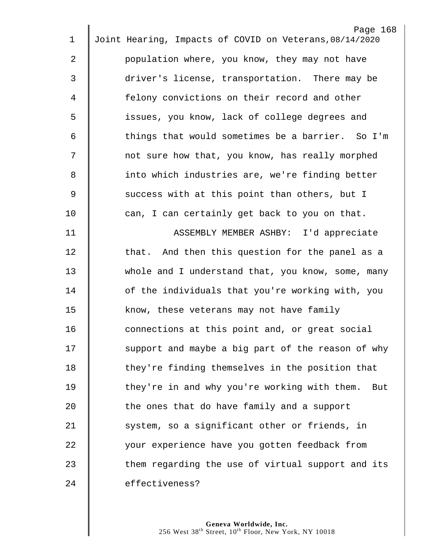| $\mathbf 1$ | Page 168<br>Joint Hearing, Impacts of COVID on Veterans, 08/14/2020 |
|-------------|---------------------------------------------------------------------|
|             |                                                                     |
| 2           | population where, you know, they may not have                       |
| 3           | driver's license, transportation. There may be                      |
| 4           | felony convictions on their record and other                        |
| 5           | issues, you know, lack of college degrees and                       |
| 6           | things that would sometimes be a barrier. So I'm                    |
| 7           | not sure how that, you know, has really morphed                     |
| 8           | into which industries are, we're finding better                     |
| 9           | success with at this point than others, but I                       |
| 10          | can, I can certainly get back to you on that.                       |
| 11          | ASSEMBLY MEMBER ASHBY: I'd appreciate                               |
| 12          | that. And then this question for the panel as a                     |
| 13          | whole and I understand that, you know, some, many                   |
| 14          | of the individuals that you're working with, you                    |
| 15          | know, these veterans may not have family                            |
| 16          | connections at this point and, or great social                      |
| 17          | support and maybe a big part of the reason of why                   |
| 18          | they're finding themselves in the position that                     |
| 19          | they're in and why you're working with them.<br>But                 |
| 20          | the ones that do have family and a support                          |
| 21          | system, so a significant other or friends, in                       |
| 22          | your experience have you gotten feedback from                       |
| 23          | them regarding the use of virtual support and its                   |
| 24          | effectiveness?                                                      |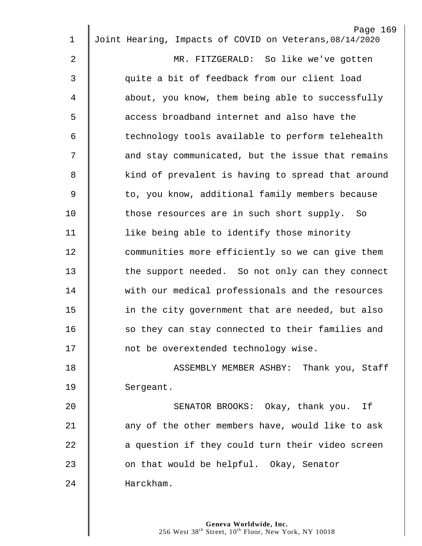| $\mathbf 1$    | Page 169<br>Joint Hearing, Impacts of COVID on Veterans, 08/14/2020 |
|----------------|---------------------------------------------------------------------|
| $\overline{2}$ | MR. FITZGERALD: So like we've gotten                                |
|                |                                                                     |
| 3              | quite a bit of feedback from our client load                        |
| 4              | about, you know, them being able to successfully                    |
| 5              | access broadband internet and also have the                         |
| 6              | technology tools available to perform telehealth                    |
| 7              | and stay communicated, but the issue that remains                   |
| 8              | kind of prevalent is having to spread that around                   |
| 9              | to, you know, additional family members because                     |
| 10             | those resources are in such short supply. So                        |
| 11             | like being able to identify those minority                          |
| 12             | communities more efficiently so we can give them                    |
| 13             | the support needed. So not only can they connect                    |
| 14             | with our medical professionals and the resources                    |
| 15             | in the city government that are needed, but also                    |
| 16             | so they can stay connected to their families and                    |
| 17             | not be overextended technology wise.                                |
| 18             | ASSEMBLY MEMBER ASHBY: Thank you, Staff                             |
| 19             | Sergeant.                                                           |
| 20             | SENATOR BROOKS: Okay, thank you. If                                 |
| 21             | any of the other members have, would like to ask                    |
| 22             | a question if they could turn their video screen                    |
| 23             | on that would be helpful. Okay, Senator                             |
| 24             | Harckham.                                                           |
|                |                                                                     |
|                |                                                                     |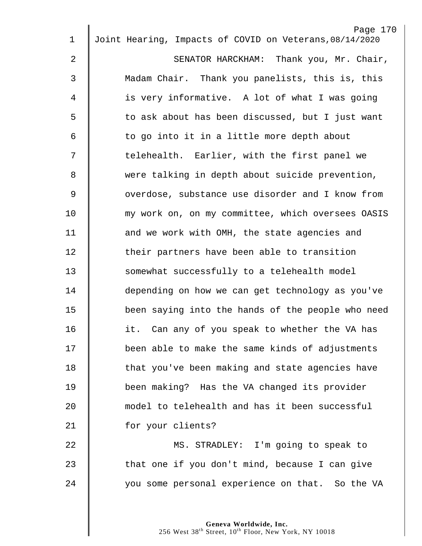| $\mathbf 1$    | Page 170<br>Joint Hearing, Impacts of COVID on Veterans, 08/14/2020 |
|----------------|---------------------------------------------------------------------|
|                |                                                                     |
| $\overline{2}$ | SENATOR HARCKHAM: Thank you, Mr. Chair,                             |
| 3              | Madam Chair. Thank you panelists, this is, this                     |
| 4              | is very informative. A lot of what I was going                      |
| 5              | to ask about has been discussed, but I just want                    |
| 6              | to go into it in a little more depth about                          |
| 7              | telehealth. Earlier, with the first panel we                        |
| 8              | were talking in depth about suicide prevention,                     |
| $\overline{9}$ | overdose, substance use disorder and I know from                    |
| 10             | my work on, on my committee, which oversees OASIS                   |
| 11             | and we work with OMH, the state agencies and                        |
| 12             | their partners have been able to transition                         |
| 13             | somewhat successfully to a telehealth model                         |
| 14             | depending on how we can get technology as you've                    |
| 15             | been saying into the hands of the people who need                   |
| 16             | it. Can any of you speak to whether the VA has                      |
| 17             | been able to make the same kinds of adjustments                     |
| 18             | that you've been making and state agencies have                     |
| 19             | been making? Has the VA changed its provider                        |
| 20             | model to telehealth and has it been successful                      |
| 21             | for your clients?                                                   |
| 22             | MS. STRADLEY: I'm going to speak to                                 |
| 23             | that one if you don't mind, because I can give                      |
| 24             | you some personal experience on that. So the VA                     |
|                |                                                                     |
|                |                                                                     |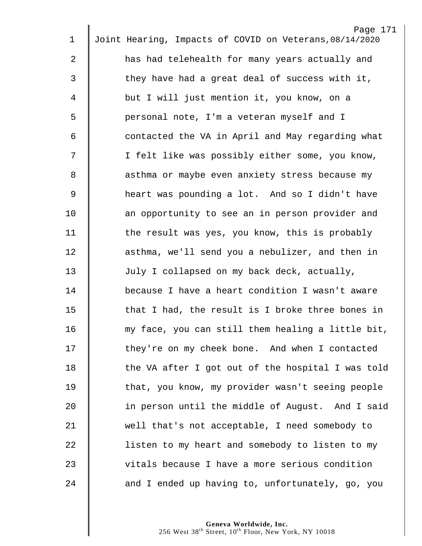| $\mathbf 1$ | Page 171<br>Joint Hearing, Impacts of COVID on Veterans, 08/14/2020 |
|-------------|---------------------------------------------------------------------|
|             |                                                                     |
| 2           | has had telehealth for many years actually and                      |
| 3           | they have had a great deal of success with it,                      |
| 4           | but I will just mention it, you know, on a                          |
| 5           | personal note, I'm a veteran myself and I                           |
| 6           | contacted the VA in April and May regarding what                    |
| 7           | I felt like was possibly either some, you know,                     |
| 8           | asthma or maybe even anxiety stress because my                      |
| 9           | heart was pounding a lot. And so I didn't have                      |
| 10          | an opportunity to see an in person provider and                     |
| 11          | the result was yes, you know, this is probably                      |
| 12          | asthma, we'll send you a nebulizer, and then in                     |
| 13          | July I collapsed on my back deck, actually,                         |
| 14          | because I have a heart condition I wasn't aware                     |
| 15          | that I had, the result is I broke three bones in                    |
| 16          | my face, you can still them healing a little bit,                   |
| 17          | they're on my cheek bone. And when I contacted                      |
| 18          | the VA after I got out of the hospital I was told                   |
| 19          | that, you know, my provider wasn't seeing people                    |
| 20          | in person until the middle of August. And I said                    |
| 21          | well that's not acceptable, I need somebody to                      |
| 22          | listen to my heart and somebody to listen to my                     |
| 23          | vitals because I have a more serious condition                      |
| 24          | and I ended up having to, unfortunately, go, you                    |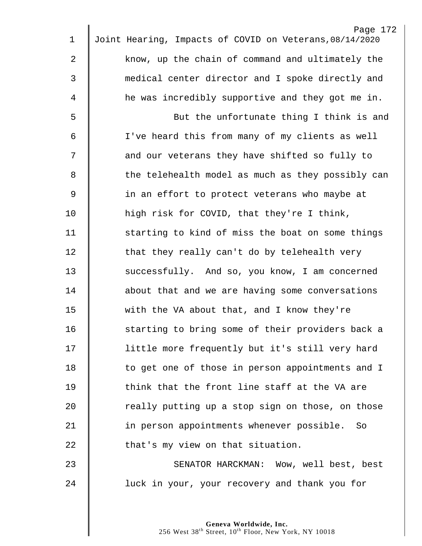|    | Page 172                                                |
|----|---------------------------------------------------------|
| 1  | Joint Hearing, Impacts of COVID on Veterans, 08/14/2020 |
| 2  | know, up the chain of command and ultimately the        |
| 3  | medical center director and I spoke directly and        |
| 4  | he was incredibly supportive and they got me in.        |
| 5  | But the unfortunate thing I think is and                |
| 6  | I've heard this from many of my clients as well         |
| 7  | and our veterans they have shifted so fully to          |
| 8  | the telehealth model as much as they possibly can       |
| 9  | in an effort to protect veterans who maybe at           |
| 10 | high risk for COVID, that they're I think,              |
| 11 | starting to kind of miss the boat on some things        |
| 12 | that they really can't do by telehealth very            |
| 13 | successfully. And so, you know, I am concerned          |
| 14 | about that and we are having some conversations         |
| 15 | with the VA about that, and I know they're              |
| 16 | starting to bring some of their providers back a        |
| 17 | little more frequently but it's still very hard         |
| 18 | to get one of those in person appointments and I        |
| 19 | think that the front line staff at the VA are           |
| 20 | really putting up a stop sign on those, on those        |
| 21 | in person appointments whenever possible. So            |
| 22 | that's my view on that situation.                       |
| 23 | SENATOR HARCKMAN: Wow, well best, best                  |
| 24 | luck in your, your recovery and thank you for           |
|    |                                                         |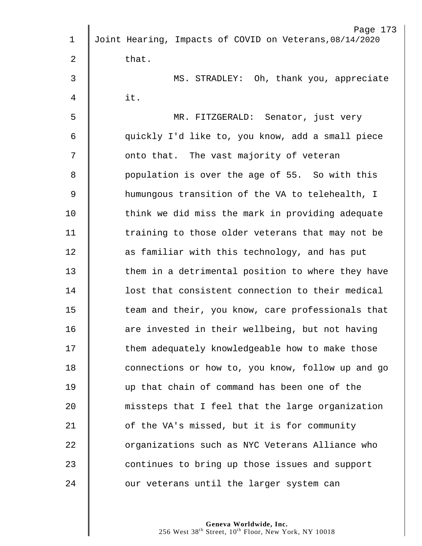| Page 173                                                |
|---------------------------------------------------------|
| Joint Hearing, Impacts of COVID on Veterans, 08/14/2020 |
| that.                                                   |
| MS. STRADLEY: Oh, thank you, appreciate                 |
| it.                                                     |
| MR. FITZGERALD: Senator, just very                      |
| quickly I'd like to, you know, add a small piece        |
| onto that. The vast majority of veteran                 |
| population is over the age of 55. So with this          |
| humungous transition of the VA to telehealth, I         |
| think we did miss the mark in providing adequate        |
| training to those older veterans that may not be        |
| as familiar with this technology, and has put           |
| them in a detrimental position to where they have       |
| lost that consistent connection to their medical        |
| team and their, you know, care professionals that       |
| are invested in their wellbeing, but not having         |
| them adequately knowledgeable how to make those         |
| connections or how to, you know, follow up and go       |
| up that chain of command has been one of the            |
| missteps that I feel that the large organization        |
| of the VA's missed, but it is for community             |
| organizations such as NYC Veterans Alliance who         |
| continues to bring up those issues and support          |
| our veterans until the larger system can                |
|                                                         |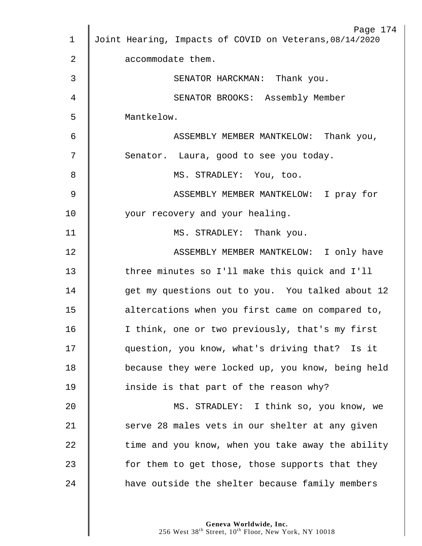|                | Page 174                                                |
|----------------|---------------------------------------------------------|
| $\mathbf 1$    | Joint Hearing, Impacts of COVID on Veterans, 08/14/2020 |
| $\overline{2}$ | accommodate them.                                       |
| 3              | SENATOR HARCKMAN: Thank you.                            |
| 4              | SENATOR BROOKS: Assembly Member                         |
| 5              | Mantkelow.                                              |
| 6              | ASSEMBLY MEMBER MANTKELOW: Thank you,                   |
| 7              | Senator. Laura, good to see you today.                  |
| 8              | MS. STRADLEY: You, too.                                 |
| $\overline{9}$ | ASSEMBLY MEMBER MANTKELOW: I pray for                   |
| 10             | your recovery and your healing.                         |
| 11             | MS. STRADLEY: Thank you.                                |
| 12             | ASSEMBLY MEMBER MANTKELOW: I only have                  |
| 13             | three minutes so I'll make this quick and I'll          |
| 14             | get my questions out to you. You talked about 12        |
| 15             | altercations when you first came on compared to,        |
| 16             | I think, one or two previously, that's my first         |
| 17             | question, you know, what's driving that? Is it          |
| 18             | because they were locked up, you know, being held       |
| 19             | inside is that part of the reason why?                  |
| 20             | MS. STRADLEY: I think so, you know, we                  |
| 21             | serve 28 males vets in our shelter at any given         |
| 22             | time and you know, when you take away the ability       |
| 23             | for them to get those, those supports that they         |
| 24             | have outside the shelter because family members         |
|                |                                                         |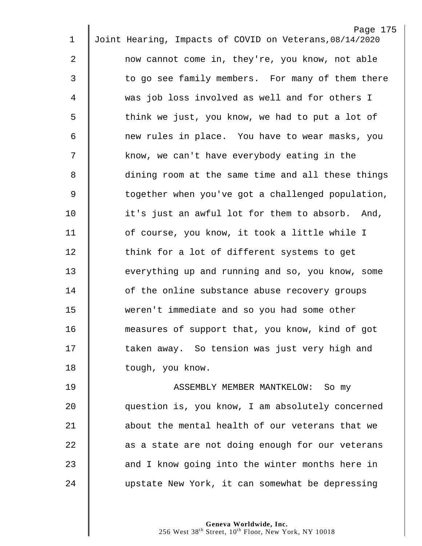|                | Page 175                                                |
|----------------|---------------------------------------------------------|
| $\mathbf 1$    | Joint Hearing, Impacts of COVID on Veterans, 08/14/2020 |
| $\overline{c}$ | now cannot come in, they're, you know, not able         |
| 3              | to go see family members. For many of them there        |
| 4              | was job loss involved as well and for others I          |
| 5              | think we just, you know, we had to put a lot of         |
| 6              | new rules in place. You have to wear masks, you         |
| 7              | know, we can't have everybody eating in the             |
| 8              | dining room at the same time and all these things       |
| 9              | together when you've got a challenged population,       |
| 10             | it's just an awful lot for them to absorb. And,         |
| 11             | of course, you know, it took a little while I           |
| 12             | think for a lot of different systems to get             |
| 13             | everything up and running and so, you know, some        |
| 14             | of the online substance abuse recovery groups           |
| 15             | weren't immediate and so you had some other             |
| 16             | measures of support that, you know, kind of got         |
| 17             | taken away. So tension was just very high and           |
| 18             | tough, you know.                                        |
| 19             | ASSEMBLY MEMBER MANTKELOW: So my                        |
| 20             | question is, you know, I am absolutely concerned        |
| 21             | about the mental health of our veterans that we         |
| 22             | as a state are not doing enough for our veterans        |

23  $\parallel$  and I know going into the winter months here in 24 upstate New York, it can somewhat be depressing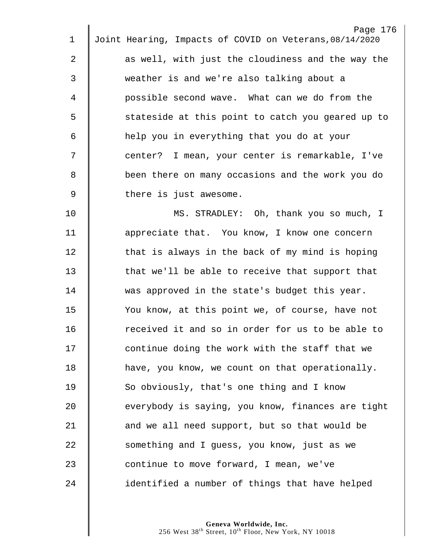| $\mathbf 1$ | Page 176<br>Joint Hearing, Impacts of COVID on Veterans, 08/14/2020 |
|-------------|---------------------------------------------------------------------|
|             |                                                                     |
| 2           | as well, with just the cloudiness and the way the                   |
| 3           | weather is and we're also talking about a                           |
| 4           | possible second wave. What can we do from the                       |
| 5           | stateside at this point to catch you geared up to                   |
| 6           | help you in everything that you do at your                          |
| 7           | center? I mean, your center is remarkable, I've                     |
| 8           | been there on many occasions and the work you do                    |
| 9           | there is just awesome.                                              |
| 10          | MS. STRADLEY: Oh, thank you so much, I                              |
| 11          | appreciate that. You know, I know one concern                       |
| 12          | that is always in the back of my mind is hoping                     |
| 13          | that we'll be able to receive that support that                     |
| 14          | was approved in the state's budget this year.                       |
| 15          | You know, at this point we, of course, have not                     |
| 16          | received it and so in order for us to be able to                    |
| 17          | continue doing the work with the staff that we                      |
| 18          | have, you know, we count on that operationally.                     |
| 19          | So obviously, that's one thing and I know                           |
| 20          | everybody is saying, you know, finances are tight                   |
| 21          | and we all need support, but so that would be                       |
| 22          | something and I guess, you know, just as we                         |
| 23          | continue to move forward, I mean, we've                             |
| 24          | identified a number of things that have helped                      |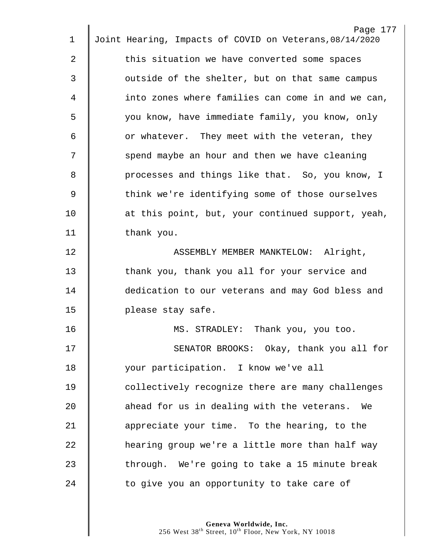| 1  | Page 177<br>Joint Hearing, Impacts of COVID on Veterans, 08/14/2020 |
|----|---------------------------------------------------------------------|
|    |                                                                     |
| 2  | this situation we have converted some spaces                        |
| 3  | outside of the shelter, but on that same campus                     |
| 4  | into zones where families can come in and we can,                   |
| 5  | you know, have immediate family, you know, only                     |
| 6  | or whatever. They meet with the veteran, they                       |
| 7  | spend maybe an hour and then we have cleaning                       |
| 8  | processes and things like that. So, you know, I                     |
| 9  | think we're identifying some of those ourselves                     |
| 10 | at this point, but, your continued support, yeah,                   |
| 11 | thank you.                                                          |
| 12 | ASSEMBLY MEMBER MANKTELOW: Alright,                                 |
| 13 | thank you, thank you all for your service and                       |
| 14 | dedication to our veterans and may God bless and                    |
| 15 | please stay safe.                                                   |
| 16 | MS. STRADLEY: Thank you, you too.                                   |
| 17 | SENATOR BROOKS: Okay, thank you all for                             |
| 18 | your participation. I know we've all                                |
| 19 | collectively recognize there are many challenges                    |
| 20 | ahead for us in dealing with the veterans. We                       |
| 21 | appreciate your time. To the hearing, to the                        |
| 22 | hearing group we're a little more than half way                     |
| 23 | through. We're going to take a 15 minute break                      |
| 24 | to give you an opportunity to take care of                          |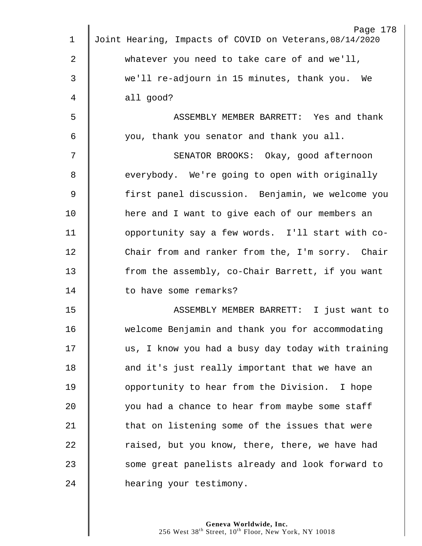|             | Page 178                                                |
|-------------|---------------------------------------------------------|
| $\mathbf 1$ | Joint Hearing, Impacts of COVID on Veterans, 08/14/2020 |
| 2           | whatever you need to take care of and we'll,            |
| 3           | we'll re-adjourn in 15 minutes, thank you. We           |
| 4           | all good?                                               |
| 5           | ASSEMBLY MEMBER BARRETT: Yes and thank                  |
| 6           | you, thank you senator and thank you all.               |
| 7           | SENATOR BROOKS: Okay, good afternoon                    |
| 8           | everybody. We're going to open with originally          |
| $\mathsf 9$ | first panel discussion. Benjamin, we welcome you        |
| 10          | here and I want to give each of our members an          |
| 11          | opportunity say a few words. I'll start with co-        |
| 12          | Chair from and ranker from the, I'm sorry. Chair        |
| 13          | from the assembly, co-Chair Barrett, if you want        |
| 14          | to have some remarks?                                   |
| 15          | ASSEMBLY MEMBER BARRETT: I just want to                 |
| 16          | welcome Benjamin and thank you for accommodating        |
| 17          | us, I know you had a busy day today with training       |
| 18          | and it's just really important that we have an          |
| 19          | opportunity to hear from the Division. I hope           |
| 20          | you had a chance to hear from maybe some staff          |
| 21          | that on listening some of the issues that were          |
| 22          | raised, but you know, there, there, we have had         |
| 23          | some great panelists already and look forward to        |
| 24          | hearing your testimony.                                 |
|             |                                                         |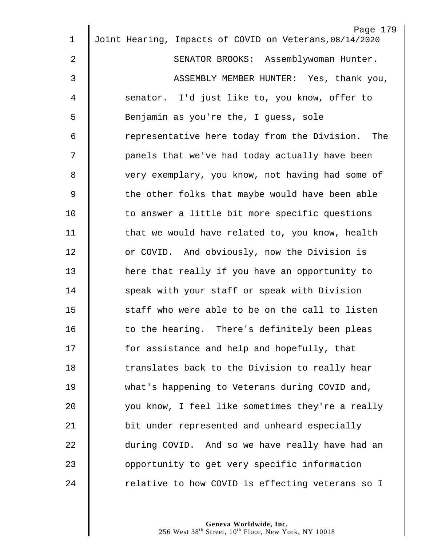| 1              | Page 179<br>Joint Hearing, Impacts of COVID on Veterans, 08/14/2020 |
|----------------|---------------------------------------------------------------------|
| $\overline{2}$ | SENATOR BROOKS: Assemblywoman Hunter.                               |
| 3              | ASSEMBLY MEMBER HUNTER: Yes, thank you,                             |
|                |                                                                     |
| 4              | senator. I'd just like to, you know, offer to                       |
| 5              | Benjamin as you're the, I guess, sole                               |
| 6              | representative here today from the Division. The                    |
| 7              | panels that we've had today actually have been                      |
| 8              | very exemplary, you know, not having had some of                    |
| $\overline{9}$ | the other folks that maybe would have been able                     |
| 10             | to answer a little bit more specific questions                      |
| 11             | that we would have related to, you know, health                     |
| 12             | or COVID. And obviously, now the Division is                        |
| 13             | here that really if you have an opportunity to                      |
| 14             | speak with your staff or speak with Division                        |
| 15             | staff who were able to be on the call to listen                     |
| 16             | to the hearing. There's definitely been pleas                       |
| 17             | for assistance and help and hopefully, that                         |
| 18             | translates back to the Division to really hear                      |
| 19             | what's happening to Veterans during COVID and,                      |
| 20             | you know, I feel like sometimes they're a really                    |
| 21             | bit under represented and unheard especially                        |
| 22             | during COVID. And so we have really have had an                     |
| 23             | opportunity to get very specific information                        |
| 24             | relative to how COVID is effecting veterans so I                    |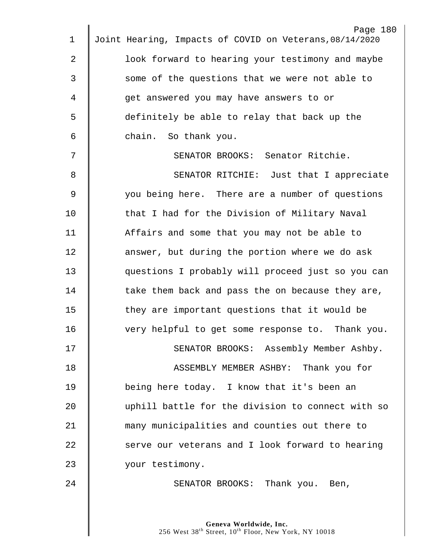| $\mathbf 1$    | Page 180<br>Joint Hearing, Impacts of COVID on Veterans, 08/14/2020 |
|----------------|---------------------------------------------------------------------|
| $\overline{2}$ | look forward to hearing your testimony and maybe                    |
| $\mathfrak{Z}$ | some of the questions that we were not able to                      |
| $\overline{4}$ | get answered you may have answers to or                             |
|                |                                                                     |
| 5              | definitely be able to relay that back up the                        |
| 6              | chain. So thank you.                                                |
| 7              | SENATOR BROOKS: Senator Ritchie.                                    |
| 8              | SENATOR RITCHIE: Just that I appreciate                             |
| $\mathsf 9$    | you being here. There are a number of questions                     |
| 10             | that I had for the Division of Military Naval                       |
| 11             | Affairs and some that you may not be able to                        |
| 12             | answer, but during the portion where we do ask                      |
| 13             | questions I probably will proceed just so you can                   |
| 14             | take them back and pass the on because they are,                    |
| 15             | they are important questions that it would be                       |
| 16             | very helpful to get some response to. Thank you.                    |
| 17             | SENATOR BROOKS: Assembly Member Ashby.                              |
| 18             | ASSEMBLY MEMBER ASHBY: Thank you for                                |
| 19             | being here today. I know that it's been an                          |
| 20             | uphill battle for the division to connect with so                   |
| 21             | many municipalities and counties out there to                       |
| 22             | serve our veterans and I look forward to hearing                    |
| 23             | your testimony.                                                     |
| 24             | SENATOR BROOKS: Thank you. Ben,                                     |
|                |                                                                     |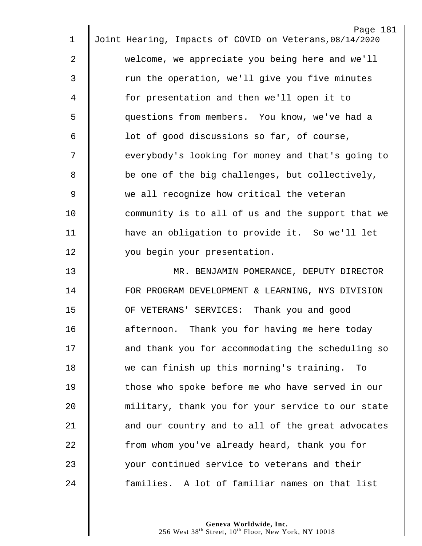| $\mathbf 1$ | Page 181<br>Joint Hearing, Impacts of COVID on Veterans, 08/14/2020 |
|-------------|---------------------------------------------------------------------|
|             |                                                                     |
| 2           | welcome, we appreciate you being here and we'll                     |
| 3           | run the operation, we'll give you five minutes                      |
| 4           | for presentation and then we'll open it to                          |
| 5           | questions from members. You know, we've had a                       |
| 6           | lot of good discussions so far, of course,                          |
| 7           | everybody's looking for money and that's going to                   |
| 8           | be one of the big challenges, but collectively,                     |
| 9           | we all recognize how critical the veteran                           |
| 10          | community is to all of us and the support that we                   |
| 11          | have an obligation to provide it. So we'll let                      |
| 12          | you begin your presentation.                                        |
| 13          | MR. BENJAMIN POMERANCE, DEPUTY DIRECTOR                             |
| 14          | FOR PROGRAM DEVELOPMENT & LEARNING, NYS DIVISION                    |
| 15          | OF VETERANS' SERVICES: Thank you and good                           |
| 16          | afternoon. Thank you for having me here today                       |
| 17          | and thank you for accommodating the scheduling so                   |
| 18          | we can finish up this morning's training.<br>To                     |
| 19          | those who spoke before me who have served in our                    |
| 20          | military, thank you for your service to our state                   |
| 21          | and our country and to all of the great advocates                   |
| 22          | from whom you've already heard, thank you for                       |
| 23          | your continued service to veterans and their                        |
| 24          | families. A lot of familiar names on that list                      |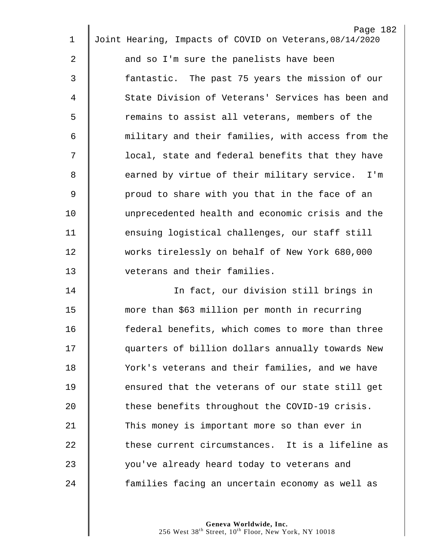| 1              | Page 182<br>Joint Hearing, Impacts of COVID on Veterans, 08/14/2020 |
|----------------|---------------------------------------------------------------------|
|                |                                                                     |
| $\overline{a}$ | and so I'm sure the panelists have been                             |
| 3              | fantastic. The past 75 years the mission of our                     |
| 4              | State Division of Veterans' Services has been and                   |
| 5              | remains to assist all veterans, members of the                      |
| 6              | military and their families, with access from the                   |
| 7              | local, state and federal benefits that they have                    |
| 8              | earned by virtue of their military service. I'm                     |
| $\mathsf 9$    | proud to share with you that in the face of an                      |
| 10             | unprecedented health and economic crisis and the                    |
| 11             | ensuing logistical challenges, our staff still                      |
| 12             | works tirelessly on behalf of New York 680,000                      |
| 13             | veterans and their families.                                        |
| 14             | In fact, our division still brings in                               |
| 15             | more than \$63 million per month in recurring                       |
| 16             | federal benefits, which comes to more than three                    |
| 17             | quarters of billion dollars annually towards New                    |
| 18             | York's veterans and their families, and we have                     |
| 19             | ensured that the veterans of our state still get                    |
| 20             | these benefits throughout the COVID-19 crisis.                      |
| 21             | This money is important more so than ever in                        |
| 22             | these current circumstances. It is a lifeline as                    |
| 23             | you've already heard today to veterans and                          |
| 24             | families facing an uncertain economy as well as                     |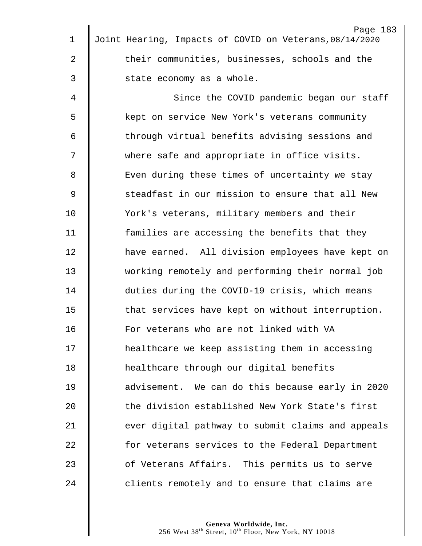| $\mathbf 1$ | Page 183<br>Joint Hearing, Impacts of COVID on Veterans, 08/14/2020 |
|-------------|---------------------------------------------------------------------|
|             |                                                                     |
| 2           | their communities, businesses, schools and the                      |
| 3           | state economy as a whole.                                           |
| 4           | Since the COVID pandemic began our staff                            |
| 5           | kept on service New York's veterans community                       |
| 6           | through virtual benefits advising sessions and                      |
| 7           | where safe and appropriate in office visits.                        |
| 8           | Even during these times of uncertainty we stay                      |
| 9           | steadfast in our mission to ensure that all New                     |
| 10          | York's veterans, military members and their                         |
| 11          | families are accessing the benefits that they                       |
| 12          | have earned. All division employees have kept on                    |
| 13          | working remotely and performing their normal job                    |
| 14          | duties during the COVID-19 crisis, which means                      |
| 15          | that services have kept on without interruption.                    |
| 16          | For veterans who are not linked with VA                             |
| 17          | healthcare we keep assisting them in accessing                      |
| 18          | healthcare through our digital benefits                             |
| 19          | advisement. We can do this because early in 2020                    |
| 20          | the division established New York State's first                     |
| 21          | ever digital pathway to submit claims and appeals                   |
| 22          | for veterans services to the Federal Department                     |
| 23          | of Veterans Affairs. This permits us to serve                       |
| 24          | clients remotely and to ensure that claims are                      |
|             |                                                                     |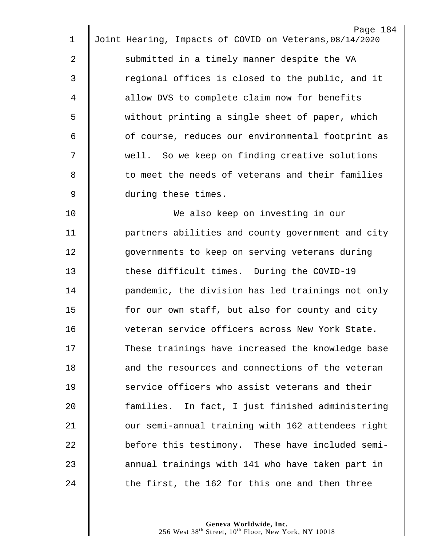| 1           | Page 184<br>Joint Hearing, Impacts of COVID on Veterans, 08/14/2020 |
|-------------|---------------------------------------------------------------------|
| 2           | submitted in a timely manner despite the VA                         |
|             |                                                                     |
| 3           | regional offices is closed to the public, and it                    |
| 4           | allow DVS to complete claim now for benefits                        |
| 5           | without printing a single sheet of paper, which                     |
| 6           | of course, reduces our environmental footprint as                   |
| 7           | well. So we keep on finding creative solutions                      |
| 8           | to meet the needs of veterans and their families                    |
| $\mathsf 9$ | during these times.                                                 |
| 10          | We also keep on investing in our                                    |
| 11          | partners abilities and county government and city                   |
| 12          | governments to keep on serving veterans during                      |
| 13          | these difficult times. During the COVID-19                          |
| 14          | pandemic, the division has led trainings not only                   |
| 15          | for our own staff, but also for county and city                     |
| 16          | veteran service officers across New York State.                     |
| 17          | These trainings have increased the knowledge base                   |
| 18          | and the resources and connections of the veteran                    |
| 19          | service officers who assist veterans and their                      |
| 20          | families. In fact, I just finished administering                    |
| 21          | our semi-annual training with 162 attendees right                   |
| 22          | before this testimony. These have included semi-                    |
| 23          | annual trainings with 141 who have taken part in                    |
| 24          | the first, the 162 for this one and then three                      |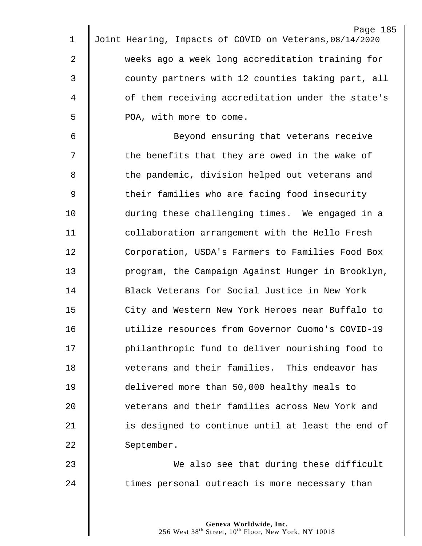| 1              | Page 185<br>Joint Hearing, Impacts of COVID on Veterans, 08/14/2020 |
|----------------|---------------------------------------------------------------------|
|                |                                                                     |
| $\overline{a}$ | weeks ago a week long accreditation training for                    |
| $\mathfrak{Z}$ | county partners with 12 counties taking part, all                   |
| 4              | of them receiving accreditation under the state's                   |
| 5              | POA, with more to come.                                             |
| 6              | Beyond ensuring that veterans receive                               |
| 7              | the benefits that they are owed in the wake of                      |
| 8              | the pandemic, division helped out veterans and                      |
| $\overline{9}$ | their families who are facing food insecurity                       |
| 10             | during these challenging times. We engaged in a                     |
| 11             | collaboration arrangement with the Hello Fresh                      |
| 12             | Corporation, USDA's Farmers to Families Food Box                    |
| 13             | program, the Campaign Against Hunger in Brooklyn,                   |
| 14             | Black Veterans for Social Justice in New York                       |
| 15             | City and Western New York Heroes near Buffalo to                    |
| 16             | utilize resources from Governor Cuomo's COVID-19                    |
| 17             | philanthropic fund to deliver nourishing food to                    |
| 18             | veterans and their families. This endeavor has                      |
| 19             | delivered more than 50,000 healthy meals to                         |
| 20             | veterans and their families across New York and                     |
| 21             | is designed to continue until at least the end of                   |
| 22             | September.                                                          |
| 23             | We also see that during these difficult                             |
| 24             | times personal outreach is more necessary than                      |
|                |                                                                     |
|                |                                                                     |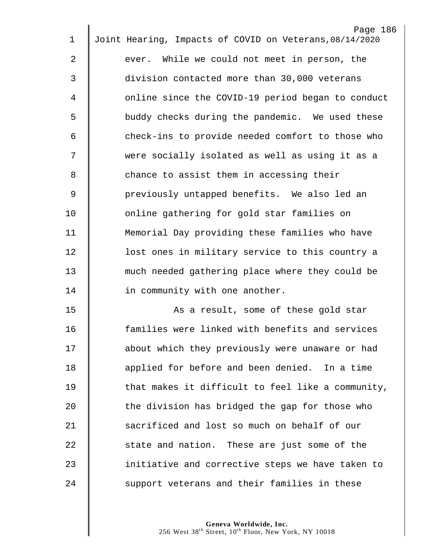|    | Page 186<br>Joint Hearing, Impacts of COVID on Veterans, 08/14/2020 |
|----|---------------------------------------------------------------------|
| 1  |                                                                     |
| 2  | ever. While we could not meet in person, the                        |
| 3  | division contacted more than 30,000 veterans                        |
| 4  | online since the COVID-19 period began to conduct                   |
| 5  | buddy checks during the pandemic. We used these                     |
| 6  | check-ins to provide needed comfort to those who                    |
| 7  | were socially isolated as well as using it as a                     |
| 8  | chance to assist them in accessing their                            |
| 9  | previously untapped benefits. We also led an                        |
| 10 | online gathering for gold star families on                          |
| 11 | Memorial Day providing these families who have                      |
| 12 | lost ones in military service to this country a                     |
| 13 | much needed gathering place where they could be                     |
| 14 | in community with one another.                                      |
| 15 | As a result, some of these gold star                                |
| 16 | families were linked with benefits and services                     |
| 17 | about which they previously were unaware or had                     |
| 18 | applied for before and been denied. In a time                       |
| 19 | that makes it difficult to feel like a community,                   |
| 20 | the division has bridged the gap for those who                      |
| 21 | sacrificed and lost so much on behalf of our                        |
| 22 | state and nation. These are just some of the                        |
| 23 | initiative and corrective steps we have taken to                    |
| 24 | support veterans and their families in these                        |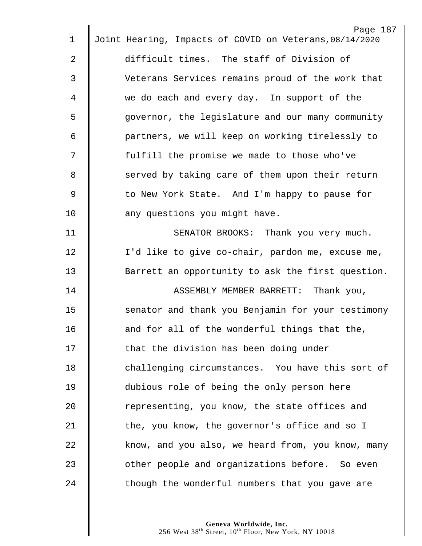| $\mathbf 1$    | Page 187<br>Joint Hearing, Impacts of COVID on Veterans, 08/14/2020 |
|----------------|---------------------------------------------------------------------|
|                |                                                                     |
| 2              | difficult times. The staff of Division of                           |
| $\mathfrak{Z}$ | Veterans Services remains proud of the work that                    |
| 4              | we do each and every day. In support of the                         |
| 5              | governor, the legislature and our many community                    |
| 6              | partners, we will keep on working tirelessly to                     |
| 7              | fulfill the promise we made to those who've                         |
| 8              | served by taking care of them upon their return                     |
| 9              | to New York State. And I'm happy to pause for                       |
| 10             | any questions you might have.                                       |
| 11             | SENATOR BROOKS: Thank you very much.                                |
| 12             | I'd like to give co-chair, pardon me, excuse me,                    |
| 13             | Barrett an opportunity to ask the first question.                   |
| 14             | Thank you,<br>ASSEMBLY MEMBER BARRETT:                              |
| 15             | senator and thank you Benjamin for your testimony                   |
| 16             | and for all of the wonderful things that the,                       |
| 17             | that the division has been doing under                              |
| 18             | challenging circumstances. You have this sort of                    |
| 19             | dubious role of being the only person here                          |
| 20             | representing, you know, the state offices and                       |
| 21             | the, you know, the governor's office and so I                       |
| 22             | know, and you also, we heard from, you know, many                   |
| 23             | other people and organizations before. So even                      |
| 24             | though the wonderful numbers that you gave are                      |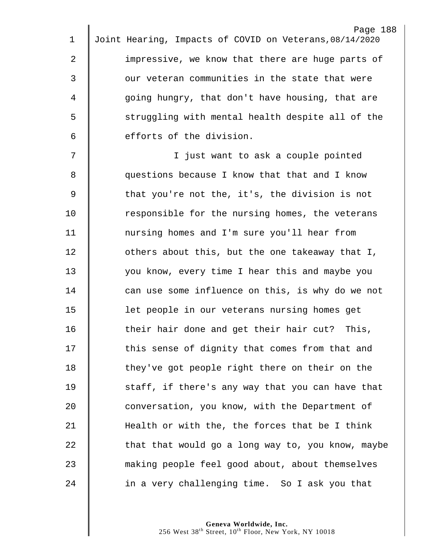| 1              | Page 188<br>Joint Hearing, Impacts of COVID on Veterans, 08/14/2020 |
|----------------|---------------------------------------------------------------------|
|                |                                                                     |
| $\overline{2}$ | impressive, we know that there are huge parts of                    |
| 3              | our veteran communities in the state that were                      |
| 4              | going hungry, that don't have housing, that are                     |
| 5              | struggling with mental health despite all of the                    |
| 6              | efforts of the division.                                            |
| 7              | I just want to ask a couple pointed                                 |
| 8              | questions because I know that that and I know                       |
| $\mathsf 9$    | that you're not the, it's, the division is not                      |
| 10             | responsible for the nursing homes, the veterans                     |
| 11             | nursing homes and I'm sure you'll hear from                         |
| 12             | others about this, but the one takeaway that I,                     |
| 13             | you know, every time I hear this and maybe you                      |
| 14             | can use some influence on this, is why do we not                    |
| 15             | let people in our veterans nursing homes get                        |
| 16             | their hair done and get their hair cut? This,                       |
| 17             | this sense of dignity that comes from that and                      |
| 18             | they've got people right there on their on the                      |
| 19             | staff, if there's any way that you can have that                    |
| 20             | conversation, you know, with the Department of                      |
| 21             | Health or with the, the forces that be I think                      |
| 22             | that that would go a long way to, you know, maybe                   |
| 23             | making people feel good about, about themselves                     |
| 24             | in a very challenging time. So I ask you that                       |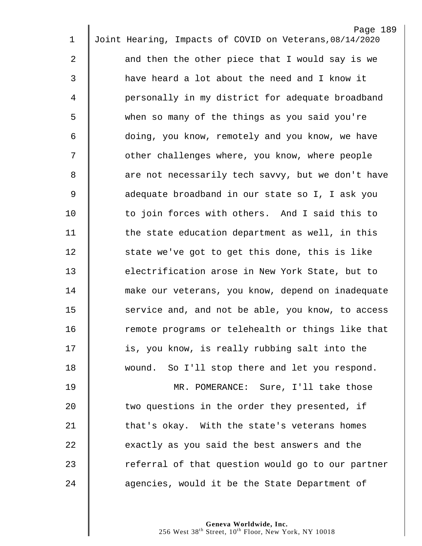|             | Page 189                                                |
|-------------|---------------------------------------------------------|
| 1           | Joint Hearing, Impacts of COVID on Veterans, 08/14/2020 |
| 2           | and then the other piece that I would say is we         |
| 3           | have heard a lot about the need and I know it           |
| 4           | personally in my district for adequate broadband        |
| 5           | when so many of the things as you said you're           |
| 6           | doing, you know, remotely and you know, we have         |
| 7           | other challenges where, you know, where people          |
| 8           | are not necessarily tech savvy, but we don't have       |
| $\mathsf 9$ | adequate broadband in our state so I, I ask you         |
| 10          | to join forces with others. And I said this to          |
| 11          | the state education department as well, in this         |
| 12          | state we've got to get this done, this is like          |
| 13          | electrification arose in New York State, but to         |
| 14          | make our veterans, you know, depend on inadequate       |
| 15          | service and, and not be able, you know, to access       |
| 16          | remote programs or telehealth or things like that       |
| 17          | is, you know, is really rubbing salt into the           |
| 18          | wound. So I'll stop there and let you respond.          |
| 19          | MR. POMERANCE: Sure, I'll take those                    |
| 20          | two questions in the order they presented, if           |
| 21          | that's okay. With the state's veterans homes            |
| 22          | exactly as you said the best answers and the            |
| 23          | referral of that question would go to our partner       |
| 24          | agencies, would it be the State Department of           |
|             |                                                         |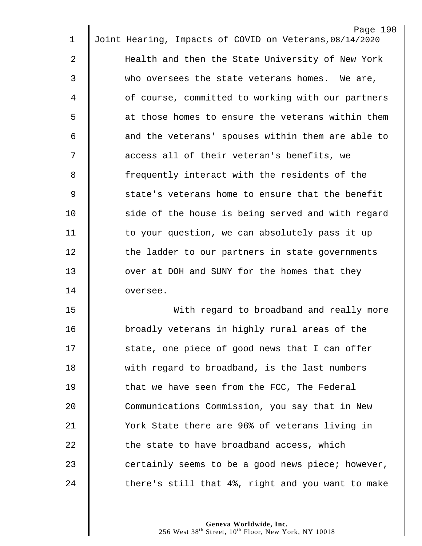|    | Page 190                                                |
|----|---------------------------------------------------------|
| 1  | Joint Hearing, Impacts of COVID on Veterans, 08/14/2020 |
| 2  | Health and then the State University of New York        |
| 3  | who oversees the state veterans homes. We are,          |
| 4  | of course, committed to working with our partners       |
| 5  | at those homes to ensure the veterans within them       |
| 6  | and the veterans' spouses within them are able to       |
| 7  | access all of their veteran's benefits, we              |
| 8  | frequently interact with the residents of the           |
| 9  | state's veterans home to ensure that the benefit        |
| 10 | side of the house is being served and with regard       |
| 11 | to your question, we can absolutely pass it up          |
| 12 | the ladder to our partners in state governments         |
| 13 | over at DOH and SUNY for the homes that they            |
| 14 | oversee.                                                |
| 15 | With regard to broadband and really more                |
| 16 | broadly veterans in highly rural areas of the           |
| 17 | state, one piece of good news that I can offer          |
| 18 | with regard to broadband, is the last numbers           |
| 19 | that we have seen from the FCC, The Federal             |
| 20 | Communications Commission, you say that in New          |
| 21 | York State there are 96% of veterans living in          |
| 22 | the state to have broadband access, which               |
| 23 | certainly seems to be a good news piece; however,       |
| 24 | there's still that 4%, right and you want to make       |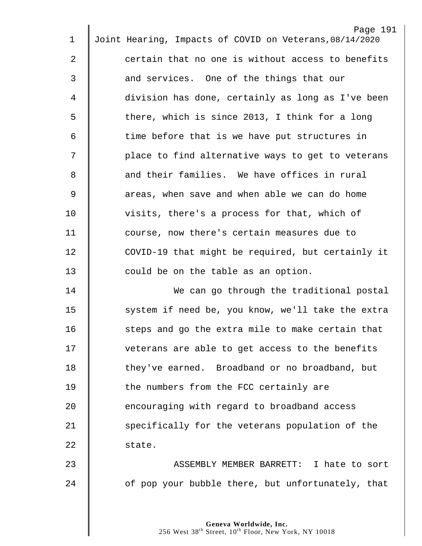| 1              | Page 191<br>Joint Hearing, Impacts of COVID on Veterans, 08/14/2020 |
|----------------|---------------------------------------------------------------------|
|                |                                                                     |
| $\overline{2}$ | certain that no one is without access to benefits                   |
| $\mathfrak{Z}$ | and services. One of the things that our                            |
| 4              | division has done, certainly as long as I've been                   |
| 5              | there, which is since 2013, I think for a long                      |
| 6              | time before that is we have put structures in                       |
| 7              | place to find alternative ways to get to veterans                   |
| 8              | and their families. We have offices in rural                        |
| $\overline{9}$ | areas, when save and when able we can do home                       |
| 10             | visits, there's a process for that, which of                        |
| 11             | course, now there's certain measures due to                         |
| 12             | COVID-19 that might be required, but certainly it                   |
| 13             | could be on the table as an option.                                 |
| 14             | We can go through the traditional postal                            |
| 15             | system if need be, you know, we'll take the extra                   |
| 16             | steps and go the extra mile to make certain that                    |
| 17             | veterans are able to get access to the benefits                     |
| 18             | they've earned. Broadband or no broadband, but                      |
| 19             | the numbers from the FCC certainly are                              |
| 20             | encouraging with regard to broadband access                         |
| 21             | specifically for the veterans population of the                     |
| 22             | state.                                                              |
| 23             | ASSEMBLY MEMBER BARRETT: I hate to sort                             |
| 24             | of pop your bubble there, but unfortunately, that                   |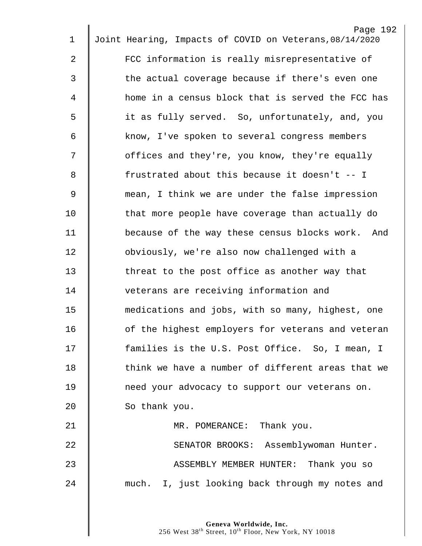| $\mathbf 1$    | Page 192<br>Joint Hearing, Impacts of COVID on Veterans, 08/14/2020 |
|----------------|---------------------------------------------------------------------|
|                |                                                                     |
| $\overline{a}$ | FCC information is really misrepresentative of                      |
| 3              | the actual coverage because if there's even one                     |
| 4              | home in a census block that is served the FCC has                   |
| 5              | it as fully served. So, unfortunately, and, you                     |
| 6              | know, I've spoken to several congress members                       |
| 7              | offices and they're, you know, they're equally                      |
| 8              | frustrated about this because it doesn't -- I                       |
| 9              | mean, I think we are under the false impression                     |
| 10             | that more people have coverage than actually do                     |
| 11             | because of the way these census blocks work. And                    |
| 12             | obviously, we're also now challenged with a                         |
| 13             | threat to the post office as another way that                       |
| 14             | veterans are receiving information and                              |
| 15             | medications and jobs, with so many, highest, one                    |
| 16             | of the highest employers for veterans and veteran                   |
| 17             | families is the U.S. Post Office. So, I mean, I                     |
| 18             | think we have a number of different areas that we                   |
| 19             | need your advocacy to support our veterans on.                      |
| 20             | So thank you.                                                       |
| 21             | MR. POMERANCE: Thank you.                                           |
| 22             | SENATOR BROOKS: Assemblywoman Hunter.                               |
| 23             | ASSEMBLY MEMBER HUNTER: Thank you so                                |
| 24             | much. I, just looking back through my notes and                     |
|                |                                                                     |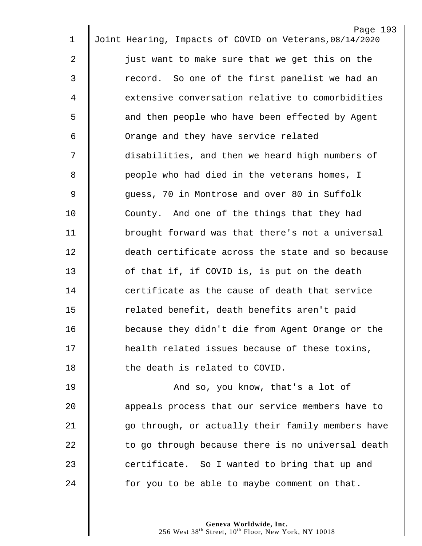| 1  | Page 193<br>Joint Hearing, Impacts of COVID on Veterans, 08/14/2020 |
|----|---------------------------------------------------------------------|
|    |                                                                     |
| 2  | just want to make sure that we get this on the                      |
| 3  | record. So one of the first panelist we had an                      |
| 4  | extensive conversation relative to comorbidities                    |
| 5  | and then people who have been effected by Agent                     |
| 6  | Orange and they have service related                                |
| 7  | disabilities, and then we heard high numbers of                     |
| 8  | people who had died in the veterans homes, I                        |
| 9  | guess, 70 in Montrose and over 80 in Suffolk                        |
| 10 | County. And one of the things that they had                         |
| 11 | brought forward was that there's not a universal                    |
| 12 | death certificate across the state and so because                   |
| 13 | of that if, if COVID is, is put on the death                        |
| 14 | certificate as the cause of death that service                      |
| 15 | related benefit, death benefits aren't paid                         |
| 16 | because they didn't die from Agent Orange or the                    |
| 17 | health related issues because of these toxins,                      |
| 18 | the death is related to COVID.                                      |
| 19 | And so, you know, that's a lot of                                   |
| 20 | appeals process that our service members have to                    |
| 21 | go through, or actually their family members have                   |
| 22 | to go through because there is no universal death                   |
| 23 | certificate. So I wanted to bring that up and                       |
| 24 | for you to be able to maybe comment on that.                        |
|    |                                                                     |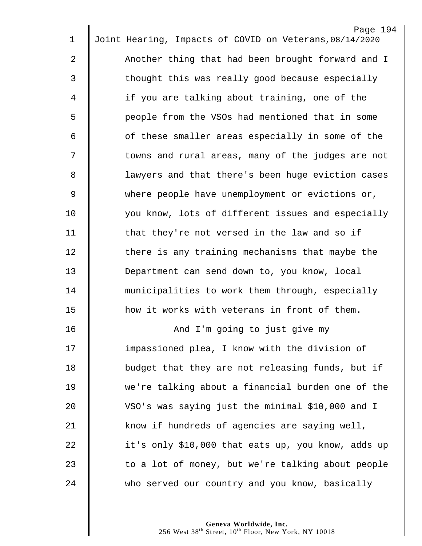|             | Page 194                                                |
|-------------|---------------------------------------------------------|
| $\mathbf 1$ | Joint Hearing, Impacts of COVID on Veterans, 08/14/2020 |
| 2           | Another thing that had been brought forward and I       |
| 3           | thought this was really good because especially         |
| 4           | if you are talking about training, one of the           |
| 5           | people from the VSOs had mentioned that in some         |
| 6           | of these smaller areas especially in some of the        |
| 7           | towns and rural areas, many of the judges are not       |
| 8           | lawyers and that there's been huge eviction cases       |
| $\mathsf 9$ | where people have unemployment or evictions or,         |
| 10          | you know, lots of different issues and especially       |
| 11          | that they're not versed in the law and so if            |
| 12          | there is any training mechanisms that maybe the         |
| 13          | Department can send down to, you know, local            |
| 14          | municipalities to work them through, especially         |
| 15          | how it works with veterans in front of them.            |
| 16          | And I'm going to just give my                           |
| 17          | impassioned plea, I know with the division of           |
| 18          | budget that they are not releasing funds, but if        |
| 19          | we're talking about a financial burden one of the       |
| 20          | VSO's was saying just the minimal \$10,000 and I        |
| 21          | know if hundreds of agencies are saying well,           |
| 22          | it's only \$10,000 that eats up, you know, adds up      |
| 23          | to a lot of money, but we're talking about people       |
| 24          | who served our country and you know, basically          |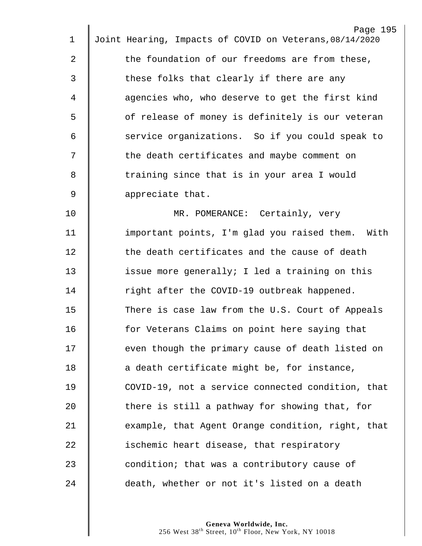| 1           | Page 195<br>Joint Hearing, Impacts of COVID on Veterans, 08/14/2020 |
|-------------|---------------------------------------------------------------------|
|             |                                                                     |
| 2           | the foundation of our freedoms are from these,                      |
| 3           | these folks that clearly if there are any                           |
| 4           | agencies who, who deserve to get the first kind                     |
| 5           | of release of money is definitely is our veteran                    |
| 6           | service organizations. So if you could speak to                     |
| 7           | the death certificates and maybe comment on                         |
| 8           | training since that is in your area I would                         |
| $\mathsf 9$ | appreciate that.                                                    |
| 10          | MR. POMERANCE: Certainly, very                                      |
| 11          | important points, I'm glad you raised them. With                    |
| 12          | the death certificates and the cause of death                       |
| 13          | issue more generally; I led a training on this                      |
| 14          | right after the COVID-19 outbreak happened.                         |
| 15          | There is case law from the U.S. Court of Appeals                    |
| 16          | for Veterans Claims on point here saying that                       |
| 17          | even though the primary cause of death listed on                    |
| 18          | a death certificate might be, for instance,                         |
| 19          | COVID-19, not a service connected condition, that                   |
| 20          | there is still a pathway for showing that, for                      |
| 21          | example, that Agent Orange condition, right, that                   |
| 22          | ischemic heart disease, that respiratory                            |
| 23          | condition; that was a contributory cause of                         |
| 24          | death, whether or not it's listed on a death                        |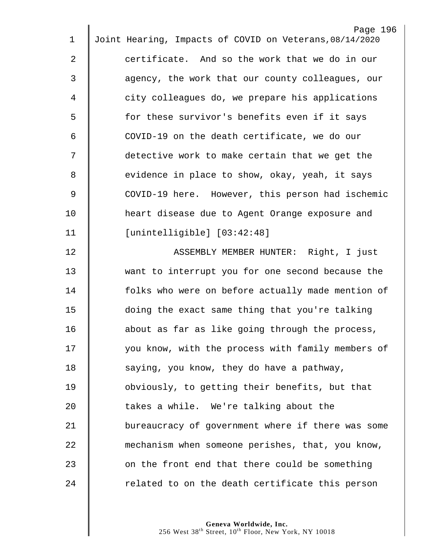|                | Page 196                                                |
|----------------|---------------------------------------------------------|
| $\mathbf 1$    | Joint Hearing, Impacts of COVID on Veterans, 08/14/2020 |
| $\overline{2}$ | certificate. And so the work that we do in our          |
| 3              | agency, the work that our county colleagues, our        |
| 4              | city colleagues do, we prepare his applications         |
| 5              | for these survivor's benefits even if it says           |
| 6              | COVID-19 on the death certificate, we do our            |
| 7              | detective work to make certain that we get the          |
| 8              | evidence in place to show, okay, yeah, it says          |
| $\mathsf 9$    | COVID-19 here. However, this person had ischemic        |
| 10             | heart disease due to Agent Orange exposure and          |
| 11             | [unintelligible] [03:42:48]                             |
| 12             | ASSEMBLY MEMBER HUNTER: Right, I just                   |
| 13             | want to interrupt you for one second because the        |
| 14             | folks who were on before actually made mention of       |
| 15             | doing the exact same thing that you're talking          |
| 16             | about as far as like going through the process,         |
| 17             | you know, with the process with family members of       |
| 18             | saying, you know, they do have a pathway,               |
| 19             | obviously, to getting their benefits, but that          |
| 20             | takes a while. We're talking about the                  |
| 21             | bureaucracy of government where if there was some       |
| 22             | mechanism when someone perishes, that, you know,        |
| 23             | on the front end that there could be something          |
| 24             | related to on the death certificate this person         |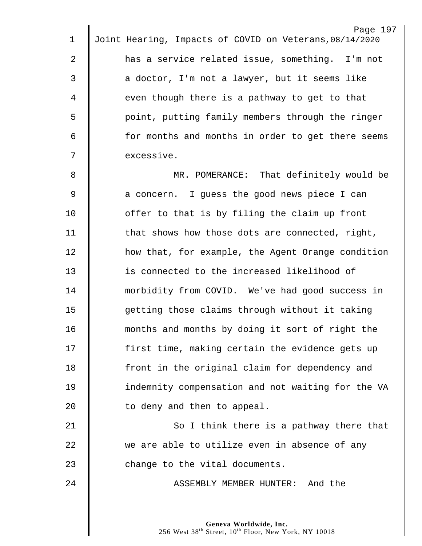| $\mathbf 1$    | Page 197<br>Joint Hearing, Impacts of COVID on Veterans, 08/14/2020 |
|----------------|---------------------------------------------------------------------|
| $\overline{2}$ | has a service related issue, something. I'm not                     |
| 3              | a doctor, I'm not a lawyer, but it seems like                       |
| 4              | even though there is a pathway to get to that                       |
| 5              | point, putting family members through the ringer                    |
| 6              | for months and months in order to get there seems                   |
| 7              | excessive.                                                          |
| 8              | MR. POMERANCE: That definitely would be                             |
| $\overline{9}$ | a concern. I guess the good news piece I can                        |
| 10             | offer to that is by filing the claim up front                       |
| 11             | that shows how those dots are connected, right,                     |
| 12             | how that, for example, the Agent Orange condition                   |
| 13             | is connected to the increased likelihood of                         |
| 14             | morbidity from COVID. We've had good success in                     |
| 15             | getting those claims through without it taking                      |
| 16             | months and months by doing it sort of right the                     |
| 17             | first time, making certain the evidence gets up                     |
| 18             | front in the original claim for dependency and                      |
| 19             | indemnity compensation and not waiting for the VA                   |
| 20             | to deny and then to appeal.                                         |
| 21             | So I think there is a pathway there that                            |
| 22             | we are able to utilize even in absence of any                       |
| 23             | change to the vital documents.                                      |
| 24             | ASSEMBLY MEMBER HUNTER: And the                                     |
|                |                                                                     |
|                | Canava Worldwide, Inc.                                              |

 $\mathbb I$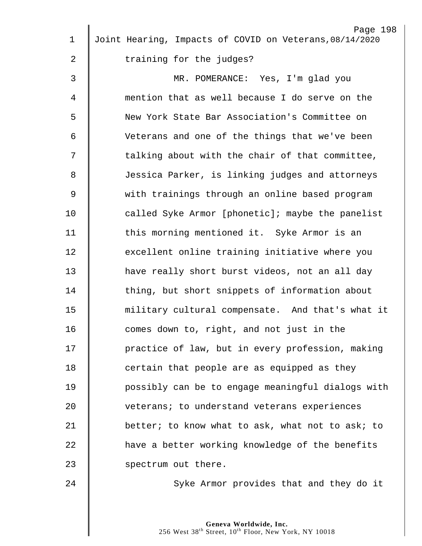| $\mathbf 1$    | Page 198<br>Joint Hearing, Impacts of COVID on Veterans, 08/14/2020 |
|----------------|---------------------------------------------------------------------|
| 2              | training for the judges?                                            |
|                |                                                                     |
| $\mathfrak{Z}$ | MR. POMERANCE: Yes, I'm glad you                                    |
| 4              | mention that as well because I do serve on the                      |
| 5              | New York State Bar Association's Committee on                       |
| 6              | Veterans and one of the things that we've been                      |
| 7              | talking about with the chair of that committee,                     |
| 8              | Jessica Parker, is linking judges and attorneys                     |
| $\mathsf 9$    | with trainings through an online based program                      |
| 10             | called Syke Armor [phonetic]; maybe the panelist                    |
| 11             | this morning mentioned it. Syke Armor is an                         |
| 12             | excellent online training initiative where you                      |
| 13             | have really short burst videos, not an all day                      |
| 14             | thing, but short snippets of information about                      |
| 15             | military cultural compensate. And that's what it                    |
| 16             | comes down to, right, and not just in the                           |
| 17             | practice of law, but in every profession, making                    |
| 18             | certain that people are as equipped as they                         |
| 19             | possibly can be to engage meaningful dialogs with                   |
| 20             | veterans; to understand veterans experiences                        |
| 21             | better; to know what to ask, what not to ask; to                    |
| 22             | have a better working knowledge of the benefits                     |
| 23             | spectrum out there.                                                 |
| 24             | Syke Armor provides that and they do it                             |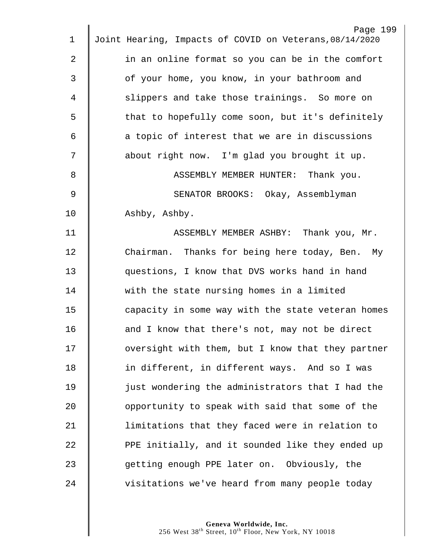|                | Page 199                                                |
|----------------|---------------------------------------------------------|
| $\mathbf 1$    | Joint Hearing, Impacts of COVID on Veterans, 08/14/2020 |
| $\overline{2}$ | in an online format so you can be in the comfort        |
| 3              | of your home, you know, in your bathroom and            |
| 4              | slippers and take those trainings. So more on           |
| 5              | that to hopefully come soon, but it's definitely        |
| 6              | a topic of interest that we are in discussions          |
| 7              | about right now. I'm glad you brought it up.            |
| 8              | ASSEMBLY MEMBER HUNTER: Thank you.                      |
| 9              | SENATOR BROOKS: Okay, Assemblyman                       |
| 10             | Ashby, Ashby.                                           |
| 11             | ASSEMBLY MEMBER ASHBY: Thank you, Mr.                   |
| 12             | Chairman. Thanks for being here today, Ben. My          |
| 13             | questions, I know that DVS works hand in hand           |
| 14             | with the state nursing homes in a limited               |
| 15             | capacity in some way with the state veteran homes       |
| 16             | and I know that there's not, may not be direct          |
| 17             | oversight with them, but I know that they partner       |
| 18             | in different, in different ways. And so I was           |
| 19             | just wondering the administrators that I had the        |
| 20             | opportunity to speak with said that some of the         |
| 21             | limitations that they faced were in relation to         |
| 22             | PPE initially, and it sounded like they ended up        |
| 23             | getting enough PPE later on. Obviously, the             |
| 24             | visitations we've heard from many people today          |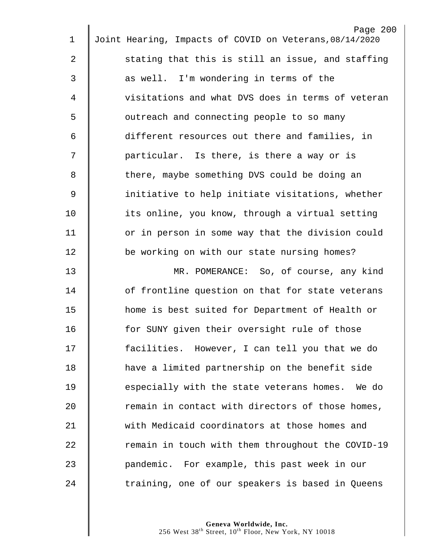|                | Page 200<br>Joint Hearing, Impacts of COVID on Veterans, 08/14/2020 |
|----------------|---------------------------------------------------------------------|
| 1              |                                                                     |
| $\overline{a}$ | stating that this is still an issue, and staffing                   |
| $\mathfrak{Z}$ | as well. I'm wondering in terms of the                              |
| 4              | visitations and what DVS does in terms of veteran                   |
| 5              | outreach and connecting people to so many                           |
| 6              | different resources out there and families, in                      |
| 7              | particular. Is there, is there a way or is                          |
| 8              | there, maybe something DVS could be doing an                        |
| $\mathsf 9$    | initiative to help initiate visitations, whether                    |
| 10             | its online, you know, through a virtual setting                     |
| 11             | or in person in some way that the division could                    |
| 12             | be working on with our state nursing homes?                         |
| 13             | MR. POMERANCE: So, of course, any kind                              |
| 14             | of frontline question on that for state veterans                    |
| 15             | home is best suited for Department of Health or                     |
| 16             | for SUNY given their oversight rule of those                        |
| 17             | facilities. However, I can tell you that we do                      |
| 18             | have a limited partnership on the benefit side                      |
| 19             | especially with the state veterans homes. We do                     |
| 20             | remain in contact with directors of those homes,                    |
| 21             | with Medicaid coordinators at those homes and                       |
| 22             | remain in touch with them throughout the COVID-19                   |
| 23             | pandemic. For example, this past week in our                        |
| 24             | training, one of our speakers is based in Queens                    |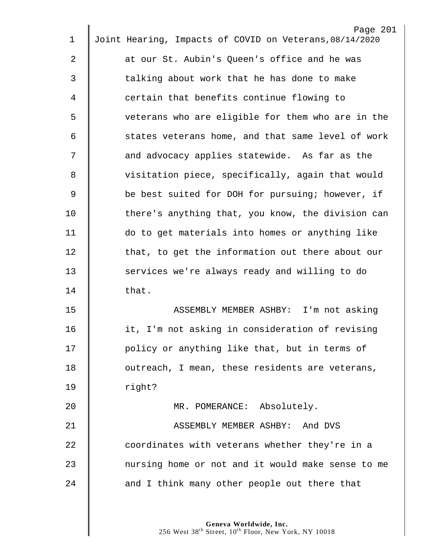| 1  | Page 201<br>Joint Hearing, Impacts of COVID on Veterans, 08/14/2020 |
|----|---------------------------------------------------------------------|
|    |                                                                     |
| 2  | at our St. Aubin's Queen's office and he was                        |
| 3  | talking about work that he has done to make                         |
| 4  | certain that benefits continue flowing to                           |
| 5  | veterans who are eligible for them who are in the                   |
| 6  | states veterans home, and that same level of work                   |
| 7  | and advocacy applies statewide. As far as the                       |
| 8  | visitation piece, specifically, again that would                    |
| 9  | be best suited for DOH for pursuing; however, if                    |
| 10 | there's anything that, you know, the division can                   |
| 11 | do to get materials into homes or anything like                     |
| 12 | that, to get the information out there about our                    |
| 13 | services we're always ready and willing to do                       |
| 14 | that.                                                               |
| 15 | ASSEMBLY MEMBER ASHBY: I'm not asking                               |
| 16 | it, I'm not asking in consideration of revising                     |
| 17 | policy or anything like that, but in terms of                       |
| 18 | outreach, I mean, these residents are veterans,                     |
| 19 | right?                                                              |
| 20 | MR. POMERANCE: Absolutely.                                          |
| 21 | ASSEMBLY MEMBER ASHBY: And DVS                                      |
| 22 | coordinates with veterans whether they're in a                      |
| 23 | nursing home or not and it would make sense to me                   |
| 24 | and I think many other people out there that                        |
|    |                                                                     |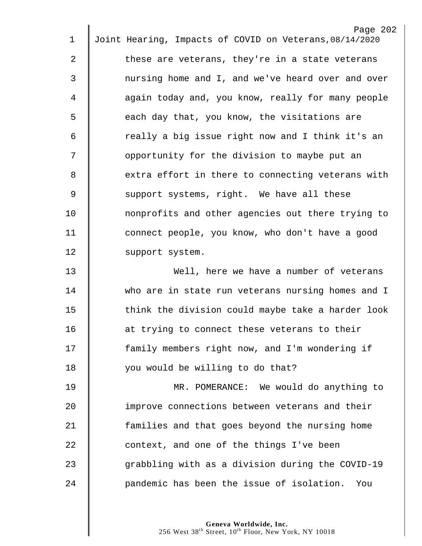|              | Page 202                                                |
|--------------|---------------------------------------------------------|
| 1            | Joint Hearing, Impacts of COVID on Veterans, 08/14/2020 |
| $\mathbf{2}$ | these are veterans, they're in a state veterans         |
| 3            | nursing home and I, and we've heard over and over       |
| 4            | again today and, you know, really for many people       |
| 5            | each day that, you know, the visitations are            |
| 6            | really a big issue right now and I think it's an        |
| 7            | opportunity for the division to maybe put an            |
| 8            | extra effort in there to connecting veterans with       |
| $\mathsf 9$  | support systems, right. We have all these               |
| 10           | nonprofits and other agencies out there trying to       |
| 11           | connect people, you know, who don't have a good         |
| 12           | support system.                                         |
| 13           | Well, here we have a number of veterans                 |
| 14           | who are in state run veterans nursing homes and I       |
| 15           | think the division could maybe take a harder look       |
| 16           | at trying to connect these veterans to their            |
| 17           | family members right now, and I'm wondering if          |
| 18           | you would be willing to do that?                        |
| 19           | MR. POMERANCE: We would do anything to                  |
| 20           | improve connections between veterans and their          |
| 21           | families and that goes beyond the nursing home          |
| 22           | context, and one of the things I've been                |
| 23           | grabbling with as a division during the COVID-19        |
| 24           | pandemic has been the issue of isolation.<br>You        |
|              |                                                         |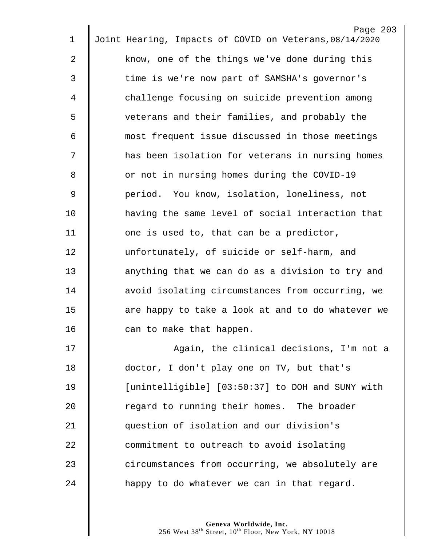|             | Page 203                                                |
|-------------|---------------------------------------------------------|
| 1           | Joint Hearing, Impacts of COVID on Veterans, 08/14/2020 |
| 2           | know, one of the things we've done during this          |
| 3           | time is we're now part of SAMSHA's governor's           |
| 4           | challenge focusing on suicide prevention among          |
| 5           | veterans and their families, and probably the           |
| 6           | most frequent issue discussed in those meetings         |
| 7           | has been isolation for veterans in nursing homes        |
| 8           | or not in nursing homes during the COVID-19             |
| $\mathsf 9$ | period. You know, isolation, loneliness, not            |
| 10          | having the same level of social interaction that        |
| 11          | one is used to, that can be a predictor,                |
| 12          | unfortunately, of suicide or self-harm, and             |
| 13          | anything that we can do as a division to try and        |
| 14          | avoid isolating circumstances from occurring, we        |
| 15          | are happy to take a look at and to do whatever we       |
| 16          | can to make that happen.                                |
| 17          | Again, the clinical decisions, I'm not a                |
| 18          | doctor, I don't play one on TV, but that's              |
| 19          | [unintelligible] [03:50:37] to DOH and SUNY with        |
| 20          | regard to running their homes. The broader              |
| 21          | question of isolation and our division's                |
| 22          | commitment to outreach to avoid isolating               |
| 23          | circumstances from occurring, we absolutely are         |
| 24          | happy to do whatever we can in that regard.             |
|             |                                                         |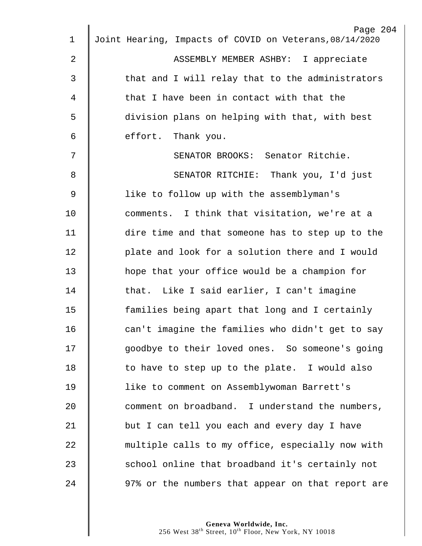|                | Page 204                                                |
|----------------|---------------------------------------------------------|
| $\mathbf 1$    | Joint Hearing, Impacts of COVID on Veterans, 08/14/2020 |
| $\overline{2}$ | ASSEMBLY MEMBER ASHBY: I appreciate                     |
| 3              | that and I will relay that to the administrators        |
| 4              | that I have been in contact with that the               |
| 5              | division plans on helping with that, with best          |
| 6              | effort. Thank you.                                      |
| 7              | SENATOR BROOKS: Senator Ritchie.                        |
| 8              | SENATOR RITCHIE: Thank you, I'd just                    |
| $\mathsf 9$    | like to follow up with the assemblyman's                |
| 10             | comments. I think that visitation, we're at a           |
| 11             | dire time and that someone has to step up to the        |
| 12             | plate and look for a solution there and I would         |
| 13             | hope that your office would be a champion for           |
| 14             | that. Like I said earlier, I can't imagine              |
| 15             | families being apart that long and I certainly          |
| 16             | can't imagine the families who didn't get to say        |
| 17             | goodbye to their loved ones. So someone's going         |
| 18             | to have to step up to the plate. I would also           |
| 19             | like to comment on Assemblywoman Barrett's              |
| 20             | comment on broadband. I understand the numbers,         |
| 21             | but I can tell you each and every day I have            |
| 22             | multiple calls to my office, especially now with        |
| 23             | school online that broadband it's certainly not         |
| 24             | 97% or the numbers that appear on that report are       |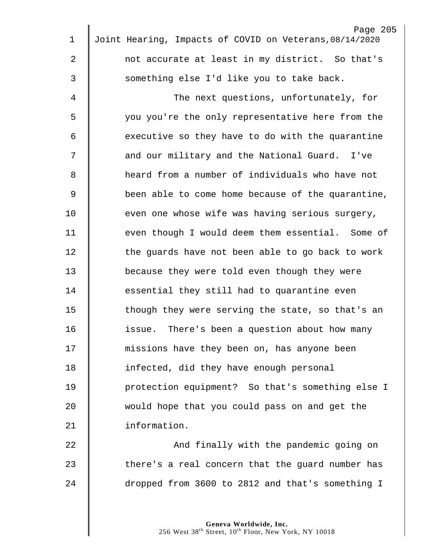|              | Page 205                                                |
|--------------|---------------------------------------------------------|
| $\mathbf 1$  | Joint Hearing, Impacts of COVID on Veterans, 08/14/2020 |
| $\mathbf{2}$ | not accurate at least in my district. So that's         |
| 3            | something else I'd like you to take back.               |
| 4            | The next questions, unfortunately, for                  |
| 5            | you you're the only representative here from the        |
| 6            | executive so they have to do with the quarantine        |
| 7            | and our military and the National Guard. I've           |
| 8            | heard from a number of individuals who have not         |
| 9            | been able to come home because of the quarantine,       |
| 10           | even one whose wife was having serious surgery,         |
| 11           | even though I would deem them essential. Some of        |
| 12           | the guards have not been able to go back to work        |
| 13           | because they were told even though they were            |
| 14           | essential they still had to quarantine even             |
| 15           | though they were serving the state, so that's an        |
| 16           | issue. There's been a question about how many           |
| 17           | missions have they been on, has anyone been             |
| 18           | infected, did they have enough personal                 |
| 19           | protection equipment? So that's something else I        |
| 20           | would hope that you could pass on and get the           |
| 21           | information.                                            |
| 22           | And finally with the pandemic going on                  |
| 23           | there's a real concern that the guard number has        |
| 24           | dropped from 3600 to 2812 and that's something I        |
|              |                                                         |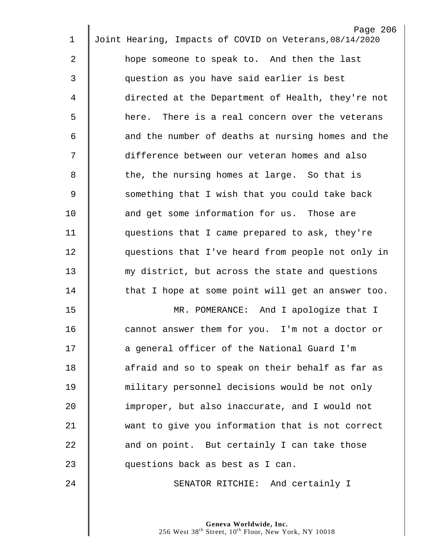| $\mathbf 1$ | Page 206<br>Joint Hearing, Impacts of COVID on Veterans, 08/14/2020 |
|-------------|---------------------------------------------------------------------|
|             |                                                                     |
| 2           | hope someone to speak to. And then the last                         |
| 3           | question as you have said earlier is best                           |
| 4           | directed at the Department of Health, they're not                   |
| 5           | here. There is a real concern over the veterans                     |
| 6           | and the number of deaths at nursing homes and the                   |
| 7           | difference between our veteran homes and also                       |
| 8           | the, the nursing homes at large. So that is                         |
| 9           | something that I wish that you could take back                      |
| 10          | and get some information for us. Those are                          |
| 11          | questions that I came prepared to ask, they're                      |
| 12          | questions that I've heard from people not only in                   |
| 13          | my district, but across the state and questions                     |
| 14          | that I hope at some point will get an answer too.                   |
| 15          | MR. POMERANCE: And I apologize that I                               |
| 16          | cannot answer them for you. I'm not a doctor or                     |
| 17          | a general officer of the National Guard I'm                         |
| 18          | afraid and so to speak on their behalf as far as                    |
| 19          | military personnel decisions would be not only                      |
| 20          | improper, but also inaccurate, and I would not                      |
| 21          | want to give you information that is not correct                    |
| 22          | and on point. But certainly I can take those                        |
| 23          | questions back as best as I can.                                    |
| 24          | SENATOR RITCHIE: And certainly I                                    |
|             |                                                                     |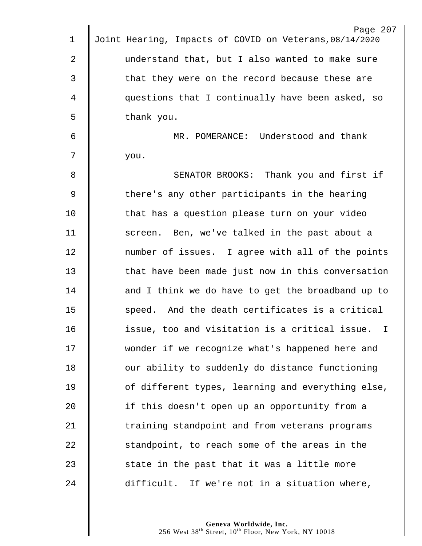|             | Page 207                                                |
|-------------|---------------------------------------------------------|
| $\mathbf 1$ | Joint Hearing, Impacts of COVID on Veterans, 08/14/2020 |
| 2           | understand that, but I also wanted to make sure         |
| 3           | that they were on the record because these are          |
| 4           | questions that I continually have been asked, so        |
| 5           | thank you.                                              |
| 6           | MR. POMERANCE: Understood and thank                     |
| 7           | you.                                                    |
| 8           | SENATOR BROOKS: Thank you and first if                  |
| $\mathsf 9$ | there's any other participants in the hearing           |
| 10          | that has a question please turn on your video           |
| 11          | screen. Ben, we've talked in the past about a           |
| 12          | number of issues. I agree with all of the points        |
| 13          | that have been made just now in this conversation       |
| 14          | and I think we do have to get the broadband up to       |
| 15          | speed. And the death certificates is a critical         |
| 16          | issue, too and visitation is a critical issue. I        |
| 17          | wonder if we recognize what's happened here and         |
| 18          | our ability to suddenly do distance functioning         |
| 19          | of different types, learning and everything else,       |
| 20          | if this doesn't open up an opportunity from a           |
| 21          | training standpoint and from veterans programs          |
| 22          | standpoint, to reach some of the areas in the           |
| 23          | state in the past that it was a little more             |
| 24          | difficult. If we're not in a situation where,           |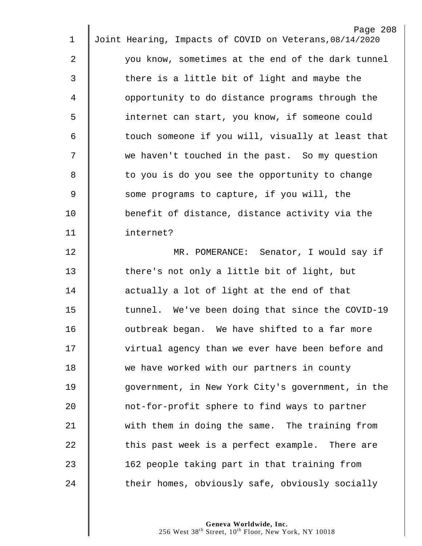|                | Page 208                                                |
|----------------|---------------------------------------------------------|
| 1              | Joint Hearing, Impacts of COVID on Veterans, 08/14/2020 |
| $\overline{2}$ | you know, sometimes at the end of the dark tunnel       |
| $\mathfrak{Z}$ | there is a little bit of light and maybe the            |
| 4              | opportunity to do distance programs through the         |
| 5              | internet can start, you know, if someone could          |
| 6              | touch someone if you will, visually at least that       |
| 7              | we haven't touched in the past. So my question          |
| 8              | to you is do you see the opportunity to change          |
| $\overline{9}$ | some programs to capture, if you will, the              |
| 10             | benefit of distance, distance activity via the          |
| 11             | internet?                                               |
| 12             | MR. POMERANCE: Senator, I would say if                  |
| 13             | there's not only a little bit of light, but             |
| 14             | actually a lot of light at the end of that              |
| 15             | tunnel. We've been doing that since the COVID-19        |
| 16             | outbreak began. We have shifted to a far more           |
| 17             | virtual agency than we ever have been before and        |
| 18             | we have worked with our partners in county              |
| 19             | government, in New York City's government, in the       |
| 20             | not-for-profit sphere to find ways to partner           |
| 21             | with them in doing the same. The training from          |
| 22             | this past week is a perfect example. There are          |
| 23             | 162 people taking part in that training from            |
| 24             | their homes, obviously safe, obviously socially         |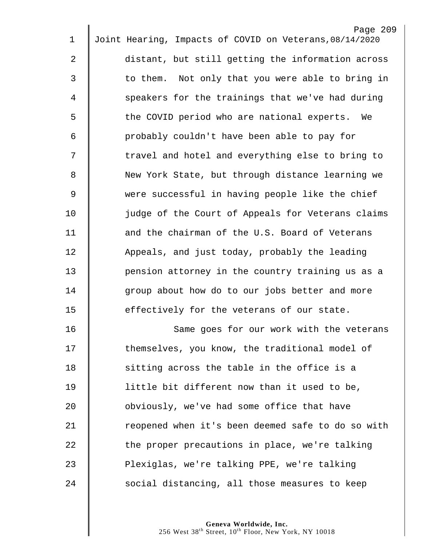| $\mathbf 1$ | Page 209<br>Joint Hearing, Impacts of COVID on Veterans, 08/14/2020 |
|-------------|---------------------------------------------------------------------|
| 2           | distant, but still getting the information across                   |
|             |                                                                     |
| 3           | to them. Not only that you were able to bring in                    |
| 4           | speakers for the trainings that we've had during                    |
| 5           | the COVID period who are national experts. We                       |
| 6           | probably couldn't have been able to pay for                         |
| 7           | travel and hotel and everything else to bring to                    |
| 8           | New York State, but through distance learning we                    |
| $\mathsf 9$ | were successful in having people like the chief                     |
| 10          | judge of the Court of Appeals for Veterans claims                   |
| 11          | and the chairman of the U.S. Board of Veterans                      |
| 12          | Appeals, and just today, probably the leading                       |
| 13          | pension attorney in the country training us as a                    |
| 14          | group about how do to our jobs better and more                      |
| 15          | effectively for the veterans of our state.                          |
| 16          | Same goes for our work with the veterans                            |
| 17          | themselves, you know, the traditional model of                      |
| 18          | sitting across the table in the office is a                         |
| 19          | little bit different now than it used to be,                        |
| 20          | obviously, we've had some office that have                          |
| 21          | reopened when it's been deemed safe to do so with                   |
| 22          | the proper precautions in place, we're talking                      |
| 23          | Plexiglas, we're talking PPE, we're talking                         |
| 24          | social distancing, all those measures to keep                       |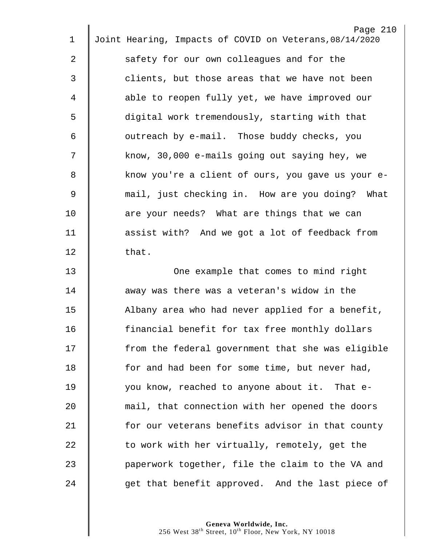|    | Page 210                                                |
|----|---------------------------------------------------------|
| 1  | Joint Hearing, Impacts of COVID on Veterans, 08/14/2020 |
| 2  | safety for our own colleagues and for the               |
| 3  | clients, but those areas that we have not been          |
| 4  | able to reopen fully yet, we have improved our          |
| 5  | digital work tremendously, starting with that           |
| 6  | outreach by e-mail. Those buddy checks, you             |
| 7  | know, 30,000 e-mails going out saying hey, we           |
| 8  | know you're a client of ours, you gave us your e-       |
| 9  | mail, just checking in. How are you doing? What         |
| 10 | are your needs? What are things that we can             |
| 11 | assist with? And we got a lot of feedback from          |
| 12 | that.                                                   |
| 13 | One example that comes to mind right                    |
| 14 | away was there was a veteran's widow in the             |
| 15 | Albany area who had never applied for a benefit,        |
| 16 | financial benefit for tax free monthly dollars          |
| 17 | from the federal government that she was eligible       |
| 18 | for and had been for some time, but never had,          |
| 19 | you know, reached to anyone about it. That e-           |
| 20 | mail, that connection with her opened the doors         |
| 21 | for our veterans benefits advisor in that county        |
| 22 | to work with her virtually, remotely, get the           |
| 23 | paperwork together, file the claim to the VA and        |
| 24 | get that benefit approved. And the last piece of        |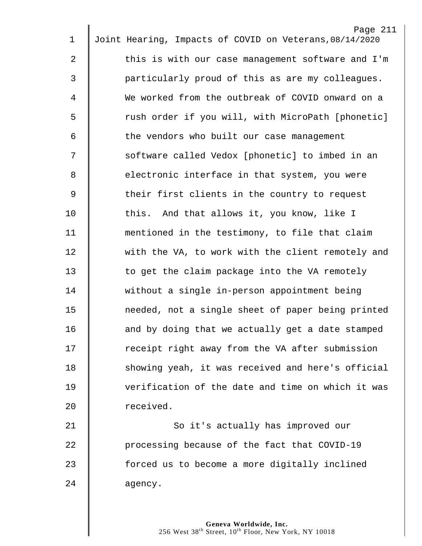|                | Page 211                                                |
|----------------|---------------------------------------------------------|
| $\mathbf 1$    | Joint Hearing, Impacts of COVID on Veterans, 08/14/2020 |
| $\overline{2}$ | this is with our case management software and I'm       |
| 3              | particularly proud of this as are my colleagues.        |
| 4              | We worked from the outbreak of COVID onward on a        |
| 5              | rush order if you will, with MicroPath [phonetic]       |
| 6              | the vendors who built our case management               |
| 7              | software called Vedox [phonetic] to imbed in an         |
| 8              | electronic interface in that system, you were           |
| 9              | their first clients in the country to request           |
| 10             | this. And that allows it, you know, like I              |
| 11             | mentioned in the testimony, to file that claim          |
| 12             | with the VA, to work with the client remotely and       |
| 13             | to get the claim package into the VA remotely           |
| 14             | without a single in-person appointment being            |
| 15             | needed, not a single sheet of paper being printed       |
| 16             | and by doing that we actually get a date stamped        |
| 17             | receipt right away from the VA after submission         |
| 18             | showing yeah, it was received and here's official       |
| 19             | verification of the date and time on which it was       |
| 20             | received.                                               |
| 21             | So it's actually has improved our                       |
| 22             | processing because of the fact that COVID-19            |
| 23             | forced us to become a more digitally inclined           |
| 24             | agency.                                                 |
|                |                                                         |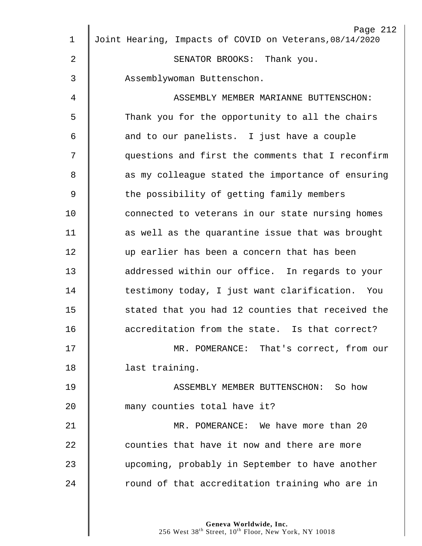| $\mathbf 1$    | Page 212<br>Joint Hearing, Impacts of COVID on Veterans, 08/14/2020 |
|----------------|---------------------------------------------------------------------|
| $\overline{2}$ | SENATOR BROOKS: Thank you.                                          |
| 3              | Assemblywoman Buttenschon.                                          |
| 4              | ASSEMBLY MEMBER MARIANNE BUTTENSCHON:                               |
| 5              | Thank you for the opportunity to all the chairs                     |
| 6              | and to our panelists. I just have a couple                          |
| 7              | questions and first the comments that I reconfirm                   |
| 8              | as my colleague stated the importance of ensuring                   |
| $\mathsf 9$    | the possibility of getting family members                           |
| 10             | connected to veterans in our state nursing homes                    |
|                |                                                                     |
| 11             | as well as the quarantine issue that was brought                    |
| 12             | up earlier has been a concern that has been                         |
| 13             | addressed within our office. In regards to your                     |
| 14             | testimony today, I just want clarification. You                     |
| 15             | stated that you had 12 counties that received the                   |
| 16             | accreditation from the state. Is that correct?                      |
| 17             | MR. POMERANCE: That's correct, from our                             |
| 18             | last training.                                                      |
| 19             | ASSEMBLY MEMBER BUTTENSCHON: So how                                 |
| 20             | many counties total have it?                                        |
| 21             | MR. POMERANCE: We have more than 20                                 |
| 22             | counties that have it now and there are more                        |
| 23             | upcoming, probably in September to have another                     |
| 24             | round of that accreditation training who are in                     |
|                |                                                                     |
|                |                                                                     |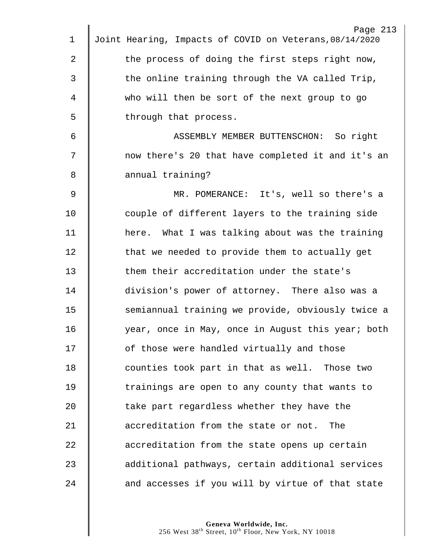|             | Page 213                                                |
|-------------|---------------------------------------------------------|
| $\mathbf 1$ | Joint Hearing, Impacts of COVID on Veterans, 08/14/2020 |
| 2           | the process of doing the first steps right now,         |
| 3           | the online training through the VA called Trip,         |
| 4           | who will then be sort of the next group to go           |
| 5           | through that process.                                   |
| 6           | ASSEMBLY MEMBER BUTTENSCHON: So right                   |
| 7           | now there's 20 that have completed it and it's an       |
| 8           | annual training?                                        |
| 9           | MR. POMERANCE: It's, well so there's a                  |
| 10          | couple of different layers to the training side         |
| 11          | here. What I was talking about was the training         |
| 12          | that we needed to provide them to actually get          |
| 13          | them their accreditation under the state's              |
| 14          | division's power of attorney. There also was a          |
| 15          | semiannual training we provide, obviously twice a       |
| 16          | year, once in May, once in August this year; both       |
| 17          | of those were handled virtually and those               |
| 18          | counties took part in that as well. Those two           |
| 19          | trainings are open to any county that wants to          |
| 20          | take part regardless whether they have the              |
| 21          | accreditation from the state or not.<br>The             |
| 22          | accreditation from the state opens up certain           |
| 23          | additional pathways, certain additional services        |
| 24          | and accesses if you will by virtue of that state        |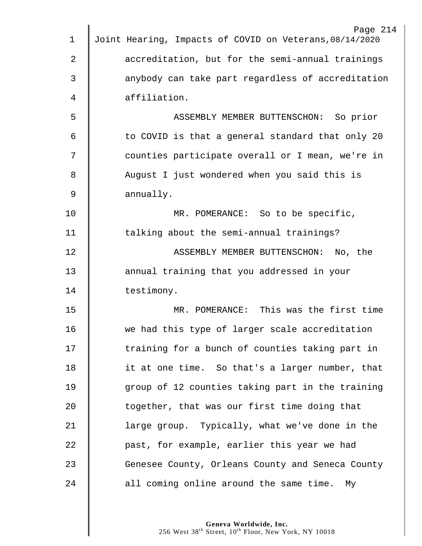| Page 214                                                |
|---------------------------------------------------------|
| Joint Hearing, Impacts of COVID on Veterans, 08/14/2020 |
| accreditation, but for the semi-annual trainings        |
| anybody can take part regardless of accreditation       |
| affiliation.                                            |
| ASSEMBLY MEMBER BUTTENSCHON: So prior                   |
| to COVID is that a general standard that only 20        |
| counties participate overall or I mean, we're in        |
| August I just wondered when you said this is            |
| annually.                                               |
| MR. POMERANCE: So to be specific,                       |
| talking about the semi-annual trainings?                |
| ASSEMBLY MEMBER BUTTENSCHON: No, the                    |
| annual training that you addressed in your              |
| testimony.                                              |
| MR. POMERANCE: This was the first time                  |
| we had this type of larger scale accreditation          |
| training for a bunch of counties taking part in         |
| it at one time. So that's a larger number, that         |
| group of 12 counties taking part in the training        |
| together, that was our first time doing that            |
| large group. Typically, what we've done in the          |
| past, for example, earlier this year we had             |
| Genesee County, Orleans County and Seneca County        |
| all coming online around the same time. My              |
|                                                         |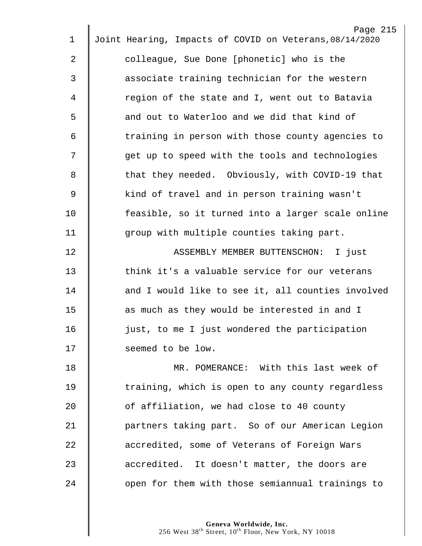|    | Page 215                                                |
|----|---------------------------------------------------------|
| 1  | Joint Hearing, Impacts of COVID on Veterans, 08/14/2020 |
| 2  | colleague, Sue Done [phonetic] who is the               |
| 3  | associate training technician for the western           |
| 4  | region of the state and I, went out to Batavia          |
| 5  | and out to Waterloo and we did that kind of             |
| 6  | training in person with those county agencies to        |
| 7  | get up to speed with the tools and technologies         |
| 8  | that they needed. Obviously, with COVID-19 that         |
| 9  | kind of travel and in person training wasn't            |
| 10 | feasible, so it turned into a larger scale online       |
| 11 | group with multiple counties taking part.               |
| 12 | ASSEMBLY MEMBER BUTTENSCHON: I just                     |
| 13 | think it's a valuable service for our veterans          |
| 14 | and I would like to see it, all counties involved       |
| 15 | as much as they would be interested in and I            |
| 16 | just, to me I just wondered the participation           |
| 17 | seemed to be low.                                       |
| 18 | MR. POMERANCE: With this last week of                   |
| 19 | training, which is open to any county regardless        |
| 20 | of affiliation, we had close to 40 county               |
| 21 | partners taking part. So of our American Legion         |
| 22 | accredited, some of Veterans of Foreign Wars            |
| 23 | accredited. It doesn't matter, the doors are            |
| 24 | open for them with those semiannual trainings to        |
|    |                                                         |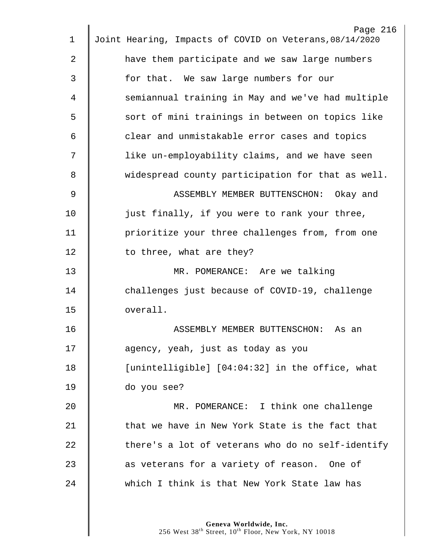| 1  | Page 216<br>Joint Hearing, Impacts of COVID on Veterans, 08/14/2020 |
|----|---------------------------------------------------------------------|
|    |                                                                     |
| 2  | have them participate and we saw large numbers                      |
| 3  | for that. We saw large numbers for our                              |
| 4  | semiannual training in May and we've had multiple                   |
| 5  | sort of mini trainings in between on topics like                    |
| 6  | clear and unmistakable error cases and topics                       |
| 7  | like un-employability claims, and we have seen                      |
| 8  | widespread county participation for that as well.                   |
| 9  | ASSEMBLY MEMBER BUTTENSCHON: Okay and                               |
| 10 | just finally, if you were to rank your three,                       |
| 11 | prioritize your three challenges from, from one                     |
| 12 | to three, what are they?                                            |
| 13 | MR. POMERANCE: Are we talking                                       |
| 14 | challenges just because of COVID-19, challenge                      |
| 15 | overall.                                                            |
| 16 | ASSEMBLY MEMBER BUTTENSCHON: As an                                  |
| 17 | agency, yeah, just as today as you                                  |
| 18 | [unintelligible] [04:04:32] in the office, what                     |
| 19 | do you see?                                                         |
| 20 | MR. POMERANCE: I think one challenge                                |
| 21 | that we have in New York State is the fact that                     |
| 22 | there's a lot of veterans who do no self-identify                   |
| 23 | as veterans for a variety of reason. One of                         |
| 24 | which I think is that New York State law has                        |
|    |                                                                     |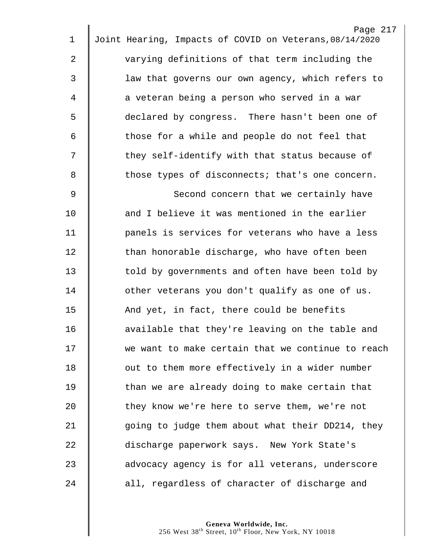|    | Page 217                                                |
|----|---------------------------------------------------------|
| 1  | Joint Hearing, Impacts of COVID on Veterans, 08/14/2020 |
| 2  | varying definitions of that term including the          |
| 3  | law that governs our own agency, which refers to        |
| 4  | a veteran being a person who served in a war            |
| 5  | declared by congress. There hasn't been one of          |
| 6  | those for a while and people do not feel that           |
| 7  | they self-identify with that status because of          |
| 8  | those types of disconnects; that's one concern.         |
| 9  | Second concern that we certainly have                   |
| 10 | and I believe it was mentioned in the earlier           |
| 11 | panels is services for veterans who have a less         |
| 12 | than honorable discharge, who have often been           |
| 13 | told by governments and often have been told by         |
| 14 | other veterans you don't qualify as one of us.          |
| 15 | And yet, in fact, there could be benefits               |
| 16 | available that they're leaving on the table and         |
| 17 | we want to make certain that we continue to reach       |
| 18 | out to them more effectively in a wider number          |
| 19 | than we are already doing to make certain that          |
| 20 | they know we're here to serve them, we're not           |
| 21 | going to judge them about what their DD214, they        |
| 22 | discharge paperwork says. New York State's              |
| 23 | advocacy agency is for all veterans, underscore         |
| 24 | all, regardless of character of discharge and           |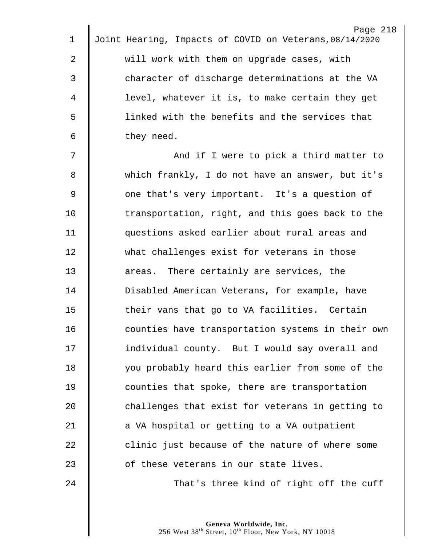|                | Page 218                                                |
|----------------|---------------------------------------------------------|
| $\mathbf 1$    | Joint Hearing, Impacts of COVID on Veterans, 08/14/2020 |
| $\overline{2}$ | will work with them on upgrade cases, with              |
| 3              | character of discharge determinations at the VA         |
| 4              | level, whatever it is, to make certain they get         |
| 5              | linked with the benefits and the services that          |
| 6              | they need.                                              |
| 7              | And if I were to pick a third matter to                 |
| 8              | which frankly, I do not have an answer, but it's        |
| $\mathsf 9$    | one that's very important. It's a question of           |
| 10             | transportation, right, and this goes back to the        |
| 11             | questions asked earlier about rural areas and           |
| 12             | what challenges exist for veterans in those             |
| 13             | areas. There certainly are services, the                |
| 14             | Disabled American Veterans, for example, have           |
| 15             | their vans that go to VA facilities. Certain            |
| 16             | counties have transportation systems in their own       |
| 17             | individual county. But I would say overall and          |
| 18             | you probably heard this earlier from some of the        |
| 19             | counties that spoke, there are transportation           |
| 20             | challenges that exist for veterans in getting to        |
| 21             | a VA hospital or getting to a VA outpatient             |
| 22             | clinic just because of the nature of where some         |
| 23             | of these veterans in our state lives.                   |
| 24             | That's three kind of right off the cuff                 |
|                |                                                         |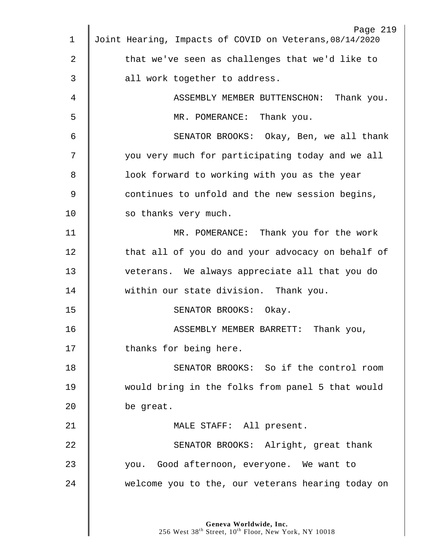|              | Page 219                                                |
|--------------|---------------------------------------------------------|
| $\mathbf{1}$ | Joint Hearing, Impacts of COVID on Veterans, 08/14/2020 |
| 2            | that we've seen as challenges that we'd like to         |
| 3            | all work together to address.                           |
| 4            | ASSEMBLY MEMBER BUTTENSCHON: Thank you.                 |
| 5            | MR. POMERANCE: Thank you.                               |
| 6            | SENATOR BROOKS: Okay, Ben, we all thank                 |
| 7            | you very much for participating today and we all        |
| 8            | look forward to working with you as the year            |
| 9            | continues to unfold and the new session begins,         |
| 10           | so thanks very much.                                    |
| 11           | MR. POMERANCE: Thank you for the work                   |
| 12           | that all of you do and your advocacy on behalf of       |
| 13           | veterans. We always appreciate all that you do          |
| 14           | within our state division. Thank you.                   |
| 15           | SENATOR BROOKS: Okay.                                   |
| 16           | ASSEMBLY MEMBER BARRETT:<br>Thank you,                  |
| 17           | thanks for being here.                                  |
| 18           | SENATOR BROOKS: So if the control room                  |
| 19           | would bring in the folks from panel 5 that would        |
| 20           | be great.                                               |
| 21           | MALE STAFF: All present.                                |
| 22           | SENATOR BROOKS: Alright, great thank                    |
| 23           | you. Good afternoon, everyone. We want to               |
| 24           | welcome you to the, our veterans hearing today on       |
|              |                                                         |
|              |                                                         |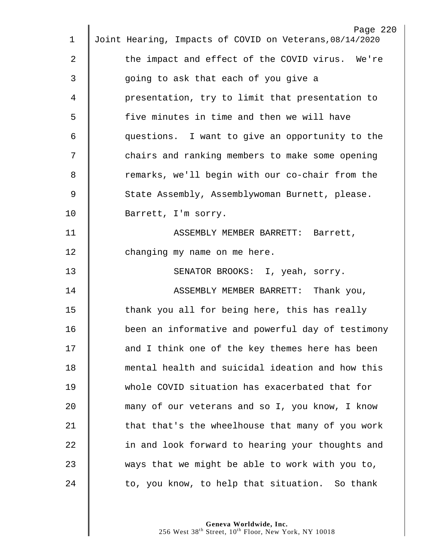|             | Page 220                                                |
|-------------|---------------------------------------------------------|
| 1           | Joint Hearing, Impacts of COVID on Veterans, 08/14/2020 |
| 2           | the impact and effect of the COVID virus. We're         |
| 3           | going to ask that each of you give a                    |
| 4           | presentation, try to limit that presentation to         |
| 5           | five minutes in time and then we will have              |
| 6           | questions. I want to give an opportunity to the         |
| 7           | chairs and ranking members to make some opening         |
| 8           | remarks, we'll begin with our co-chair from the         |
| $\mathsf 9$ | State Assembly, Assemblywoman Burnett, please.          |
| 10          | Barrett, I'm sorry.                                     |
| 11          | ASSEMBLY MEMBER BARRETT: Barrett,                       |
| 12          | changing my name on me here.                            |
| 13          | SENATOR BROOKS: I, yeah, sorry.                         |
| 14          | ASSEMBLY MEMBER BARRETT: Thank you,                     |
| 15          | thank you all for being here, this has really           |
| 16          | been an informative and powerful day of testimony       |
| 17          | and I think one of the key themes here has been         |
| 18          | mental health and suicidal ideation and how this        |
| 19          | whole COVID situation has exacerbated that for          |
| 20          | many of our veterans and so I, you know, I know         |
| 21          | that that's the wheelhouse that many of you work        |
| 22          | in and look forward to hearing your thoughts and        |
| 23          | ways that we might be able to work with you to,         |
| 24          | to, you know, to help that situation. So thank          |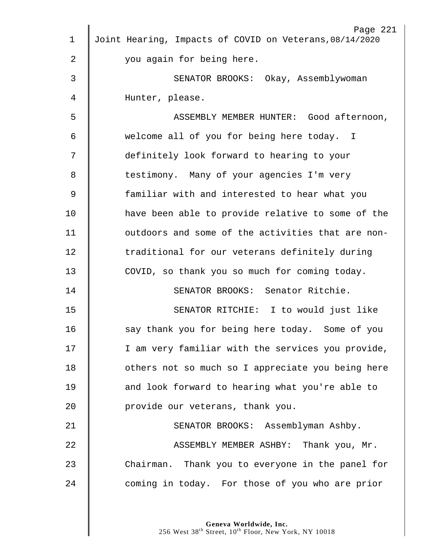| $\mathbf 1$    | Page 221<br>Joint Hearing, Impacts of COVID on Veterans, 08/14/2020 |
|----------------|---------------------------------------------------------------------|
| 2              | you again for being here.                                           |
| 3              | SENATOR BROOKS: Okay, Assemblywoman                                 |
| 4              |                                                                     |
|                | Hunter, please.                                                     |
| 5              | ASSEMBLY MEMBER HUNTER: Good afternoon,                             |
| 6              | welcome all of you for being here today. I                          |
| 7              | definitely look forward to hearing to your                          |
| 8              | testimony. Many of your agencies I'm very                           |
| $\overline{9}$ | familiar with and interested to hear what you                       |
| 10             | have been able to provide relative to some of the                   |
| 11             | outdoors and some of the activities that are non-                   |
| 12             | traditional for our veterans definitely during                      |
| 13             | COVID, so thank you so much for coming today.                       |
| 14             | SENATOR BROOKS: Senator Ritchie.                                    |
| 15             | SENATOR RITCHIE: I to would just like                               |
| 16             | say thank you for being here today. Some of you                     |
| 17             | I am very familiar with the services you provide,                   |
| 18             | others not so much so I appreciate you being here                   |
| 19             | and look forward to hearing what you're able to                     |
| 20             | provide our veterans, thank you.                                    |
| 21             | SENATOR BROOKS: Assemblyman Ashby.                                  |
| 22             | ASSEMBLY MEMBER ASHBY: Thank you, Mr.                               |
| 23             | Chairman. Thank you to everyone in the panel for                    |
| 24             | coming in today. For those of you who are prior                     |
|                |                                                                     |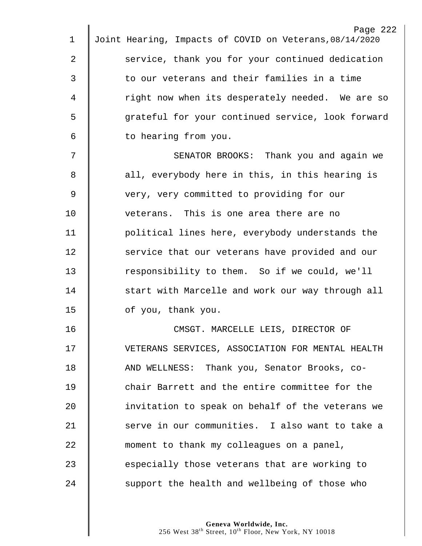|             | Page 222                                                |
|-------------|---------------------------------------------------------|
| $\mathbf 1$ | Joint Hearing, Impacts of COVID on Veterans, 08/14/2020 |
| 2           | service, thank you for your continued dedication        |
| 3           | to our veterans and their families in a time            |
| 4           | right now when its desperately needed. We are so        |
| 5           | grateful for your continued service, look forward       |
| 6           | to hearing from you.                                    |
| 7           | SENATOR BROOKS: Thank you and again we                  |
| 8           | all, everybody here in this, in this hearing is         |
| $\mathsf 9$ | very, very committed to providing for our               |
| 10          | veterans. This is one area there are no                 |
| 11          | political lines here, everybody understands the         |
| 12          | service that our veterans have provided and our         |
| 13          | responsibility to them. So if we could, we'll           |
| 14          | start with Marcelle and work our way through all        |
| 15          | of you, thank you.                                      |
| 16          | CMSGT. MARCELLE LEIS, DIRECTOR OF                       |
| 17          | VETERANS SERVICES, ASSOCIATION FOR MENTAL HEALTH        |
| 18          | AND WELLNESS: Thank you, Senator Brooks, co-            |
| 19          | chair Barrett and the entire committee for the          |
| 20          | invitation to speak on behalf of the veterans we        |
| 21          | serve in our communities. I also want to take a         |
| 22          | moment to thank my colleagues on a panel,               |
| 23          | especially those veterans that are working to           |
| 24          | support the health and wellbeing of those who           |
|             |                                                         |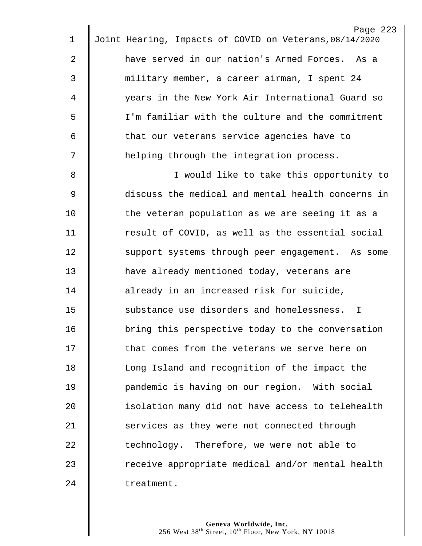|    | Page 223                                                |
|----|---------------------------------------------------------|
| 1  | Joint Hearing, Impacts of COVID on Veterans, 08/14/2020 |
| 2  | have served in our nation's Armed Forces. As a          |
| 3  | military member, a career airman, I spent 24            |
| 4  | years in the New York Air International Guard so        |
| 5  | I'm familiar with the culture and the commitment        |
| 6  | that our veterans service agencies have to              |
| 7  | helping through the integration process.                |
| 8  | I would like to take this opportunity to                |
| 9  | discuss the medical and mental health concerns in       |
| 10 | the veteran population as we are seeing it as a         |
| 11 | result of COVID, as well as the essential social        |
| 12 | support systems through peer engagement. As some        |
| 13 | have already mentioned today, veterans are              |
| 14 | already in an increased risk for suicide,               |
| 15 | substance use disorders and homelessness. I             |
| 16 | bring this perspective today to the conversation        |
| 17 | that comes from the veterans we serve here on           |
| 18 | Long Island and recognition of the impact the           |
| 19 | pandemic is having on our region. With social           |
| 20 | isolation many did not have access to telehealth        |
| 21 | services as they were not connected through             |
| 22 | technology. Therefore, we were not able to              |
| 23 | receive appropriate medical and/or mental health        |
| 24 | treatment.                                              |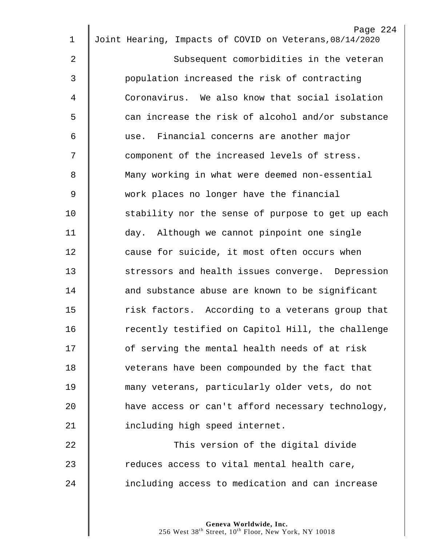| $\mathbf 1$ | Page 224<br>Joint Hearing, Impacts of COVID on Veterans, 08/14/2020 |
|-------------|---------------------------------------------------------------------|
|             |                                                                     |
| 2           | Subsequent comorbidities in the veteran                             |
| 3           | population increased the risk of contracting                        |
| 4           | Coronavirus. We also know that social isolation                     |
| 5           | can increase the risk of alcohol and/or substance                   |
| 6           | use. Financial concerns are another major                           |
| 7           | component of the increased levels of stress.                        |
| 8           | Many working in what were deemed non-essential                      |
| 9           | work places no longer have the financial                            |
| 10          | stability nor the sense of purpose to get up each                   |
| 11          | day. Although we cannot pinpoint one single                         |
| 12          | cause for suicide, it most often occurs when                        |
| 13          | stressors and health issues converge. Depression                    |
| 14          | and substance abuse are known to be significant                     |
| 15          | risk factors. According to a veterans group that                    |
| 16          | recently testified on Capitol Hill, the challenge                   |
| 17          | of serving the mental health needs of at risk                       |
| 18          | veterans have been compounded by the fact that                      |
| 19          | many veterans, particularly older vets, do not                      |
| 20          | have access or can't afford necessary technology,                   |
| 21          | including high speed internet.                                      |
| 22          | This version of the digital divide                                  |
| 23          | reduces access to vital mental health care,                         |
| 24          | including access to medication and can increase                     |
|             |                                                                     |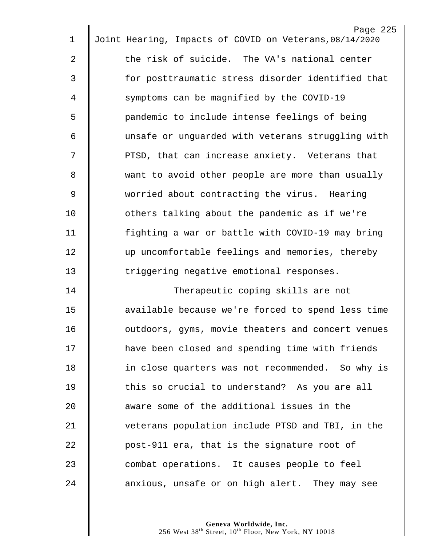|                | Page 225                                                |
|----------------|---------------------------------------------------------|
| $\mathbf 1$    | Joint Hearing, Impacts of COVID on Veterans, 08/14/2020 |
| $\overline{2}$ | the risk of suicide. The VA's national center           |
| 3              | for posttraumatic stress disorder identified that       |
| 4              | symptoms can be magnified by the COVID-19               |
| 5              | pandemic to include intense feelings of being           |
| 6              | unsafe or unguarded with veterans struggling with       |
| 7              | PTSD, that can increase anxiety. Veterans that          |
| 8              | want to avoid other people are more than usually        |
| 9              | worried about contracting the virus. Hearing            |
| 10             | others talking about the pandemic as if we're           |
| 11             | fighting a war or battle with COVID-19 may bring        |
| 12             | up uncomfortable feelings and memories, thereby         |
| 13             | triggering negative emotional responses.                |
| 14             | Therapeutic coping skills are not                       |
| 15             | available because we're forced to spend less time       |
| 16             | outdoors, gyms, movie theaters and concert venues       |
| 17             | have been closed and spending time with friends         |
| 18             | in close quarters was not recommended. So why is        |
| 19             | this so crucial to understand? As you are all           |
| 20             | aware some of the additional issues in the              |
| 21             | veterans population include PTSD and TBI, in the        |
| 22             | post-911 era, that is the signature root of             |
| 23             | combat operations. It causes people to feel             |
| 24             | anxious, unsafe or on high alert. They may see          |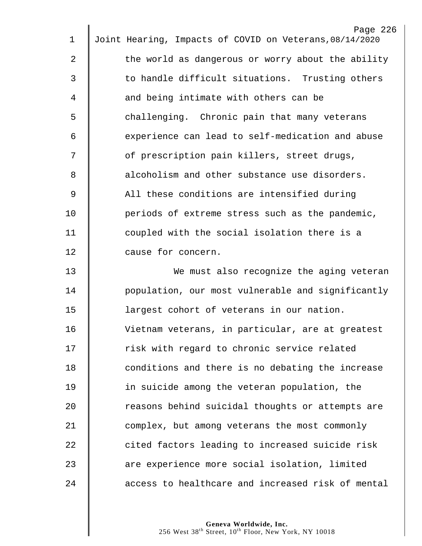| 1  | Page 226<br>Joint Hearing, Impacts of COVID on Veterans, 08/14/2020 |
|----|---------------------------------------------------------------------|
|    |                                                                     |
| 2  | the world as dangerous or worry about the ability                   |
| 3  | to handle difficult situations. Trusting others                     |
| 4  | and being intimate with others can be                               |
| 5  | challenging. Chronic pain that many veterans                        |
| 6  | experience can lead to self-medication and abuse                    |
| 7  | of prescription pain killers, street drugs,                         |
| 8  | alcoholism and other substance use disorders.                       |
| 9  | All these conditions are intensified during                         |
| 10 | periods of extreme stress such as the pandemic,                     |
| 11 | coupled with the social isolation there is a                        |
| 12 | cause for concern.                                                  |
| 13 | We must also recognize the aging veteran                            |
| 14 | population, our most vulnerable and significantly                   |
| 15 | largest cohort of veterans in our nation.                           |
| 16 | Vietnam veterans, in particular, are at greatest                    |
| 17 | risk with regard to chronic service related                         |
| 18 | conditions and there is no debating the increase                    |
| 19 | in suicide among the veteran population, the                        |
| 20 | reasons behind suicidal thoughts or attempts are                    |
| 21 | complex, but among veterans the most commonly                       |
| 22 | cited factors leading to increased suicide risk                     |
| 23 | are experience more social isolation, limited                       |
| 24 | access to healthcare and increased risk of mental                   |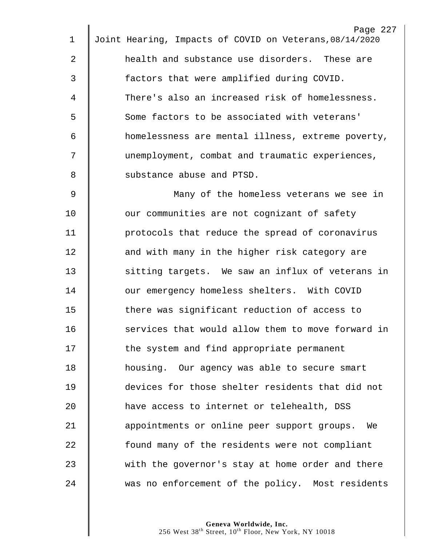| 1  | Page 227<br>Joint Hearing, Impacts of COVID on Veterans, 08/14/2020 |
|----|---------------------------------------------------------------------|
|    |                                                                     |
| 2  | health and substance use disorders. These are                       |
| 3  | factors that were amplified during COVID.                           |
| 4  | There's also an increased risk of homelessness.                     |
| 5  | Some factors to be associated with veterans'                        |
| 6  | homelessness are mental illness, extreme poverty,                   |
| 7  | unemployment, combat and traumatic experiences,                     |
| 8  | substance abuse and PTSD.                                           |
| 9  | Many of the homeless veterans we see in                             |
| 10 | our communities are not cognizant of safety                         |
| 11 | protocols that reduce the spread of coronavirus                     |
| 12 | and with many in the higher risk category are                       |
| 13 | sitting targets. We saw an influx of veterans in                    |
| 14 | our emergency homeless shelters. With COVID                         |
| 15 | there was significant reduction of access to                        |
| 16 | services that would allow them to move forward in                   |
| 17 | the system and find appropriate permanent                           |
| 18 | housing. Our agency was able to secure smart                        |
| 19 | devices for those shelter residents that did not                    |
| 20 | have access to internet or telehealth, DSS                          |
| 21 | appointments or online peer support groups.<br>We                   |
| 22 | found many of the residents were not compliant                      |
| 23 | with the governor's stay at home order and there                    |
| 24 | was no enforcement of the policy. Most residents                    |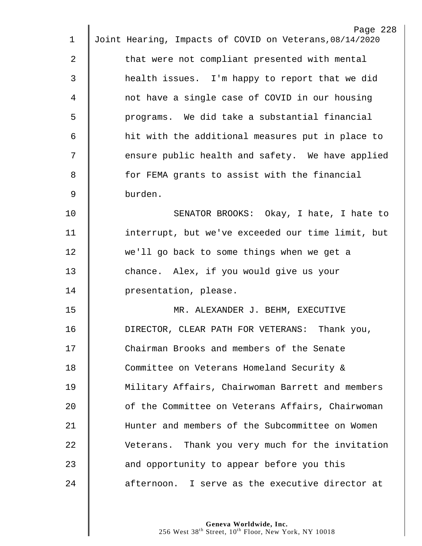|             | Page 228                                                |
|-------------|---------------------------------------------------------|
| $\mathbf 1$ | Joint Hearing, Impacts of COVID on Veterans, 08/14/2020 |
| 2           | that were not compliant presented with mental           |
| 3           | health issues. I'm happy to report that we did          |
| 4           | not have a single case of COVID in our housing          |
| 5           | programs. We did take a substantial financial           |
| 6           | hit with the additional measures put in place to        |
| 7           | ensure public health and safety. We have applied        |
| 8           | for FEMA grants to assist with the financial            |
| $\mathsf 9$ | burden.                                                 |
| 10          | SENATOR BROOKS: Okay, I hate, I hate to                 |
| 11          | interrupt, but we've exceeded our time limit, but       |
| 12          | we'll go back to some things when we get a              |
| 13          | chance. Alex, if you would give us your                 |
| 14          | presentation, please.                                   |
| 15          | MR. ALEXANDER J. BEHM, EXECUTIVE                        |
| 16          | DIRECTOR, CLEAR PATH FOR VETERANS: Thank you,           |
| 17          | Chairman Brooks and members of the Senate               |
| 18          | Committee on Veterans Homeland Security &               |
| 19          | Military Affairs, Chairwoman Barrett and members        |
| 20          | of the Committee on Veterans Affairs, Chairwoman        |
| 21          | Hunter and members of the Subcommittee on Women         |
| 22          | Veterans. Thank you very much for the invitation        |
| 23          | and opportunity to appear before you this               |
| 24          | afternoon. I serve as the executive director at         |
|             |                                                         |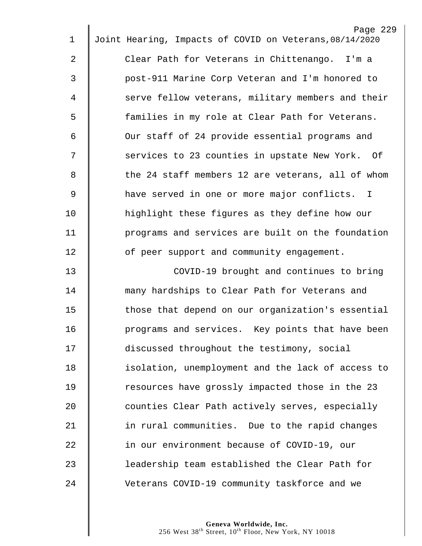|                | Page 229                                                |
|----------------|---------------------------------------------------------|
| 1              | Joint Hearing, Impacts of COVID on Veterans, 08/14/2020 |
| $\overline{2}$ | Clear Path for Veterans in Chittenango. I'm a           |
| 3              | post-911 Marine Corp Veteran and I'm honored to         |
| 4              | serve fellow veterans, military members and their       |
| 5              | families in my role at Clear Path for Veterans.         |
| 6              | Our staff of 24 provide essential programs and          |
| 7              | services to 23 counties in upstate New York. Of         |
| 8              | the 24 staff members 12 are veterans, all of whom       |
| 9              | have served in one or more major conflicts. I           |
| 10             | highlight these figures as they define how our          |
| 11             | programs and services are built on the foundation       |
| 12             | of peer support and community engagement.               |
| 13             | COVID-19 brought and continues to bring                 |
| 14             | many hardships to Clear Path for Veterans and           |
| 15             | those that depend on our organization's essential       |
| 16             | programs and services. Key points that have been        |
| 17             | discussed throughout the testimony, social              |
| 18             | isolation, unemployment and the lack of access to       |
| 19             | resources have grossly impacted those in the 23         |
| 20             | counties Clear Path actively serves, especially         |
| 21             | in rural communities. Due to the rapid changes          |
| 22             | in our environment because of COVID-19, our             |
| 23             | leadership team established the Clear Path for          |
| 24             | Veterans COVID-19 community taskforce and we            |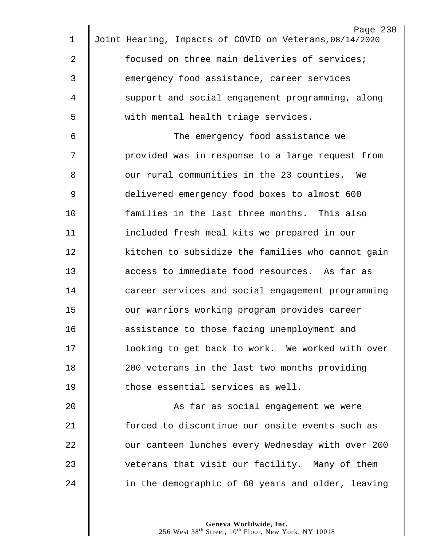|    | Page 230                                                |
|----|---------------------------------------------------------|
| 1  | Joint Hearing, Impacts of COVID on Veterans, 08/14/2020 |
| 2  | focused on three main deliveries of services;           |
| 3  | emergency food assistance, career services              |
| 4  | support and social engagement programming, along        |
| 5  | with mental health triage services.                     |
| 6  | The emergency food assistance we                        |
| 7  | provided was in response to a large request from        |
| 8  | our rural communities in the 23 counties. We            |
| 9  | delivered emergency food boxes to almost 600            |
| 10 | families in the last three months. This also            |
| 11 | included fresh meal kits we prepared in our             |
| 12 | kitchen to subsidize the families who cannot gain       |
| 13 | access to immediate food resources. As far as           |
| 14 | career services and social engagement programming       |
| 15 | our warriors working program provides career            |
| 16 | assistance to those facing unemployment and             |
| 17 | looking to get back to work. We worked with over        |
| 18 | 200 veterans in the last two months providing           |
| 19 | those essential services as well.                       |
| 20 | As far as social engagement we were                     |
| 21 | forced to discontinue our onsite events such as         |
| 22 | our canteen lunches every Wednesday with over 200       |
| 23 | veterans that visit our facility. Many of them          |
| 24 | in the demographic of 60 years and older, leaving       |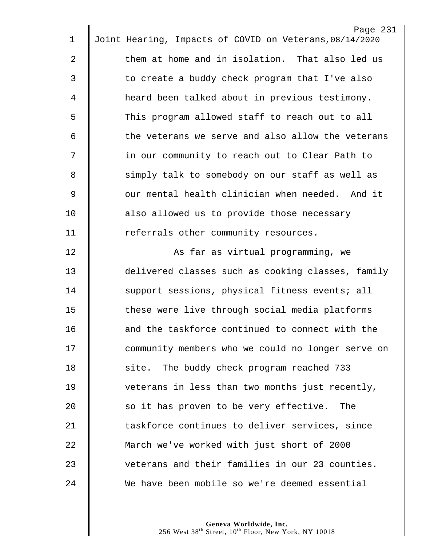|                | Page 231                                                |
|----------------|---------------------------------------------------------|
| $\mathbf 1$    | Joint Hearing, Impacts of COVID on Veterans, 08/14/2020 |
| $\overline{2}$ | them at home and in isolation. That also led us         |
| $\mathfrak{Z}$ | to create a buddy check program that I've also          |
| $\overline{4}$ | heard been talked about in previous testimony.          |
| 5              | This program allowed staff to reach out to all          |
| 6              | the veterans we serve and also allow the veterans       |
| 7              | in our community to reach out to Clear Path to          |
| 8              | simply talk to somebody on our staff as well as         |
| $\mathsf 9$    | our mental health clinician when needed. And it         |
| 10             | also allowed us to provide those necessary              |
| 11             | referrals other community resources.                    |
| 12             | As far as virtual programming, we                       |
| 13             | delivered classes such as cooking classes, family       |
| 14             | support sessions, physical fitness events; all          |
| 15             | these were live through social media platforms          |
| 16             | and the taskforce continued to connect with the         |
| 17             | community members who we could no longer serve on       |
| 18             | site. The buddy check program reached 733               |
| 19             | veterans in less than two months just recently,         |
| 20             | so it has proven to be very effective.<br>The           |
| 21             | taskforce continues to deliver services, since          |
| 22             | March we've worked with just short of 2000              |
| 23             | veterans and their families in our 23 counties.         |
| 24             | We have been mobile so we're deemed essential           |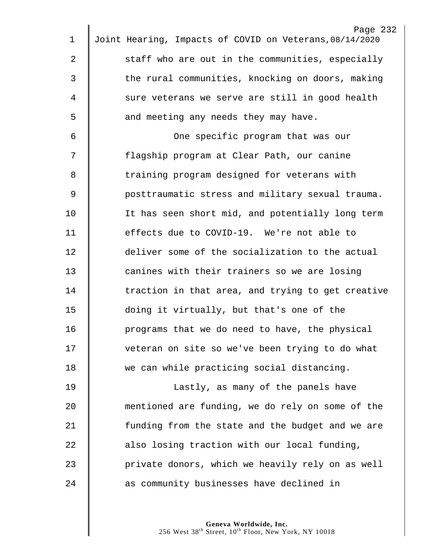|    | Page 232                                                |
|----|---------------------------------------------------------|
| 1  | Joint Hearing, Impacts of COVID on Veterans, 08/14/2020 |
| 2  | staff who are out in the communities, especially        |
| 3  | the rural communities, knocking on doors, making        |
| 4  | sure veterans we serve are still in good health         |
| 5  | and meeting any needs they may have.                    |
| 6  | One specific program that was our                       |
| 7  | flagship program at Clear Path, our canine              |
| 8  | training program designed for veterans with             |
| 9  | posttraumatic stress and military sexual trauma.        |
| 10 | It has seen short mid, and potentially long term        |
| 11 | effects due to COVID-19. We're not able to              |
| 12 | deliver some of the socialization to the actual         |
| 13 | canines with their trainers so we are losing            |
| 14 | traction in that area, and trying to get creative       |
| 15 | doing it virtually, but that's one of the               |
| 16 | programs that we do need to have, the physical          |
| 17 | veteran on site so we've been trying to do what         |
| 18 | we can while practicing social distancing.              |
| 19 | Lastly, as many of the panels have                      |
| 20 | mentioned are funding, we do rely on some of the        |
| 21 | funding from the state and the budget and we are        |
| 22 | also losing traction with our local funding,            |
| 23 | private donors, which we heavily rely on as well        |
| 24 | as community businesses have declined in                |
|    |                                                         |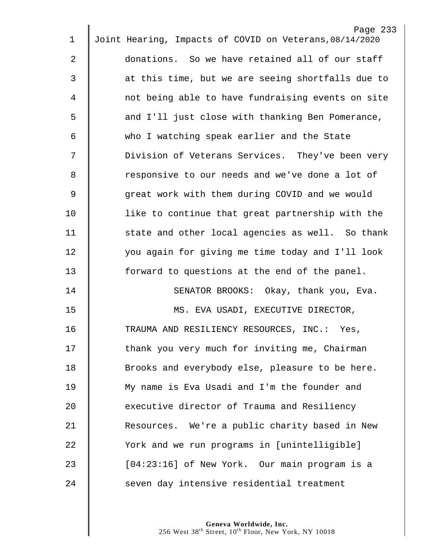| $\mathbf 1$    | Page 233<br>Joint Hearing, Impacts of COVID on Veterans, 08/14/2020 |
|----------------|---------------------------------------------------------------------|
|                |                                                                     |
| $\overline{2}$ | donations. So we have retained all of our staff                     |
| $\mathfrak{Z}$ | at this time, but we are seeing shortfalls due to                   |
| 4              | not being able to have fundraising events on site                   |
| 5              | and I'll just close with thanking Ben Pomerance,                    |
| 6              | who I watching speak earlier and the State                          |
| 7              | Division of Veterans Services. They've been very                    |
| 8              | responsive to our needs and we've done a lot of                     |
| 9              | great work with them during COVID and we would                      |
| 10             | like to continue that great partnership with the                    |
| 11             | state and other local agencies as well. So thank                    |
| 12             | you again for giving me time today and I'll look                    |
| 13             | forward to questions at the end of the panel.                       |
| 14             | SENATOR BROOKS: Okay, thank you, Eva.                               |
| 15             | MS. EVA USADI, EXECUTIVE DIRECTOR,                                  |
| 16             | TRAUMA AND RESILIENCY RESOURCES, INC.: Yes,                         |
| 17             | thank you very much for inviting me, Chairman                       |
| 18             | Brooks and everybody else, pleasure to be here.                     |
| 19             | My name is Eva Usadi and I'm the founder and                        |
| 20             | executive director of Trauma and Resiliency                         |
| 21             | Resources. We're a public charity based in New                      |
| 22             | York and we run programs in [unintelligible]                        |
| 23             | [04:23:16] of New York. Our main program is a                       |
| 24             | seven day intensive residential treatment                           |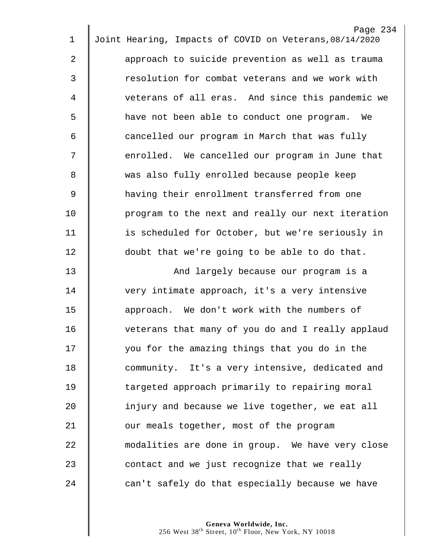| $\mathbf 1$    | Page 234<br>Joint Hearing, Impacts of COVID on Veterans, 08/14/2020 |
|----------------|---------------------------------------------------------------------|
| $\overline{2}$ | approach to suicide prevention as well as trauma                    |
|                |                                                                     |
| 3              | resolution for combat veterans and we work with                     |
| 4              | veterans of all eras. And since this pandemic we                    |
| 5              | have not been able to conduct one program.<br>We                    |
| 6              | cancelled our program in March that was fully                       |
| 7              | enrolled. We cancelled our program in June that                     |
| 8              | was also fully enrolled because people keep                         |
| 9              | having their enrollment transferred from one                        |
| 10             | program to the next and really our next iteration                   |
| 11             | is scheduled for October, but we're seriously in                    |
| 12             | doubt that we're going to be able to do that.                       |
| 13             | And largely because our program is a                                |
| 14             | very intimate approach, it's a very intensive                       |
| 15             | approach. We don't work with the numbers of                         |
| 16             | veterans that many of you do and I really applaud                   |
| 17             | you for the amazing things that you do in the                       |
| 18             | community. It's a very intensive, dedicated and                     |
| 19             | targeted approach primarily to repairing moral                      |
| 20             | injury and because we live together, we eat all                     |
| 21             | our meals together, most of the program                             |
| 22             | modalities are done in group. We have very close                    |
| 23             | contact and we just recognize that we really                        |
| 24             | can't safely do that especially because we have                     |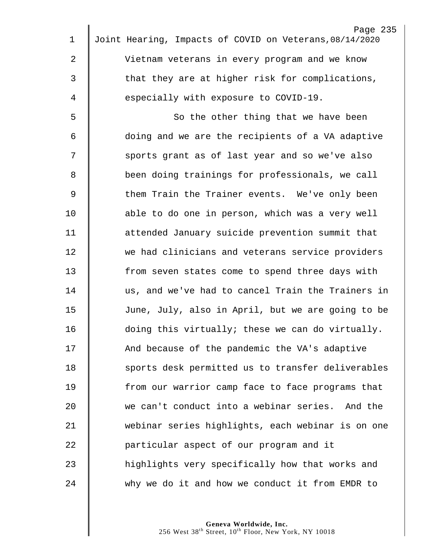|             | Page 235                                                |
|-------------|---------------------------------------------------------|
| $\mathbf 1$ | Joint Hearing, Impacts of COVID on Veterans, 08/14/2020 |
| 2           | Vietnam veterans in every program and we know           |
| 3           | that they are at higher risk for complications,         |
| 4           | especially with exposure to COVID-19.                   |
| 5           | So the other thing that we have been                    |
| 6           | doing and we are the recipients of a VA adaptive        |
| 7           | sports grant as of last year and so we've also          |
| 8           | been doing trainings for professionals, we call         |
| $\mathsf 9$ | them Train the Trainer events. We've only been          |
| 10          | able to do one in person, which was a very well         |
| 11          | attended January suicide prevention summit that         |
| 12          | we had clinicians and veterans service providers        |
| 13          | from seven states come to spend three days with         |
| 14          | us, and we've had to cancel Train the Trainers in       |
| 15          | June, July, also in April, but we are going to be       |
| 16          | doing this virtually; these we can do virtually.        |
| 17          | And because of the pandemic the VA's adaptive           |
| 18          | sports desk permitted us to transfer deliverables       |
| 19          | from our warrior camp face to face programs that        |
| 20          | we can't conduct into a webinar series. And the         |
| 21          | webinar series highlights, each webinar is on one       |
| 22          | particular aspect of our program and it                 |
| 23          | highlights very specifically how that works and         |
| 24          | why we do it and how we conduct it from EMDR to         |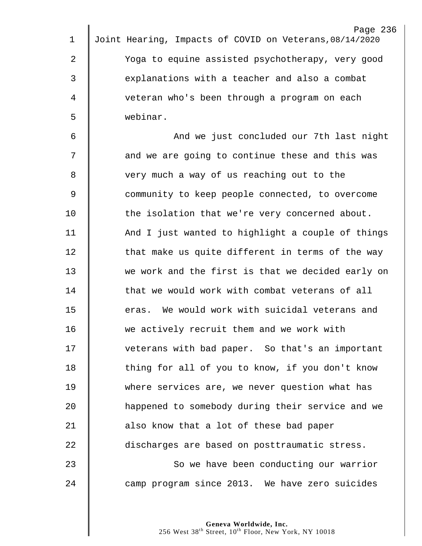|                | Page 236                                                |
|----------------|---------------------------------------------------------|
| 1              | Joint Hearing, Impacts of COVID on Veterans, 08/14/2020 |
| $\overline{2}$ | Yoga to equine assisted psychotherapy, very good        |
| 3              | explanations with a teacher and also a combat           |
| 4              | veteran who's been through a program on each            |
| 5              | webinar.                                                |
| 6              | And we just concluded our 7th last night                |
| 7              | and we are going to continue these and this was         |
| 8              | very much a way of us reaching out to the               |
| 9              | community to keep people connected, to overcome         |
| 10             | the isolation that we're very concerned about.          |
| 11             | And I just wanted to highlight a couple of things       |
| 12             | that make us quite different in terms of the way        |
| 13             | we work and the first is that we decided early on       |
| 14             | that we would work with combat veterans of all          |
| 15             | eras. We would work with suicidal veterans and          |
| 16             | we actively recruit them and we work with               |
| 17             | veterans with bad paper. So that's an important         |
| 18             | thing for all of you to know, if you don't know         |
| 19             | where services are, we never question what has          |
| 20             | happened to somebody during their service and we        |
| 21             | also know that a lot of these bad paper                 |
| 22             | discharges are based on posttraumatic stress.           |
| 23             | So we have been conducting our warrior                  |
| 24             | camp program since 2013. We have zero suicides          |
|                |                                                         |
|                |                                                         |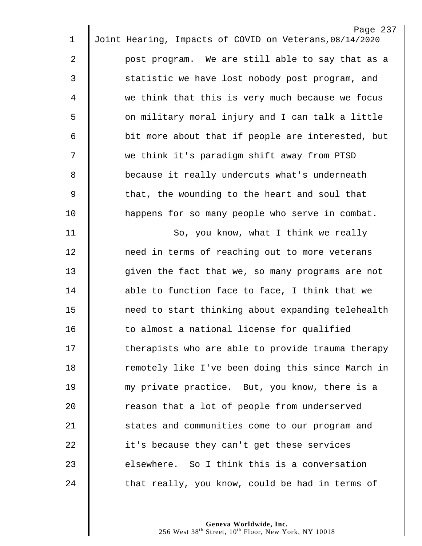|                | Page 237                                                |
|----------------|---------------------------------------------------------|
| 1              | Joint Hearing, Impacts of COVID on Veterans, 08/14/2020 |
| $\overline{2}$ | post program. We are still able to say that as a        |
| $\mathfrak{Z}$ | statistic we have lost nobody post program, and         |
| $\overline{4}$ | we think that this is very much because we focus        |
| 5              | on military moral injury and I can talk a little        |
| 6              | bit more about that if people are interested, but       |
| 7              | we think it's paradigm shift away from PTSD             |
| 8              | because it really undercuts what's underneath           |
| $\overline{9}$ | that, the wounding to the heart and soul that           |
| 10             | happens for so many people who serve in combat.         |
| 11             | So, you know, what I think we really                    |
| 12             | need in terms of reaching out to more veterans          |
| 13             | given the fact that we, so many programs are not        |
| 14             | able to function face to face, I think that we          |
| 15             | need to start thinking about expanding telehealth       |
| 16             | to almost a national license for qualified              |
| 17             | therapists who are able to provide trauma therapy       |
| 18             | remotely like I've been doing this since March in       |
| 19             | my private practice. But, you know, there is a          |
| 20             | reason that a lot of people from underserved            |
| 21             | states and communities come to our program and          |
| 22             | it's because they can't get these services              |
|                |                                                         |
| 23             | elsewhere. So I think this is a conversation            |
| 24             | that really, you know, could be had in terms of         |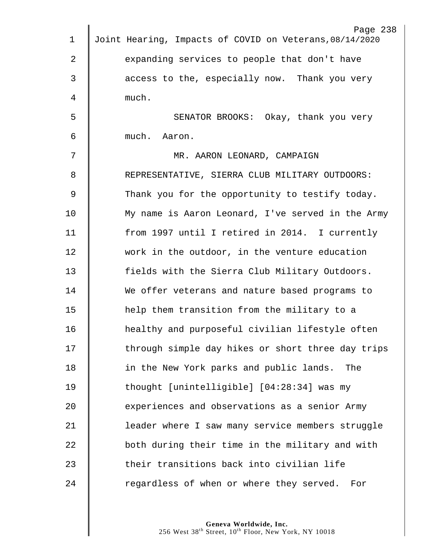|             | Page 238                                                |
|-------------|---------------------------------------------------------|
| $\mathbf 1$ | Joint Hearing, Impacts of COVID on Veterans, 08/14/2020 |
| 2           | expanding services to people that don't have            |
| 3           | access to the, especially now. Thank you very           |
| 4           | much.                                                   |
| 5           | SENATOR BROOKS: Okay, thank you very                    |
| 6           | much. Aaron.                                            |
| 7           | MR. AARON LEONARD, CAMPAIGN                             |
| 8           | REPRESENTATIVE, SIERRA CLUB MILITARY OUTDOORS:          |
| $\mathsf 9$ | Thank you for the opportunity to testify today.         |
| 10          | My name is Aaron Leonard, I've served in the Army       |
| 11          | from 1997 until I retired in 2014. I currently          |
| 12          | work in the outdoor, in the venture education           |
| 13          | fields with the Sierra Club Military Outdoors.          |
| 14          | We offer veterans and nature based programs to          |
| 15          | help them transition from the military to a             |
| 16          | healthy and purposeful civilian lifestyle often         |
| 17          | through simple day hikes or short three day trips       |
| 18          | in the New York parks and public lands.<br>The          |
| 19          | thought [unintelligible] [04:28:34] was my              |
| 20          | experiences and observations as a senior Army           |
| 21          | leader where I saw many service members struggle        |
| 22          | both during their time in the military and with         |
| 23          | their transitions back into civilian life               |
| 24          | regardless of when or where they served. For            |
|             |                                                         |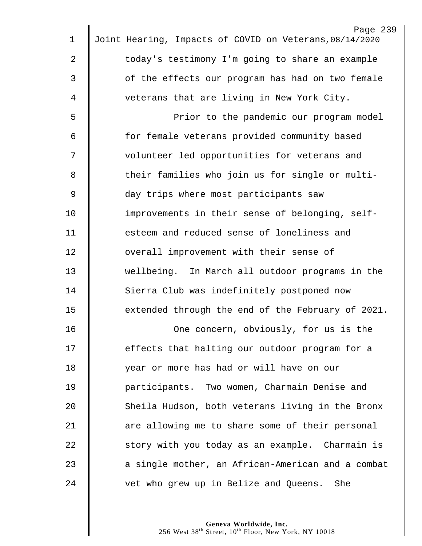|    | Page 239                                                |
|----|---------------------------------------------------------|
| 1  | Joint Hearing, Impacts of COVID on Veterans, 08/14/2020 |
| 2  | today's testimony I'm going to share an example         |
| 3  | of the effects our program has had on two female        |
| 4  | veterans that are living in New York City.              |
| 5  | Prior to the pandemic our program model                 |
| 6  | for female veterans provided community based            |
| 7  | volunteer led opportunities for veterans and            |
| 8  | their families who join us for single or multi-         |
| 9  | day trips where most participants saw                   |
| 10 | improvements in their sense of belonging, self-         |
| 11 | esteem and reduced sense of loneliness and              |
| 12 | overall improvement with their sense of                 |
| 13 | wellbeing. In March all outdoor programs in the         |
| 14 | Sierra Club was indefinitely postponed now              |
| 15 | extended through the end of the February of 2021.       |
| 16 | One concern, obviously, for us is the                   |
| 17 | effects that halting our outdoor program for a          |
| 18 | year or more has had or will have on our                |
| 19 | participants. Two women, Charmain Denise and            |
| 20 | Sheila Hudson, both veterans living in the Bronx        |
| 21 | are allowing me to share some of their personal         |
| 22 | story with you today as an example. Charmain is         |
| 23 | a single mother, an African-American and a combat       |
| 24 | vet who grew up in Belize and Queens. She               |
|    |                                                         |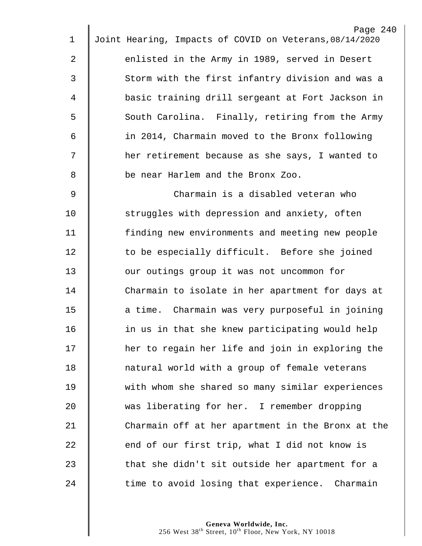| $\mathbf 1$ | Page 240<br>Joint Hearing, Impacts of COVID on Veterans, 08/14/2020 |
|-------------|---------------------------------------------------------------------|
|             |                                                                     |
| 2           | enlisted in the Army in 1989, served in Desert                      |
| 3           | Storm with the first infantry division and was a                    |
| 4           | basic training drill sergeant at Fort Jackson in                    |
| 5           | South Carolina. Finally, retiring from the Army                     |
| 6           | in 2014, Charmain moved to the Bronx following                      |
| 7           | her retirement because as she says, I wanted to                     |
| 8           | be near Harlem and the Bronx Zoo.                                   |
| 9           | Charmain is a disabled veteran who                                  |
| 10          | struggles with depression and anxiety, often                        |
| 11          | finding new environments and meeting new people                     |
| 12          | to be especially difficult. Before she joined                       |
| 13          | our outings group it was not uncommon for                           |
| 14          | Charmain to isolate in her apartment for days at                    |
| 15          | a time. Charmain was very purposeful in joining                     |
| 16          | in us in that she knew participating would help                     |
| 17          | her to regain her life and join in exploring the                    |
| 18          | natural world with a group of female veterans                       |
| 19          | with whom she shared so many similar experiences                    |
| 20          | was liberating for her. I remember dropping                         |
| 21          | Charmain off at her apartment in the Bronx at the                   |
| 22          | end of our first trip, what I did not know is                       |
| 23          | that she didn't sit outside her apartment for a                     |
| 24          | time to avoid losing that experience. Charmain                      |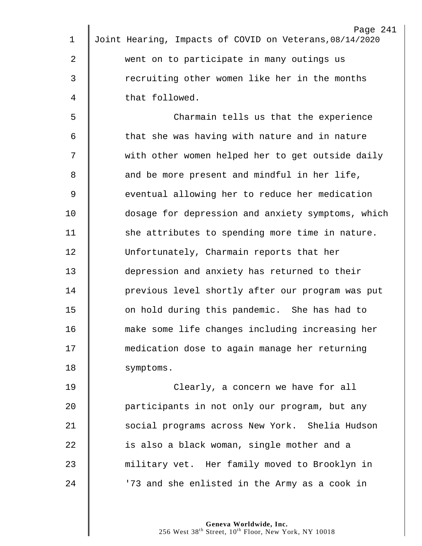|                | Page 241                                                |
|----------------|---------------------------------------------------------|
| $\mathbf 1$    | Joint Hearing, Impacts of COVID on Veterans, 08/14/2020 |
| $\overline{2}$ | went on to participate in many outings us               |
| $\mathsf{3}$   | recruiting other women like her in the months           |
| 4              | that followed.                                          |
| 5              | Charmain tells us that the experience                   |
| 6              | that she was having with nature and in nature           |
| 7              | with other women helped her to get outside daily        |
| 8              | and be more present and mindful in her life,            |
| $\overline{9}$ | eventual allowing her to reduce her medication          |
| 10             | dosage for depression and anxiety symptoms, which       |
| 11             | she attributes to spending more time in nature.         |
| 12             | Unfortunately, Charmain reports that her                |
| 13             | depression and anxiety has returned to their            |
| 14             | previous level shortly after our program was put        |
| 15             | on hold during this pandemic. She has had to            |
| 16             | make some life changes including increasing her         |
| 17             | medication dose to again manage her returning           |
| 18             | symptoms.                                               |
| 19             | Clearly, a concern we have for all                      |
| 20             | participants in not only our program, but any           |
| 21             | social programs across New York. Shelia Hudson          |
| 22             | is also a black woman, single mother and a              |
| 23             | military vet. Her family moved to Brooklyn in           |
| 24             | '73 and she enlisted in the Army as a cook in           |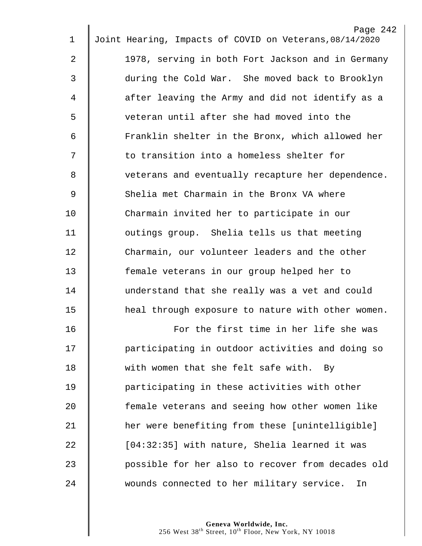|                | Page 242                                                |
|----------------|---------------------------------------------------------|
| 1              | Joint Hearing, Impacts of COVID on Veterans, 08/14/2020 |
| 2              | 1978, serving in both Fort Jackson and in Germany       |
| 3              | during the Cold War. She moved back to Brooklyn         |
| 4              | after leaving the Army and did not identify as a        |
| 5              | veteran until after she had moved into the              |
| 6              | Franklin shelter in the Bronx, which allowed her        |
| 7              | to transition into a homeless shelter for               |
| 8              | veterans and eventually recapture her dependence.       |
| $\overline{9}$ | Shelia met Charmain in the Bronx VA where               |
| 10             | Charmain invited her to participate in our              |
| 11             | outings group. Shelia tells us that meeting             |
| 12             | Charmain, our volunteer leaders and the other           |
| 13             | female veterans in our group helped her to              |
| 14             | understand that she really was a vet and could          |
| 15             | heal through exposure to nature with other women.       |
| 16             | For the first time in her life she was                  |
| 17             | participating in outdoor activities and doing so        |
| 18             | with women that she felt safe with.<br>By               |
| 19             | participating in these activities with other            |
| 20             | female veterans and seeing how other women like         |
| 21             | her were benefiting from these [unintelligible]         |
| 22             | [04:32:35] with nature, Shelia learned it was           |
| 23             | possible for her also to recover from decades old       |
| 24             | wounds connected to her military service.<br>In         |
|                |                                                         |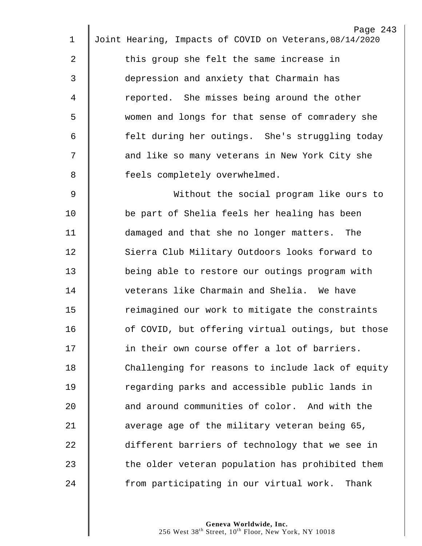|                | Page 243                                                |  |
|----------------|---------------------------------------------------------|--|
| $\mathbf 1$    | Joint Hearing, Impacts of COVID on Veterans, 08/14/2020 |  |
| $\overline{a}$ | this group she felt the same increase in                |  |
| 3              | depression and anxiety that Charmain has                |  |
| 4              | reported. She misses being around the other             |  |
| 5              | women and longs for that sense of comradery she         |  |
| 6              | felt during her outings. She's struggling today         |  |
| 7              | and like so many veterans in New York City she          |  |
| 8              | feels completely overwhelmed.                           |  |
| 9              | Without the social program like ours to                 |  |
| 10             | be part of Shelia feels her healing has been            |  |
| 11             | damaged and that she no longer matters. The             |  |
| 12             | Sierra Club Military Outdoors looks forward to          |  |
| 13             | being able to restore our outings program with          |  |
| 14             | veterans like Charmain and Shelia. We have              |  |
| 15             | reimagined our work to mitigate the constraints         |  |
| 16             | of COVID, but offering virtual outings, but those       |  |
| 17             | in their own course offer a lot of barriers.            |  |
| 18             | Challenging for reasons to include lack of equity       |  |
| 19             | regarding parks and accessible public lands in          |  |
| 20             | and around communities of color. And with the           |  |
| 21             | average age of the military veteran being 65,           |  |
| 22             | different barriers of technology that we see in         |  |
| 23             | the older veteran population has prohibited them        |  |
| 24             | from participating in our virtual work.<br>Thank        |  |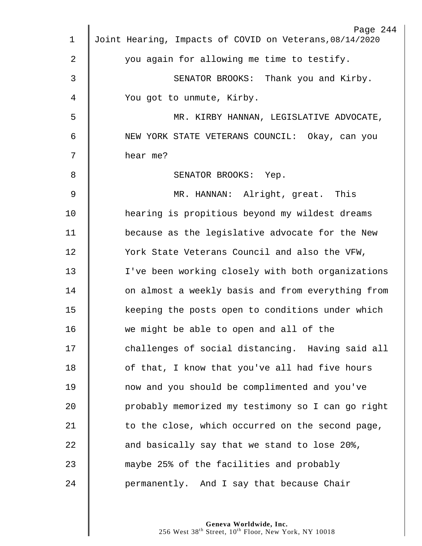|             | Page 244                                                |
|-------------|---------------------------------------------------------|
| $\mathbf 1$ | Joint Hearing, Impacts of COVID on Veterans, 08/14/2020 |
| 2           | you again for allowing me time to testify.              |
| 3           | SENATOR BROOKS: Thank you and Kirby.                    |
| 4           | You got to unmute, Kirby.                               |
| 5           | MR. KIRBY HANNAN, LEGISLATIVE ADVOCATE,                 |
| 6           | NEW YORK STATE VETERANS COUNCIL: Okay, can you          |
| 7           | hear me?                                                |
| 8           | SENATOR BROOKS: Yep.                                    |
| $\mathsf 9$ | MR. HANNAN: Alright, great. This                        |
| 10          | hearing is propitious beyond my wildest dreams          |
| 11          | because as the legislative advocate for the New         |
| 12          | York State Veterans Council and also the VFW,           |
| 13          | I've been working closely with both organizations       |
| 14          | on almost a weekly basis and from everything from       |
| 15          | keeping the posts open to conditions under which        |
| 16          | we might be able to open and all of the                 |
| 17          | challenges of social distancing. Having said all        |
| 18          | of that, I know that you've all had five hours          |
| 19          | now and you should be complimented and you've           |
| 20          | probably memorized my testimony so I can go right       |
| 21          | to the close, which occurred on the second page,        |
| 22          | and basically say that we stand to lose 20%,            |
| 23          | maybe 25% of the facilities and probably                |
| 24          | permanently. And I say that because Chair               |
|             |                                                         |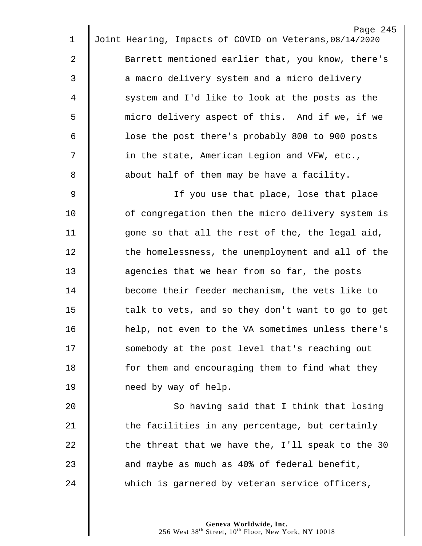|                | Page 245                                                |
|----------------|---------------------------------------------------------|
| 1              | Joint Hearing, Impacts of COVID on Veterans, 08/14/2020 |
| $\overline{2}$ | Barrett mentioned earlier that, you know, there's       |
| 3              | a macro delivery system and a micro delivery            |
| 4              | system and I'd like to look at the posts as the         |
| 5              | micro delivery aspect of this. And if we, if we         |
| 6              | lose the post there's probably 800 to 900 posts         |
| 7              | in the state, American Legion and VFW, etc.,            |
| 8              | about half of them may be have a facility.              |
| 9              | If you use that place, lose that place                  |
| 10             | of congregation then the micro delivery system is       |
| 11             | gone so that all the rest of the, the legal aid,        |
| 12             | the homelessness, the unemployment and all of the       |
| 13             | agencies that we hear from so far, the posts            |
| 14             | become their feeder mechanism, the vets like to         |
| 15             | talk to vets, and so they don't want to go to get       |
| 16             | help, not even to the VA sometimes unless there's       |
| 17             | somebody at the post level that's reaching out          |
| 18             | for them and encouraging them to find what they         |
| 19             | need by way of help.                                    |
| 20             | So having said that I think that losing                 |
| 21             | the facilities in any percentage, but certainly         |
| 22             | the threat that we have the, I'll speak to the 30       |
| 23             | and maybe as much as 40% of federal benefit,            |
| 24             | which is garnered by veteran service officers,          |
|                |                                                         |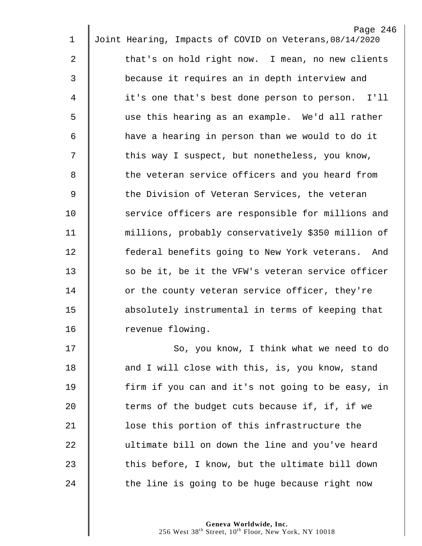| 1              | Page 246<br>Joint Hearing, Impacts of COVID on Veterans, 08/14/2020 |
|----------------|---------------------------------------------------------------------|
| $\overline{2}$ | that's on hold right now. I mean, no new clients                    |
|                |                                                                     |
| 3              | because it requires an in depth interview and                       |
| 4              | it's one that's best done person to person. I'll                    |
| 5              | use this hearing as an example. We'd all rather                     |
| 6              | have a hearing in person than we would to do it                     |
| 7              | this way I suspect, but nonetheless, you know,                      |
| 8              | the veteran service officers and you heard from                     |
| 9              | the Division of Veteran Services, the veteran                       |
| 10             | service officers are responsible for millions and                   |
| 11             | millions, probably conservatively \$350 million of                  |
| 12             | federal benefits going to New York veterans. And                    |
| 13             | so be it, be it the VFW's veteran service officer                   |
| 14             | or the county veteran service officer, they're                      |
| 15             | absolutely instrumental in terms of keeping that                    |
| 16             | revenue flowing.                                                    |
| 17             | So, you know, I think what we need to do                            |
| 18             | and I will close with this, is, you know, stand                     |
| 19             | firm if you can and it's not going to be easy, in                   |
| 20             | terms of the budget cuts because if, if, if we                      |
| 21             | lose this portion of this infrastructure the                        |
| 22             | ultimate bill on down the line and you've heard                     |
| 23             | this before, I know, but the ultimate bill down                     |
| 24             | the line is going to be huge because right now                      |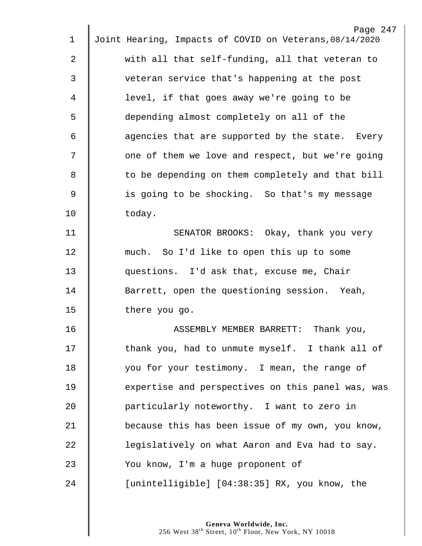|                | Page 247                                                |
|----------------|---------------------------------------------------------|
| $\mathbf 1$    | Joint Hearing, Impacts of COVID on Veterans, 08/14/2020 |
| $\overline{a}$ | with all that self-funding, all that veteran to         |
| 3              | veteran service that's happening at the post            |
| 4              | level, if that goes away we're going to be              |
| 5              | depending almost completely on all of the               |
| 6              | agencies that are supported by the state. Every         |
| 7              | one of them we love and respect, but we're going        |
| 8              | to be depending on them completely and that bill        |
| $\mathsf 9$    | is going to be shocking. So that's my message           |
| 10             | today.                                                  |
| 11             | SENATOR BROOKS: Okay, thank you very                    |
| 12             | much. So I'd like to open this up to some               |
| 13             | questions. I'd ask that, excuse me, Chair               |
| 14             | Barrett, open the questioning session. Yeah,            |
| 15             | there you go.                                           |
| 16             | Thank you,<br>ASSEMBLY MEMBER BARRETT:                  |
| $17 \,$        | thank you, had to unmute myself. I thank all of         |
| 18             | you for your testimony. I mean, the range of            |
| 19             | expertise and perspectives on this panel was, was       |
| 20             | particularly noteworthy. I want to zero in              |
| 21             | because this has been issue of my own, you know,        |
| 22             | legislatively on what Aaron and Eva had to say.         |
| 23             | You know, I'm a huge proponent of                       |
| 24             | [unintelligible] [04:38:35] RX, you know, the           |
|                |                                                         |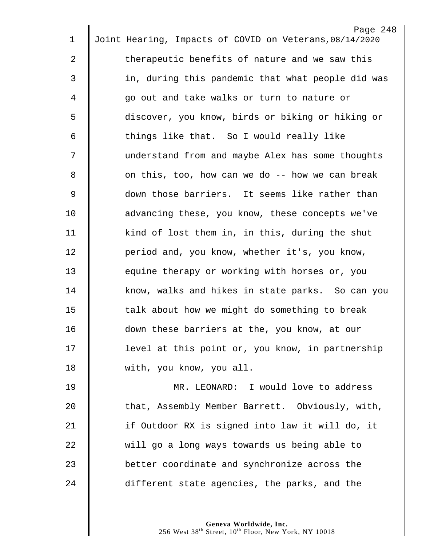|             | Page 248                                                |
|-------------|---------------------------------------------------------|
| $\mathbf 1$ | Joint Hearing, Impacts of COVID on Veterans, 08/14/2020 |
| 2           | therapeutic benefits of nature and we saw this          |
| 3           | in, during this pandemic that what people did was       |
| 4           | go out and take walks or turn to nature or              |
| 5           | discover, you know, birds or biking or hiking or        |
| 6           | things like that. So I would really like                |
| 7           | understand from and maybe Alex has some thoughts        |
| 8           | on this, too, how can we do -- how we can break         |
| 9           | down those barriers. It seems like rather than          |
| 10          | advancing these, you know, these concepts we've         |
| 11          | kind of lost them in, in this, during the shut          |
| 12          | period and, you know, whether it's, you know,           |
| 13          | equine therapy or working with horses or, you           |
| 14          | know, walks and hikes in state parks. So can you        |
| 15          | talk about how we might do something to break           |
| 16          | down these barriers at the, you know, at our            |
| 17          | level at this point or, you know, in partnership        |
| 18          | with, you know, you all.                                |
| 19          | MR. LEONARD: I would love to address                    |
| 20          | that, Assembly Member Barrett. Obviously, with,         |
| 21          | if Outdoor RX is signed into law it will do, it         |
| 22          | will go a long ways towards us being able to            |
| 23          | better coordinate and synchronize across the            |
| 24          | different state agencies, the parks, and the            |
|             |                                                         |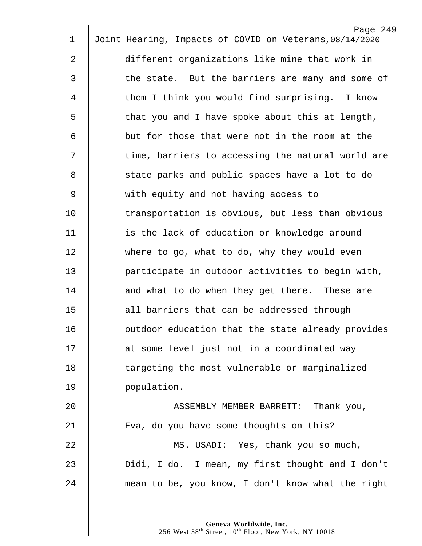| $\mathbf 1$    | Page 249<br>Joint Hearing, Impacts of COVID on Veterans, 08/14/2020 |
|----------------|---------------------------------------------------------------------|
|                |                                                                     |
| $\overline{2}$ | different organizations like mine that work in                      |
| 3              | the state. But the barriers are many and some of                    |
| 4              | them I think you would find surprising. I know                      |
| 5              | that you and I have spoke about this at length,                     |
| 6              | but for those that were not in the room at the                      |
| 7              | time, barriers to accessing the natural world are                   |
| 8              | state parks and public spaces have a lot to do                      |
| 9              | with equity and not having access to                                |
| 10             | transportation is obvious, but less than obvious                    |
| 11             | is the lack of education or knowledge around                        |
| 12             | where to go, what to do, why they would even                        |
| 13             | participate in outdoor activities to begin with,                    |
| 14             | and what to do when they get there. These are                       |
| 15             | all barriers that can be addressed through                          |
| 16             | outdoor education that the state already provides                   |
| 17             | at some level just not in a coordinated way                         |
| 18             | targeting the most vulnerable or marginalized                       |
| 19             | population.                                                         |
| 20             | ASSEMBLY MEMBER BARRETT: Thank you,                                 |
| 21             | Eva, do you have some thoughts on this?                             |
| 22             | MS. USADI: Yes, thank you so much,                                  |
| 23             | Didi, I do. I mean, my first thought and I don't                    |
| 24             | mean to be, you know, I don't know what the right                   |
|                |                                                                     |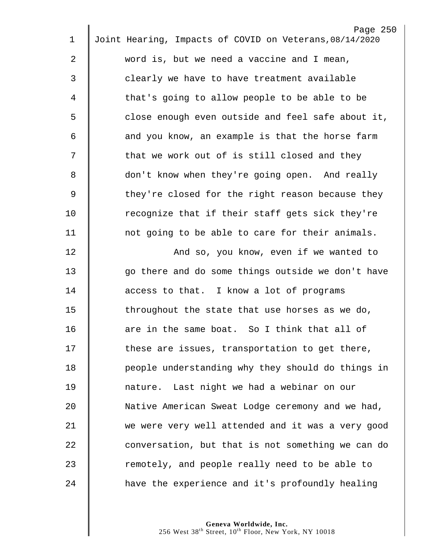|             | Page 250                                                |
|-------------|---------------------------------------------------------|
| $\mathbf 1$ | Joint Hearing, Impacts of COVID on Veterans, 08/14/2020 |
| 2           | word is, but we need a vaccine and I mean,              |
| 3           | clearly we have to have treatment available             |
| 4           | that's going to allow people to be able to be           |
| 5           | close enough even outside and feel safe about it,       |
| 6           | and you know, an example is that the horse farm         |
| 7           | that we work out of is still closed and they            |
| 8           | don't know when they're going open. And really          |
| 9           | they're closed for the right reason because they        |
| 10          | recognize that if their staff gets sick they're         |
| 11          | not going to be able to care for their animals.         |
| 12          | And so, you know, even if we wanted to                  |
| 13          | go there and do some things outside we don't have       |
| 14          | access to that. I know a lot of programs                |
| 15          | throughout the state that use horses as we do,          |
| 16          | are in the same boat. So I think that all of            |
| 17          | these are issues, transportation to get there,          |
| 18          | people understanding why they should do things in       |
| 19          | nature. Last night we had a webinar on our              |
| 20          | Native American Sweat Lodge ceremony and we had,        |
| 21          | we were very well attended and it was a very good       |
| 22          | conversation, but that is not something we can do       |
| 23          | remotely, and people really need to be able to          |
| 24          | have the experience and it's profoundly healing         |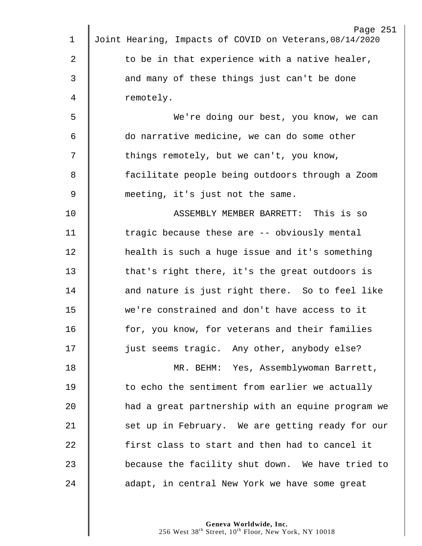|             | Page 251                                                |
|-------------|---------------------------------------------------------|
| $\mathbf 1$ | Joint Hearing, Impacts of COVID on Veterans, 08/14/2020 |
| 2           | to be in that experience with a native healer,          |
| 3           | and many of these things just can't be done             |
| 4           | remotely.                                               |
| 5           | We're doing our best, you know, we can                  |
| 6           | do narrative medicine, we can do some other             |
| 7           | things remotely, but we can't, you know,                |
| 8           | facilitate people being outdoors through a Zoom         |
| $\mathsf 9$ | meeting, it's just not the same.                        |
| 10          | ASSEMBLY MEMBER BARRETT: This is so                     |
| 11          | tragic because these are -- obviously mental            |
| 12          | health is such a huge issue and it's something          |
| 13          | that's right there, it's the great outdoors is          |
| 14          | and nature is just right there. So to feel like         |
| 15          | we're constrained and don't have access to it           |
| 16          | for, you know, for veterans and their families          |
| 17          | just seems tragic. Any other, anybody else?             |
| 18          | MR. BEHM: Yes, Assemblywoman Barrett,                   |
| 19          | to echo the sentiment from earlier we actually          |
| 20          | had a great partnership with an equine program we       |
| 21          | set up in February. We are getting ready for our        |
| 22          | first class to start and then had to cancel it          |
| 23          | because the facility shut down. We have tried to        |
| 24          | adapt, in central New York we have some great           |
|             |                                                         |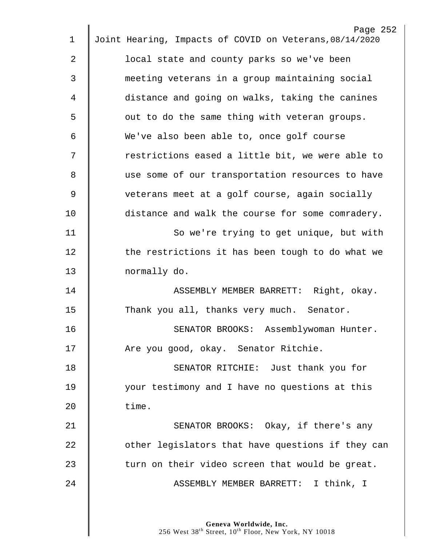|                | Page 252                                                |
|----------------|---------------------------------------------------------|
| $\mathbf 1$    | Joint Hearing, Impacts of COVID on Veterans, 08/14/2020 |
| $\overline{2}$ | local state and county parks so we've been              |
| 3              | meeting veterans in a group maintaining social          |
| 4              | distance and going on walks, taking the canines         |
| 5              | out to do the same thing with veteran groups.           |
| 6              | We've also been able to, once golf course               |
| 7              | restrictions eased a little bit, we were able to        |
| 8              | use some of our transportation resources to have        |
| $\mathcal{G}$  | veterans meet at a golf course, again socially          |
| 10             | distance and walk the course for some comradery.        |
| 11             | So we're trying to get unique, but with                 |
| 12             | the restrictions it has been tough to do what we        |
| 13             | normally do.                                            |
| 14             | ASSEMBLY MEMBER BARRETT: Right, okay.                   |
| 15             | Thank you all, thanks very much. Senator.               |
| 16             | SENATOR BROOKS: Assemblywoman Hunter.                   |
| 17             | Are you good, okay. Senator Ritchie.                    |
| 18             | SENATOR RITCHIE: Just thank you for                     |
| 19             | your testimony and I have no questions at this          |
| 20             | time.                                                   |
| 21             | SENATOR BROOKS: Okay, if there's any                    |
| 22             | other legislators that have questions if they can       |
| 23             | turn on their video screen that would be great.         |
| 24             | ASSEMBLY MEMBER BARRETT: I think, I                     |
|                |                                                         |
|                |                                                         |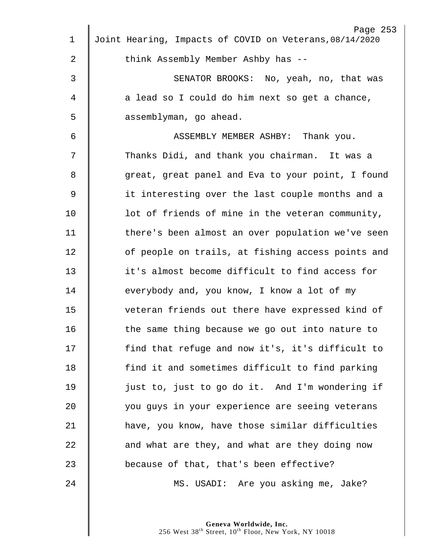| $\mathbf 1$ | Page 253<br>Joint Hearing, Impacts of COVID on Veterans, 08/14/2020 |
|-------------|---------------------------------------------------------------------|
|             |                                                                     |
| 2           | think Assembly Member Ashby has --                                  |
| 3           | SENATOR BROOKS: No, yeah, no, that was                              |
| 4           | a lead so I could do him next so get a chance,                      |
| 5           | assemblyman, go ahead.                                              |
| 6           | ASSEMBLY MEMBER ASHBY: Thank you.                                   |
| 7           | Thanks Didi, and thank you chairman. It was a                       |
| 8           | great, great panel and Eva to your point, I found                   |
| 9           | it interesting over the last couple months and a                    |
| 10          | lot of friends of mine in the veteran community,                    |
| 11          | there's been almost an over population we've seen                   |
| 12          | of people on trails, at fishing access points and                   |
| 13          | it's almost become difficult to find access for                     |
| 14          | everybody and, you know, I know a lot of my                         |
| 15          | veteran friends out there have expressed kind of                    |
| 16          | the same thing because we go out into nature to                     |
| 17          | find that refuge and now it's, it's difficult to                    |
| 18          | find it and sometimes difficult to find parking                     |
| 19          | just to, just to go do it. And I'm wondering if                     |
| 20          | you guys in your experience are seeing veterans                     |
| 21          | have, you know, have those similar difficulties                     |
| 22          | and what are they, and what are they doing now                      |
| 23          | because of that, that's been effective?                             |
| 24          | MS. USADI: Are you asking me, Jake?                                 |
|             |                                                                     |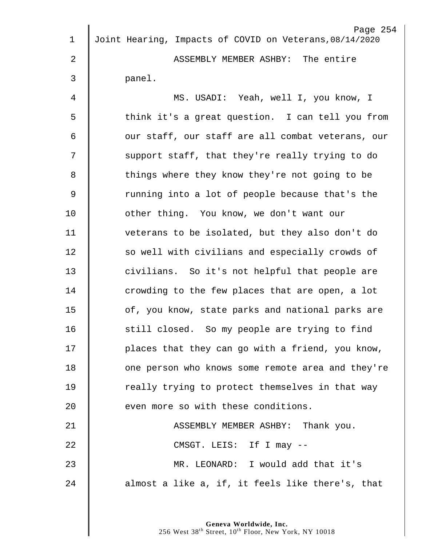| $\mathbf 1$ | Page 254<br>Joint Hearing, Impacts of COVID on Veterans, 08/14/2020 |
|-------------|---------------------------------------------------------------------|
|             |                                                                     |
| 2           | ASSEMBLY MEMBER ASHBY: The entire                                   |
| 3           | panel.                                                              |
| 4           | MS. USADI: Yeah, well I, you know, I                                |
| 5           | think it's a great question. I can tell you from                    |
| 6           | our staff, our staff are all combat veterans, our                   |
| 7           | support staff, that they're really trying to do                     |
| 8           | things where they know they're not going to be                      |
| $\mathsf 9$ | running into a lot of people because that's the                     |
| 10          | other thing. You know, we don't want our                            |
| 11          | veterans to be isolated, but they also don't do                     |
| 12          | so well with civilians and especially crowds of                     |
| 13          | civilians. So it's not helpful that people are                      |
| 14          | crowding to the few places that are open, a lot                     |
| 15          | of, you know, state parks and national parks are                    |
| 16          | still closed. So my people are trying to find                       |
| 17          | places that they can go with a friend, you know,                    |
| 18          | one person who knows some remote area and they're                   |
| 19          | really trying to protect themselves in that way                     |
| 20          | even more so with these conditions.                                 |
| 21          | ASSEMBLY MEMBER ASHBY: Thank you.                                   |
| 22          | CMSGT. LEIS: If I may --                                            |
| 23          | MR. LEONARD: I would add that it's                                  |
| 24          | almost a like a, if, it feels like there's, that                    |
|             |                                                                     |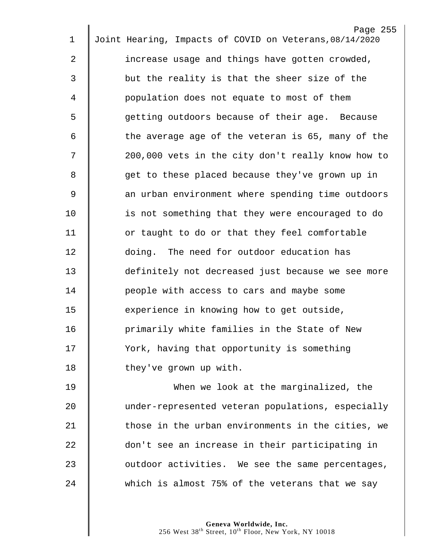| $\mathbf 1$ | Page 255<br>Joint Hearing, Impacts of COVID on Veterans, 08/14/2020 |
|-------------|---------------------------------------------------------------------|
|             |                                                                     |
| 2           | increase usage and things have gotten crowded,                      |
| 3           | but the reality is that the sheer size of the                       |
| 4           | population does not equate to most of them                          |
| 5           | getting outdoors because of their age. Because                      |
| 6           | the average age of the veteran is 65, many of the                   |
| 7           | 200,000 vets in the city don't really know how to                   |
| 8           | get to these placed because they've grown up in                     |
| 9           | an urban environment where spending time outdoors                   |
| 10          | is not something that they were encouraged to do                    |
| 11          | or taught to do or that they feel comfortable                       |
| 12          | doing. The need for outdoor education has                           |
| 13          | definitely not decreased just because we see more                   |
| 14          | people with access to cars and maybe some                           |
| 15          | experience in knowing how to get outside,                           |
| 16          | primarily white families in the State of New                        |
| 17          | York, having that opportunity is something                          |
| 18          | they've grown up with.                                              |
| 19          | When we look at the marginalized, the                               |
| 20          | under-represented veteran populations, especially                   |
| 21          | those in the urban environments in the cities, we                   |
| 22          | don't see an increase in their participating in                     |
| 23          | outdoor activities. We see the same percentages,                    |
| 24          | which is almost 75% of the veterans that we say                     |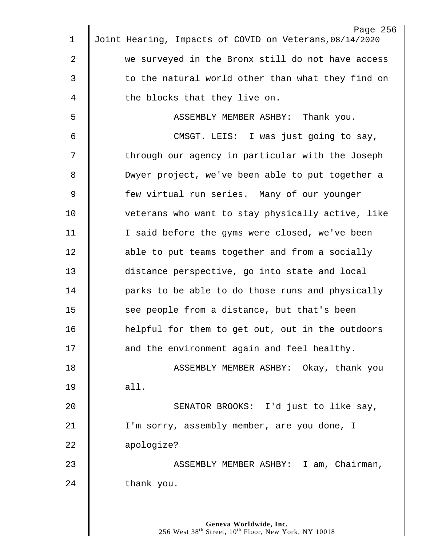| $\mathbf 1$ | Page 256<br>Joint Hearing, Impacts of COVID on Veterans, 08/14/2020 |
|-------------|---------------------------------------------------------------------|
| 2           | we surveyed in the Bronx still do not have access                   |
| 3           | to the natural world other than what they find on                   |
| 4           | the blocks that they live on.                                       |
| 5           | ASSEMBLY MEMBER ASHBY: Thank you.                                   |
| 6           | CMSGT. LEIS: I was just going to say,                               |
| 7           | through our agency in particular with the Joseph                    |
| 8           | Dwyer project, we've been able to put together a                    |
| 9           | few virtual run series. Many of our younger                         |
| 10          | veterans who want to stay physically active, like                   |
| 11          | I said before the gyms were closed, we've been                      |
| 12          | able to put teams together and from a socially                      |
| 13          | distance perspective, go into state and local                       |
| 14          | parks to be able to do those runs and physically                    |
| 15          | see people from a distance, but that's been                         |
| 16          | helpful for them to get out, out in the outdoors                    |
| 17          | and the environment again and feel healthy.                         |
| 18          |                                                                     |
| 19          | ASSEMBLY MEMBER ASHBY: Okay, thank you                              |
|             | all.                                                                |
| 20          | SENATOR BROOKS: I'd just to like say,                               |
| 21          | I'm sorry, assembly member, are you done, I                         |
| 22          | apologize?                                                          |
| 23          | ASSEMBLY MEMBER ASHBY: I am, Chairman,                              |
| 24          | thank you.                                                          |
|             |                                                                     |
|             | Geneva Worldwide, Inc.                                              |

West  $38^{\text{th}}$  Street,  $10^{\text{th}}$  Floor, New York, NY 10018

 $\parallel$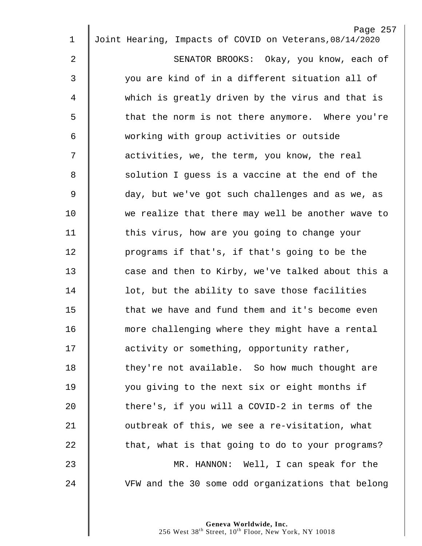| $\mathbf 1$    | Page 257<br>Joint Hearing, Impacts of COVID on Veterans, 08/14/2020 |
|----------------|---------------------------------------------------------------------|
| $\overline{2}$ |                                                                     |
|                | SENATOR BROOKS: Okay, you know, each of                             |
| 3              | you are kind of in a different situation all of                     |
| 4              | which is greatly driven by the virus and that is                    |
| 5              | that the norm is not there anymore. Where you're                    |
| 6              | working with group activities or outside                            |
| 7              | activities, we, the term, you know, the real                        |
| 8              | solution I guess is a vaccine at the end of the                     |
| 9              | day, but we've got such challenges and as we, as                    |
| 10             | we realize that there may well be another wave to                   |
| 11             | this virus, how are you going to change your                        |
| 12             | programs if that's, if that's going to be the                       |
| 13             | case and then to Kirby, we've talked about this a                   |
| 14             | lot, but the ability to save those facilities                       |
| 15             | that we have and fund them and it's become even                     |
| 16             | more challenging where they might have a rental                     |
| 17             | activity or something, opportunity rather,                          |
| 18             | they're not available. So how much thought are                      |
| 19             | you giving to the next six or eight months if                       |
| 20             | there's, if you will a COVID-2 in terms of the                      |
| 21             | outbreak of this, we see a re-visitation, what                      |
| 22             | that, what is that going to do to your programs?                    |
| 23             | MR. HANNON: Well, I can speak for the                               |
| 24             | VFW and the 30 some odd organizations that belong                   |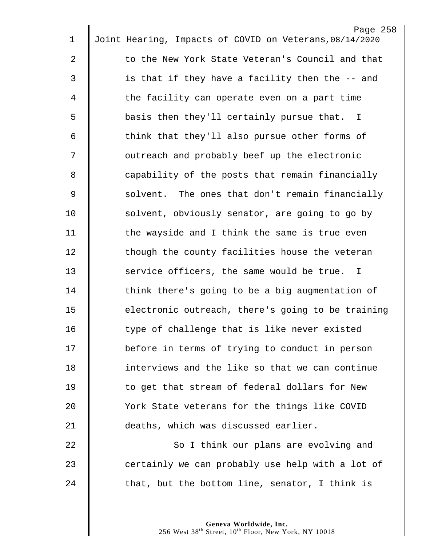|             | Page 258                                                |
|-------------|---------------------------------------------------------|
| $\mathbf 1$ | Joint Hearing, Impacts of COVID on Veterans, 08/14/2020 |
| 2           | to the New York State Veteran's Council and that        |
| 3           | is that if they have a facility then the -- and         |
| 4           | the facility can operate even on a part time            |
| 5           | basis then they'll certainly pursue that. I             |
| 6           | think that they'll also pursue other forms of           |
| 7           | outreach and probably beef up the electronic            |
| 8           | capability of the posts that remain financially         |
| 9           | solvent. The ones that don't remain financially         |
| 10          | solvent, obviously senator, are going to go by          |
| 11          | the wayside and I think the same is true even           |
| 12          | though the county facilities house the veteran          |
| 13          | service officers, the same would be true. I             |
| 14          | think there's going to be a big augmentation of         |
| 15          | electronic outreach, there's going to be training       |
| 16          | type of challenge that is like never existed            |
| 17          | before in terms of trying to conduct in person          |
| 18          | interviews and the like so that we can continue         |
| 19          | to get that stream of federal dollars for New           |
| 20          | York State veterans for the things like COVID           |
| 21          | deaths, which was discussed earlier.                    |
| 22          | So I think our plans are evolving and                   |
| 23          | certainly we can probably use help with a lot of        |
| 24          | that, but the bottom line, senator, I think is          |
|             |                                                         |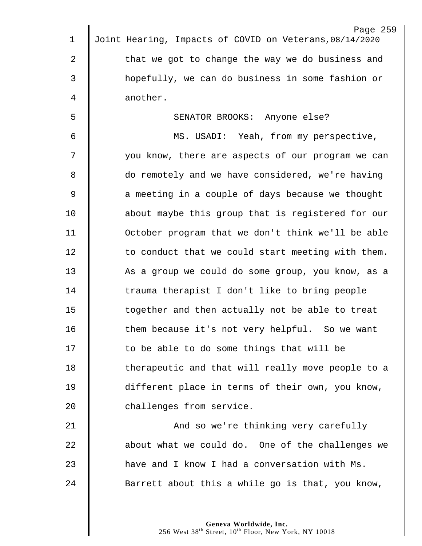| $\mathbf 1$    | Page 259<br>Joint Hearing, Impacts of COVID on Veterans, 08/14/2020 |
|----------------|---------------------------------------------------------------------|
|                |                                                                     |
| $\overline{2}$ | that we got to change the way we do business and                    |
| 3              | hopefully, we can do business in some fashion or                    |
| 4              | another.                                                            |
| 5              | SENATOR BROOKS: Anyone else?                                        |
| 6              | MS. USADI: Yeah, from my perspective,                               |
| 7              | you know, there are aspects of our program we can                   |
| 8              | do remotely and we have considered, we're having                    |
| $\mathsf 9$    | a meeting in a couple of days because we thought                    |
| 10             | about maybe this group that is registered for our                   |
| 11             | October program that we don't think we'll be able                   |
| 12             | to conduct that we could start meeting with them.                   |
| 13             | As a group we could do some group, you know, as a                   |
| 14             | trauma therapist I don't like to bring people                       |
| 15             | together and then actually not be able to treat                     |
| 16             | them because it's not very helpful. So we want                      |
| 17             | to be able to do some things that will be                           |
| 18             | therapeutic and that will really move people to a                   |
| 19             | different place in terms of their own, you know,                    |
| 20             | challenges from service.                                            |
| 21             | And so we're thinking very carefully                                |
| 22             | about what we could do. One of the challenges we                    |
| 23             | have and I know I had a conversation with Ms.                       |
| 24             | Barrett about this a while go is that, you know,                    |
|                |                                                                     |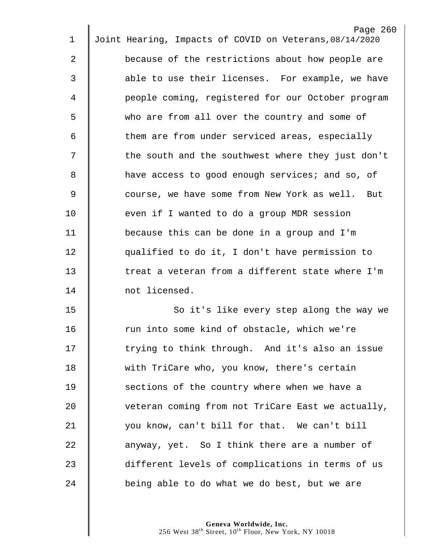|    | Page 260                                                |
|----|---------------------------------------------------------|
| 1  | Joint Hearing, Impacts of COVID on Veterans, 08/14/2020 |
| 2  | because of the restrictions about how people are        |
| 3  | able to use their licenses. For example, we have        |
| 4  | people coming, registered for our October program       |
| 5  | who are from all over the country and some of           |
| 6  | them are from under serviced areas, especially          |
| 7  | the south and the southwest where they just don't       |
| 8  | have access to good enough services; and so, of         |
| 9  | course, we have some from New York as well.<br>But      |
| 10 | even if I wanted to do a group MDR session              |
| 11 | because this can be done in a group and I'm             |
| 12 | qualified to do it, I don't have permission to          |
| 13 | treat a veteran from a different state where I'm        |
| 14 | not licensed.                                           |
| 15 | So it's like every step along the way we                |
| 16 | run into some kind of obstacle, which we're             |
| 17 | trying to think through. And it's also an issue         |
| 18 | with TriCare who, you know, there's certain             |
| 19 | sections of the country where when we have a            |
| 20 | veteran coming from not TriCare East we actually,       |
| 21 | you know, can't bill for that. We can't bill            |
| 22 | anyway, yet. So I think there are a number of           |
| 23 | different levels of complications in terms of us        |
| 24 | being able to do what we do best, but we are            |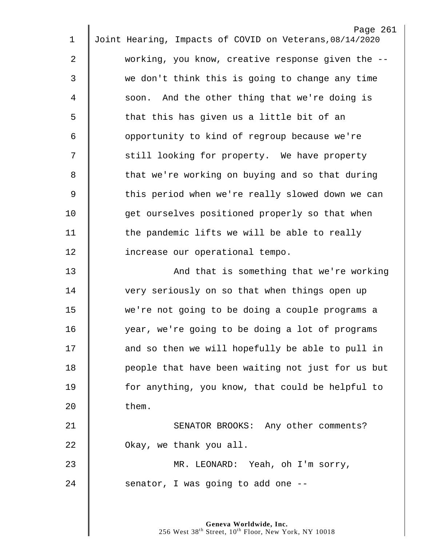| 1              | Page 261<br>Joint Hearing, Impacts of COVID on Veterans, 08/14/2020 |
|----------------|---------------------------------------------------------------------|
| $\overline{2}$ | working, you know, creative response given the --                   |
| 3              | we don't think this is going to change any time                     |
| 4              | soon. And the other thing that we're doing is                       |
| 5              | that this has given us a little bit of an                           |
| 6              | opportunity to kind of regroup because we're                        |
| 7              | still looking for property. We have property                        |
| 8              | that we're working on buying and so that during                     |
|                |                                                                     |
| $\mathsf 9$    | this period when we're really slowed down we can                    |
| 10             | get ourselves positioned properly so that when                      |
| 11             | the pandemic lifts we will be able to really                        |
| 12             | increase our operational tempo.                                     |
| 13             | And that is something that we're working                            |
| 14             | very seriously on so that when things open up                       |
| 15             | we're not going to be doing a couple programs a                     |
| 16             | year, we're going to be doing a lot of programs                     |
| 17             | and so then we will hopefully be able to pull in                    |
| 18             | people that have been waiting not just for us but                   |
| 19             | for anything, you know, that could be helpful to                    |
| 20             | them.                                                               |
| 21             | SENATOR BROOKS: Any other comments?                                 |
| 22             | Okay, we thank you all.                                             |
| 23             | MR. LEONARD: Yeah, oh I'm sorry,                                    |
| 24             | senator, I was going to add one --                                  |
|                |                                                                     |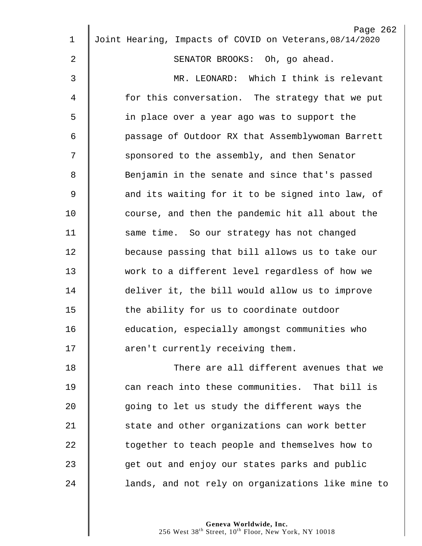| $\mathbf 1$    | Page 262<br>Joint Hearing, Impacts of COVID on Veterans, 08/14/2020 |
|----------------|---------------------------------------------------------------------|
| 2              | SENATOR BROOKS: Oh, go ahead.                                       |
|                |                                                                     |
| 3              | MR. LEONARD: Which I think is relevant                              |
| 4              | for this conversation. The strategy that we put                     |
| 5              | in place over a year ago was to support the                         |
| 6              | passage of Outdoor RX that Assemblywoman Barrett                    |
| 7              | sponsored to the assembly, and then Senator                         |
| 8              | Benjamin in the senate and since that's passed                      |
| $\overline{9}$ | and its waiting for it to be signed into law, of                    |
| 10             | course, and then the pandemic hit all about the                     |
| 11             | same time. So our strategy has not changed                          |
| 12             | because passing that bill allows us to take our                     |
| 13             | work to a different level regardless of how we                      |
| 14             | deliver it, the bill would allow us to improve                      |
| 15             | the ability for us to coordinate outdoor                            |
| 16             | education, especially amongst communities who                       |
| 17             | aren't currently receiving them.                                    |
| 18             | There are all different avenues that we                             |
| 19             | can reach into these communities. That bill is                      |
| 20             | going to let us study the different ways the                        |
| 21             | state and other organizations can work better                       |
| 22             | together to teach people and themselves how to                      |
| 23             | get out and enjoy our states parks and public                       |
| 24             | lands, and not rely on organizations like mine to                   |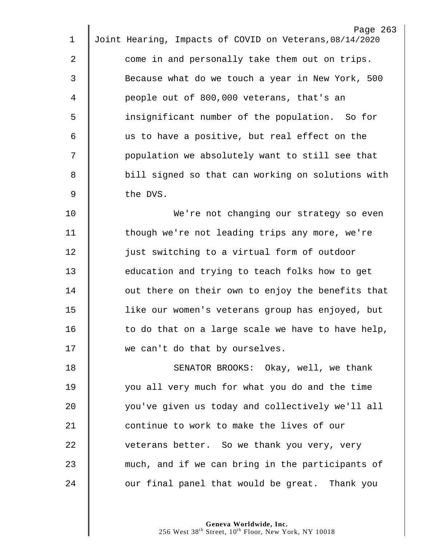|             | Page 263                                                |
|-------------|---------------------------------------------------------|
| 1           | Joint Hearing, Impacts of COVID on Veterans, 08/14/2020 |
| 2           | come in and personally take them out on trips.          |
| 3           | Because what do we touch a year in New York, 500        |
| 4           | people out of 800,000 veterans, that's an               |
| 5           | insignificant number of the population. So for          |
| 6           | us to have a positive, but real effect on the           |
| 7           | population we absolutely want to still see that         |
| 8           | bill signed so that can working on solutions with       |
| $\mathsf 9$ | the DVS.                                                |
| 10          | We're not changing our strategy so even                 |
| 11          | though we're not leading trips any more, we're          |
| 12          | just switching to a virtual form of outdoor             |
| 13          | education and trying to teach folks how to get          |
| 14          | out there on their own to enjoy the benefits that       |
| 15          | like our women's veterans group has enjoyed, but        |
| 16          | to do that on a large scale we have to have help,       |
| 17          | we can't do that by ourselves.                          |
| 18          | SENATOR BROOKS: Okay, well, we thank                    |
| 19          | you all very much for what you do and the time          |
| 20          | you've given us today and collectively we'll all        |
| 21          | continue to work to make the lives of our               |
| 22          | veterans better. So we thank you very, very             |
| 23          | much, and if we can bring in the participants of        |
| 24          | our final panel that would be great. Thank you          |
|             |                                                         |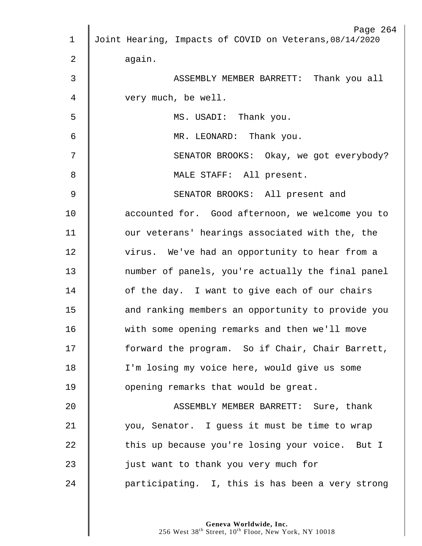| $\mathbf 1$   | Page 264<br>Joint Hearing, Impacts of COVID on Veterans, 08/14/2020 |
|---------------|---------------------------------------------------------------------|
|               |                                                                     |
| 2             | again.                                                              |
| 3             | ASSEMBLY MEMBER BARRETT: Thank you all                              |
| 4             | very much, be well.                                                 |
| 5             | MS. USADI: Thank you.                                               |
| 6             | MR. LEONARD: Thank you.                                             |
| 7             | SENATOR BROOKS: Okay, we got everybody?                             |
| 8             | MALE STAFF: All present.                                            |
| $\mathcal{G}$ | SENATOR BROOKS: All present and                                     |
| 10            | accounted for. Good afternoon, we welcome you to                    |
| 11            | our veterans' hearings associated with the, the                     |
| 12            | virus. We've had an opportunity to hear from a                      |
| 13            | number of panels, you're actually the final panel                   |
| 14            | of the day. I want to give each of our chairs                       |
| 15            | and ranking members an opportunity to provide you                   |
| 16            | with some opening remarks and then we'll move                       |
| 17            | forward the program. So if Chair, Chair Barrett,                    |
| 18            | I'm losing my voice here, would give us some                        |
| 19            | opening remarks that would be great.                                |
| 20            | ASSEMBLY MEMBER BARRETT: Sure, thank                                |
| 21            | you, Senator. I guess it must be time to wrap                       |
| 22            | this up because you're losing your voice. But I                     |
| 23            | just want to thank you very much for                                |
| 24            | participating. I, this is has been a very strong                    |
|               |                                                                     |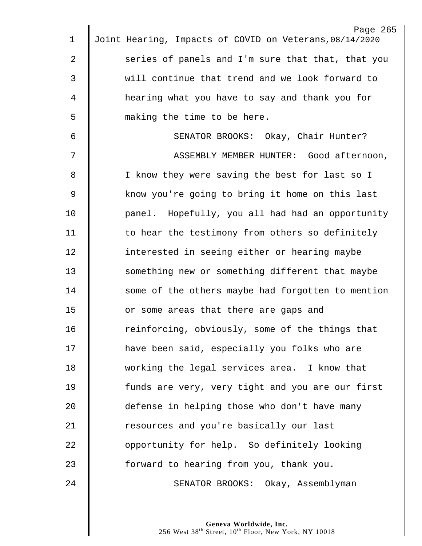| 1              | Page 265<br>Joint Hearing, Impacts of COVID on Veterans, 08/14/2020 |
|----------------|---------------------------------------------------------------------|
|                |                                                                     |
| 2              | series of panels and I'm sure that that, that you                   |
| 3              | will continue that trend and we look forward to                     |
| 4              | hearing what you have to say and thank you for                      |
| 5              | making the time to be here.                                         |
| 6              | SENATOR BROOKS: Okay, Chair Hunter?                                 |
| 7              | ASSEMBLY MEMBER HUNTER: Good afternoon,                             |
| 8              | I know they were saving the best for last so I                      |
| $\overline{9}$ | know you're going to bring it home on this last                     |
| 10             | panel. Hopefully, you all had had an opportunity                    |
| 11             | to hear the testimony from others so definitely                     |
| 12             | interested in seeing either or hearing maybe                        |
| 13             | something new or something different that maybe                     |
| 14             | some of the others maybe had forgotten to mention                   |
| 15             | or some areas that there are gaps and                               |
| 16             | reinforcing, obviously, some of the things that                     |
| 17             | have been said, especially you folks who are                        |
| 18             | working the legal services area. I know that                        |
| 19             | funds are very, very tight and you are our first                    |
| 20             | defense in helping those who don't have many                        |
| 21             | resources and you're basically our last                             |
| 22             | opportunity for help. So definitely looking                         |
| 23             | forward to hearing from you, thank you.                             |
| 24             | SENATOR BROOKS: Okay, Assemblyman                                   |
|                |                                                                     |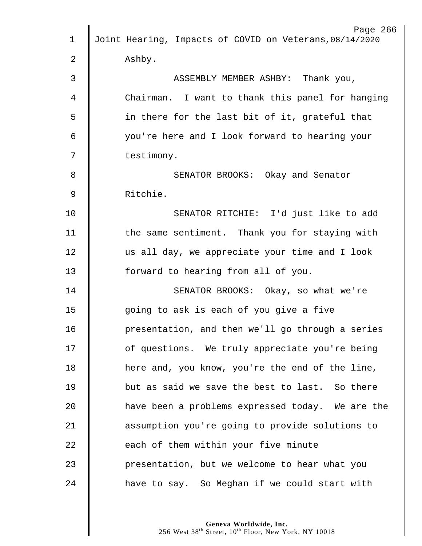|             | Page 266                                                |
|-------------|---------------------------------------------------------|
| $\mathbf 1$ | Joint Hearing, Impacts of COVID on Veterans, 08/14/2020 |
| 2           | Ashby.                                                  |
| 3           | ASSEMBLY MEMBER ASHBY: Thank you,                       |
| 4           | Chairman. I want to thank this panel for hanging        |
| 5           | in there for the last bit of it, grateful that          |
| 6           | you're here and I look forward to hearing your          |
| 7           | testimony.                                              |
| 8           | SENATOR BROOKS: Okay and Senator                        |
| $\mathsf 9$ | Ritchie.                                                |
| 10          | SENATOR RITCHIE: I'd just like to add                   |
| 11          | the same sentiment. Thank you for staying with          |
| 12          | us all day, we appreciate your time and I look          |
| 13          | forward to hearing from all of you.                     |
| 14          | SENATOR BROOKS: Okay, so what we're                     |
| 15          | going to ask is each of you give a five                 |
| 16          | presentation, and then we'll go through a series        |
| 17          | of questions. We truly appreciate you're being          |
| 18          | here and, you know, you're the end of the line,         |
| 19          | but as said we save the best to last. So there          |
| 20          | have been a problems expressed today. We are the        |
| 21          | assumption you're going to provide solutions to         |
| 22          | each of them within your five minute                    |
| 23          | presentation, but we welcome to hear what you           |
| 24          | have to say. So Meghan if we could start with           |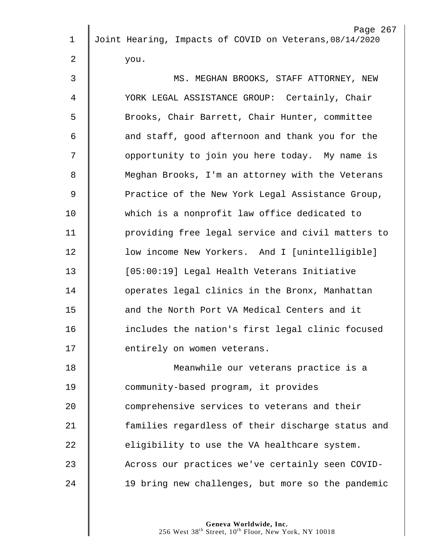| $\mathbf 1$    | Page 267<br>Joint Hearing, Impacts of COVID on Veterans, 08/14/2020 |
|----------------|---------------------------------------------------------------------|
|                |                                                                     |
| $\overline{2}$ | you.                                                                |
| 3              | MS. MEGHAN BROOKS, STAFF ATTORNEY, NEW                              |
| 4              | YORK LEGAL ASSISTANCE GROUP: Certainly, Chair                       |
| 5              | Brooks, Chair Barrett, Chair Hunter, committee                      |
| 6              | and staff, good afternoon and thank you for the                     |
| 7              | opportunity to join you here today. My name is                      |
| 8              | Meghan Brooks, I'm an attorney with the Veterans                    |
| 9              | Practice of the New York Legal Assistance Group,                    |
| 10             | which is a nonprofit law office dedicated to                        |
| 11             | providing free legal service and civil matters to                   |
| 12             | low income New Yorkers. And I [unintelligible]                      |
| 13             | [05:00:19] Legal Health Veterans Initiative                         |
| 14             | operates legal clinics in the Bronx, Manhattan                      |
| 15             | and the North Port VA Medical Centers and it                        |
| 16             | includes the nation's first legal clinic focused                    |
| 17             | entirely on women veterans.                                         |
| 18             | Meanwhile our veterans practice is a                                |
| 19             | community-based program, it provides                                |
| 20             | comprehensive services to veterans and their                        |
| 21             | families regardless of their discharge status and                   |
| 22             | eligibility to use the VA healthcare system.                        |
| 23             | Across our practices we've certainly seen COVID-                    |
| 24             | 19 bring new challenges, but more so the pandemic                   |
|                |                                                                     |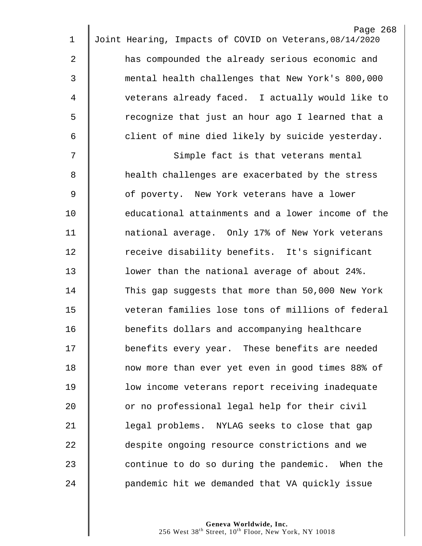|                | Page 268                                                |
|----------------|---------------------------------------------------------|
| 1              | Joint Hearing, Impacts of COVID on Veterans, 08/14/2020 |
| $\overline{2}$ | has compounded the already serious economic and         |
| 3              | mental health challenges that New York's 800,000        |
| 4              | veterans already faced. I actually would like to        |
| 5              | recognize that just an hour ago I learned that a        |
| 6              | client of mine died likely by suicide yesterday.        |
| 7              | Simple fact is that veterans mental                     |
| 8              | health challenges are exacerbated by the stress         |
| 9              | of poverty. New York veterans have a lower              |
| 10             | educational attainments and a lower income of the       |
| 11             | national average. Only 17% of New York veterans         |
| 12             | receive disability benefits. It's significant           |
| 13             | lower than the national average of about 24%.           |
| 14             | This gap suggests that more than 50,000 New York        |
| 15             | veteran families lose tons of millions of federal       |
| 16             | benefits dollars and accompanying healthcare            |
| 17             | benefits every year. These benefits are needed          |
| 18             | now more than ever yet even in good times 88% of        |
| 19             | low income veterans report receiving inadequate         |
| 20             | or no professional legal help for their civil           |
| 21             | legal problems. NYLAG seeks to close that gap           |
| 22             | despite ongoing resource constrictions and we           |
| 23             | continue to do so during the pandemic. When the         |
| 24             | pandemic hit we demanded that VA quickly issue          |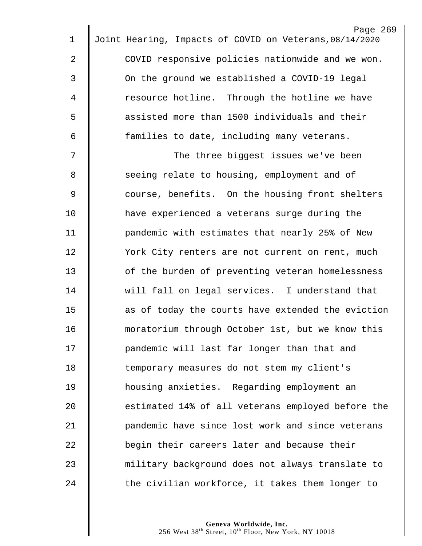|                | Page 269                                                |
|----------------|---------------------------------------------------------|
| $\mathbf 1$    | Joint Hearing, Impacts of COVID on Veterans, 08/14/2020 |
| $\overline{2}$ | COVID responsive policies nationwide and we won.        |
| 3              | On the ground we established a COVID-19 legal           |
| 4              | resource hotline. Through the hotline we have           |
| 5              | assisted more than 1500 individuals and their           |
| 6              | families to date, including many veterans.              |
| 7              | The three biggest issues we've been                     |
| 8              | seeing relate to housing, employment and of             |
| 9              | course, benefits. On the housing front shelters         |
| 10             | have experienced a veterans surge during the            |
| 11             | pandemic with estimates that nearly 25% of New          |
| 12             | York City renters are not current on rent, much         |
| 13             | of the burden of preventing veteran homelessness        |
| 14             | will fall on legal services. I understand that          |
| 15             | as of today the courts have extended the eviction       |
| 16             | moratorium through October 1st, but we know this        |
| 17             | pandemic will last far longer than that and             |
| 18             | temporary measures do not stem my client's              |
| 19             | housing anxieties. Regarding employment an              |
| 20             | estimated 14% of all veterans employed before the       |
| 21             | pandemic have since lost work and since veterans        |
| 22             | begin their careers later and because their             |
| 23             | military background does not always translate to        |
| 24             | the civilian workforce, it takes them longer to         |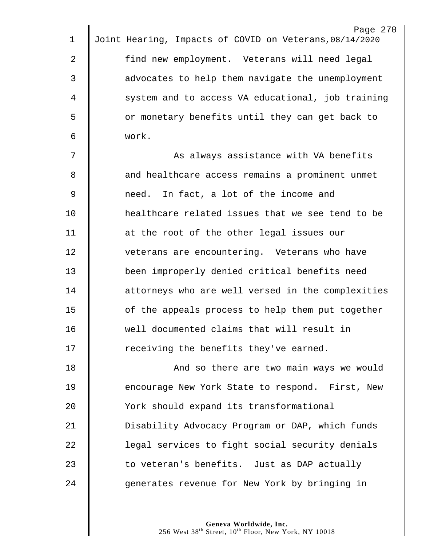| $\mathbf 1$   | Page 270<br>Joint Hearing, Impacts of COVID on Veterans, 08/14/2020 |
|---------------|---------------------------------------------------------------------|
| 2             | find new employment. Veterans will need legal                       |
| 3             | advocates to help them navigate the unemployment                    |
|               |                                                                     |
| 4             | system and to access VA educational, job training                   |
| 5             | or monetary benefits until they can get back to                     |
| 6             | work.                                                               |
| 7             | As always assistance with VA benefits                               |
| 8             | and healthcare access remains a prominent unmet                     |
| $\mathcal{G}$ | In fact, a lot of the income and<br>need.                           |
| 10            | healthcare related issues that we see tend to be                    |
| 11            | at the root of the other legal issues our                           |
| 12            | veterans are encountering. Veterans who have                        |
| 13            | been improperly denied critical benefits need                       |
| 14            | attorneys who are well versed in the complexities                   |
| 15            | of the appeals process to help them put together                    |
| 16            | well documented claims that will result in                          |
| 17            | receiving the benefits they've earned.                              |
| 18            | And so there are two main ways we would                             |
| 19            | encourage New York State to respond. First, New                     |
| 20            | York should expand its transformational                             |
| 21            | Disability Advocacy Program or DAP, which funds                     |
| 22            | legal services to fight social security denials                     |
| 23            | to veteran's benefits. Just as DAP actually                         |
| 24            | generates revenue for New York by bringing in                       |
|               |                                                                     |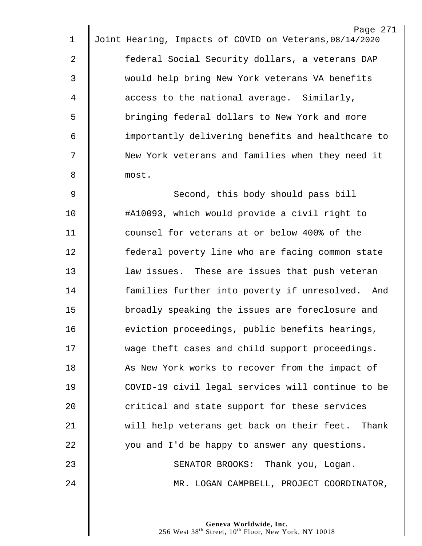|             | Page 271                                                |
|-------------|---------------------------------------------------------|
| $\mathbf 1$ | Joint Hearing, Impacts of COVID on Veterans, 08/14/2020 |
| 2           | federal Social Security dollars, a veterans DAP         |
| 3           | would help bring New York veterans VA benefits          |
| 4           | access to the national average. Similarly,              |
| 5           | bringing federal dollars to New York and more           |
| 6           | importantly delivering benefits and healthcare to       |
| 7           | New York veterans and families when they need it        |
| 8           | most.                                                   |
| $\mathsf 9$ | Second, this body should pass bill                      |
| 10          | #A10093, which would provide a civil right to           |
| 11          | counsel for veterans at or below 400% of the            |
| 12          | federal poverty line who are facing common state        |
| 13          | law issues. These are issues that push veteran          |
| 14          | families further into poverty if unresolved. And        |
| 15          | broadly speaking the issues are foreclosure and         |
| 16          | eviction proceedings, public benefits hearings,         |
| 17          | wage theft cases and child support proceedings.         |
| 18          | As New York works to recover from the impact of         |
| 19          | COVID-19 civil legal services will continue to be       |
| 20          | critical and state support for these services           |
| 21          | will help veterans get back on their feet. Thank        |
| 22          | you and I'd be happy to answer any questions.           |
| 23          | SENATOR BROOKS: Thank you, Logan.                       |
| 24          | MR. LOGAN CAMPBELL, PROJECT COORDINATOR,                |
|             |                                                         |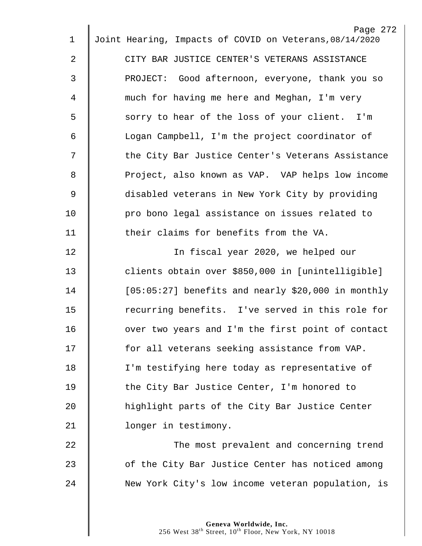| $\mathbf 1$    | Page 272<br>Joint Hearing, Impacts of COVID on Veterans, 08/14/2020 |
|----------------|---------------------------------------------------------------------|
|                |                                                                     |
| $\overline{2}$ | CITY BAR JUSTICE CENTER'S VETERANS ASSISTANCE                       |
| 3              | PROJECT: Good afternoon, everyone, thank you so                     |
| 4              | much for having me here and Meghan, I'm very                        |
| 5              | sorry to hear of the loss of your client. I'm                       |
| 6              | Logan Campbell, I'm the project coordinator of                      |
| 7              | the City Bar Justice Center's Veterans Assistance                   |
| 8              | Project, also known as VAP. VAP helps low income                    |
| 9              | disabled veterans in New York City by providing                     |
| 10             | pro bono legal assistance on issues related to                      |
| 11             | their claims for benefits from the VA.                              |
| 12             | In fiscal year 2020, we helped our                                  |
| 13             | clients obtain over \$850,000 in [unintelligible]                   |
| 14             | $[05:05:27]$ benefits and nearly \$20,000 in monthly                |
| 15             | recurring benefits. I've served in this role for                    |
| 16             | over two years and I'm the first point of contact                   |
| 17             | for all veterans seeking assistance from VAP.                       |
| 18             | I'm testifying here today as representative of                      |
| 19             | the City Bar Justice Center, I'm honored to                         |
| 20             | highlight parts of the City Bar Justice Center                      |
| 21             | longer in testimony.                                                |
| 22             | The most prevalent and concerning trend                             |
| 23             | of the City Bar Justice Center has noticed among                    |
| 24             | New York City's low income veteran population, is                   |
|                |                                                                     |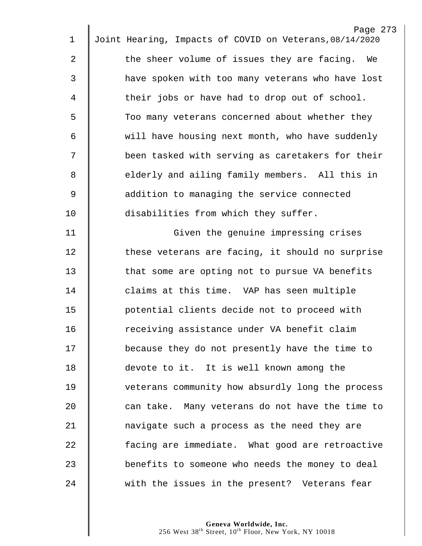|             | Page 273                                                |
|-------------|---------------------------------------------------------|
| $\mathbf 1$ | Joint Hearing, Impacts of COVID on Veterans, 08/14/2020 |
| 2           | the sheer volume of issues they are facing. We          |
| 3           | have spoken with too many veterans who have lost        |
| 4           | their jobs or have had to drop out of school.           |
| 5           | Too many veterans concerned about whether they          |
| 6           | will have housing next month, who have suddenly         |
| 7           | been tasked with serving as caretakers for their        |
| 8           | elderly and ailing family members. All this in          |
| $\mathsf 9$ | addition to managing the service connected              |
| 10          | disabilities from which they suffer.                    |
| 11          | Given the genuine impressing crises                     |
| 12          | these veterans are facing, it should no surprise        |
| 13          | that some are opting not to pursue VA benefits          |
| 14          | claims at this time. VAP has seen multiple              |
| 15          | potential clients decide not to proceed with            |
| 16          | receiving assistance under VA benefit claim             |
| 17          | because they do not presently have the time to          |
| 18          | devote to it. It is well known among the                |
| 19          | veterans community how absurdly long the process        |
| 20          | can take. Many veterans do not have the time to         |
| 21          | navigate such a process as the need they are            |
| 22          | facing are immediate. What good are retroactive         |
| 23          | benefits to someone who needs the money to deal         |
| 24          | with the issues in the present? Veterans fear           |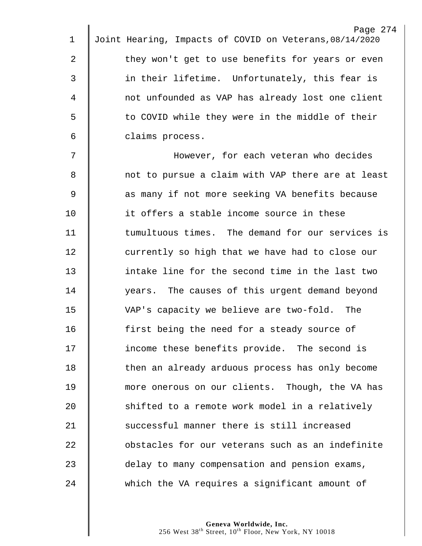|                | Page 274                                                |
|----------------|---------------------------------------------------------|
| $\mathbf 1$    | Joint Hearing, Impacts of COVID on Veterans, 08/14/2020 |
| 2              | they won't get to use benefits for years or even        |
| $\mathsf{3}$   | in their lifetime. Unfortunately, this fear is          |
| 4              | not unfounded as VAP has already lost one client        |
| 5              | to COVID while they were in the middle of their         |
| 6              | claims process.                                         |
| 7              | However, for each veteran who decides                   |
| 8              | not to pursue a claim with VAP there are at least       |
| $\overline{9}$ | as many if not more seeking VA benefits because         |
| 10             | it offers a stable income source in these               |
| 11             | tumultuous times. The demand for our services is        |
| 12             | currently so high that we have had to close our         |
| 13             | intake line for the second time in the last two         |
| 14             | years. The causes of this urgent demand beyond          |
| 15             | VAP's capacity we believe are two-fold. The             |
| 16             | first being the need for a steady source of             |
| 17             | income these benefits provide. The second is            |
| 18             | then an already arduous process has only become         |
| 19             | more onerous on our clients. Though, the VA has         |
| 20             | shifted to a remote work model in a relatively          |
| 21             | successful manner there is still increased              |
| 22             | obstacles for our veterans such as an indefinite        |
| 23             | delay to many compensation and pension exams,           |
| 24             | which the VA requires a significant amount of           |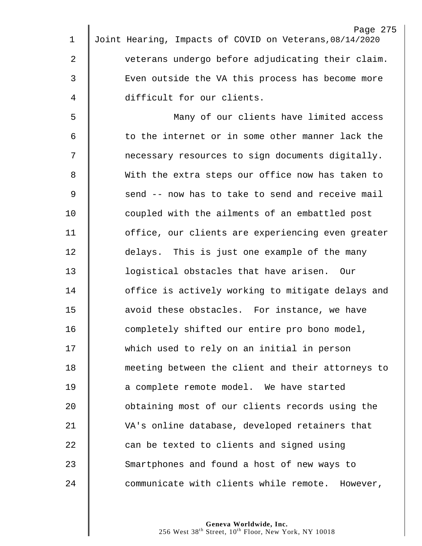|             | Page 275                                                |
|-------------|---------------------------------------------------------|
| 1           | Joint Hearing, Impacts of COVID on Veterans, 08/14/2020 |
| 2           | veterans undergo before adjudicating their claim.       |
| 3           | Even outside the VA this process has become more        |
| 4           | difficult for our clients.                              |
| 5           | Many of our clients have limited access                 |
| 6           | to the internet or in some other manner lack the        |
| 7           | necessary resources to sign documents digitally.        |
| 8           | With the extra steps our office now has taken to        |
| $\mathsf 9$ | send -- now has to take to send and receive mail        |
| 10          | coupled with the ailments of an embattled post          |
| 11          | office, our clients are experiencing even greater       |
| 12          | delays. This is just one example of the many            |
| 13          | logistical obstacles that have arisen. Our              |
| 14          | office is actively working to mitigate delays and       |
| 15          | avoid these obstacles. For instance, we have            |
| 16          | completely shifted our entire pro bono model,           |
| 17          | which used to rely on an initial in person              |
| 18          | meeting between the client and their attorneys to       |
| 19          | a complete remote model. We have started                |
| 20          | obtaining most of our clients records using the         |
| 21          | VA's online database, developed retainers that          |
| 22          | can be texted to clients and signed using               |
| 23          | Smartphones and found a host of new ways to             |
| 24          | communicate with clients while remote. However,         |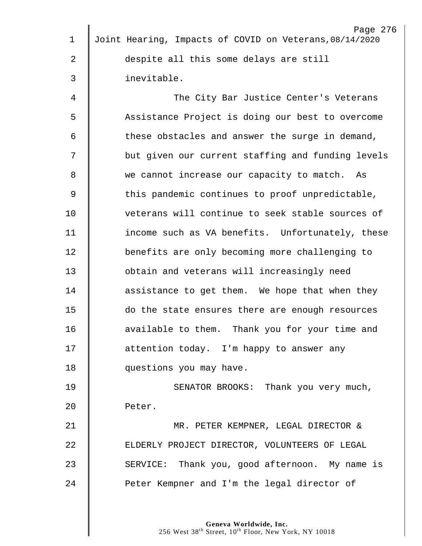| $\mathbf 1$ | Page 276<br>Joint Hearing, Impacts of COVID on Veterans, 08/14/2020 |
|-------------|---------------------------------------------------------------------|
|             |                                                                     |
| 2           | despite all this some delays are still                              |
| 3           | inevitable.                                                         |
| 4           | The City Bar Justice Center's Veterans                              |
| 5           | Assistance Project is doing our best to overcome                    |
| 6           | these obstacles and answer the surge in demand,                     |
| 7           | but given our current staffing and funding levels                   |
| 8           | we cannot increase our capacity to match. As                        |
| 9           | this pandemic continues to proof unpredictable,                     |
| 10          | veterans will continue to seek stable sources of                    |
| 11          | income such as VA benefits. Unfortunately, these                    |
| 12          | benefits are only becoming more challenging to                      |
| 13          | obtain and veterans will increasingly need                          |
| 14          | assistance to get them. We hope that when they                      |
| 15          | do the state ensures there are enough resources                     |
| 16          | available to them. Thank you for your time and                      |
| 17          | attention today. I'm happy to answer any                            |
| 18          | questions you may have.                                             |
| 19          | SENATOR BROOKS: Thank you very much,                                |
| 20          | Peter.                                                              |
| 21          | MR. PETER KEMPNER, LEGAL DIRECTOR &                                 |
| 22          | ELDERLY PROJECT DIRECTOR, VOLUNTEERS OF LEGAL                       |
| 23          | SERVICE: Thank you, good afternoon. My name is                      |
| 24          | Peter Kempner and I'm the legal director of                         |
|             |                                                                     |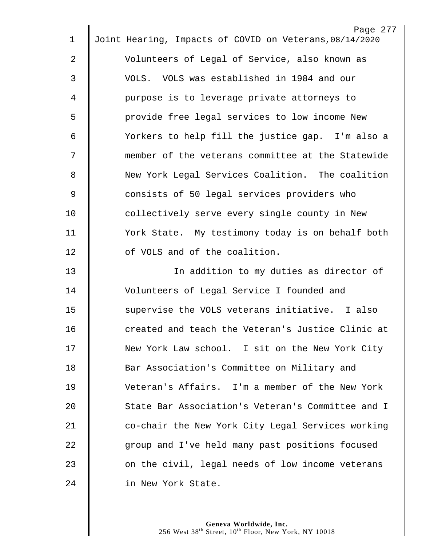| $\mathbf 1$    | Page 277<br>Joint Hearing, Impacts of COVID on Veterans, 08/14/2020 |
|----------------|---------------------------------------------------------------------|
|                |                                                                     |
| $\overline{2}$ | Volunteers of Legal of Service, also known as                       |
| 3              | VOLS. VOLS was established in 1984 and our                          |
| 4              | purpose is to leverage private attorneys to                         |
| 5              | provide free legal services to low income New                       |
| 6              | Yorkers to help fill the justice gap. I'm also a                    |
| 7              | member of the veterans committee at the Statewide                   |
| 8              | New York Legal Services Coalition. The coalition                    |
| $\overline{9}$ | consists of 50 legal services providers who                         |
| 10             | collectively serve every single county in New                       |
| 11             | York State. My testimony today is on behalf both                    |
| 12             | of VOLS and of the coalition.                                       |
| 13             | In addition to my duties as director of                             |
| 14             | Volunteers of Legal Service I founded and                           |
| 15             | supervise the VOLS veterans initiative. I also                      |
| 16             | created and teach the Veteran's Justice Clinic at                   |
| 17             | New York Law school. I sit on the New York City                     |
| 18             | Bar Association's Committee on Military and                         |
| 19             | Veteran's Affairs. I'm a member of the New York                     |
| 20             | State Bar Association's Veteran's Committee and I                   |
| 21             | co-chair the New York City Legal Services working                   |
| 22             | group and I've held many past positions focused                     |
| 23             | on the civil, legal needs of low income veterans                    |
| 24             | in New York State.                                                  |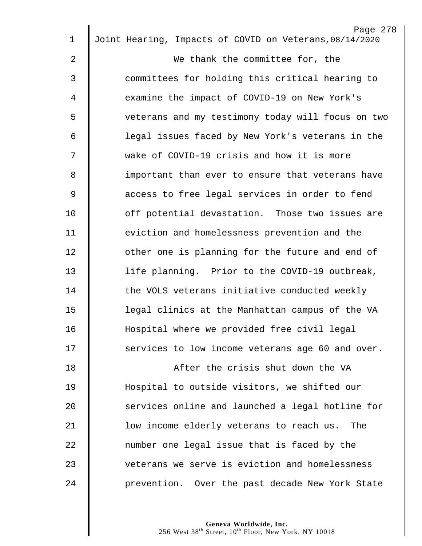|                | Page 278                                                |
|----------------|---------------------------------------------------------|
| $\mathbf 1$    | Joint Hearing, Impacts of COVID on Veterans, 08/14/2020 |
| 2              | We thank the committee for, the                         |
| 3              | committees for holding this critical hearing to         |
| 4              | examine the impact of COVID-19 on New York's            |
| 5              | veterans and my testimony today will focus on two       |
| 6              | legal issues faced by New York's veterans in the        |
| 7              | wake of COVID-19 crisis and how it is more              |
| 8              | important than ever to ensure that veterans have        |
| $\overline{9}$ | access to free legal services in order to fend          |
| 10             | off potential devastation. Those two issues are         |
| 11             | eviction and homelessness prevention and the            |
| 12             | other one is planning for the future and end of         |
| 13             | life planning. Prior to the COVID-19 outbreak,          |
| 14             | the VOLS veterans initiative conducted weekly           |
| 15             | legal clinics at the Manhattan campus of the VA         |
| 16             | Hospital where we provided free civil legal             |
| 17             | services to low income veterans age 60 and over.        |
| 18             | After the crisis shut down the VA                       |
| 19             | Hospital to outside visitors, we shifted our            |
| 20             | services online and launched a legal hotline for        |
| 21             | low income elderly veterans to reach us. The            |
| 22             | number one legal issue that is faced by the             |
| 23             | veterans we serve is eviction and homelessness          |
| 24             | prevention. Over the past decade New York State         |
|                |                                                         |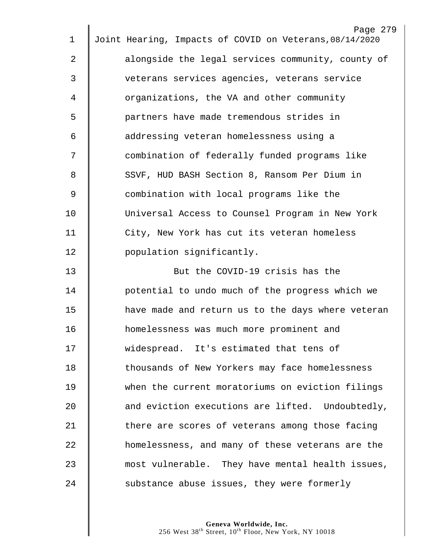|             | Page 279                                                |
|-------------|---------------------------------------------------------|
| 1           | Joint Hearing, Impacts of COVID on Veterans, 08/14/2020 |
| 2           | alongside the legal services community, county of       |
| 3           | veterans services agencies, veterans service            |
| 4           | organizations, the VA and other community               |
| 5           | partners have made tremendous strides in                |
| 6           | addressing veteran homelessness using a                 |
| 7           | combination of federally funded programs like           |
| 8           | SSVF, HUD BASH Section 8, Ransom Per Dium in            |
| $\mathsf 9$ | combination with local programs like the                |
| 10          | Universal Access to Counsel Program in New York         |
| 11          | City, New York has cut its veteran homeless             |
| 12          | population significantly.                               |
| 13          | But the COVID-19 crisis has the                         |
| 14          | potential to undo much of the progress which we         |
| 15          | have made and return us to the days where veteran       |
| 16          | homelessness was much more prominent and                |
| 17          | widespread. It's estimated that tens of                 |
| 18          | thousands of New Yorkers may face homelessness          |
| 19          | when the current moratoriums on eviction filings        |
| 20          | and eviction executions are lifted. Undoubtedly,        |
| 21          | there are scores of veterans among those facing         |
| 22          | homelessness, and many of these veterans are the        |
| 23          | most vulnerable. They have mental health issues,        |
| 24          | substance abuse issues, they were formerly              |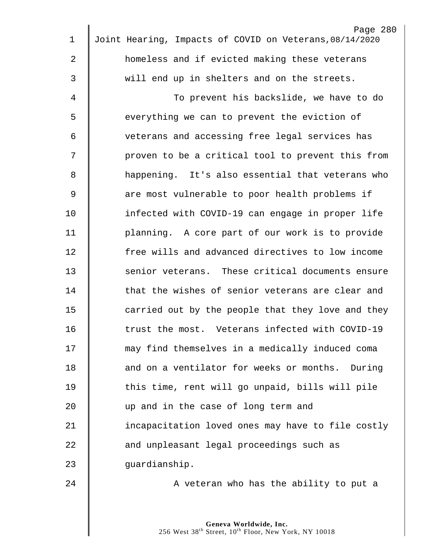| $\mathbf 1$    | Page 280<br>Joint Hearing, Impacts of COVID on Veterans, 08/14/2020 |
|----------------|---------------------------------------------------------------------|
|                |                                                                     |
| $\overline{2}$ | homeless and if evicted making these veterans                       |
| 3              | will end up in shelters and on the streets.                         |
| $\overline{4}$ | To prevent his backslide, we have to do                             |
| 5              | everything we can to prevent the eviction of                        |
| 6              | veterans and accessing free legal services has                      |
| 7              | proven to be a critical tool to prevent this from                   |
| 8              | happening. It's also essential that veterans who                    |
| 9              | are most vulnerable to poor health problems if                      |
| 10             | infected with COVID-19 can engage in proper life                    |
| 11             | planning. A core part of our work is to provide                     |
| 12             | free wills and advanced directives to low income                    |
| 13             | senior veterans. These critical documents ensure                    |
| 14             | that the wishes of senior veterans are clear and                    |
| 15             | carried out by the people that they love and they                   |
| 16             | trust the most. Veterans infected with COVID-19                     |
| 17             | may find themselves in a medically induced coma                     |
| 18             | and on a ventilator for weeks or months. During                     |
| 19             | this time, rent will go unpaid, bills will pile                     |
| 20             | up and in the case of long term and                                 |
| 21             | incapacitation loved ones may have to file costly                   |
| 22             | and unpleasant legal proceedings such as                            |
| 23             | guardianship.                                                       |
| 24             | A veteran who has the ability to put a                              |
|                |                                                                     |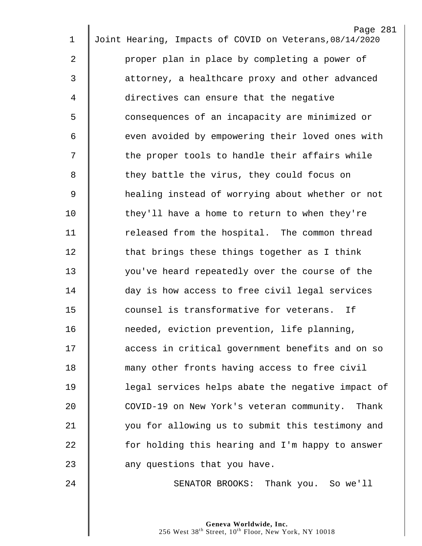| $\mathbf 1$ | Page 281<br>Joint Hearing, Impacts of COVID on Veterans, 08/14/2020 |
|-------------|---------------------------------------------------------------------|
|             |                                                                     |
| 2           | proper plan in place by completing a power of                       |
| 3           | attorney, a healthcare proxy and other advanced                     |
| 4           | directives can ensure that the negative                             |
| 5           | consequences of an incapacity are minimized or                      |
| 6           | even avoided by empowering their loved ones with                    |
| 7           | the proper tools to handle their affairs while                      |
| 8           | they battle the virus, they could focus on                          |
| 9           | healing instead of worrying about whether or not                    |
| 10          | they'll have a home to return to when they're                       |
| 11          | released from the hospital. The common thread                       |
| 12          | that brings these things together as I think                        |
| 13          | you've heard repeatedly over the course of the                      |
| 14          | day is how access to free civil legal services                      |
| 15          | counsel is transformative for veterans.<br>If                       |
| 16          | needed, eviction prevention, life planning,                         |
| 17          | access in critical government benefits and on so                    |
| 18          | many other fronts having access to free civil                       |
| 19          | legal services helps abate the negative impact of                   |
| 20          | COVID-19 on New York's veteran community. Thank                     |
| 21          | you for allowing us to submit this testimony and                    |
| 22          | for holding this hearing and I'm happy to answer                    |
| 23          | any questions that you have.                                        |
| 24          | SENATOR BROOKS: Thank you. So we'll                                 |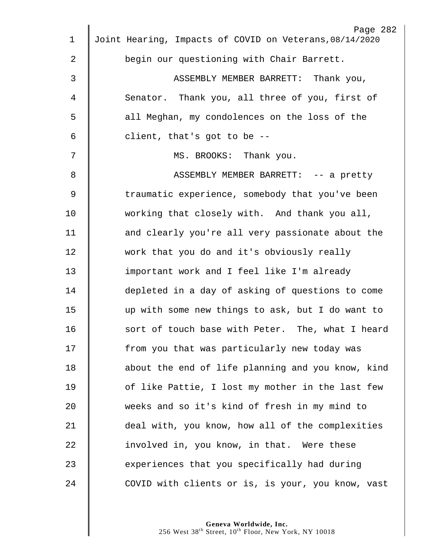| $\mathbf 1$ | Page 282<br>Joint Hearing, Impacts of COVID on Veterans, 08/14/2020 |
|-------------|---------------------------------------------------------------------|
|             |                                                                     |
| 2           | begin our questioning with Chair Barrett.                           |
| 3           | ASSEMBLY MEMBER BARRETT: Thank you,                                 |
| 4           | Senator. Thank you, all three of you, first of                      |
| 5           | all Meghan, my condolences on the loss of the                       |
| 6           | client, that's got to be --                                         |
| 7           | MS. BROOKS: Thank you.                                              |
| 8           | ASSEMBLY MEMBER BARRETT: -- a pretty                                |
| 9           | traumatic experience, somebody that you've been                     |
| 10          | working that closely with. And thank you all,                       |
| 11          | and clearly you're all very passionate about the                    |
| 12          | work that you do and it's obviously really                          |
| 13          | important work and I feel like I'm already                          |
| 14          | depleted in a day of asking of questions to come                    |
| 15          | up with some new things to ask, but I do want to                    |
| 16          | sort of touch base with Peter. The, what I heard                    |
| 17          | from you that was particularly new today was                        |
| 18          | about the end of life planning and you know, kind                   |
| 19          | of like Pattie, I lost my mother in the last few                    |
| 20          | weeks and so it's kind of fresh in my mind to                       |
| 21          | deal with, you know, how all of the complexities                    |
| 22          | involved in, you know, in that. Were these                          |
| 23          | experiences that you specifically had during                        |
| 24          | COVID with clients or is, is your, you know, vast                   |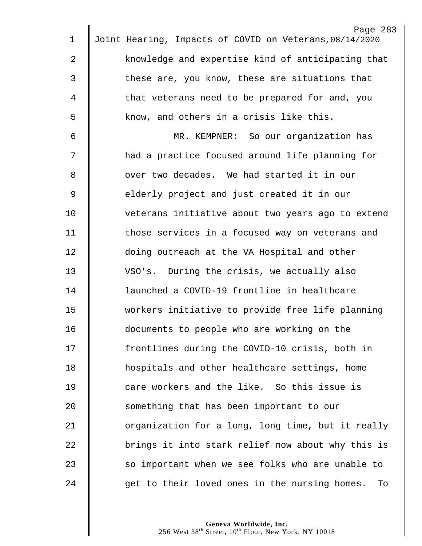|             | Page 283                                                |
|-------------|---------------------------------------------------------|
| 1           | Joint Hearing, Impacts of COVID on Veterans, 08/14/2020 |
| 2           | knowledge and expertise kind of anticipating that       |
| 3           | these are, you know, these are situations that          |
| 4           | that veterans need to be prepared for and, you          |
| 5           | know, and others in a crisis like this.                 |
| 6           | MR. KEMPNER: So our organization has                    |
| 7           | had a practice focused around life planning for         |
| 8           | over two decades. We had started it in our              |
| $\mathsf 9$ | elderly project and just created it in our              |
| 10          | veterans initiative about two years ago to extend       |
| 11          | those services in a focused way on veterans and         |
| 12          | doing outreach at the VA Hospital and other             |
| 13          | VSO's. During the crisis, we actually also              |
| 14          | launched a COVID-19 frontline in healthcare             |
| 15          | workers initiative to provide free life planning        |
| 16          | documents to people who are working on the              |
| 17          | frontlines during the COVID-10 crisis, both in          |
| 18          | hospitals and other healthcare settings, home           |
| 19          | care workers and the like. So this issue is             |
| 20          | something that has been important to our                |
| 21          | organization for a long, long time, but it really       |
| 22          | brings it into stark relief now about why this is       |
| 23          | so important when we see folks who are unable to        |
| 24          | get to their loved ones in the nursing homes.<br>To     |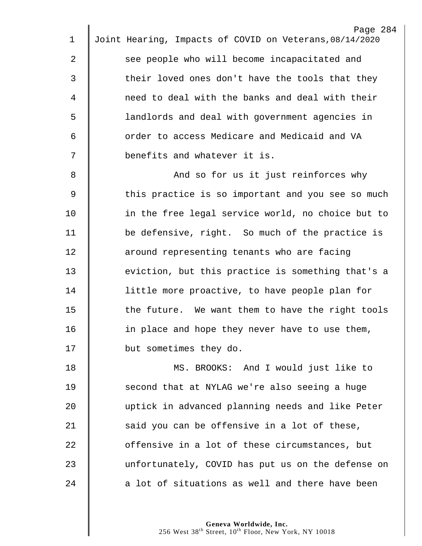|                | Page 284                                                |
|----------------|---------------------------------------------------------|
| 1              | Joint Hearing, Impacts of COVID on Veterans, 08/14/2020 |
| 2              | see people who will become incapacitated and            |
| 3              | their loved ones don't have the tools that they         |
| 4              | need to deal with the banks and deal with their         |
| 5              | landlords and deal with government agencies in          |
| 6              | order to access Medicare and Medicaid and VA            |
| 7              | benefits and whatever it is.                            |
| 8              | And so for us it just reinforces why                    |
| $\overline{9}$ | this practice is so important and you see so much       |
| 10             | in the free legal service world, no choice but to       |
| 11             | be defensive, right. So much of the practice is         |
| 12             | around representing tenants who are facing              |
| 13             | eviction, but this practice is something that's a       |
| 14             | little more proactive, to have people plan for          |
| 15             | the future. We want them to have the right tools        |
| 16             | in place and hope they never have to use them,          |
| 17             | but sometimes they do.                                  |
| 18             | MS. BROOKS: And I would just like to                    |
| 19             | second that at NYLAG we're also seeing a huge           |
| 20             | uptick in advanced planning needs and like Peter        |
| 21             | said you can be offensive in a lot of these,            |
| 22             | offensive in a lot of these circumstances, but          |
| 23             | unfortunately, COVID has put us on the defense on       |
| 24             | a lot of situations as well and there have been         |
|                |                                                         |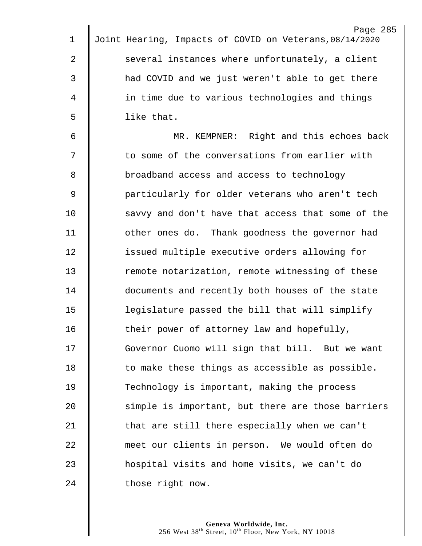| $\mathbf 1$ | Page 285<br>Joint Hearing, Impacts of COVID on Veterans, 08/14/2020 |
|-------------|---------------------------------------------------------------------|
|             |                                                                     |
| 2           | several instances where unfortunately, a client                     |
| 3           | had COVID and we just weren't able to get there                     |
| 4           | in time due to various technologies and things                      |
| 5           | like that.                                                          |
| 6           | MR. KEMPNER: Right and this echoes back                             |
| 7           | to some of the conversations from earlier with                      |
| 8           | broadband access and access to technology                           |
| $\mathsf 9$ | particularly for older veterans who aren't tech                     |
| 10          | savvy and don't have that access that some of the                   |
| 11          | other ones do. Thank goodness the governor had                      |
| 12          | issued multiple executive orders allowing for                       |
| 13          | remote notarization, remote witnessing of these                     |
| 14          | documents and recently both houses of the state                     |
| 15          | legislature passed the bill that will simplify                      |
| 16          | their power of attorney law and hopefully,                          |
| 17          | Governor Cuomo will sign that bill. But we want                     |
| 18          | to make these things as accessible as possible.                     |
| 19          | Technology is important, making the process                         |
| 20          | simple is important, but there are those barriers                   |
| 21          | that are still there especially when we can't                       |
| 22          | meet our clients in person. We would often do                       |
| 23          | hospital visits and home visits, we can't do                        |
| 24          | those right now.                                                    |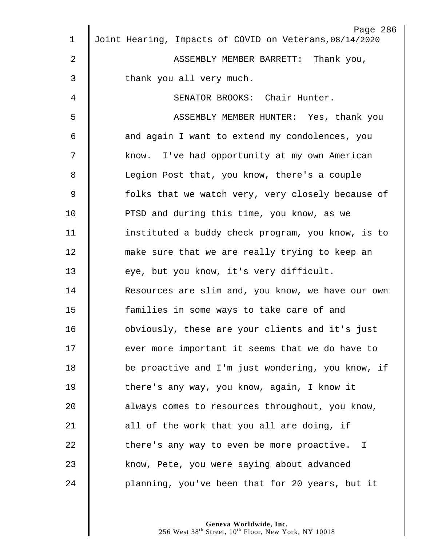|             | Page 286                                                |
|-------------|---------------------------------------------------------|
| $\mathbf 1$ | Joint Hearing, Impacts of COVID on Veterans, 08/14/2020 |
| 2           | ASSEMBLY MEMBER BARRETT: Thank you,                     |
| 3           | thank you all very much.                                |
| 4           | SENATOR BROOKS: Chair Hunter.                           |
| 5           | ASSEMBLY MEMBER HUNTER: Yes, thank you                  |
| 6           | and again I want to extend my condolences, you          |
| 7           | know. I've had opportunity at my own American           |
| 8           | Legion Post that, you know, there's a couple            |
| 9           | folks that we watch very, very closely because of       |
| 10          | PTSD and during this time, you know, as we              |
| 11          | instituted a buddy check program, you know, is to       |
| 12          | make sure that we are really trying to keep an          |
| 13          | eye, but you know, it's very difficult.                 |
| 14          | Resources are slim and, you know, we have our own       |
| 15          | families in some ways to take care of and               |
| 16          | obviously, these are your clients and it's just         |
| 17          | ever more important it seems that we do have to         |
| 18          | be proactive and I'm just wondering, you know, if       |
| 19          | there's any way, you know, again, I know it             |
| 20          | always comes to resources throughout, you know,         |
| 21          | all of the work that you all are doing, if              |
| 22          | there's any way to even be more proactive. I            |
| 23          | know, Pete, you were saying about advanced              |
| 24          | planning, you've been that for 20 years, but it         |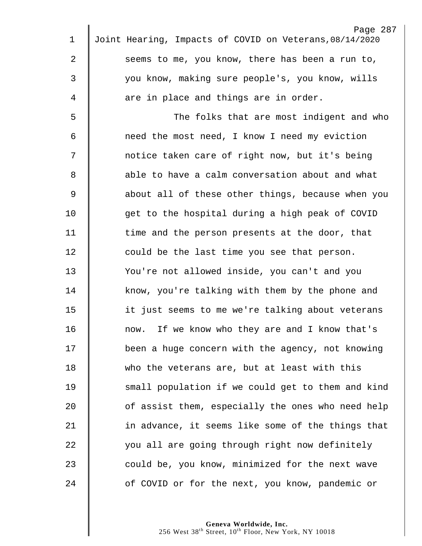| 1              | Page 287<br>Joint Hearing, Impacts of COVID on Veterans, 08/14/2020 |
|----------------|---------------------------------------------------------------------|
|                |                                                                     |
| $\overline{2}$ | seems to me, you know, there has been a run to,                     |
| 3              | you know, making sure people's, you know, wills                     |
| 4              | are in place and things are in order.                               |
| 5              | The folks that are most indigent and who                            |
| 6              | need the most need, I know I need my eviction                       |
| 7              | notice taken care of right now, but it's being                      |
| 8              | able to have a calm conversation about and what                     |
| $\overline{9}$ | about all of these other things, because when you                   |
| 10             | get to the hospital during a high peak of COVID                     |
| 11             | time and the person presents at the door, that                      |
| 12             | could be the last time you see that person.                         |
| 13             | You're not allowed inside, you can't and you                        |
| 14             | know, you're talking with them by the phone and                     |
| 15             | it just seems to me we're talking about veterans                    |
| 16             | now. If we know who they are and I know that's                      |
| 17             | been a huge concern with the agency, not knowing                    |
| 18             | who the veterans are, but at least with this                        |
| 19             | small population if we could get to them and kind                   |
| 20             | of assist them, especially the ones who need help                   |
| 21             | in advance, it seems like some of the things that                   |
| 22             | you all are going through right now definitely                      |
| 23             | could be, you know, minimized for the next wave                     |
| 24             | of COVID or for the next, you know, pandemic or                     |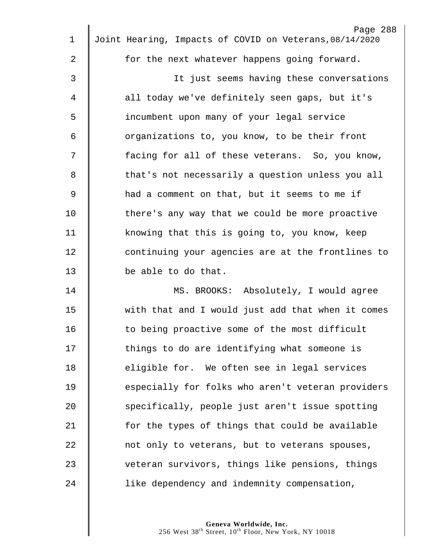|             | Page 288                                                |
|-------------|---------------------------------------------------------|
| $\mathbf 1$ | Joint Hearing, Impacts of COVID on Veterans, 08/14/2020 |
| 2           | for the next whatever happens going forward.            |
| 3           | It just seems having these conversations                |
| 4           | all today we've definitely seen gaps, but it's          |
| 5           | incumbent upon many of your legal service               |
| 6           | organizations to, you know, to be their front           |
| 7           | facing for all of these veterans. So, you know,         |
| 8           | that's not necessarily a question unless you all        |
| 9           | had a comment on that, but it seems to me if            |
| 10          | there's any way that we could be more proactive         |
| 11          | knowing that this is going to, you know, keep           |
| 12          | continuing your agencies are at the frontlines to       |
| 13          | be able to do that.                                     |
| 14          | MS. BROOKS: Absolutely, I would agree                   |
| 15          | with that and I would just add that when it comes       |
| 16          | to being proactive some of the most difficult           |
| 17          | things to do are identifying what someone is            |
| 18          | eligible for. We often see in legal services            |
| 19          | especially for folks who aren't veteran providers       |
| 20          | specifically, people just aren't issue spotting         |
| 21          | for the types of things that could be available         |
| 22          | not only to veterans, but to veterans spouses,          |
| 23          | veteran survivors, things like pensions, things         |
| 24          | like dependency and indemnity compensation,             |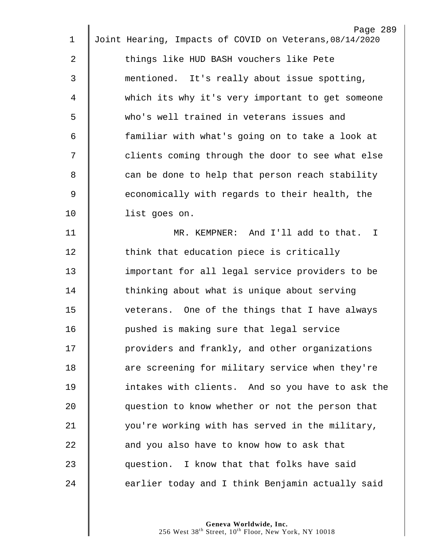|                | Page 289<br>Joint Hearing, Impacts of COVID on Veterans, 08/14/2020 |
|----------------|---------------------------------------------------------------------|
| 1              |                                                                     |
| 2              | things like HUD BASH vouchers like Pete                             |
| 3              | mentioned. It's really about issue spotting,                        |
| 4              | which its why it's very important to get someone                    |
| 5              | who's well trained in veterans issues and                           |
| 6              | familiar with what's going on to take a look at                     |
| 7              | clients coming through the door to see what else                    |
| 8              | can be done to help that person reach stability                     |
| $\overline{9}$ | economically with regards to their health, the                      |
| 10             | list goes on.                                                       |
| 11             | MR. KEMPNER: And I'll add to that. I                                |
| 12             | think that education piece is critically                            |
| 13             | important for all legal service providers to be                     |
| 14             | thinking about what is unique about serving                         |
| 15             | veterans. One of the things that I have always                      |
| 16             | pushed is making sure that legal service                            |
| 17             | providers and frankly, and other organizations                      |
| 18             | are screening for military service when they're                     |
| 19             | intakes with clients. And so you have to ask the                    |
| 20             | question to know whether or not the person that                     |
| 21             | you're working with has served in the military,                     |
| 22             | and you also have to know how to ask that                           |
| 23             | question. I know that that folks have said                          |
| 24             | earlier today and I think Benjamin actually said                    |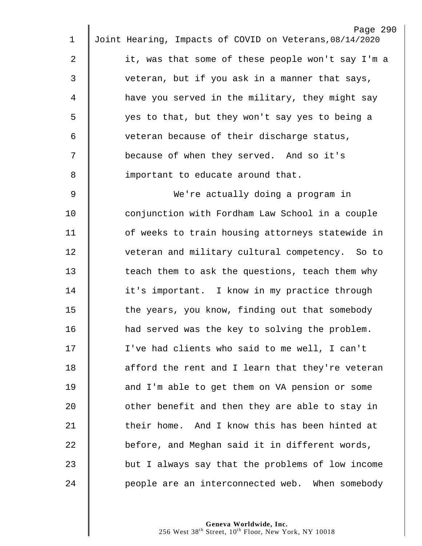|                | Page 290                                                |
|----------------|---------------------------------------------------------|
| 1              | Joint Hearing, Impacts of COVID on Veterans, 08/14/2020 |
| 2              | it, was that some of these people won't say I'm a       |
| 3              | veteran, but if you ask in a manner that says,          |
| 4              | have you served in the military, they might say         |
| 5              | yes to that, but they won't say yes to being a          |
| 6              | veteran because of their discharge status,              |
| 7              | because of when they served. And so it's                |
| 8              | important to educate around that.                       |
| $\overline{9}$ | We're actually doing a program in                       |
| 10             | conjunction with Fordham Law School in a couple         |
| 11             | of weeks to train housing attorneys statewide in        |
| 12             | veteran and military cultural competency. So to         |
| 13             | teach them to ask the questions, teach them why         |
| 14             | it's important. I know in my practice through           |
| 15             | the years, you know, finding out that somebody          |
| 16             | had served was the key to solving the problem.          |
| 17             | I've had clients who said to me well, I can't           |
| 18             | afford the rent and I learn that they're veteran        |
| 19             | and I'm able to get them on VA pension or some          |
| 20             | other benefit and then they are able to stay in         |
| 21             | their home. And I know this has been hinted at          |
| 22             | before, and Meghan said it in different words,          |
| 23             | but I always say that the problems of low income        |
| 24             | people are an interconnected web. When somebody         |
|                |                                                         |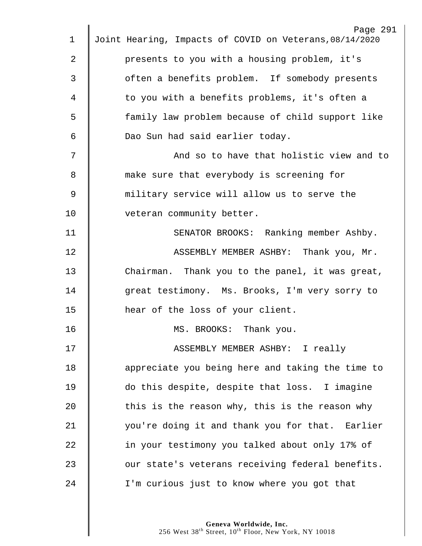|             | Page 291                                                |
|-------------|---------------------------------------------------------|
| $\mathbf 1$ | Joint Hearing, Impacts of COVID on Veterans, 08/14/2020 |
| 2           | presents to you with a housing problem, it's            |
| 3           | often a benefits problem. If somebody presents          |
| 4           | to you with a benefits problems, it's often a           |
| 5           | family law problem because of child support like        |
| 6           | Dao Sun had said earlier today.                         |
| 7           | And so to have that holistic view and to                |
| 8           | make sure that everybody is screening for               |
| $\mathsf 9$ | military service will allow us to serve the             |
| 10          | veteran community better.                               |
| 11          | SENATOR BROOKS: Ranking member Ashby.                   |
| 12          | ASSEMBLY MEMBER ASHBY: Thank you, Mr.                   |
| 13          | Chairman. Thank you to the panel, it was great,         |
| 14          | great testimony. Ms. Brooks, I'm very sorry to          |
| 15          | hear of the loss of your client.                        |
| 16          | MS. BROOKS: Thank you.                                  |
| 17          | ASSEMBLY MEMBER ASHBY: I really                         |
| 18          | appreciate you being here and taking the time to        |
| 19          | do this despite, despite that loss. I imagine           |
| 20          | this is the reason why, this is the reason why          |
| 21          | you're doing it and thank you for that. Earlier         |
| 22          | in your testimony you talked about only 17% of          |
| 23          | our state's veterans receiving federal benefits.        |
| 24          | I'm curious just to know where you got that             |
|             |                                                         |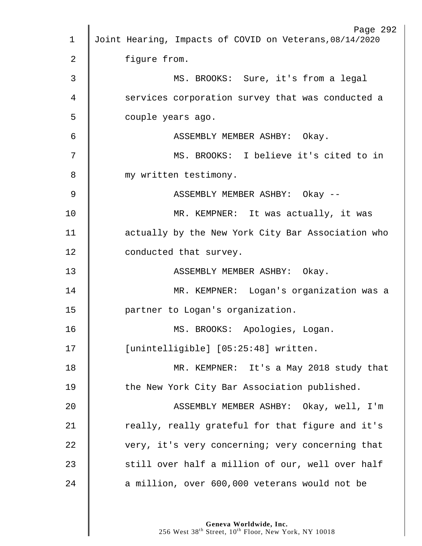|    | Page 292<br>Joint Hearing, Impacts of COVID on Veterans, 08/14/2020 |
|----|---------------------------------------------------------------------|
| 1  |                                                                     |
| 2  | figure from.                                                        |
| 3  | MS. BROOKS: Sure, it's from a legal                                 |
| 4  | services corporation survey that was conducted a                    |
| 5  | couple years ago.                                                   |
| 6  | ASSEMBLY MEMBER ASHBY: Okay.                                        |
| 7  | MS. BROOKS: I believe it's cited to in                              |
| 8  | my written testimony.                                               |
| 9  | ASSEMBLY MEMBER ASHBY: Okay --                                      |
| 10 | MR. KEMPNER: It was actually, it was                                |
| 11 | actually by the New York City Bar Association who                   |
| 12 | conducted that survey.                                              |
| 13 | ASSEMBLY MEMBER ASHBY: Okay.                                        |
| 14 | MR. KEMPNER: Logan's organization was a                             |
| 15 | partner to Logan's organization.                                    |
| 16 | MS. BROOKS: Apologies, Logan.                                       |
| 17 | [unintelligible] [05:25:48] written.                                |
| 18 | MR. KEMPNER: It's a May 2018 study that                             |
| 19 | the New York City Bar Association published.                        |
| 20 | ASSEMBLY MEMBER ASHBY: Okay, well, I'm                              |
| 21 | really, really grateful for that figure and it's                    |
| 22 | very, it's very concerning; very concerning that                    |
| 23 | still over half a million of our, well over half                    |
| 24 | a million, over 600,000 veterans would not be                       |
|    |                                                                     |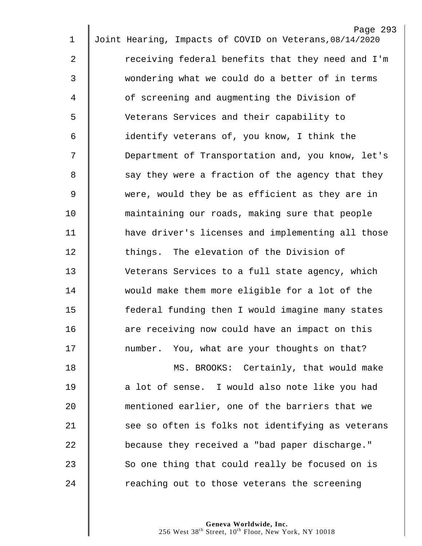|                | Page 293                                                |
|----------------|---------------------------------------------------------|
| $\mathbf 1$    | Joint Hearing, Impacts of COVID on Veterans, 08/14/2020 |
| $\overline{2}$ | receiving federal benefits that they need and I'm       |
| 3              | wondering what we could do a better of in terms         |
| 4              | of screening and augmenting the Division of             |
| 5              | Veterans Services and their capability to               |
| 6              | identify veterans of, you know, I think the             |
| 7              | Department of Transportation and, you know, let's       |
| 8              | say they were a fraction of the agency that they        |
| 9              | were, would they be as efficient as they are in         |
| 10             | maintaining our roads, making sure that people          |
| 11             | have driver's licenses and implementing all those       |
| 12             | things. The elevation of the Division of                |
| 13             | Veterans Services to a full state agency, which         |
| 14             | would make them more eligible for a lot of the          |
| 15             | federal funding then I would imagine many states        |
| 16             | are receiving now could have an impact on this          |
| 17             | number. You, what are your thoughts on that?            |
| 18             | MS. BROOKS: Certainly, that would make                  |
| 19             | a lot of sense. I would also note like you had          |
| 20             | mentioned earlier, one of the barriers that we          |
| 21             | see so often is folks not identifying as veterans       |
| 22             | because they received a "bad paper discharge."          |
| 23             | So one thing that could really be focused on is         |
| 24             | reaching out to those veterans the screening            |
|                |                                                         |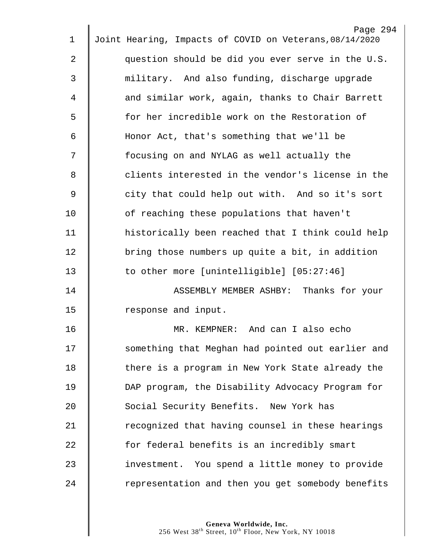|                | Page 294                                                |
|----------------|---------------------------------------------------------|
| $\mathbf 1$    | Joint Hearing, Impacts of COVID on Veterans, 08/14/2020 |
| $\overline{2}$ | question should be did you ever serve in the U.S.       |
| 3              | military. And also funding, discharge upgrade           |
| 4              | and similar work, again, thanks to Chair Barrett        |
| 5              | for her incredible work on the Restoration of           |
| 6              | Honor Act, that's something that we'll be               |
| 7              | focusing on and NYLAG as well actually the              |
| 8              | clients interested in the vendor's license in the       |
| $\mathsf 9$    | city that could help out with. And so it's sort         |
| 10             | of reaching these populations that haven't              |
| 11             | historically been reached that I think could help       |
| 12             | bring those numbers up quite a bit, in addition         |
| 13             | to other more [unintelligible] [05:27:46]               |
| 14             | ASSEMBLY MEMBER ASHBY: Thanks for your                  |
| 15             | response and input.                                     |
| 16             | MR<br>KEMPNER: And can I also echo                      |
| 17             | something that Meghan had pointed out earlier and       |
| 18             | there is a program in New York State already the        |
| 19             | DAP program, the Disability Advocacy Program for        |
| 20             | Social Security Benefits. New York has                  |
| 21             | recognized that having counsel in these hearings        |
| 22             | for federal benefits is an incredibly smart             |
| 23             | investment. You spend a little money to provide         |
| 24             | representation and then you get somebody benefits       |
|                |                                                         |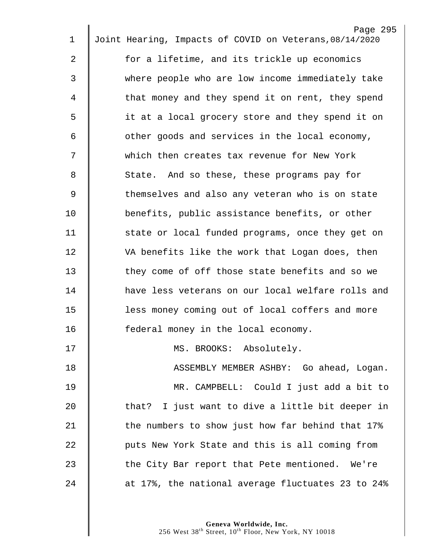|    | Page 295                                                |
|----|---------------------------------------------------------|
| 1  | Joint Hearing, Impacts of COVID on Veterans, 08/14/2020 |
| 2  | for a lifetime, and its trickle up economics            |
| 3  | where people who are low income immediately take        |
| 4  | that money and they spend it on rent, they spend        |
| 5  | it at a local grocery store and they spend it on        |
| 6  | other goods and services in the local economy,          |
| 7  | which then creates tax revenue for New York             |
| 8  | State. And so these, these programs pay for             |
| 9  | themselves and also any veteran who is on state         |
| 10 | benefits, public assistance benefits, or other          |
| 11 | state or local funded programs, once they get on        |
| 12 | VA benefits like the work that Logan does, then         |
| 13 | they come of off those state benefits and so we         |
| 14 | have less veterans on our local welfare rolls and       |
| 15 | less money coming out of local coffers and more         |
| 16 | federal money in the local economy.                     |
| 17 | MS. BROOKS: Absolutely.                                 |
| 18 | ASSEMBLY MEMBER ASHBY: Go ahead, Logan.                 |
| 19 | MR. CAMPBELL: Could I just add a bit to                 |
| 20 | that? I just want to dive a little bit deeper in        |
| 21 | the numbers to show just how far behind that 17%        |
| 22 | puts New York State and this is all coming from         |
| 23 | the City Bar report that Pete mentioned. We're          |
| 24 | at 17%, the national average fluctuates 23 to 24%       |
|    |                                                         |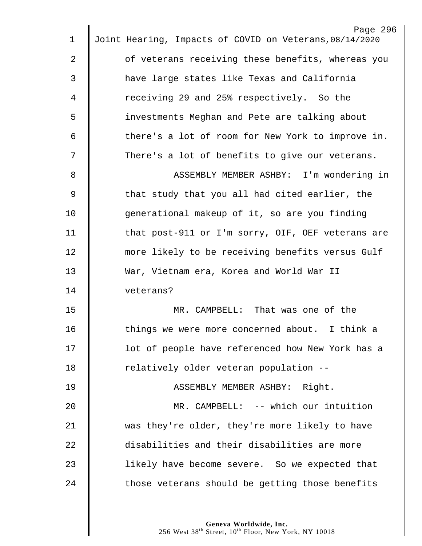|             | Page 296                                                |
|-------------|---------------------------------------------------------|
| $\mathbf 1$ | Joint Hearing, Impacts of COVID on Veterans, 08/14/2020 |
| 2           | of veterans receiving these benefits, whereas you       |
| 3           | have large states like Texas and California             |
| 4           | receiving 29 and 25% respectively. So the               |
| 5           | investments Meghan and Pete are talking about           |
| 6           | there's a lot of room for New York to improve in.       |
| 7           | There's a lot of benefits to give our veterans.         |
| 8           | ASSEMBLY MEMBER ASHBY: I'm wondering in                 |
| 9           | that study that you all had cited earlier, the          |
| 10          | generational makeup of it, so are you finding           |
| 11          | that post-911 or I'm sorry, OIF, OEF veterans are       |
| 12          | more likely to be receiving benefits versus Gulf        |
| 13          | War, Vietnam era, Korea and World War II                |
| 14          | veterans?                                               |
| 15          | MR. CAMPBELL: That was one of the                       |
| 16          | things we were more concerned about. I think a          |
| 17          | lot of people have referenced how New York has a        |
| 18          | relatively older veteran population --                  |
| 19          | ASSEMBLY MEMBER ASHBY: Right.                           |
| 20          | MR. CAMPBELL: -- which our intuition                    |
| 21          | was they're older, they're more likely to have          |
| 22          | disabilities and their disabilities are more            |
| 23          | likely have become severe. So we expected that          |
| 24          | those veterans should be getting those benefits         |
|             |                                                         |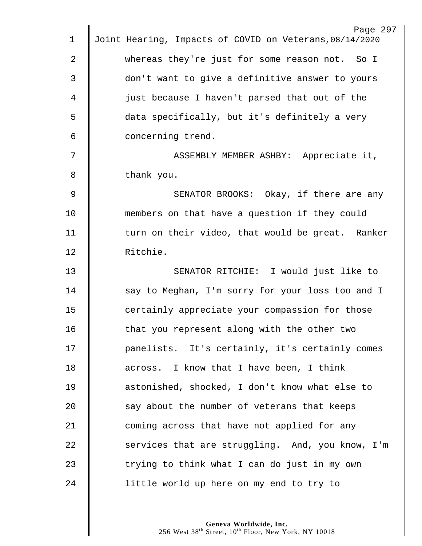|                | Page 297                                                |
|----------------|---------------------------------------------------------|
| $\mathbf 1$    | Joint Hearing, Impacts of COVID on Veterans, 08/14/2020 |
| $\overline{2}$ | whereas they're just for some reason not. So I          |
| 3              | don't want to give a definitive answer to yours         |
| 4              | just because I haven't parsed that out of the           |
| 5              | data specifically, but it's definitely a very           |
| 6              | concerning trend.                                       |
| 7              | ASSEMBLY MEMBER ASHBY: Appreciate it,                   |
| 8              | thank you.                                              |
| 9              | SENATOR BROOKS: Okay, if there are any                  |
| 10             | members on that have a question if they could           |
| 11             | turn on their video, that would be great. Ranker        |
| 12             | Ritchie.                                                |
| 13             | SENATOR RITCHIE: I would just like to                   |
| 14             | say to Meghan, I'm sorry for your loss too and I        |
| 15             | certainly appreciate your compassion for those          |
| 16             | that you represent along with the other two             |
| $17 \,$        | panelists. It's certainly, it's certainly comes         |
| 18             | across. I know that I have been, I think                |
| 19             | astonished, shocked, I don't know what else to          |
| 20             | say about the number of veterans that keeps             |
| 21             | coming across that have not applied for any             |
| 22             | services that are struggling. And, you know, I'm        |
| 23             | trying to think what I can do just in my own            |
| 24             | little world up here on my end to try to                |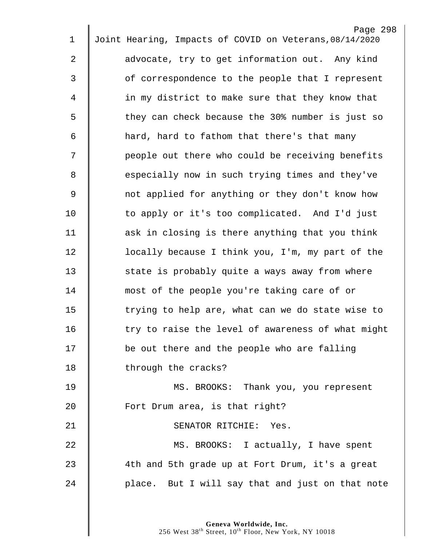| $\mathbf 1$ | Page 298<br>Joint Hearing, Impacts of COVID on Veterans, 08/14/2020 |
|-------------|---------------------------------------------------------------------|
|             |                                                                     |
| 2           | advocate, try to get information out. Any kind                      |
| 3           | of correspondence to the people that I represent                    |
| 4           | in my district to make sure that they know that                     |
| 5           | they can check because the 30% number is just so                    |
| 6           | hard, hard to fathom that there's that many                         |
| 7           | people out there who could be receiving benefits                    |
| 8           | especially now in such trying times and they've                     |
| $\mathsf 9$ | not applied for anything or they don't know how                     |
| 10          | to apply or it's too complicated. And I'd just                      |
| 11          | ask in closing is there anything that you think                     |
| 12          | locally because I think you, I'm, my part of the                    |
| 13          | state is probably quite a ways away from where                      |
| 14          | most of the people you're taking care of or                         |
| 15          | trying to help are, what can we do state wise to                    |
| 16          | try to raise the level of awareness of what might                   |
| 17          | be out there and the people who are falling                         |
| 18          | through the cracks?                                                 |
| 19          | MS. BROOKS: Thank you, you represent                                |
| 20          | Fort Drum area, is that right?                                      |
| 21          | SENATOR RITCHIE: Yes.                                               |
| 22          | MS. BROOKS: I actually, I have spent                                |
| 23          | 4th and 5th grade up at Fort Drum, it's a great                     |
| 24          | place. But I will say that and just on that note                    |
|             |                                                                     |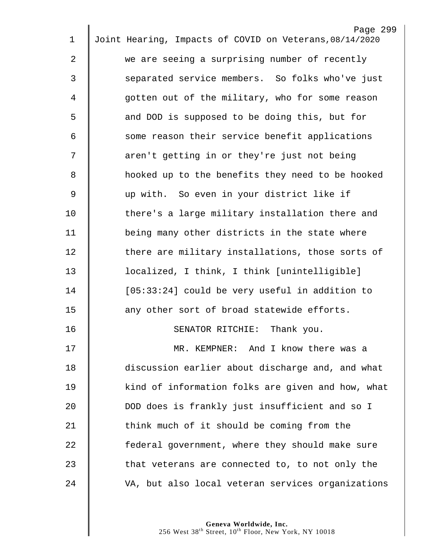|             | Page 299                                                |
|-------------|---------------------------------------------------------|
| $\mathbf 1$ | Joint Hearing, Impacts of COVID on Veterans, 08/14/2020 |
| 2           | we are seeing a surprising number of recently           |
| 3           | separated service members. So folks who've just         |
| 4           | gotten out of the military, who for some reason         |
| 5           | and DOD is supposed to be doing this, but for           |
| 6           | some reason their service benefit applications          |
| 7           | aren't getting in or they're just not being             |
| 8           | hooked up to the benefits they need to be hooked        |
| $\mathsf 9$ | up with. So even in your district like if               |
| 10          | there's a large military installation there and         |
| 11          | being many other districts in the state where           |
| 12          | there are military installations, those sorts of        |
| 13          | localized, I think, I think [unintelligible]            |
| 14          | [05:33:24] could be very useful in addition to          |
| 15          | any other sort of broad statewide efforts.              |
| 16          | Thank you.<br>SENATOR RITCHIE:                          |
| 17          | MR. KEMPNER: And I know there was a                     |
| 18          | discussion earlier about discharge and, and what        |
| 19          | kind of information folks are given and how, what       |
| 20          | DOD does is frankly just insufficient and so I          |
| 21          | think much of it should be coming from the              |
| 22          | federal government, where they should make sure         |
| 23          | that veterans are connected to, to not only the         |
| 24          | VA, but also local veteran services organizations       |
|             |                                                         |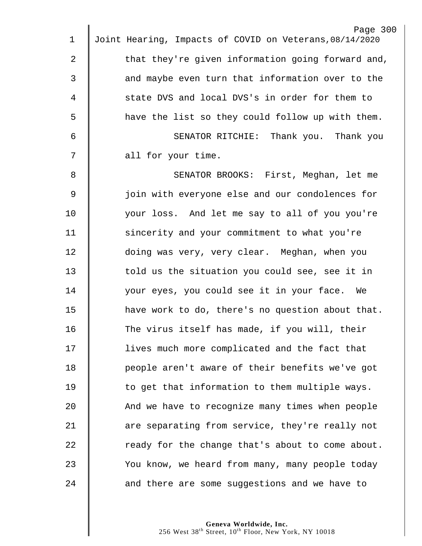|                | Page 300                                                |
|----------------|---------------------------------------------------------|
| 1              | Joint Hearing, Impacts of COVID on Veterans, 08/14/2020 |
| 2              | that they're given information going forward and,       |
| 3              | and maybe even turn that information over to the        |
| 4              | state DVS and local DVS's in order for them to          |
| 5              | have the list so they could follow up with them.        |
| 6              | SENATOR RITCHIE: Thank you. Thank you                   |
| 7              | all for your time.                                      |
| 8              | SENATOR BROOKS: First, Meghan, let me                   |
| $\overline{9}$ | join with everyone else and our condolences for         |
| 10             | your loss. And let me say to all of you you're          |
| 11             | sincerity and your commitment to what you're            |
| 12             | doing was very, very clear. Meghan, when you            |
| 13             | told us the situation you could see, see it in          |
| 14             | your eyes, you could see it in your face. We            |
| 15             | have work to do, there's no question about that.        |
| 16             | The virus itself has made, if you will, their           |
| 17             | lives much more complicated and the fact that           |
| 18             | people aren't aware of their benefits we've got         |
| 19             | to get that information to them multiple ways.          |
| 20             | And we have to recognize many times when people         |
| 21             | are separating from service, they're really not         |
| 22             | ready for the change that's about to come about.        |
| 23             | You know, we heard from many, many people today         |
| 24             | and there are some suggestions and we have to           |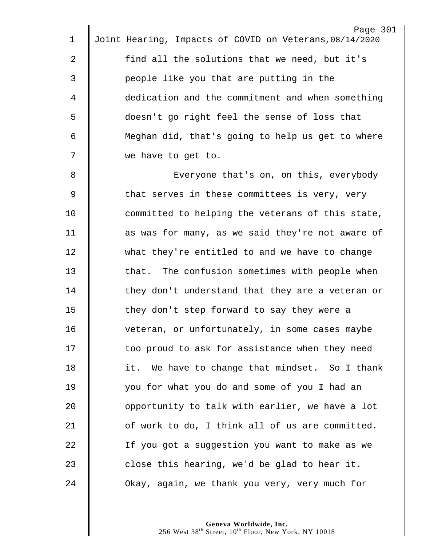| 1           | Page 301<br>Joint Hearing, Impacts of COVID on Veterans, 08/14/2020 |
|-------------|---------------------------------------------------------------------|
|             |                                                                     |
| 2           | find all the solutions that we need, but it's                       |
| 3           | people like you that are putting in the                             |
| 4           | dedication and the commitment and when something                    |
| 5           | doesn't go right feel the sense of loss that                        |
| 6           | Meghan did, that's going to help us get to where                    |
| 7           | we have to get to.                                                  |
| 8           | Everyone that's on, on this, everybody                              |
| $\mathsf 9$ | that serves in these committees is very, very                       |
| 10          | committed to helping the veterans of this state,                    |
| 11          | as was for many, as we said they're not aware of                    |
| 12          | what they're entitled to and we have to change                      |
| 13          | The confusion sometimes with people when<br>that.                   |
| 14          | they don't understand that they are a veteran or                    |
| 15          | they don't step forward to say they were a                          |
| 16          | veteran, or unfortunately, in some cases maybe                      |
| 17          | too proud to ask for assistance when they need                      |
| 18          | it. We have to change that mindset. So I thank                      |
| 19          | you for what you do and some of you I had an                        |
| 20          | opportunity to talk with earlier, we have a lot                     |
| 21          | of work to do, I think all of us are committed.                     |
| 22          | If you got a suggestion you want to make as we                      |
| 23          | close this hearing, we'd be glad to hear it.                        |
| 24          | Okay, again, we thank you very, very much for                       |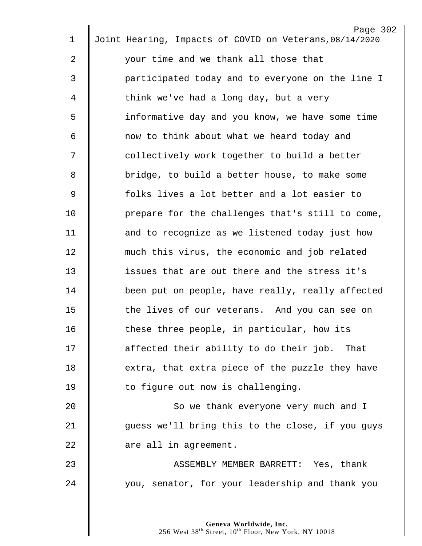|             | Page 302                                                |
|-------------|---------------------------------------------------------|
| $\mathbf 1$ | Joint Hearing, Impacts of COVID on Veterans, 08/14/2020 |
| 2           | your time and we thank all those that                   |
| 3           | participated today and to everyone on the line I        |
| 4           | think we've had a long day, but a very                  |
| 5           | informative day and you know, we have some time         |
| 6           | now to think about what we heard today and              |
| 7           | collectively work together to build a better            |
| 8           | bridge, to build a better house, to make some           |
| 9           | folks lives a lot better and a lot easier to            |
| 10          | prepare for the challenges that's still to come,        |
| 11          | and to recognize as we listened today just how          |
| 12          | much this virus, the economic and job related           |
| 13          | issues that are out there and the stress it's           |
| 14          | been put on people, have really, really affected        |
| 15          | the lives of our veterans. And you can see on           |
| 16          | these three people, in particular, how its              |
| 17          | affected their ability to do their job. That            |
| 18          | extra, that extra piece of the puzzle they have         |
| 19          | to figure out now is challenging.                       |
| 20          | So we thank everyone very much and I                    |
| 21          | guess we'll bring this to the close, if you guys        |
| 22          | are all in agreement.                                   |
| 23          | ASSEMBLY MEMBER BARRETT: Yes, thank                     |
| 24          | you, senator, for your leadership and thank you         |
|             |                                                         |
|             |                                                         |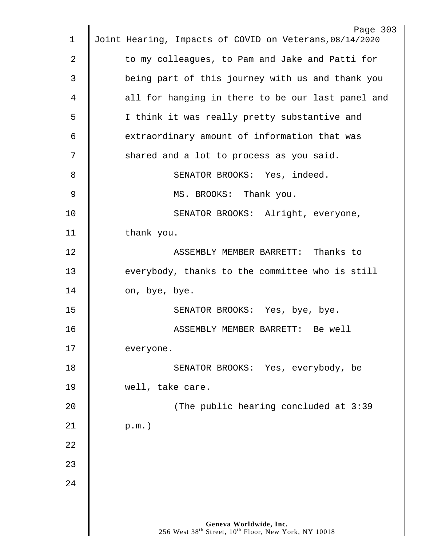| 1  | Page 303<br>Joint Hearing, Impacts of COVID on Veterans, 08/14/2020                                    |
|----|--------------------------------------------------------------------------------------------------------|
| 2  | to my colleagues, to Pam and Jake and Patti for                                                        |
| 3  | being part of this journey with us and thank you                                                       |
|    |                                                                                                        |
| 4  | all for hanging in there to be our last panel and                                                      |
| 5  | I think it was really pretty substantive and                                                           |
| 6  | extraordinary amount of information that was                                                           |
| 7  | shared and a lot to process as you said.                                                               |
| 8  | SENATOR BROOKS: Yes, indeed.                                                                           |
| 9  | MS. BROOKS: Thank you.                                                                                 |
| 10 | SENATOR BROOKS: Alright, everyone,                                                                     |
| 11 | thank you.                                                                                             |
| 12 | ASSEMBLY MEMBER BARRETT: Thanks to                                                                     |
| 13 | everybody, thanks to the committee who is still                                                        |
| 14 | on, bye, bye.                                                                                          |
| 15 | SENATOR BROOKS: Yes, bye, bye.                                                                         |
| 16 | ASSEMBLY MEMBER BARRETT: Be well                                                                       |
| 17 | everyone.                                                                                              |
| 18 | SENATOR BROOKS: Yes, everybody, be                                                                     |
| 19 | well, take care.                                                                                       |
| 20 | (The public hearing concluded at 3:39                                                                  |
|    |                                                                                                        |
| 21 | $p.m.$ )                                                                                               |
| 22 |                                                                                                        |
| 23 |                                                                                                        |
| 24 |                                                                                                        |
|    |                                                                                                        |
|    | Geneva Worldwide, Inc.<br>256 West 38 <sup>th</sup> Street, 10 <sup>th</sup> Floor, New York, NY 10018 |
|    |                                                                                                        |